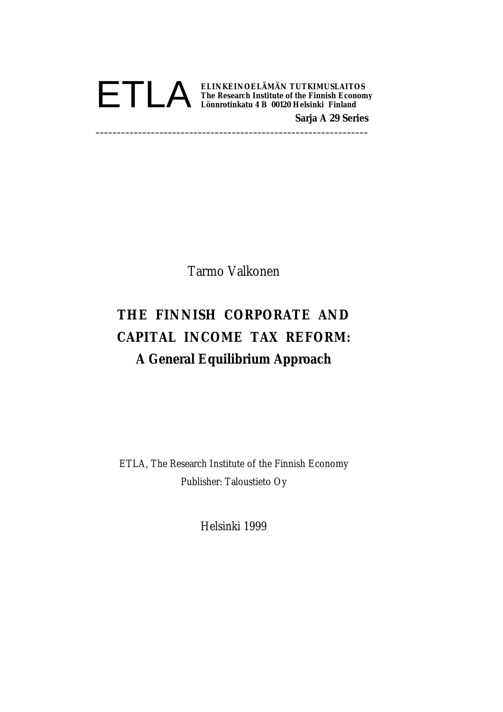

Tarmo Valkonen

# **THE FINNISH CORPORATE AND CAPITAL INCOME TAX REFORM: A General Equilibrium Approach**

ETLA, The Research Institute of the Finnish Economy Publisher: Taloustieto Oy

Helsinki 1999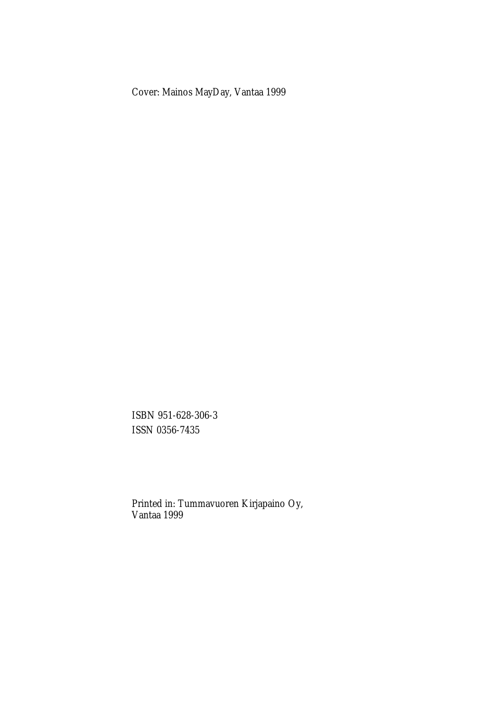Cover: Mainos MayDay, Vantaa 1999

ISBN 951-628-306-3 ISSN 0356-7435

Printed in: Tummavuoren Kirjapaino Oy, Vantaa 1999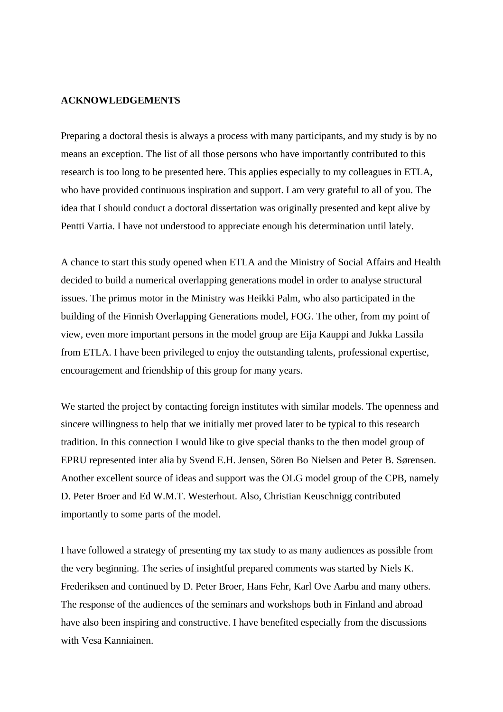### **ACKNOWLEDGEMENTS**

Preparing a doctoral thesis is always a process with many participants, and my study is by no means an exception. The list of all those persons who have importantly contributed to this research is too long to be presented here. This applies especially to my colleagues in ETLA, who have provided continuous inspiration and support. I am very grateful to all of you. The idea that I should conduct a doctoral dissertation was originally presented and kept alive by Pentti Vartia. I have not understood to appreciate enough his determination until lately.

A chance to start this study opened when ETLA and the Ministry of Social Affairs and Health decided to build a numerical overlapping generations model in order to analyse structural issues. The primus motor in the Ministry was Heikki Palm, who also participated in the building of the Finnish Overlapping Generations model, FOG. The other, from my point of view, even more important persons in the model group are Eija Kauppi and Jukka Lassila from ETLA. I have been privileged to enjoy the outstanding talents, professional expertise, encouragement and friendship of this group for many years.

We started the project by contacting foreign institutes with similar models. The openness and sincere willingness to help that we initially met proved later to be typical to this research tradition. In this connection I would like to give special thanks to the then model group of EPRU represented inter alia by Svend E.H. Jensen, Sören Bo Nielsen and Peter B. Sørensen. Another excellent source of ideas and support was the OLG model group of the CPB, namely D. Peter Broer and Ed W.M.T. Westerhout. Also, Christian Keuschnigg contributed importantly to some parts of the model.

I have followed a strategy of presenting my tax study to as many audiences as possible from the very beginning. The series of insightful prepared comments was started by Niels K. Frederiksen and continued by D. Peter Broer, Hans Fehr, Karl Ove Aarbu and many others. The response of the audiences of the seminars and workshops both in Finland and abroad have also been inspiring and constructive. I have benefited especially from the discussions with Vesa Kanniainen.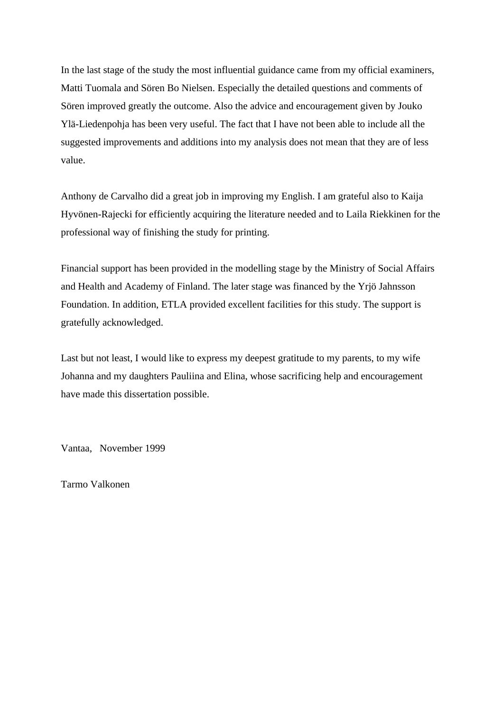In the last stage of the study the most influential guidance came from my official examiners, Matti Tuomala and Sören Bo Nielsen. Especially the detailed questions and comments of Sören improved greatly the outcome. Also the advice and encouragement given by Jouko Ylä-Liedenpohja has been very useful. The fact that I have not been able to include all the suggested improvements and additions into my analysis does not mean that they are of less value.

Anthony de Carvalho did a great job in improving my English. I am grateful also to Kaija Hyvönen-Rajecki for efficiently acquiring the literature needed and to Laila Riekkinen for the professional way of finishing the study for printing.

Financial support has been provided in the modelling stage by the Ministry of Social Affairs and Health and Academy of Finland. The later stage was financed by the Yrjö Jahnsson Foundation. In addition, ETLA provided excellent facilities for this study. The support is gratefully acknowledged.

Last but not least, I would like to express my deepest gratitude to my parents, to my wife Johanna and my daughters Pauliina and Elina, whose sacrificing help and encouragement have made this dissertation possible.

Vantaa, November 1999

Tarmo Valkonen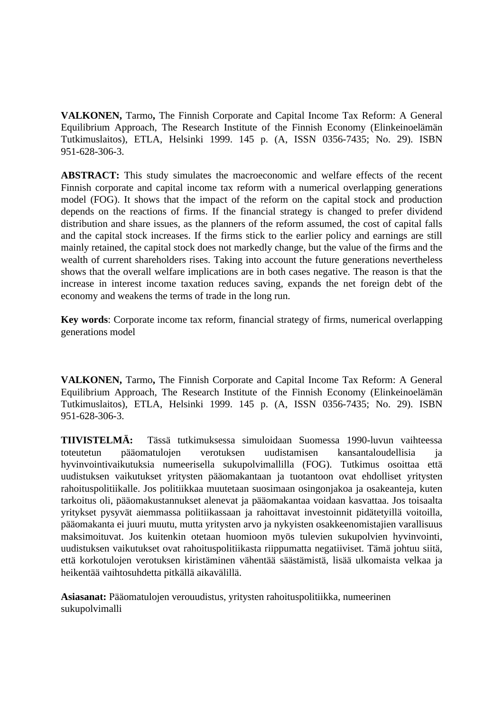**VALKONEN,** Tarmo**,** The Finnish Corporate and Capital Income Tax Reform: A General Equilibrium Approach, The Research Institute of the Finnish Economy (Elinkeinoelämän Tutkimuslaitos), ETLA, Helsinki 1999. 145 p. (A, ISSN 0356-7435; No. 29). ISBN 951-628-306-3.

**ABSTRACT:** This study simulates the macroeconomic and welfare effects of the recent Finnish corporate and capital income tax reform with a numerical overlapping generations model (FOG). It shows that the impact of the reform on the capital stock and production depends on the reactions of firms. If the financial strategy is changed to prefer dividend distribution and share issues, as the planners of the reform assumed, the cost of capital falls and the capital stock increases. If the firms stick to the earlier policy and earnings are still mainly retained, the capital stock does not markedly change, but the value of the firms and the wealth of current shareholders rises. Taking into account the future generations nevertheless shows that the overall welfare implications are in both cases negative. The reason is that the increase in interest income taxation reduces saving, expands the net foreign debt of the economy and weakens the terms of trade in the long run.

**Key words**: Corporate income tax reform, financial strategy of firms, numerical overlapping generations model

**VALKONEN,** Tarmo**,** The Finnish Corporate and Capital Income Tax Reform: A General Equilibrium Approach, The Research Institute of the Finnish Economy (Elinkeinoelämän Tutkimuslaitos), ETLA, Helsinki 1999. 145 p. (A, ISSN 0356-7435; No. 29). ISBN 951-628-306-3.

**TIIVISTELMÄ:** Tässä tutkimuksessa simuloidaan Suomessa 1990-luvun vaihteessa toteutetun pääomatulojen verotuksen uudistamisen kansantaloudellisia ja hyvinvointivaikutuksia numeerisella sukupolvimallilla (FOG). Tutkimus osoittaa että uudistuksen vaikutukset yritysten pääomakantaan ja tuotantoon ovat ehdolliset yritysten rahoituspolitiikalle. Jos politiikkaa muutetaan suosimaan osingonjakoa ja osakeanteja, kuten tarkoitus oli, pääomakustannukset alenevat ja pääomakantaa voidaan kasvattaa. Jos toisaalta yritykset pysyvät aiemmassa politiikassaan ja rahoittavat investoinnit pidätetyillä voitoilla, pääomakanta ei juuri muutu, mutta yritysten arvo ja nykyisten osakkeenomistajien varallisuus maksimoituvat. Jos kuitenkin otetaan huomioon myös tulevien sukupolvien hyvinvointi, uudistuksen vaikutukset ovat rahoituspolitiikasta riippumatta negatiiviset. Tämä johtuu siitä, että korkotulojen verotuksen kiristäminen vähentää säästämistä, lisää ulkomaista velkaa ja heikentää vaihtosuhdetta pitkällä aikavälillä.

**Asiasanat:** Pääomatulojen verouudistus, yritysten rahoituspolitiikka, numeerinen sukupolvimalli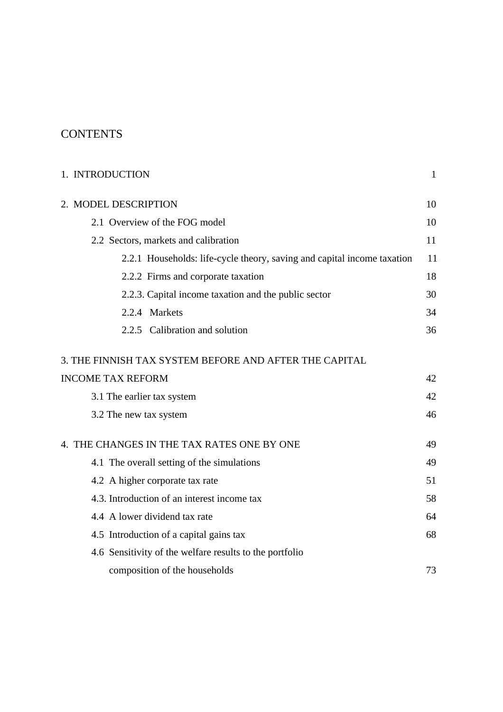# **CONTENTS**

| 1. INTRODUCTION                                                         | $\mathbf{1}$ |
|-------------------------------------------------------------------------|--------------|
| 2. MODEL DESCRIPTION                                                    | 10           |
| 2.1 Overview of the FOG model                                           | 10           |
| 2.2 Sectors, markets and calibration                                    | 11           |
| 2.2.1 Households: life-cycle theory, saving and capital income taxation | 11           |
| 2.2.2 Firms and corporate taxation                                      | 18           |
| 2.2.3. Capital income taxation and the public sector                    | 30           |
| 2.2.4 Markets                                                           | 34           |
| 2.2.5 Calibration and solution                                          | 36           |
| 3. THE FINNISH TAX SYSTEM BEFORE AND AFTER THE CAPITAL                  |              |
| <b>INCOME TAX REFORM</b>                                                | 42           |
| 3.1 The earlier tax system                                              | 42           |
| 3.2 The new tax system                                                  | 46           |
| 4. THE CHANGES IN THE TAX RATES ONE BY ONE                              | 49           |
| 4.1 The overall setting of the simulations                              | 49           |
| 4.2 A higher corporate tax rate                                         | 51           |
| 4.3. Introduction of an interest income tax                             | 58           |
| 4.4 A lower dividend tax rate                                           | 64           |
| 4.5 Introduction of a capital gains tax                                 | 68           |
| 4.6 Sensitivity of the welfare results to the portfolio                 |              |
| composition of the households                                           | 73           |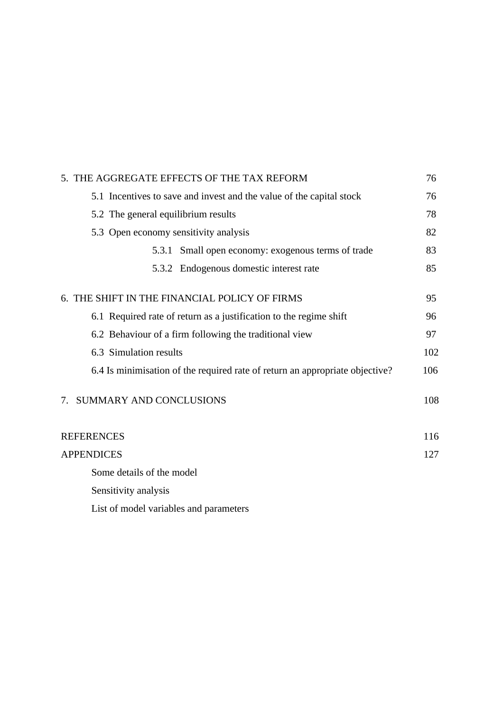| 5. THE AGGREGATE EFFECTS OF THE TAX REFORM                                   |     |
|------------------------------------------------------------------------------|-----|
| 5.1 Incentives to save and invest and the value of the capital stock         | 76  |
| 5.2 The general equilibrium results                                          | 78  |
| 5.3 Open economy sensitivity analysis                                        | 82  |
| 5.3.1 Small open economy: exogenous terms of trade                           | 83  |
| 5.3.2 Endogenous domestic interest rate                                      | 85  |
| 6. THE SHIFT IN THE FINANCIAL POLICY OF FIRMS                                | 95  |
| 6.1 Required rate of return as a justification to the regime shift           | 96  |
| 6.2 Behaviour of a firm following the traditional view                       | 97  |
| 6.3 Simulation results                                                       | 102 |
| 6.4 Is minimisation of the required rate of return an appropriate objective? | 106 |
| <b>SUMMARY AND CONCLUSIONS</b><br>7.                                         | 108 |
| <b>REFERENCES</b>                                                            | 116 |
| <b>APPENDICES</b>                                                            | 127 |
| Some details of the model                                                    |     |
| Sensitivity analysis                                                         |     |
| List of model variables and parameters                                       |     |
|                                                                              |     |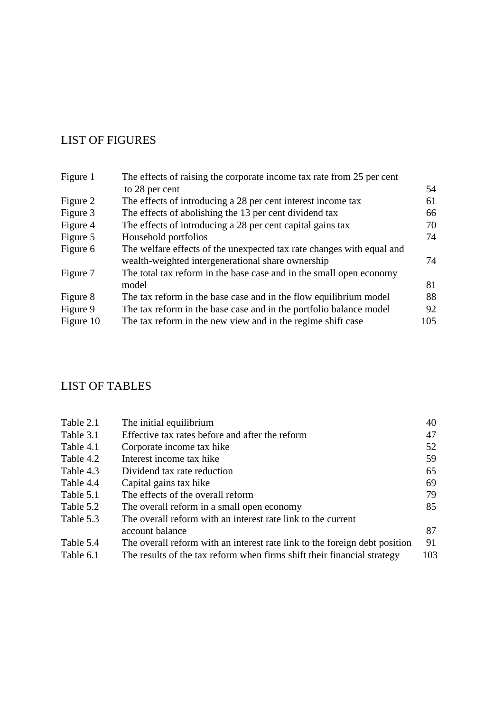# LIST OF FIGURES

| Figure 1  | The effects of raising the corporate income tax rate from 25 per cent |     |
|-----------|-----------------------------------------------------------------------|-----|
|           | to 28 per cent                                                        | 54  |
| Figure 2  | The effects of introducing a 28 per cent interest income tax          | 61  |
| Figure 3  | The effects of abolishing the 13 per cent dividend tax                | 66  |
| Figure 4  | The effects of introducing a 28 per cent capital gains tax            | 70  |
| Figure 5  | Household portfolios                                                  | 74  |
| Figure 6  | The welfare effects of the unexpected tax rate changes with equal and |     |
|           | wealth-weighted intergenerational share ownership                     | 74  |
| Figure 7  | The total tax reform in the base case and in the small open economy   |     |
|           | model                                                                 | 81  |
| Figure 8  | The tax reform in the base case and in the flow equilibrium model     | 88  |
| Figure 9  | The tax reform in the base case and in the portfolio balance model    | 92  |
| Figure 10 | The tax reform in the new view and in the regime shift case           | 105 |

# LIST OF TABLES

| Table 2.1 | The initial equilibrium                                                    | 40  |
|-----------|----------------------------------------------------------------------------|-----|
| Table 3.1 | Effective tax rates before and after the reform                            | 47  |
| Table 4.1 | Corporate income tax hike                                                  | 52  |
| Table 4.2 | Interest income tax hike                                                   | 59  |
| Table 4.3 | Dividend tax rate reduction                                                | 65  |
| Table 4.4 | Capital gains tax hike                                                     | 69  |
| Table 5.1 | The effects of the overall reform                                          | 79  |
| Table 5.2 | The overall reform in a small open economy                                 | 85  |
| Table 5.3 | The overall reform with an interest rate link to the current               |     |
|           | account balance                                                            | 87  |
| Table 5.4 | The overall reform with an interest rate link to the foreign debt position | 91  |
| Table 6.1 | The results of the tax reform when firms shift their financial strategy    | 103 |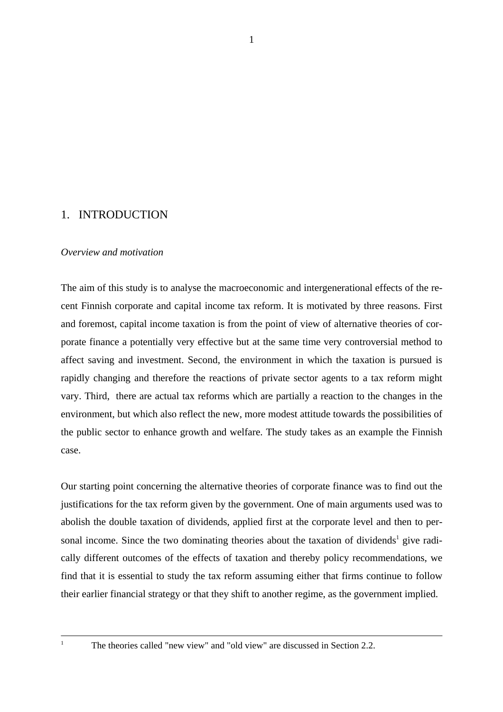# 1. INTRODUCTION

# *Overview and motivation*

The aim of this study is to analyse the macroeconomic and intergenerational effects of the recent Finnish corporate and capital income tax reform. It is motivated by three reasons. First and foremost, capital income taxation is from the point of view of alternative theories of corporate finance a potentially very effective but at the same time very controversial method to affect saving and investment. Second, the environment in which the taxation is pursued is rapidly changing and therefore the reactions of private sector agents to a tax reform might vary. Third, there are actual tax reforms which are partially a reaction to the changes in the environment, but which also reflect the new, more modest attitude towards the possibilities of the public sector to enhance growth and welfare. The study takes as an example the Finnish case.

Our starting point concerning the alternative theories of corporate finance was to find out the justifications for the tax reform given by the government. One of main arguments used was to abolish the double taxation of dividends, applied first at the corporate level and then to personal income. Since the two dominating theories about the taxation of dividends<sup>1</sup> give radically different outcomes of the effects of taxation and thereby policy recommendations, we find that it is essential to study the tax reform assuming either that firms continue to follow their earlier financial strategy or that they shift to another regime, as the government implied.

<sup>1</sup> The theories called "new view" and "old view" are discussed in Section 2.2.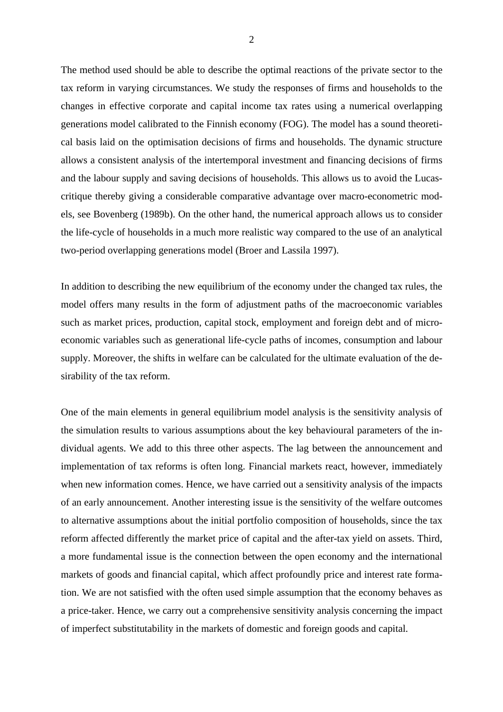The method used should be able to describe the optimal reactions of the private sector to the tax reform in varying circumstances. We study the responses of firms and households to the changes in effective corporate and capital income tax rates using a numerical overlapping generations model calibrated to the Finnish economy (FOG). The model has a sound theoretical basis laid on the optimisation decisions of firms and households. The dynamic structure allows a consistent analysis of the intertemporal investment and financing decisions of firms and the labour supply and saving decisions of households. This allows us to avoid the Lucascritique thereby giving a considerable comparative advantage over macro-econometric models, see Bovenberg (1989b). On the other hand, the numerical approach allows us to consider the life-cycle of households in a much more realistic way compared to the use of an analytical two-period overlapping generations model (Broer and Lassila 1997).

In addition to describing the new equilibrium of the economy under the changed tax rules, the model offers many results in the form of adjustment paths of the macroeconomic variables such as market prices, production, capital stock, employment and foreign debt and of microeconomic variables such as generational life-cycle paths of incomes, consumption and labour supply. Moreover, the shifts in welfare can be calculated for the ultimate evaluation of the desirability of the tax reform.

One of the main elements in general equilibrium model analysis is the sensitivity analysis of the simulation results to various assumptions about the key behavioural parameters of the individual agents. We add to this three other aspects. The lag between the announcement and implementation of tax reforms is often long. Financial markets react, however, immediately when new information comes. Hence, we have carried out a sensitivity analysis of the impacts of an early announcement. Another interesting issue is the sensitivity of the welfare outcomes to alternative assumptions about the initial portfolio composition of households, since the tax reform affected differently the market price of capital and the after-tax yield on assets. Third, a more fundamental issue is the connection between the open economy and the international markets of goods and financial capital, which affect profoundly price and interest rate formation. We are not satisfied with the often used simple assumption that the economy behaves as a price-taker. Hence, we carry out a comprehensive sensitivity analysis concerning the impact of imperfect substitutability in the markets of domestic and foreign goods and capital.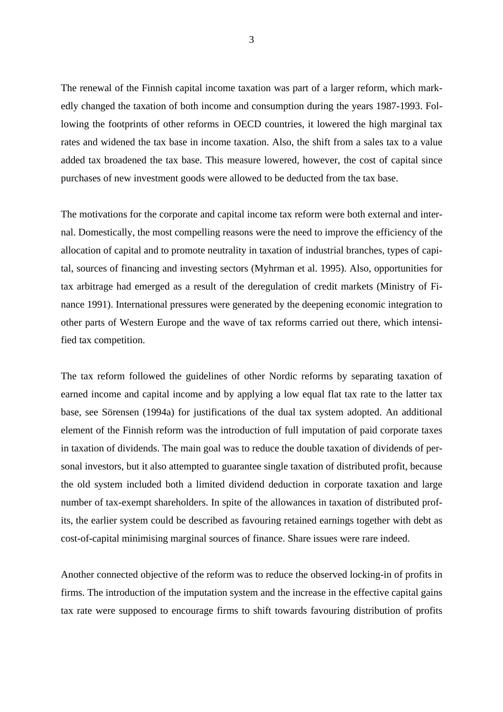The renewal of the Finnish capital income taxation was part of a larger reform, which markedly changed the taxation of both income and consumption during the years 1987-1993. Following the footprints of other reforms in OECD countries, it lowered the high marginal tax rates and widened the tax base in income taxation. Also, the shift from a sales tax to a value added tax broadened the tax base. This measure lowered, however, the cost of capital since purchases of new investment goods were allowed to be deducted from the tax base.

The motivations for the corporate and capital income tax reform were both external and internal. Domestically, the most compelling reasons were the need to improve the efficiency of the allocation of capital and to promote neutrality in taxation of industrial branches, types of capital, sources of financing and investing sectors (Myhrman et al. 1995). Also, opportunities for tax arbitrage had emerged as a result of the deregulation of credit markets (Ministry of Finance 1991). International pressures were generated by the deepening economic integration to other parts of Western Europe and the wave of tax reforms carried out there, which intensified tax competition.

The tax reform followed the guidelines of other Nordic reforms by separating taxation of earned income and capital income and by applying a low equal flat tax rate to the latter tax base, see Sörensen (1994a) for justifications of the dual tax system adopted. An additional element of the Finnish reform was the introduction of full imputation of paid corporate taxes in taxation of dividends. The main goal was to reduce the double taxation of dividends of personal investors, but it also attempted to guarantee single taxation of distributed profit, because the old system included both a limited dividend deduction in corporate taxation and large number of tax-exempt shareholders. In spite of the allowances in taxation of distributed profits, the earlier system could be described as favouring retained earnings together with debt as cost-of-capital minimising marginal sources of finance. Share issues were rare indeed.

Another connected objective of the reform was to reduce the observed locking-in of profits in firms. The introduction of the imputation system and the increase in the effective capital gains tax rate were supposed to encourage firms to shift towards favouring distribution of profits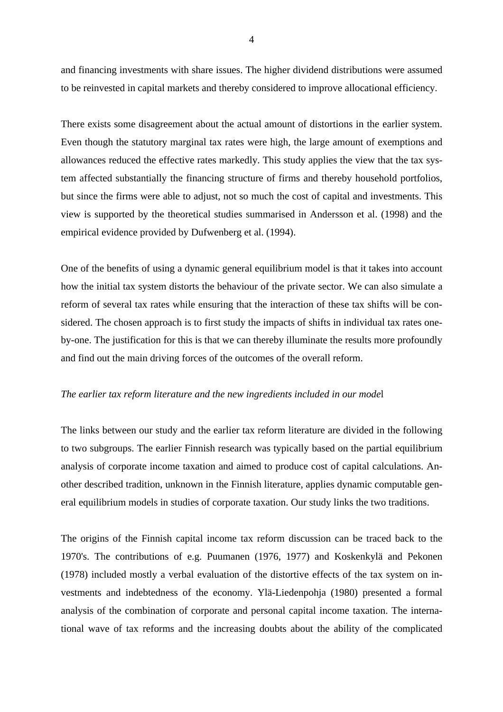and financing investments with share issues. The higher dividend distributions were assumed to be reinvested in capital markets and thereby considered to improve allocational efficiency.

There exists some disagreement about the actual amount of distortions in the earlier system. Even though the statutory marginal tax rates were high, the large amount of exemptions and allowances reduced the effective rates markedly. This study applies the view that the tax system affected substantially the financing structure of firms and thereby household portfolios, but since the firms were able to adjust, not so much the cost of capital and investments. This view is supported by the theoretical studies summarised in Andersson et al. (1998) and the empirical evidence provided by Dufwenberg et al. (1994).

One of the benefits of using a dynamic general equilibrium model is that it takes into account how the initial tax system distorts the behaviour of the private sector. We can also simulate a reform of several tax rates while ensuring that the interaction of these tax shifts will be considered. The chosen approach is to first study the impacts of shifts in individual tax rates oneby-one. The justification for this is that we can thereby illuminate the results more profoundly and find out the main driving forces of the outcomes of the overall reform.

### *The earlier tax reform literature and the new ingredients included in our mode*l

The links between our study and the earlier tax reform literature are divided in the following to two subgroups. The earlier Finnish research was typically based on the partial equilibrium analysis of corporate income taxation and aimed to produce cost of capital calculations. Another described tradition, unknown in the Finnish literature, applies dynamic computable general equilibrium models in studies of corporate taxation. Our study links the two traditions.

The origins of the Finnish capital income tax reform discussion can be traced back to the 1970's. The contributions of e.g. Puumanen (1976, 1977) and Koskenkylä and Pekonen (1978) included mostly a verbal evaluation of the distortive effects of the tax system on investments and indebtedness of the economy. Ylä-Liedenpohja (1980) presented a formal analysis of the combination of corporate and personal capital income taxation. The international wave of tax reforms and the increasing doubts about the ability of the complicated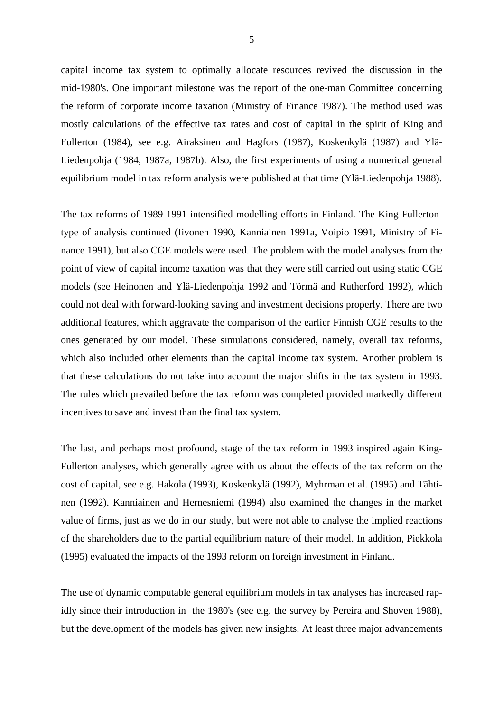capital income tax system to optimally allocate resources revived the discussion in the mid-1980's. One important milestone was the report of the one-man Committee concerning the reform of corporate income taxation (Ministry of Finance 1987). The method used was mostly calculations of the effective tax rates and cost of capital in the spirit of King and Fullerton (1984), see e.g. Airaksinen and Hagfors (1987), Koskenkylä (1987) and Ylä-Liedenpohja (1984, 1987a, 1987b). Also, the first experiments of using a numerical general equilibrium model in tax reform analysis were published at that time (Ylä-Liedenpohja 1988).

The tax reforms of 1989-1991 intensified modelling efforts in Finland. The King-Fullertontype of analysis continued (Iivonen 1990, Kanniainen 1991a, Voipio 1991, Ministry of Finance 1991), but also CGE models were used. The problem with the model analyses from the point of view of capital income taxation was that they were still carried out using static CGE models (see Heinonen and Ylä-Liedenpohja 1992 and Törmä and Rutherford 1992), which could not deal with forward-looking saving and investment decisions properly. There are two additional features, which aggravate the comparison of the earlier Finnish CGE results to the ones generated by our model. These simulations considered, namely, overall tax reforms, which also included other elements than the capital income tax system. Another problem is that these calculations do not take into account the major shifts in the tax system in 1993. The rules which prevailed before the tax reform was completed provided markedly different incentives to save and invest than the final tax system.

The last, and perhaps most profound, stage of the tax reform in 1993 inspired again King-Fullerton analyses, which generally agree with us about the effects of the tax reform on the cost of capital, see e.g. Hakola (1993), Koskenkylä (1992), Myhrman et al. (1995) and Tähtinen (1992). Kanniainen and Hernesniemi (1994) also examined the changes in the market value of firms, just as we do in our study, but were not able to analyse the implied reactions of the shareholders due to the partial equilibrium nature of their model. In addition, Piekkola (1995) evaluated the impacts of the 1993 reform on foreign investment in Finland.

The use of dynamic computable general equilibrium models in tax analyses has increased rapidly since their introduction in the 1980's (see e.g. the survey by Pereira and Shoven 1988), but the development of the models has given new insights. At least three major advancements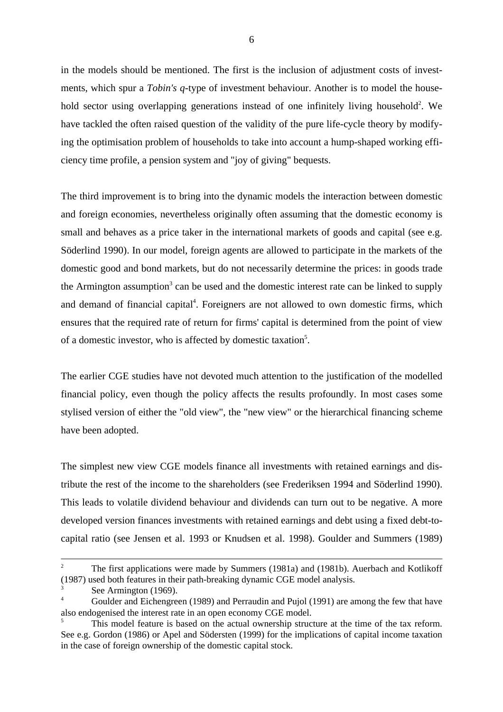in the models should be mentioned. The first is the inclusion of adjustment costs of investments, which spur a *Tobin's q-*type of investment behaviour. Another is to model the household sector using overlapping generations instead of one infinitely living household<sup>2</sup>. We have tackled the often raised question of the validity of the pure life-cycle theory by modifying the optimisation problem of households to take into account a hump-shaped working efficiency time profile, a pension system and "joy of giving" bequests.

The third improvement is to bring into the dynamic models the interaction between domestic and foreign economies, nevertheless originally often assuming that the domestic economy is small and behaves as a price taker in the international markets of goods and capital (see e.g. Söderlind 1990). In our model, foreign agents are allowed to participate in the markets of the domestic good and bond markets, but do not necessarily determine the prices: in goods trade the Armington assumption<sup>3</sup> can be used and the domestic interest rate can be linked to supply and demand of financial capital<sup>4</sup>. Foreigners are not allowed to own domestic firms, which ensures that the required rate of return for firms' capital is determined from the point of view of a domestic investor, who is affected by domestic taxation<sup>5</sup>.

The earlier CGE studies have not devoted much attention to the justification of the modelled financial policy, even though the policy affects the results profoundly. In most cases some stylised version of either the "old view", the "new view" or the hierarchical financing scheme have been adopted.

The simplest new view CGE models finance all investments with retained earnings and distribute the rest of the income to the shareholders (see Frederiksen 1994 and Söderlind 1990). This leads to volatile dividend behaviour and dividends can turn out to be negative. A more developed version finances investments with retained earnings and debt using a fixed debt-tocapital ratio (see Jensen et al. 1993 or Knudsen et al. 1998). Goulder and Summers (1989)

<sup>2</sup> The first applications were made by Summers (1981a) and (1981b). Auerbach and Kotlikoff (1987) used both features in their path-breaking dynamic CGE model analysis.

<sup>&</sup>lt;sup>3</sup> See Armington (1969).<br><sup>4</sup> Goulder and Eichengreen (1989) and Perraudin and Pujol (1991) are among the few that have also endogenised the interest rate in an open economy CGE model.

This model feature is based on the actual ownership structure at the time of the tax reform. See e.g. Gordon (1986) or Apel and Södersten (1999) for the implications of capital income taxation in the case of foreign ownership of the domestic capital stock.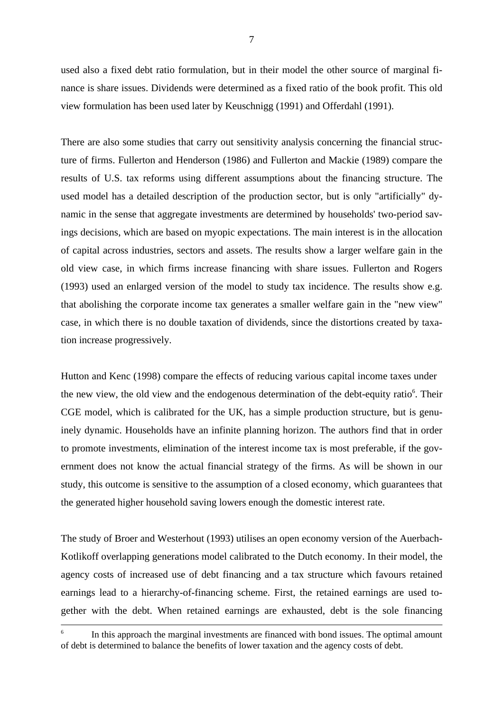used also a fixed debt ratio formulation, but in their model the other source of marginal finance is share issues. Dividends were determined as a fixed ratio of the book profit. This old view formulation has been used later by Keuschnigg (1991) and Offerdahl (1991).

There are also some studies that carry out sensitivity analysis concerning the financial structure of firms. Fullerton and Henderson (1986) and Fullerton and Mackie (1989) compare the results of U.S. tax reforms using different assumptions about the financing structure. The used model has a detailed description of the production sector, but is only "artificially" dynamic in the sense that aggregate investments are determined by households' two-period savings decisions, which are based on myopic expectations. The main interest is in the allocation of capital across industries, sectors and assets. The results show a larger welfare gain in the old view case, in which firms increase financing with share issues. Fullerton and Rogers (1993) used an enlarged version of the model to study tax incidence. The results show e.g. that abolishing the corporate income tax generates a smaller welfare gain in the "new view" case, in which there is no double taxation of dividends, since the distortions created by taxation increase progressively.

Hutton and Kenc (1998) compare the effects of reducing various capital income taxes under the new view, the old view and the endogenous determination of the debt-equity ratio<sup>6</sup>. Their CGE model, which is calibrated for the UK, has a simple production structure, but is genuinely dynamic. Households have an infinite planning horizon. The authors find that in order to promote investments, elimination of the interest income tax is most preferable, if the government does not know the actual financial strategy of the firms. As will be shown in our study, this outcome is sensitive to the assumption of a closed economy, which guarantees that the generated higher household saving lowers enough the domestic interest rate.

The study of Broer and Westerhout (1993) utilises an open economy version of the Auerbach-Kotlikoff overlapping generations model calibrated to the Dutch economy. In their model, the agency costs of increased use of debt financing and a tax structure which favours retained earnings lead to a hierarchy-of-financing scheme. First, the retained earnings are used together with the debt. When retained earnings are exhausted, debt is the sole financing

In this approach the marginal investments are financed with bond issues. The optimal amount of debt is determined to balance the benefits of lower taxation and the agency costs of debt.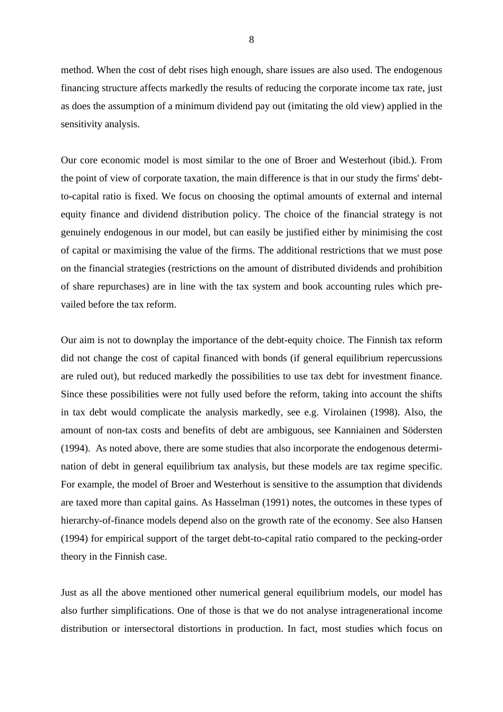method. When the cost of debt rises high enough, share issues are also used. The endogenous financing structure affects markedly the results of reducing the corporate income tax rate, just as does the assumption of a minimum dividend pay out (imitating the old view) applied in the sensitivity analysis.

Our core economic model is most similar to the one of Broer and Westerhout (ibid.). From the point of view of corporate taxation, the main difference is that in our study the firms' debtto-capital ratio is fixed. We focus on choosing the optimal amounts of external and internal equity finance and dividend distribution policy. The choice of the financial strategy is not genuinely endogenous in our model, but can easily be justified either by minimising the cost of capital or maximising the value of the firms. The additional restrictions that we must pose on the financial strategies (restrictions on the amount of distributed dividends and prohibition of share repurchases) are in line with the tax system and book accounting rules which prevailed before the tax reform.

Our aim is not to downplay the importance of the debt-equity choice. The Finnish tax reform did not change the cost of capital financed with bonds (if general equilibrium repercussions are ruled out), but reduced markedly the possibilities to use tax debt for investment finance. Since these possibilities were not fully used before the reform, taking into account the shifts in tax debt would complicate the analysis markedly, see e.g. Virolainen (1998). Also, the amount of non-tax costs and benefits of debt are ambiguous, see Kanniainen and Södersten (1994). As noted above, there are some studies that also incorporate the endogenous determination of debt in general equilibrium tax analysis, but these models are tax regime specific. For example, the model of Broer and Westerhout is sensitive to the assumption that dividends are taxed more than capital gains. As Hasselman (1991) notes, the outcomes in these types of hierarchy-of-finance models depend also on the growth rate of the economy. See also Hansen (1994) for empirical support of the target debt-to-capital ratio compared to the pecking-order theory in the Finnish case.

Just as all the above mentioned other numerical general equilibrium models, our model has also further simplifications. One of those is that we do not analyse intragenerational income distribution or intersectoral distortions in production. In fact, most studies which focus on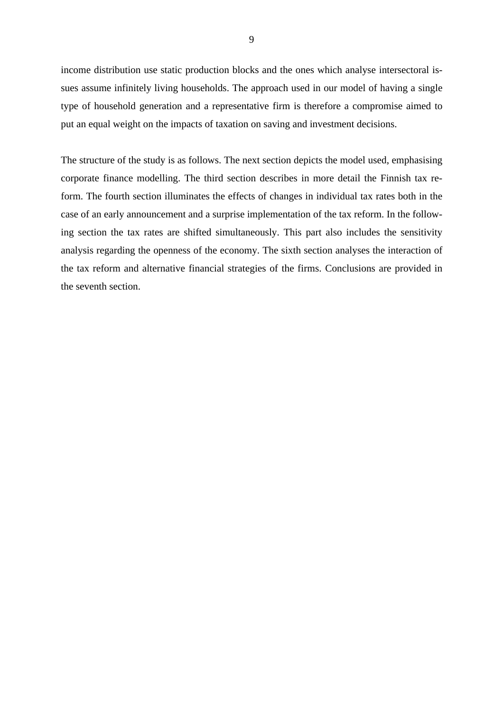income distribution use static production blocks and the ones which analyse intersectoral issues assume infinitely living households. The approach used in our model of having a single type of household generation and a representative firm is therefore a compromise aimed to put an equal weight on the impacts of taxation on saving and investment decisions.

The structure of the study is as follows. The next section depicts the model used, emphasising corporate finance modelling. The third section describes in more detail the Finnish tax reform. The fourth section illuminates the effects of changes in individual tax rates both in the case of an early announcement and a surprise implementation of the tax reform. In the following section the tax rates are shifted simultaneously. This part also includes the sensitivity analysis regarding the openness of the economy. The sixth section analyses the interaction of the tax reform and alternative financial strategies of the firms. Conclusions are provided in the seventh section.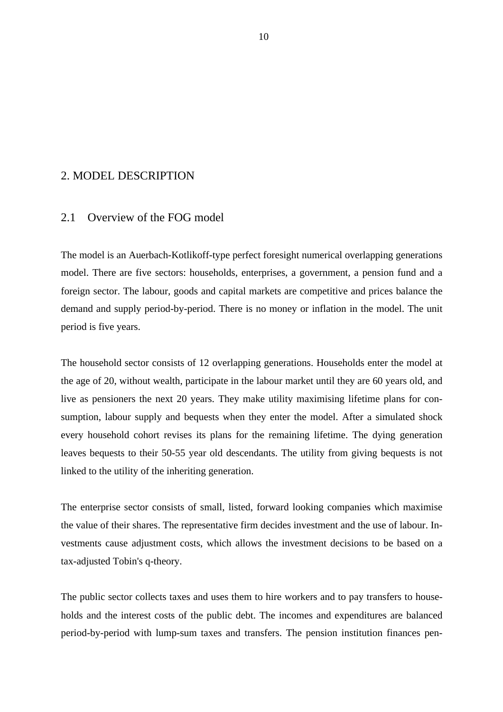# 2. MODEL DESCRIPTION

# 2.1 Overview of the FOG model

The model is an Auerbach-Kotlikoff-type perfect foresight numerical overlapping generations model. There are five sectors: households, enterprises, a government, a pension fund and a foreign sector. The labour, goods and capital markets are competitive and prices balance the demand and supply period-by-period. There is no money or inflation in the model. The unit period is five years.

The household sector consists of 12 overlapping generations. Households enter the model at the age of 20, without wealth, participate in the labour market until they are 60 years old, and live as pensioners the next 20 years. They make utility maximising lifetime plans for consumption, labour supply and bequests when they enter the model. After a simulated shock every household cohort revises its plans for the remaining lifetime. The dying generation leaves bequests to their 50-55 year old descendants. The utility from giving bequests is not linked to the utility of the inheriting generation.

The enterprise sector consists of small, listed, forward looking companies which maximise the value of their shares. The representative firm decides investment and the use of labour. Investments cause adjustment costs, which allows the investment decisions to be based on a tax-adjusted Tobin's q-theory.

The public sector collects taxes and uses them to hire workers and to pay transfers to households and the interest costs of the public debt. The incomes and expenditures are balanced period-by-period with lump-sum taxes and transfers. The pension institution finances pen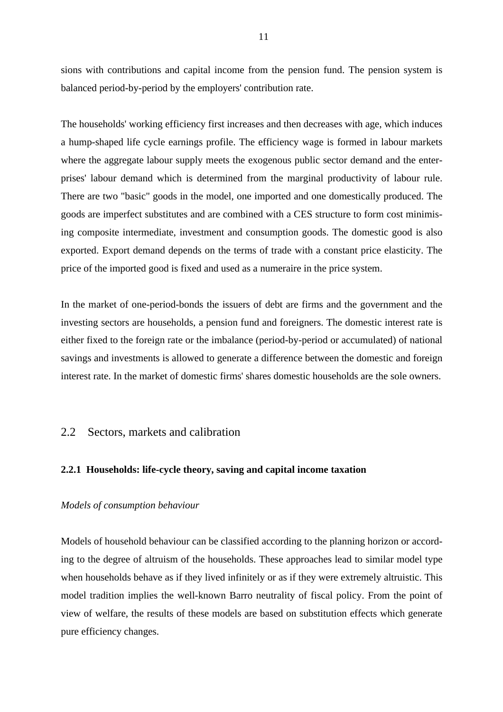sions with contributions and capital income from the pension fund. The pension system is balanced period-by-period by the employers' contribution rate.

The households' working efficiency first increases and then decreases with age, which induces a hump-shaped life cycle earnings profile. The efficiency wage is formed in labour markets where the aggregate labour supply meets the exogenous public sector demand and the enterprises' labour demand which is determined from the marginal productivity of labour rule. There are two "basic" goods in the model, one imported and one domestically produced. The goods are imperfect substitutes and are combined with a CES structure to form cost minimising composite intermediate, investment and consumption goods. The domestic good is also exported. Export demand depends on the terms of trade with a constant price elasticity. The price of the imported good is fixed and used as a numeraire in the price system.

In the market of one-period-bonds the issuers of debt are firms and the government and the investing sectors are households, a pension fund and foreigners. The domestic interest rate is either fixed to the foreign rate or the imbalance (period-by-period or accumulated) of national savings and investments is allowed to generate a difference between the domestic and foreign interest rate. In the market of domestic firms' shares domestic households are the sole owners.

# 2.2 Sectors, markets and calibration

# **2.2.1 Households: life-cycle theory, saving and capital income taxation**

# *Models of consumption behaviour*

Models of household behaviour can be classified according to the planning horizon or according to the degree of altruism of the households. These approaches lead to similar model type when households behave as if they lived infinitely or as if they were extremely altruistic. This model tradition implies the well-known Barro neutrality of fiscal policy. From the point of view of welfare, the results of these models are based on substitution effects which generate pure efficiency changes.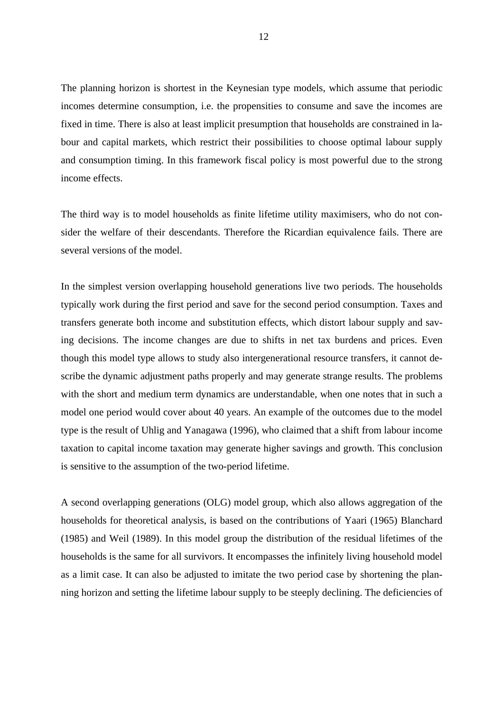The planning horizon is shortest in the Keynesian type models, which assume that periodic incomes determine consumption, i.e. the propensities to consume and save the incomes are fixed in time. There is also at least implicit presumption that households are constrained in labour and capital markets, which restrict their possibilities to choose optimal labour supply and consumption timing. In this framework fiscal policy is most powerful due to the strong income effects.

The third way is to model households as finite lifetime utility maximisers, who do not consider the welfare of their descendants. Therefore the Ricardian equivalence fails. There are several versions of the model.

In the simplest version overlapping household generations live two periods. The households typically work during the first period and save for the second period consumption. Taxes and transfers generate both income and substitution effects, which distort labour supply and saving decisions. The income changes are due to shifts in net tax burdens and prices. Even though this model type allows to study also intergenerational resource transfers, it cannot describe the dynamic adjustment paths properly and may generate strange results. The problems with the short and medium term dynamics are understandable, when one notes that in such a model one period would cover about 40 years. An example of the outcomes due to the model type is the result of Uhlig and Yanagawa (1996), who claimed that a shift from labour income taxation to capital income taxation may generate higher savings and growth. This conclusion is sensitive to the assumption of the two-period lifetime.

A second overlapping generations (OLG) model group, which also allows aggregation of the households for theoretical analysis, is based on the contributions of Yaari (1965) Blanchard (1985) and Weil (1989). In this model group the distribution of the residual lifetimes of the households is the same for all survivors. It encompasses the infinitely living household model as a limit case. It can also be adjusted to imitate the two period case by shortening the planning horizon and setting the lifetime labour supply to be steeply declining. The deficiencies of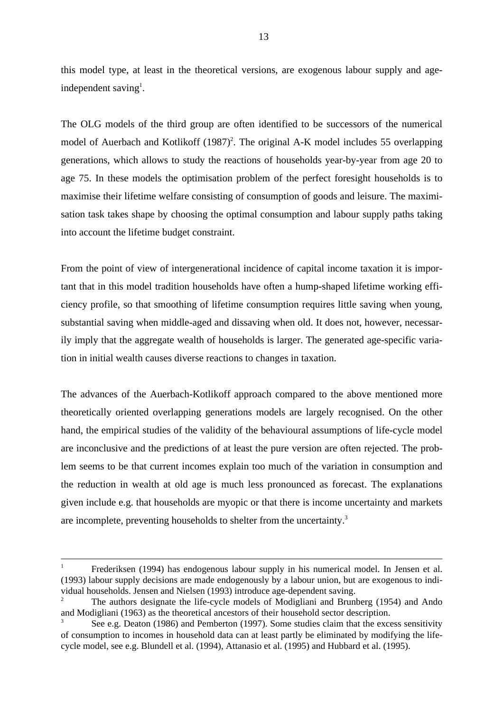this model type, at least in the theoretical versions, are exogenous labour supply and ageindependent saving<sup>1</sup>.

The OLG models of the third group are often identified to be successors of the numerical model of Auerbach and Kotlikoff (1987)<sup>2</sup>. The original A-K model includes 55 overlapping generations, which allows to study the reactions of households year-by-year from age 20 to age 75. In these models the optimisation problem of the perfect foresight households is to maximise their lifetime welfare consisting of consumption of goods and leisure. The maximisation task takes shape by choosing the optimal consumption and labour supply paths taking into account the lifetime budget constraint.

From the point of view of intergenerational incidence of capital income taxation it is important that in this model tradition households have often a hump-shaped lifetime working efficiency profile, so that smoothing of lifetime consumption requires little saving when young, substantial saving when middle-aged and dissaving when old. It does not, however, necessarily imply that the aggregate wealth of households is larger. The generated age-specific variation in initial wealth causes diverse reactions to changes in taxation.

The advances of the Auerbach-Kotlikoff approach compared to the above mentioned more theoretically oriented overlapping generations models are largely recognised. On the other hand, the empirical studies of the validity of the behavioural assumptions of life-cycle model are inconclusive and the predictions of at least the pure version are often rejected. The problem seems to be that current incomes explain too much of the variation in consumption and the reduction in wealth at old age is much less pronounced as forecast. The explanations given include e.g. that households are myopic or that there is income uncertainty and markets are incomplete, preventing households to shelter from the uncertainty.<sup>3</sup>

<sup>1</sup> Frederiksen (1994) has endogenous labour supply in his numerical model. In Jensen et al. (1993) labour supply decisions are made endogenously by a labour union, but are exogenous to individual households. Jensen and Nielsen (1993) introduce age-dependent saving.

<sup>2</sup> The authors designate the life-cycle models of Modigliani and Brunberg (1954) and Ando and Modigliani (1963) as the theoretical ancestors of their household sector description.

See e.g. Deaton (1986) and Pemberton (1997). Some studies claim that the excess sensitivity of consumption to incomes in household data can at least partly be eliminated by modifying the lifecycle model, see e.g. Blundell et al. (1994), Attanasio et al. (1995) and Hubbard et al. (1995).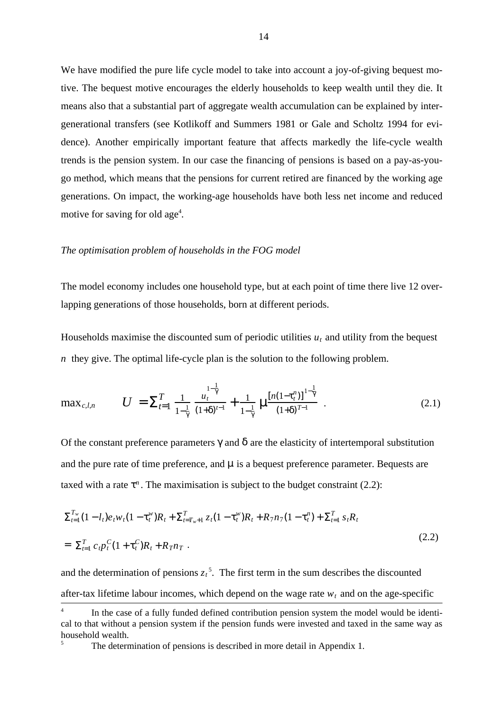We have modified the pure life cycle model to take into account a joy-of-giving bequest motive. The bequest motive encourages the elderly households to keep wealth until they die. It means also that a substantial part of aggregate wealth accumulation can be explained by intergenerational transfers (see Kotlikoff and Summers 1981 or Gale and Scholtz 1994 for evidence). Another empirically important feature that affects markedly the life-cycle wealth trends is the pension system. In our case the financing of pensions is based on a pay-as-yougo method, which means that the pensions for current retired are financed by the working age generations. On impact, the working-age households have both less net income and reduced motive for saving for old age<sup>4</sup>.

#### *The optimisation problem of households in the FOG model*

The model economy includes one household type, but at each point of time there live 12 overlapping generations of those households, born at different periods.

Households maximise the discounted sum of periodic utilities  $u_t$  and utility from the bequest *n* they give. The optimal life-cycle plan is the solution to the following problem.

$$
\max_{c,l,n} \qquad U = \sum_{t=1}^{T} \frac{1}{1-\frac{1}{\gamma}} \frac{u_t^{\frac{1}{\gamma}}}{(1+\delta)^{t-1}} + \frac{1}{1-\frac{1}{\gamma}} \mu \frac{\left[n(1-\tau_t^n)\right]^{1-\frac{1}{\gamma}}}{(1+\delta)^{T-1}} \quad . \tag{2.1}
$$

Of the constant preference parameters  $\gamma$  and  $\delta$  are the elasticity of intertemporal substitution and the pure rate of time preference, and  $\mu$  is a bequest preference parameter. Bequests are taxed with a rate  $\tau^n$ . The maximisation is subject to the budget constraint (2.2):

$$
\Sigma_{t=1}^{T_w} (1 - l_t) e_t w_t (1 - \tau_t^w) R_t + \Sigma_{t=T_w+1}^T z_t (1 - \tau_t^w) R_t + R_7 n_7 (1 - \tau_t^n) + \Sigma_{t=1}^T s_t R_t
$$
\n
$$
= \Sigma_{t=1}^T c_t p_t^C (1 + \tau_t^C) R_t + R_7 n_T . \tag{2.2}
$$

and the determination of pensions  $z_t^2$ . The first term in the sum describes the discounted after-tax lifetime labour incomes, which depend on the wage rate  $w_t$  and on the age-specific

<sup>&</sup>lt;sup>4</sup> In the case of a fully funded defined contribution pension system the model would be identical to that without a pension system if the pension funds were invested and taxed in the same way as household wealth.

The determination of pensions is described in more detail in Appendix 1.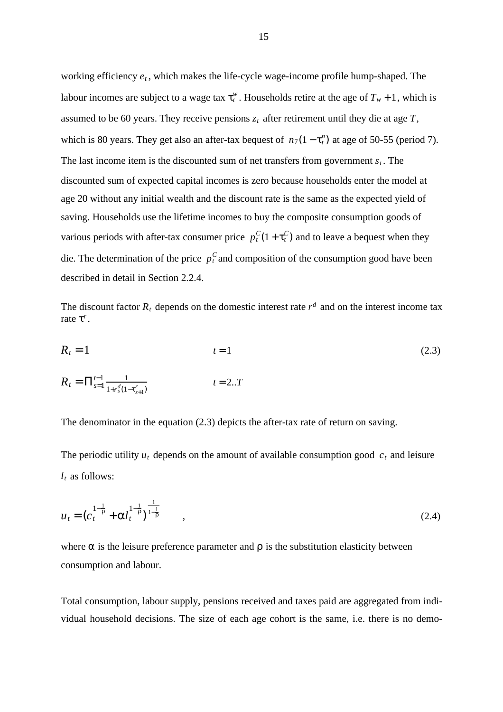working efficiency  $e_t$ , which makes the life-cycle wage-income profile hump-shaped. The labour incomes are subject to a wage tax  $\tau_t^w$ . Households retire at the age of  $T_w + 1$ , which is assumed to be 60 years. They receive pensions  $z_t$  after retirement until they die at age  $T$ , which is 80 years. They get also an after-tax bequest of  $n_7(1 - \tau_t^n)$  at age of 50-55 (period 7). The last income item is the discounted sum of net transfers from government  $s_t$ . The discounted sum of expected capital incomes is zero because households enter the model at age 20 without any initial wealth and the discount rate is the same as the expected yield of saving. Households use the lifetime incomes to buy the composite consumption goods of various periods with after-tax consumer price  $p_t^C(1 + \tau_t^C)$  and to leave a bequest when they die. The determination of the price  $p_t^C$  and composition of the consumption good have been described in detail in Section 2.2.4.

The discount factor  $R_t$  depends on the domestic interest rate  $r^d$  and on the interest income tax rate  $\tau^r$ .

$$
R_{t} = 1
$$
\n
$$
t = 1
$$
\n
$$
R_{t} = \prod_{s=1}^{t-1} \frac{1}{1 + r_{s}^{d} (1 - \tau_{s+1}^{r})}
$$
\n
$$
t = 2..T
$$
\n(2.3)

The denominator in the equation (2.3) depicts the after-tax rate of return on saving.

The periodic utility  $u_t$  depends on the amount of available consumption good  $c_t$  and leisure *lt* as follows:

$$
u_t = (c_t^{1-\frac{1}{\rho}} + \alpha l_t^{1-\frac{1}{\rho}})^{\frac{1}{1-\frac{1}{\rho}}}, \qquad (2.4)
$$

where  $\alpha$  is the leisure preference parameter and  $\rho$  is the substitution elasticity between consumption and labour.

Total consumption, labour supply, pensions received and taxes paid are aggregated from individual household decisions. The size of each age cohort is the same, i.e. there is no demo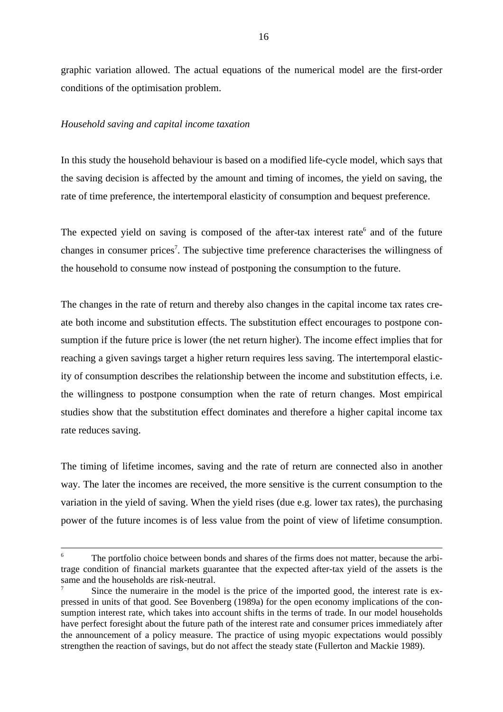graphic variation allowed. The actual equations of the numerical model are the first-order conditions of the optimisation problem.

### *Household saving and capital income taxation*

In this study the household behaviour is based on a modified life-cycle model, which says that the saving decision is affected by the amount and timing of incomes, the yield on saving, the rate of time preference, the intertemporal elasticity of consumption and bequest preference.

The expected yield on saving is composed of the after-tax interest rate $6$  and of the future changes in consumer prices<sup>7</sup>. The subjective time preference characterises the willingness of the household to consume now instead of postponing the consumption to the future.

The changes in the rate of return and thereby also changes in the capital income tax rates create both income and substitution effects. The substitution effect encourages to postpone consumption if the future price is lower (the net return higher). The income effect implies that for reaching a given savings target a higher return requires less saving. The intertemporal elasticity of consumption describes the relationship between the income and substitution effects, i.e. the willingness to postpone consumption when the rate of return changes. Most empirical studies show that the substitution effect dominates and therefore a higher capital income tax rate reduces saving.

The timing of lifetime incomes, saving and the rate of return are connected also in another way. The later the incomes are received, the more sensitive is the current consumption to the variation in the yield of saving. When the yield rises (due e.g. lower tax rates), the purchasing power of the future incomes is of less value from the point of view of lifetime consumption.

The portfolio choice between bonds and shares of the firms does not matter, because the arbitrage condition of financial markets guarantee that the expected after-tax yield of the assets is the same and the households are risk-neutral.

Since the numeraire in the model is the price of the imported good, the interest rate is expressed in units of that good. See Bovenberg (1989a) for the open economy implications of the consumption interest rate, which takes into account shifts in the terms of trade. In our model households have perfect foresight about the future path of the interest rate and consumer prices immediately after the announcement of a policy measure. The practice of using myopic expectations would possibly strengthen the reaction of savings, but do not affect the steady state (Fullerton and Mackie 1989).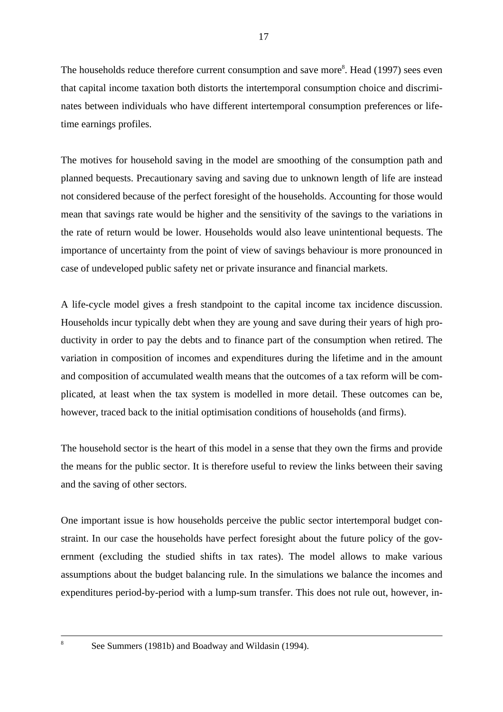The households reduce therefore current consumption and save more<sup>8</sup>. Head (1997) sees even that capital income taxation both distorts the intertemporal consumption choice and discriminates between individuals who have different intertemporal consumption preferences or lifetime earnings profiles.

The motives for household saving in the model are smoothing of the consumption path and planned bequests. Precautionary saving and saving due to unknown length of life are instead not considered because of the perfect foresight of the households. Accounting for those would mean that savings rate would be higher and the sensitivity of the savings to the variations in the rate of return would be lower. Households would also leave unintentional bequests. The importance of uncertainty from the point of view of savings behaviour is more pronounced in case of undeveloped public safety net or private insurance and financial markets.

A life-cycle model gives a fresh standpoint to the capital income tax incidence discussion. Households incur typically debt when they are young and save during their years of high productivity in order to pay the debts and to finance part of the consumption when retired. The variation in composition of incomes and expenditures during the lifetime and in the amount and composition of accumulated wealth means that the outcomes of a tax reform will be complicated, at least when the tax system is modelled in more detail. These outcomes can be, however, traced back to the initial optimisation conditions of households (and firms).

The household sector is the heart of this model in a sense that they own the firms and provide the means for the public sector. It is therefore useful to review the links between their saving and the saving of other sectors.

One important issue is how households perceive the public sector intertemporal budget constraint. In our case the households have perfect foresight about the future policy of the government (excluding the studied shifts in tax rates). The model allows to make various assumptions about the budget balancing rule. In the simulations we balance the incomes and expenditures period-by-period with a lump-sum transfer. This does not rule out, however, in-

See Summers (1981b) and Boadway and Wildasin (1994).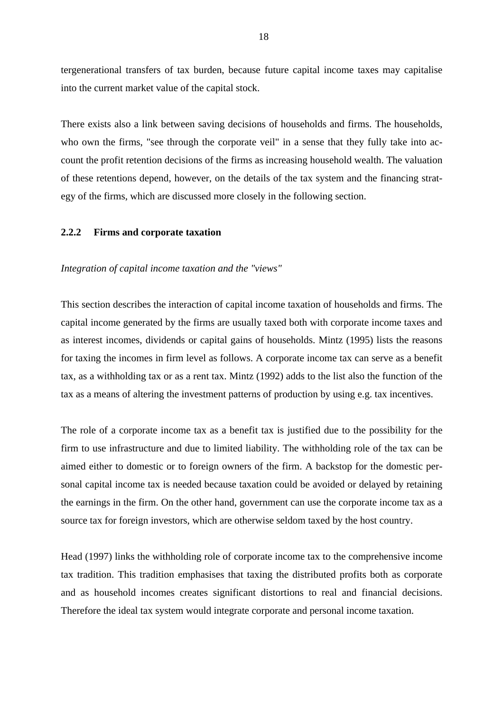tergenerational transfers of tax burden, because future capital income taxes may capitalise into the current market value of the capital stock.

There exists also a link between saving decisions of households and firms. The households, who own the firms, "see through the corporate veil" in a sense that they fully take into account the profit retention decisions of the firms as increasing household wealth. The valuation of these retentions depend, however, on the details of the tax system and the financing strategy of the firms, which are discussed more closely in the following section.

#### **2.2.2 Firms and corporate taxation**

#### *Integration of capital income taxation and the "views"*

This section describes the interaction of capital income taxation of households and firms. The capital income generated by the firms are usually taxed both with corporate income taxes and as interest incomes, dividends or capital gains of households. Mintz (1995) lists the reasons for taxing the incomes in firm level as follows. A corporate income tax can serve as a benefit tax, as a withholding tax or as a rent tax. Mintz (1992) adds to the list also the function of the tax as a means of altering the investment patterns of production by using e.g. tax incentives.

The role of a corporate income tax as a benefit tax is justified due to the possibility for the firm to use infrastructure and due to limited liability. The withholding role of the tax can be aimed either to domestic or to foreign owners of the firm. A backstop for the domestic personal capital income tax is needed because taxation could be avoided or delayed by retaining the earnings in the firm. On the other hand, government can use the corporate income tax as a source tax for foreign investors, which are otherwise seldom taxed by the host country.

Head (1997) links the withholding role of corporate income tax to the comprehensive income tax tradition. This tradition emphasises that taxing the distributed profits both as corporate and as household incomes creates significant distortions to real and financial decisions. Therefore the ideal tax system would integrate corporate and personal income taxation.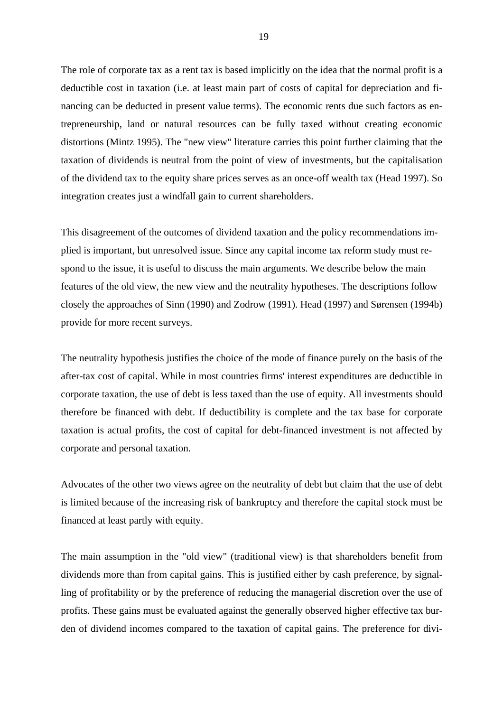The role of corporate tax as a rent tax is based implicitly on the idea that the normal profit is a deductible cost in taxation (i.e. at least main part of costs of capital for depreciation and financing can be deducted in present value terms). The economic rents due such factors as entrepreneurship, land or natural resources can be fully taxed without creating economic distortions (Mintz 1995). The "new view" literature carries this point further claiming that the taxation of dividends is neutral from the point of view of investments, but the capitalisation of the dividend tax to the equity share prices serves as an once-off wealth tax (Head 1997). So integration creates just a windfall gain to current shareholders.

This disagreement of the outcomes of dividend taxation and the policy recommendations implied is important, but unresolved issue. Since any capital income tax reform study must respond to the issue, it is useful to discuss the main arguments. We describe below the main features of the old view, the new view and the neutrality hypotheses. The descriptions follow closely the approaches of Sinn (1990) and Zodrow (1991). Head (1997) and Sørensen (1994b) provide for more recent surveys.

The neutrality hypothesis justifies the choice of the mode of finance purely on the basis of the after-tax cost of capital. While in most countries firms' interest expenditures are deductible in corporate taxation, the use of debt is less taxed than the use of equity. All investments should therefore be financed with debt. If deductibility is complete and the tax base for corporate taxation is actual profits, the cost of capital for debt-financed investment is not affected by corporate and personal taxation.

Advocates of the other two views agree on the neutrality of debt but claim that the use of debt is limited because of the increasing risk of bankruptcy and therefore the capital stock must be financed at least partly with equity.

The main assumption in the "old view" (traditional view) is that shareholders benefit from dividends more than from capital gains. This is justified either by cash preference, by signalling of profitability or by the preference of reducing the managerial discretion over the use of profits. These gains must be evaluated against the generally observed higher effective tax burden of dividend incomes compared to the taxation of capital gains. The preference for divi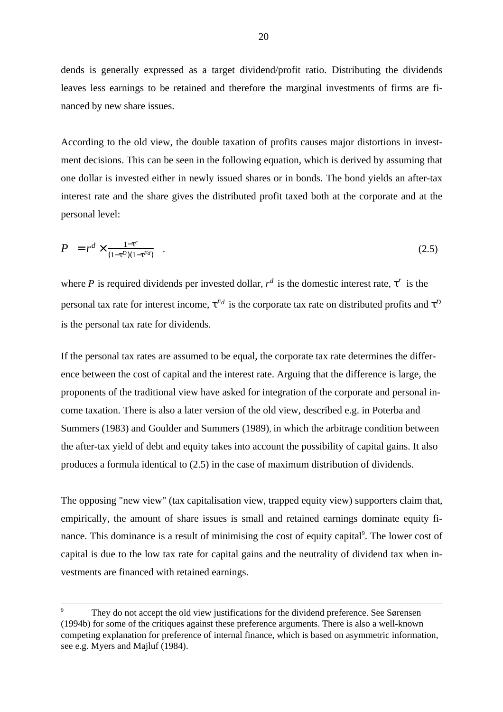dends is generally expressed as a target dividend/profit ratio. Distributing the dividends leaves less earnings to be retained and therefore the marginal investments of firms are financed by new share issues.

According to the old view, the double taxation of profits causes major distortions in investment decisions. This can be seen in the following equation, which is derived by assuming that one dollar is invested either in newly issued shares or in bonds. The bond yields an after-tax interest rate and the share gives the distributed profit taxed both at the corporate and at the personal level:

$$
P = r^d \times \frac{1-\tau^r}{(1-\tau^D)(1-\tau^{Fd})} \quad . \tag{2.5}
$$

where P is required dividends per invested dollar,  $r^d$  is the domestic interest rate,  $\tau^r$  is the personal tax rate for interest income,  $\tau^{Fd}$  is the corporate tax rate on distributed profits and  $\tau^D$ is the personal tax rate for dividends.

If the personal tax rates are assumed to be equal, the corporate tax rate determines the difference between the cost of capital and the interest rate. Arguing that the difference is large, the proponents of the traditional view have asked for integration of the corporate and personal income taxation. There is also a later version of the old view, described e.g. in Poterba and Summers (1983) and Goulder and Summers (1989), in which the arbitrage condition between the after-tax yield of debt and equity takes into account the possibility of capital gains. It also produces a formula identical to (2.5) in the case of maximum distribution of dividends.

The opposing "new view" (tax capitalisation view, trapped equity view) supporters claim that, empirically, the amount of share issues is small and retained earnings dominate equity finance. This dominance is a result of minimising the cost of equity capital<sup>9</sup>. The lower cost of capital is due to the low tax rate for capital gains and the neutrality of dividend tax when investments are financed with retained earnings.

They do not accept the old view justifications for the dividend preference. See Sørensen (1994b) for some of the critiques against these preference arguments. There is also a well-known competing explanation for preference of internal finance, which is based on asymmetric information, see e.g. Myers and Majluf (1984).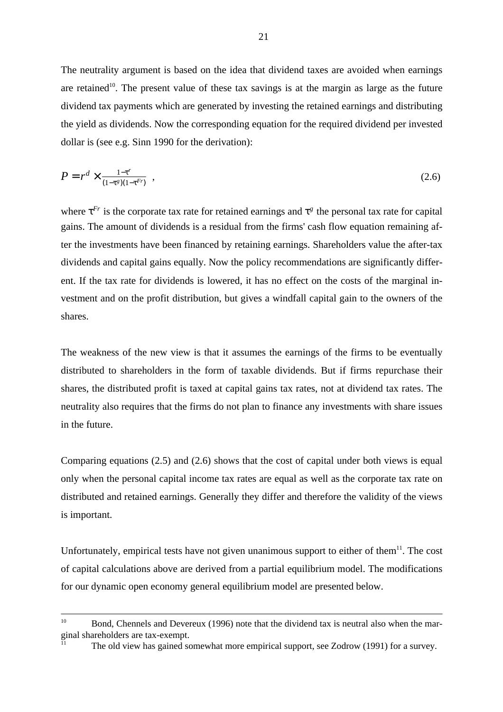The neutrality argument is based on the idea that dividend taxes are avoided when earnings are retained<sup>10</sup>. The present value of these tax savings is at the margin as large as the future dividend tax payments which are generated by investing the retained earnings and distributing the yield as dividends. Now the corresponding equation for the required dividend per invested dollar is (see e.g. Sinn 1990 for the derivation):

$$
P = r^d \times \frac{1 - \tau^r}{(1 - \tau^g)(1 - \tau^{Fr})} \tag{2.6}
$$

where  $\tau^{Fr}$  is the corporate tax rate for retained earnings and  $\tau^{g}$  the personal tax rate for capital gains. The amount of dividends is a residual from the firms' cash flow equation remaining after the investments have been financed by retaining earnings. Shareholders value the after-tax dividends and capital gains equally. Now the policy recommendations are significantly different. If the tax rate for dividends is lowered, it has no effect on the costs of the marginal investment and on the profit distribution, but gives a windfall capital gain to the owners of the shares.

The weakness of the new view is that it assumes the earnings of the firms to be eventually distributed to shareholders in the form of taxable dividends. But if firms repurchase their shares, the distributed profit is taxed at capital gains tax rates, not at dividend tax rates. The neutrality also requires that the firms do not plan to finance any investments with share issues in the future.

Comparing equations (2.5) and (2.6) shows that the cost of capital under both views is equal only when the personal capital income tax rates are equal as well as the corporate tax rate on distributed and retained earnings. Generally they differ and therefore the validity of the views is important.

Unfortunately, empirical tests have not given unanimous support to either of them<sup>11</sup>. The cost of capital calculations above are derived from a partial equilibrium model. The modifications for our dynamic open economy general equilibrium model are presented below.

The old view has gained somewhat more empirical support, see Zodrow (1991) for a survey.

<sup>&</sup>lt;sup>10</sup> Bond, Chennels and Devereux (1996) note that the dividend tax is neutral also when the marginal shareholders are tax-exempt.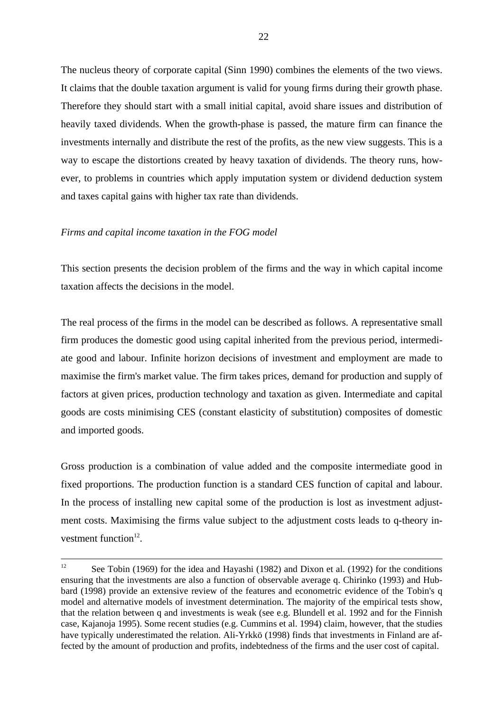The nucleus theory of corporate capital (Sinn 1990) combines the elements of the two views. It claims that the double taxation argument is valid for young firms during their growth phase. Therefore they should start with a small initial capital, avoid share issues and distribution of heavily taxed dividends. When the growth-phase is passed, the mature firm can finance the investments internally and distribute the rest of the profits, as the new view suggests. This is a way to escape the distortions created by heavy taxation of dividends. The theory runs, however, to problems in countries which apply imputation system or dividend deduction system and taxes capital gains with higher tax rate than dividends.

### *Firms and capital income taxation in the FOG model*

This section presents the decision problem of the firms and the way in which capital income taxation affects the decisions in the model.

The real process of the firms in the model can be described as follows. A representative small firm produces the domestic good using capital inherited from the previous period, intermediate good and labour. Infinite horizon decisions of investment and employment are made to maximise the firm's market value. The firm takes prices, demand for production and supply of factors at given prices, production technology and taxation as given. Intermediate and capital goods are costs minimising CES (constant elasticity of substitution) composites of domestic and imported goods.

Gross production is a combination of value added and the composite intermediate good in fixed proportions. The production function is a standard CES function of capital and labour. In the process of installing new capital some of the production is lost as investment adjustment costs. Maximising the firms value subject to the adjustment costs leads to q-theory investment function<sup>12</sup>.

<sup>&</sup>lt;sup>12</sup> See Tobin (1969) for the idea and Hayashi (1982) and Dixon et al. (1992) for the conditions ensuring that the investments are also a function of observable average q. Chirinko (1993) and Hubbard (1998) provide an extensive review of the features and econometric evidence of the Tobin's q model and alternative models of investment determination. The majority of the empirical tests show, that the relation between q and investments is weak (see e.g. Blundell et al. 1992 and for the Finnish case, Kajanoja 1995). Some recent studies (e.g. Cummins et al. 1994) claim, however, that the studies have typically underestimated the relation. Ali-Yrkkö (1998) finds that investments in Finland are affected by the amount of production and profits, indebtedness of the firms and the user cost of capital.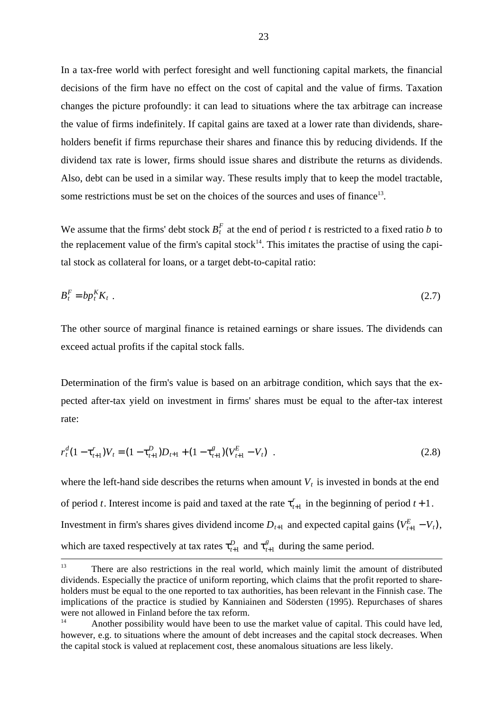In a tax-free world with perfect foresight and well functioning capital markets, the financial decisions of the firm have no effect on the cost of capital and the value of firms. Taxation changes the picture profoundly: it can lead to situations where the tax arbitrage can increase the value of firms indefinitely. If capital gains are taxed at a lower rate than dividends, shareholders benefit if firms repurchase their shares and finance this by reducing dividends. If the dividend tax rate is lower, firms should issue shares and distribute the returns as dividends. Also, debt can be used in a similar way. These results imply that to keep the model tractable, some restrictions must be set on the choices of the sources and uses of finance<sup>13</sup>.

We assume that the firms' debt stock  $B_t^F$  at the end of period t is restricted to a fixed ratio b to the replacement value of the firm's capital stock<sup>14</sup>. This imitates the practise of using the capital stock as collateral for loans, or a target debt-to-capital ratio:

$$
B_t^F = bp_t^K K_t \tag{2.7}
$$

The other source of marginal finance is retained earnings or share issues. The dividends can exceed actual profits if the capital stock falls.

Determination of the firm's value is based on an arbitrage condition, which says that the expected after-tax yield on investment in firms' shares must be equal to the after-tax interest rate:

$$
r_t^d (1 - \tau_{t+1}^r) V_t = (1 - \tau_{t+1}^D) D_{t+1} + (1 - \tau_{t+1}^g) (V_{t+1}^E - V_t) \tag{2.8}
$$

where the left-hand side describes the returns when amount  $V_t$  is invested in bonds at the end of period *t*. Interest income is paid and taxed at the rate  $\tau_{t+1}^r$  in the beginning of period  $t+1$ . Investment in firm's shares gives dividend income  $D_{t+1}$  and expected capital gains  $(V_{t+1}^E - V_t)$ , which are taxed respectively at tax rates  $\tau_{t+1}^D$  and  $\tau_{t+1}^g$  during the same period.

<sup>&</sup>lt;sup>13</sup> There are also restrictions in the real world, which mainly limit the amount of distributed dividends. Especially the practice of uniform reporting, which claims that the profit reported to shareholders must be equal to the one reported to tax authorities, has been relevant in the Finnish case. The implications of the practice is studied by Kanniainen and Södersten (1995). Repurchases of shares were not allowed in Finland before the tax reform.

<sup>&</sup>lt;sup>14</sup> Another possibility would have been to use the market value of capital. This could have led, however, e.g. to situations where the amount of debt increases and the capital stock decreases. When the capital stock is valued at replacement cost, these anomalous situations are less likely.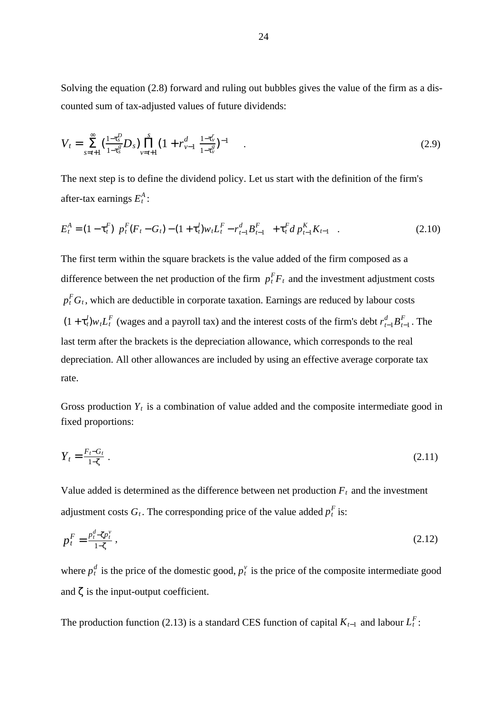Solving the equation (2.8) forward and ruling out bubbles gives the value of the firm as a discounted sum of tax-adjusted values of future dividends:

$$
V_t = \sum_{s=t+1}^{\infty} \left( \frac{1-\tau_s^D}{1-\tau_s^g} D_s \right) \prod_{\nu=t+1}^s \left( 1 + r_{\nu-1}^d \right) \frac{1-\tau_{\nu}^r}{1-\tau_{\nu}^g} \right)^{-1} \tag{2.9}
$$

The next step is to define the dividend policy. Let us start with the definition of the firm's after-tax earnings  $E_t^A$ :

$$
E_t^A = (1 - \tau_t^F) \Big[ p_t^F (F_t - G_t) - (1 + \tau_t^I) w_t L_t^F - r_{t-1}^d B_{t-1}^F \Big] + \tau_t^F d \, p_{t-1}^K K_{t-1} \quad . \tag{2.10}
$$

The first term within the square brackets is the value added of the firm composed as a difference between the net production of the firm  $p_t^F F_t$  and the investment adjustment costs  $p_t^F G_t$ , which are deductible in corporate taxation. Earnings are reduced by labour costs  $(1 + \tau_t^l) w_t L_t^F$  (wages and a payroll tax) and the interest costs of the firm's debt  $r_{t-1}^d B_{t-1}^F$ . The last term after the brackets is the depreciation allowance, which corresponds to the real depreciation. All other allowances are included by using an effective average corporate tax rate.

Gross production  $Y_t$  is a combination of value added and the composite intermediate good in fixed proportions:

$$
Y_t = \frac{F_t - G_t}{1 - \zeta} \tag{2.11}
$$

Value added is determined as the difference between net production  $F_t$  and the investment adjustment costs  $G_t$ . The corresponding price of the value added  $p_t^F$  is:

$$
p_t^F = \frac{p_t^d - \zeta p_t^v}{1 - \zeta} \,,\tag{2.12}
$$

where  $p_t^d$  is the price of the domestic good,  $p_t^v$  is the price of the composite intermediate good and  $\zeta$  is the input-output coefficient.

The production function (2.13) is a standard CES function of capital  $K_{t-1}$  and labour  $L_t^F$ :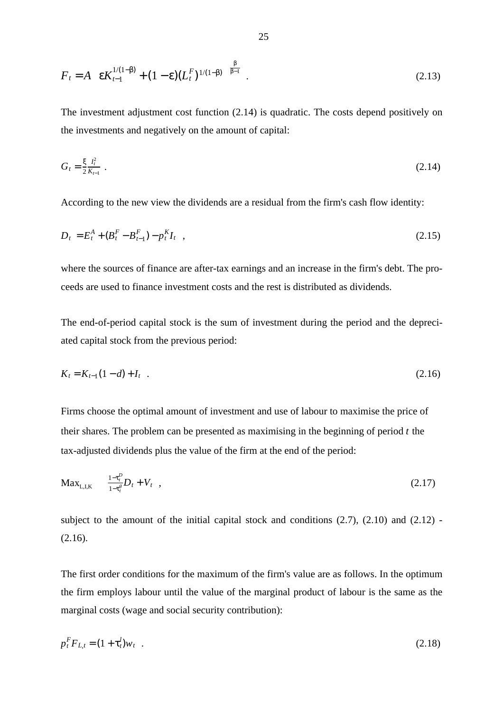$$
F_t = A \left[ \varepsilon K_{t-1}^{1/(1-\beta)} + (1-\varepsilon)(L_t^F)^{1/(1-\beta)} \right]^{\frac{\beta}{\beta-1}}.
$$
 (2.13)

The investment adjustment cost function (2.14) is quadratic. The costs depend positively on the investments and negatively on the amount of capital:

$$
G_t = \frac{\xi}{2} \frac{I_t^2}{K_{t-1}} \tag{2.14}
$$

According to the new view the dividends are a residual from the firm's cash flow identity:

$$
D_t = E_t^A + (B_t^F - B_{t-1}^F) - p_t^K I_t \quad , \tag{2.15}
$$

where the sources of finance are after-tax earnings and an increase in the firm's debt. The proceeds are used to finance investment costs and the rest is distributed as dividends.

The end-of-period capital stock is the sum of investment during the period and the depreciated capital stock from the previous period:

$$
K_t = K_{t-1}(1-d) + I_t \quad . \tag{2.16}
$$

Firms choose the optimal amount of investment and use of labour to maximise the price of their shares. The problem can be presented as maximising in the beginning of period  $t$  the tax-adjusted dividends plus the value of the firm at the end of the period:

$$
Max_{L,I,K} \quad \frac{1-\tau_t^D}{1-\tau_t^g} D_t + V_t \quad , \tag{2.17}
$$

subject to the amount of the initial capital stock and conditions  $(2.7)$ ,  $(2.10)$  and  $(2.12)$  -(2.16).

The first order conditions for the maximum of the firm's value are as follows. In the optimum the firm employs labour until the value of the marginal product of labour is the same as the marginal costs (wage and social security contribution):

$$
p_t^F F_{L,t} = (1 + \tau_t^l) w_t \quad . \tag{2.18}
$$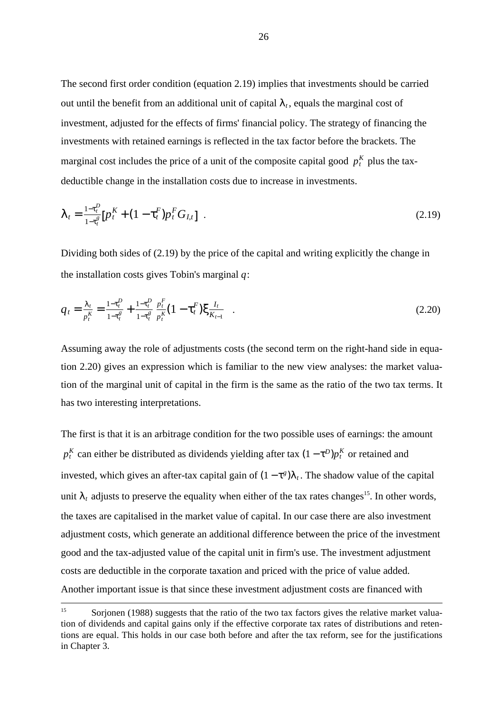The second first order condition (equation 2.19) implies that investments should be carried out until the benefit from an additional unit of capital  $\lambda_t$ , equals the marginal cost of investment, adjusted for the effects of firms' financial policy. The strategy of financing the investments with retained earnings is reflected in the tax factor before the brackets. The marginal cost includes the price of a unit of the composite capital good  $p_t^K$  plus the taxdeductible change in the installation costs due to increase in investments.

$$
\lambda_t = \frac{1 - \tau_t^p}{1 - \tau_t^s} \left[ p_t^K + (1 - \tau_t^F) p_t^F G_{I,t} \right] \tag{2.19}
$$

Dividing both sides of  $(2.19)$  by the price of the capital and writing explicitly the change in the installation costs gives Tobin's marginal  $q$ :

$$
q_t = \frac{\lambda_t}{p_t^K} = \frac{1 - \tau_t^D}{1 - \tau_t^g} + \frac{1 - \tau_t^D}{1 - \tau_t^g} \frac{p_t^F}{p_t^K} (1 - \tau_t^F) \xi \frac{I_t}{K_{t-1}} \quad . \tag{2.20}
$$

Assuming away the role of adjustments costs (the second term on the right-hand side in equation 2.20) gives an expression which is familiar to the new view analyses: the market valuation of the marginal unit of capital in the firm is the same as the ratio of the two tax terms. It has two interesting interpretations.

The first is that it is an arbitrage condition for the two possible uses of earnings: the amount  $p_t^K$  can either be distributed as dividends yielding after tax  $(1 - \tau^D)p_t^K$  or retained and invested, which gives an after-tax capital gain of  $(1 - \tau^g)\lambda_t$ . The shadow value of the capital unit  $\lambda_t$  adjusts to preserve the equality when either of the tax rates changes<sup>15</sup>. In other words, the taxes are capitalised in the market value of capital. In our case there are also investment adjustment costs, which generate an additional difference between the price of the investment good and the tax-adjusted value of the capital unit in firm's use. The investment adjustment costs are deductible in the corporate taxation and priced with the price of value added. Another important issue is that since these investment adjustment costs are financed with

<sup>&</sup>lt;sup>15</sup> Sorjonen (1988) suggests that the ratio of the two tax factors gives the relative market valuation of dividends and capital gains only if the effective corporate tax rates of distributions and retentions are equal. This holds in our case both before and after the tax reform, see for the justifications in Chapter 3.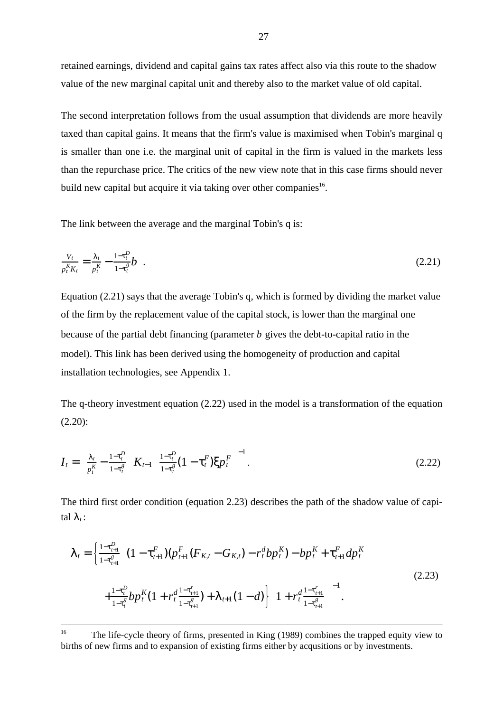retained earnings, dividend and capital gains tax rates affect also via this route to the shadow value of the new marginal capital unit and thereby also to the market value of old capital.

The second interpretation follows from the usual assumption that dividends are more heavily taxed than capital gains. It means that the firm's value is maximised when Tobin's marginal q is smaller than one i.e. the marginal unit of capital in the firm is valued in the markets less than the repurchase price. The critics of the new view note that in this case firms should never build new capital but acquire it via taking over other companies<sup>16</sup>.

The link between the average and the marginal Tobin's q is:

$$
\frac{V_t}{p_t^K K_t} = \frac{\lambda_t}{p_t^K} - \frac{1 - \tau_t^p}{1 - \tau_t^g} b \quad . \tag{2.21}
$$

Equation (2.21) says that the average Tobin's q, which is formed by dividing the market value of the firm by the replacement value of the capital stock, is lower than the marginal one because of the partial debt financing (parameter b gives the debt-to-capital ratio in the model). This link has been derived using the homogeneity of production and capital installation technologies, see Appendix 1.

The q-theory investment equation (2.22) used in the model is a transformation of the equation (2.20):

$$
I_t = \left(\frac{\lambda_t}{p_t^K} - \frac{1 - \tau_t^D}{1 - \tau_t^g}\right) K_{t-1} \left[\frac{1 - \tau_t^D}{1 - \tau_t^g} (1 - \tau_t^F) \xi p_t^F\right]^{-1}.
$$
\n(2.22)

The third first order condition (equation 2.23) describes the path of the shadow value of capital  $\lambda_t$ :

$$
\lambda_{t} = \left\{ \frac{1 - \tau_{t+1}^{D}}{1 - \tau_{t+1}^{g}} \Big[ (1 - \tau_{t+1}^{F})(p_{t+1}^{F}(F_{K,t} - G_{K,t}) - r_{t}^{d}bp_{t}^{K}) - bp_{t}^{K} + \tau_{t+1}^{F}dp_{t}^{K} \Big] + \frac{1 - \tau_{t}^{D}}{1 - \tau_{t}^{g}}bp_{t}^{K}(1 + r_{t}^{d} \frac{1 - \tau_{t+1}^{r}}{1 - \tau_{t+1}^{g}}) + \lambda_{t+1}(1 - d) \Big] \Big( 1 + r_{t}^{d} \frac{1 - \tau_{t+1}^{r}}{1 - \tau_{t+1}^{g}} \Big)^{-1} \right. \tag{2.23}
$$

<sup>&</sup>lt;sup>16</sup> The life-cycle theory of firms, presented in King (1989) combines the trapped equity view to births of new firms and to expansion of existing firms either by acqusitions or by investments.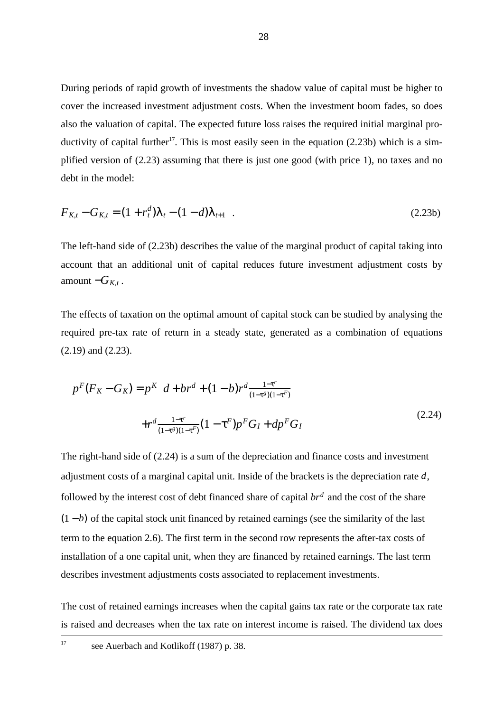During periods of rapid growth of investments the shadow value of capital must be higher to cover the increased investment adjustment costs. When the investment boom fades, so does also the valuation of capital. The expected future loss raises the required initial marginal productivity of capital further<sup>17</sup>. This is most easily seen in the equation  $(2.23b)$  which is a simplified version of (2.23) assuming that there is just one good (with price 1), no taxes and no debt in the model:

$$
F_{K,t} - G_{K,t} = (1 + r_t^d)\lambda_t - (1 - d)\lambda_{t+1} \quad . \tag{2.23b}
$$

The left-hand side of (2.23b) describes the value of the marginal product of capital taking into account that an additional unit of capital reduces future investment adjustment costs by amount  $-G_{K,t}$ .

The effects of taxation on the optimal amount of capital stock can be studied by analysing the required pre-tax rate of return in a steady state, generated as a combination of equations (2.19) and (2.23).

$$
p^{F}(F_{K} - G_{K}) = p^{K} \left[ d + br^{d} + (1 - b)r^{d} \frac{1 - \tau^{r}}{(1 - \tau^{g})(1 - \tau^{F})} \right]
$$
  
+ 
$$
r^{d} \frac{1 - \tau^{r}}{(1 - \tau^{g})(1 - \tau^{F})} (1 - \tau^{F}) p^{F} G_{I} + dp^{F} G_{I}
$$
 (2.24)

The right-hand side of (2.24) is a sum of the depreciation and finance costs and investment adjustment costs of a marginal capital unit. Inside of the brackets is the depreciation rate  $d$ , followed by the interest cost of debt financed share of capital  $br<sup>d</sup>$  and the cost of the share  $(1 - b)$  of the capital stock unit financed by retained earnings (see the similarity of the last term to the equation 2.6). The first term in the second row represents the after-tax costs of installation of a one capital unit, when they are financed by retained earnings. The last term describes investment adjustments costs associated to replacement investments.

The cost of retained earnings increases when the capital gains tax rate or the corporate tax rate is raised and decreases when the tax rate on interest income is raised. The dividend tax does

<sup>17</sup> see Auerbach and Kotlikoff (1987) p. 38.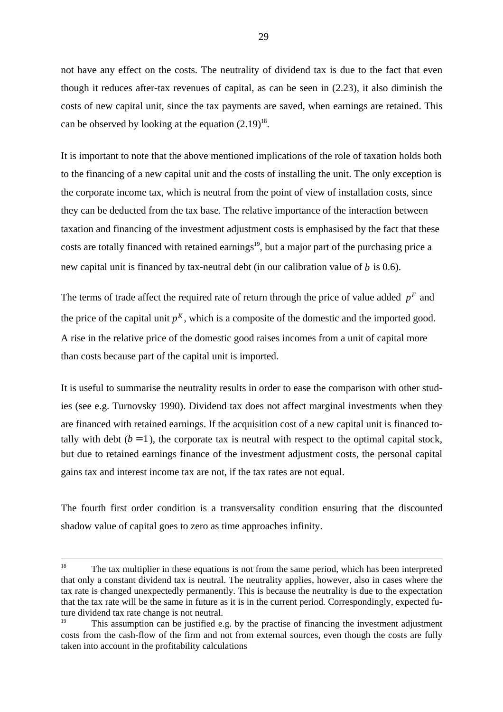not have any effect on the costs. The neutrality of dividend tax is due to the fact that even though it reduces after-tax revenues of capital, as can be seen in (2.23), it also diminish the costs of new capital unit, since the tax payments are saved, when earnings are retained. This can be observed by looking at the equation  $(2.19)^{18}$ .

It is important to note that the above mentioned implications of the role of taxation holds both to the financing of a new capital unit and the costs of installing the unit. The only exception is the corporate income tax, which is neutral from the point of view of installation costs, since they can be deducted from the tax base. The relative importance of the interaction between taxation and financing of the investment adjustment costs is emphasised by the fact that these costs are totally financed with retained earnings<sup>19</sup>, but a major part of the purchasing price a new capital unit is financed by tax-neutral debt (in our calibration value of  $b$  is 0.6).

The terms of trade affect the required rate of return through the price of value added  $p<sup>F</sup>$  and the price of the capital unit  $p<sup>K</sup>$ , which is a composite of the domestic and the imported good. A rise in the relative price of the domestic good raises incomes from a unit of capital more than costs because part of the capital unit is imported.

It is useful to summarise the neutrality results in order to ease the comparison with other studies (see e.g. Turnovsky 1990). Dividend tax does not affect marginal investments when they are financed with retained earnings. If the acquisition cost of a new capital unit is financed totally with debt  $(b = 1)$ , the corporate tax is neutral with respect to the optimal capital stock, but due to retained earnings finance of the investment adjustment costs, the personal capital gains tax and interest income tax are not, if the tax rates are not equal.

The fourth first order condition is a transversality condition ensuring that the discounted shadow value of capital goes to zero as time approaches infinity.

<sup>&</sup>lt;sup>18</sup> The tax multiplier in these equations is not from the same period, which has been interpreted that only a constant dividend tax is neutral. The neutrality applies, however, also in cases where the tax rate is changed unexpectedly permanently. This is because the neutrality is due to the expectation that the tax rate will be the same in future as it is in the current period. Correspondingly, expected future dividend tax rate change is not neutral.

<sup>&</sup>lt;sup>19</sup> This assumption can be justified e.g. by the practise of financing the investment adjustment costs from the cash-flow of the firm and not from external sources, even though the costs are fully taken into account in the profitability calculations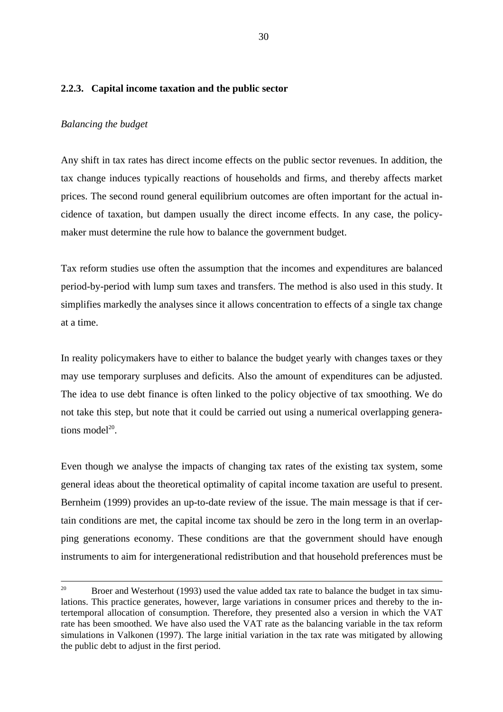## **2.2.3. Capital income taxation and the public sector**

### *Balancing the budget*

Any shift in tax rates has direct income effects on the public sector revenues. In addition, the tax change induces typically reactions of households and firms, and thereby affects market prices. The second round general equilibrium outcomes are often important for the actual incidence of taxation, but dampen usually the direct income effects. In any case, the policymaker must determine the rule how to balance the government budget.

Tax reform studies use often the assumption that the incomes and expenditures are balanced period-by-period with lump sum taxes and transfers. The method is also used in this study. It simplifies markedly the analyses since it allows concentration to effects of a single tax change at a time.

In reality policymakers have to either to balance the budget yearly with changes taxes or they may use temporary surpluses and deficits. Also the amount of expenditures can be adjusted. The idea to use debt finance is often linked to the policy objective of tax smoothing. We do not take this step, but note that it could be carried out using a numerical overlapping generations model $^{20}$ 

Even though we analyse the impacts of changing tax rates of the existing tax system, some general ideas about the theoretical optimality of capital income taxation are useful to present. Bernheim (1999) provides an up-to-date review of the issue. The main message is that if certain conditions are met, the capital income tax should be zero in the long term in an overlapping generations economy. These conditions are that the government should have enough instruments to aim for intergenerational redistribution and that household preferences must be

<sup>&</sup>lt;sup>20</sup> Broer and Westerhout (1993) used the value added tax rate to balance the budget in tax simulations. This practice generates, however, large variations in consumer prices and thereby to the intertemporal allocation of consumption. Therefore, they presented also a version in which the VAT rate has been smoothed. We have also used the VAT rate as the balancing variable in the tax reform simulations in Valkonen (1997). The large initial variation in the tax rate was mitigated by allowing the public debt to adjust in the first period.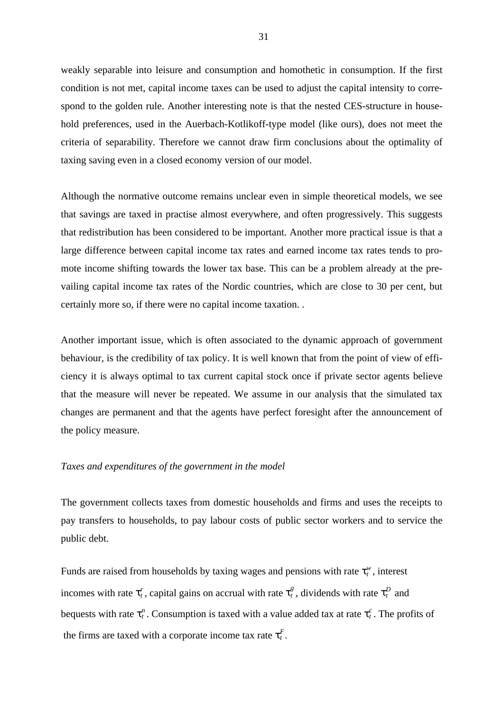weakly separable into leisure and consumption and homothetic in consumption. If the first condition is not met, capital income taxes can be used to adjust the capital intensity to correspond to the golden rule. Another interesting note is that the nested CES-structure in household preferences, used in the Auerbach-Kotlikoff-type model (like ours), does not meet the criteria of separability. Therefore we cannot draw firm conclusions about the optimality of taxing saving even in a closed economy version of our model.

Although the normative outcome remains unclear even in simple theoretical models, we see that savings are taxed in practise almost everywhere, and often progressively. This suggests that redistribution has been considered to be important. Another more practical issue is that a large difference between capital income tax rates and earned income tax rates tends to promote income shifting towards the lower tax base. This can be a problem already at the prevailing capital income tax rates of the Nordic countries, which are close to 30 per cent, but certainly more so, if there were no capital income taxation. .

Another important issue, which is often associated to the dynamic approach of government behaviour, is the credibility of tax policy. It is well known that from the point of view of efficiency it is always optimal to tax current capital stock once if private sector agents believe that the measure will never be repeated. We assume in our analysis that the simulated tax changes are permanent and that the agents have perfect foresight after the announcement of the policy measure.

# *Taxes and expenditures of the government in the model*

The government collects taxes from domestic households and firms and uses the receipts to pay transfers to households, to pay labour costs of public sector workers and to service the public debt.

Funds are raised from households by taxing wages and pensions with rate  $\tau_t^w$ , interest incomes with rate  $\tau_t^r$ , capital gains on accrual with rate  $\tau_t^g$ , dividends with rate  $\tau_t^D$  and bequests with rate  $\tau_t^n$ . Consumption is taxed with a value added tax at rate  $\tau_t^c$ . The profits of the firms are taxed with a corporate income tax rate  $\tau_t^F$ .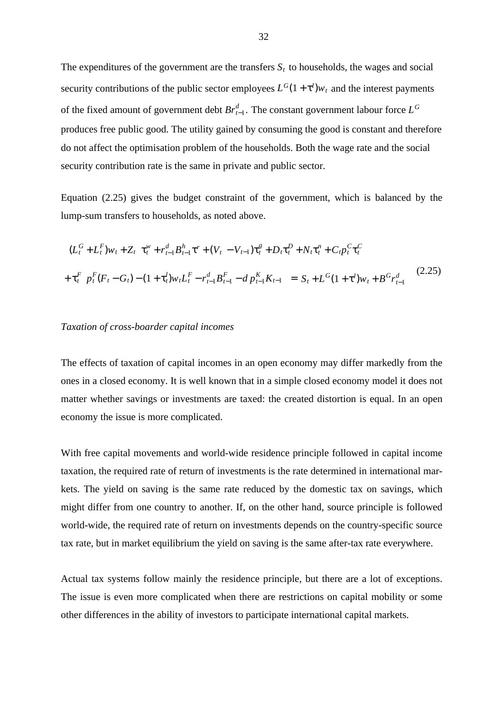The expenditures of the government are the transfers  $S_t$  to households, the wages and social security contributions of the public sector employees  $L^G(1 + \tau^l)w_t$  and the interest payments of the fixed amount of government debt  $Br_{t-1}^d$ . The constant government labour force  $L^G$ produces free public good. The utility gained by consuming the good is constant and therefore do not affect the optimisation problem of the households. Both the wage rate and the social security contribution rate is the same in private and public sector.

Equation (2.25) gives the budget constraint of the government, which is balanced by the lump-sum transfers to households, as noted above.

$$
\begin{aligned}\n\left[ (L_t^G + L_t^F) w_t + Z_t \right] \tau_t^w + r_{t-1}^d B_{t-1}^h \tau^r + (V_t - V_{t-1}) \tau_t^g + D_t \tau_t^D + N_t \tau_t^n + C_t p_t^C \tau_t^C \\
+ \tau_t^F \left[ p_t^F (F_t - G_t) - (1 + \tau_t^l) w_t L_t^F - r_{t-1}^d B_{t-1}^F - d p_{t-1}^K K_{t-1} \right] &= S_t + L^G (1 + \tau^l) w_t + B^G r_{t-1}^d \tag{2.25}\n\end{aligned}
$$

### *Taxation of cross-boarder capital incomes*

The effects of taxation of capital incomes in an open economy may differ markedly from the ones in a closed economy. It is well known that in a simple closed economy model it does not matter whether savings or investments are taxed: the created distortion is equal. In an open economy the issue is more complicated.

With free capital movements and world-wide residence principle followed in capital income taxation, the required rate of return of investments is the rate determined in international markets. The yield on saving is the same rate reduced by the domestic tax on savings, which might differ from one country to another. If, on the other hand, source principle is followed world-wide, the required rate of return on investments depends on the country-specific source tax rate, but in market equilibrium the yield on saving is the same after-tax rate everywhere.

Actual tax systems follow mainly the residence principle, but there are a lot of exceptions. The issue is even more complicated when there are restrictions on capital mobility or some other differences in the ability of investors to participate international capital markets.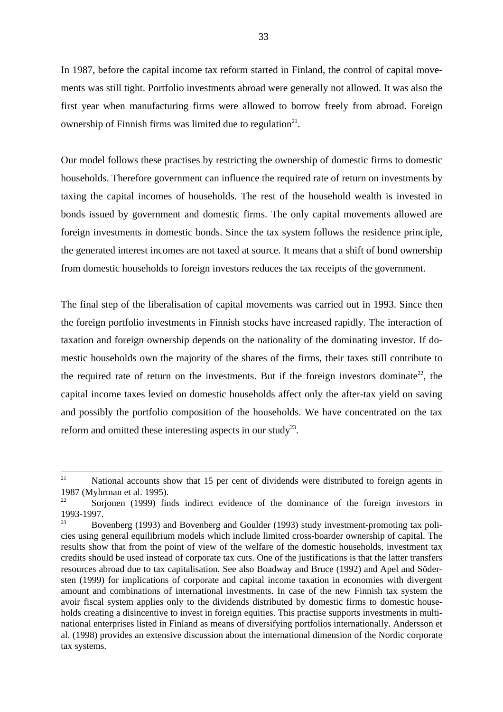In 1987, before the capital income tax reform started in Finland, the control of capital movements was still tight. Portfolio investments abroad were generally not allowed. It was also the first year when manufacturing firms were allowed to borrow freely from abroad. Foreign ownership of Finnish firms was limited due to regulation<sup>21</sup>.

Our model follows these practises by restricting the ownership of domestic firms to domestic households. Therefore government can influence the required rate of return on investments by taxing the capital incomes of households. The rest of the household wealth is invested in bonds issued by government and domestic firms. The only capital movements allowed are foreign investments in domestic bonds. Since the tax system follows the residence principle, the generated interest incomes are not taxed at source. It means that a shift of bond ownership from domestic households to foreign investors reduces the tax receipts of the government.

The final step of the liberalisation of capital movements was carried out in 1993. Since then the foreign portfolio investments in Finnish stocks have increased rapidly. The interaction of taxation and foreign ownership depends on the nationality of the dominating investor. If domestic households own the majority of the shares of the firms, their taxes still contribute to the required rate of return on the investments. But if the foreign investors dominate<sup>22</sup>, the capital income taxes levied on domestic households affect only the after-tax yield on saving and possibly the portfolio composition of the households. We have concentrated on the tax reform and omitted these interesting aspects in our study<sup>23</sup>.

 $21$  National accounts show that 15 per cent of dividends were distributed to foreign agents in 1987 (Myhrman et al. 1995).<br><sup>22</sup> Serienen (1999) fin

Sorjonen (1999) finds indirect evidence of the dominance of the foreign investors in 1993-1997.

Bovenberg (1993) and Bovenberg and Goulder (1993) study investment-promoting tax policies using general equilibrium models which include limited cross-boarder ownership of capital. The results show that from the point of view of the welfare of the domestic households, investment tax credits should be used instead of corporate tax cuts. One of the justifications is that the latter transfers resources abroad due to tax capitalisation. See also Boadway and Bruce (1992) and Apel and Södersten (1999) for implications of corporate and capital income taxation in economies with divergent amount and combinations of international investments. In case of the new Finnish tax system the avoir fiscal system applies only to the dividends distributed by domestic firms to domestic households creating a disincentive to invest in foreign equities. This practise supports investments in multinational enterprises listed in Finland as means of diversifying portfolios internationally. Andersson et al. (1998) provides an extensive discussion about the international dimension of the Nordic corporate tax systems.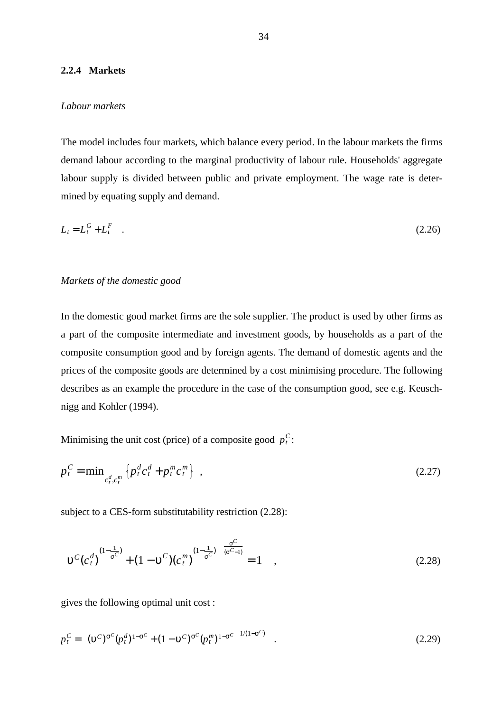# **2.2.4 Markets**

### *Labour markets*

The model includes four markets, which balance every period. In the labour markets the firms demand labour according to the marginal productivity of labour rule. Households' aggregate labour supply is divided between public and private employment. The wage rate is determined by equating supply and demand.

$$
L_t = L_t^G + L_t^F \quad . \tag{2.26}
$$

### *Markets of the domestic good*

In the domestic good market firms are the sole supplier. The product is used by other firms as a part of the composite intermediate and investment goods, by households as a part of the composite consumption good and by foreign agents. The demand of domestic agents and the prices of the composite goods are determined by a cost minimising procedure. The following describes as an example the procedure in the case of the consumption good, see e.g. Keuschnigg and Kohler (1994).

Minimising the unit cost (price) of a composite good  $p_t^C$ :

$$
p_t^C = \min_{c_t^d, c_t^m} \left\{ p_t^d c_t^d + p_t^m c_t^m \right\} \tag{2.27}
$$

subject to a CES-form substitutability restriction (2.28):

$$
\left[ \upsilon^{C} (c_{t}^{d})^{(1-\frac{1}{\sigma^{C}})} + (1 - \upsilon^{C}) (c_{t}^{m})^{(1-\frac{1}{\sigma^{C}})} \right]^{\frac{\sigma^{C}}{(\sigma^{C}-1)}} = 1 \quad , \tag{2.28}
$$

gives the following optimal unit cost :

$$
p_t^C = \left[ (\upsilon^C)^{\sigma^C} (p_t^d)^{1-\sigma^C} + (1-\upsilon^C)^{\sigma^C} (p_t^m)^{1-\sigma^C} \right]^{1/(1-\sigma^C)} \quad . \tag{2.29}
$$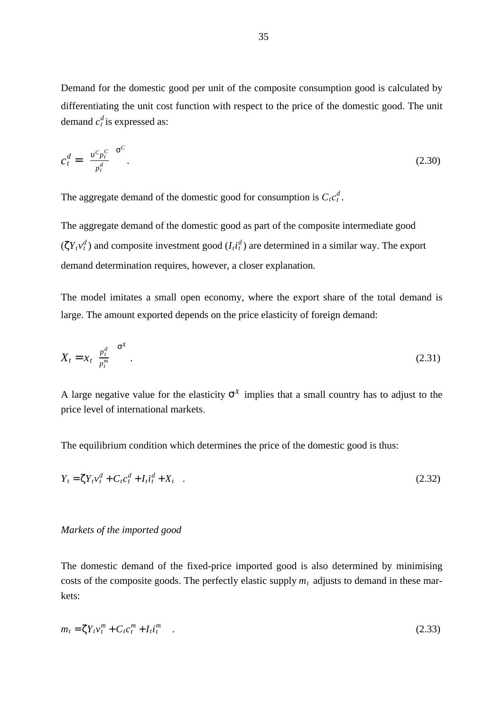Demand for the domestic good per unit of the composite consumption good is calculated by differentiating the unit cost function with respect to the price of the domestic good. The unit demand  $c_t^d$  is expressed as:

$$
c_t^d = \left[\frac{v^c p_t^c}{p_t^d}\right]^{\sigma^C}.\tag{2.30}
$$

The aggregate demand of the domestic good for consumption is  $C_t c_t^d$ .

The aggregate demand of the domestic good as part of the composite intermediate good  $({\zeta}Y_t v_t^d)$  and composite investment good  $(I_t i_t^d)$  are determined in a similar way. The export demand determination requires, however, a closer explanation.

The model imitates a small open economy, where the export share of the total demand is large. The amount exported depends on the price elasticity of foreign demand:

$$
X_t = x_t \left(\frac{p_t^d}{p_t^m}\right)^{\sigma^X} \tag{2.31}
$$

A large negative value for the elasticity  $\sigma^X$  implies that a small country has to adjust to the price level of international markets.

The equilibrium condition which determines the price of the domestic good is thus:

$$
Y_t = \zeta Y_t v_t^d + C_t c_t^d + I_t i_t^d + X_t \quad . \tag{2.32}
$$

### *Markets of the imported good*

The domestic demand of the fixed-price imported good is also determined by minimising costs of the composite goods. The perfectly elastic supply  $m_t$  adjusts to demand in these markets:

$$
m_t = \zeta Y_t v_t^m + C_t c_t^m + I_t i_t^m \tag{2.33}
$$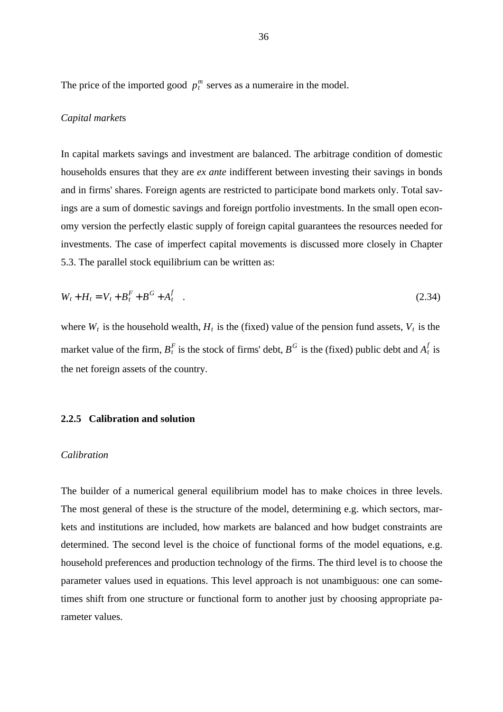The price of the imported good  $p_t^m$  serves as a numeraire in the model.

# *Capital market*s

In capital markets savings and investment are balanced. The arbitrage condition of domestic households ensures that they are *ex ante* indifferent between investing their savings in bonds and in firms' shares. Foreign agents are restricted to participate bond markets only. Total savings are a sum of domestic savings and foreign portfolio investments. In the small open economy version the perfectly elastic supply of foreign capital guarantees the resources needed for investments. The case of imperfect capital movements is discussed more closely in Chapter 5.3. The parallel stock equilibrium can be written as:

$$
W_t + H_t = V_t + B_t^F + B^G + A_t^f
$$
 (2.34)

where  $W_t$  is the household wealth,  $H_t$  is the (fixed) value of the pension fund assets,  $V_t$  is the market value of the firm,  $B_t^F$  is the stock of firms' debt,  $B^G$  is the (fixed) public debt and  $A_t^f$  is the net foreign assets of the country.

# **2.2.5 Calibration and solution**

#### *Calibration*

The builder of a numerical general equilibrium model has to make choices in three levels. The most general of these is the structure of the model, determining e.g. which sectors, markets and institutions are included, how markets are balanced and how budget constraints are determined. The second level is the choice of functional forms of the model equations, e.g. household preferences and production technology of the firms. The third level is to choose the parameter values used in equations. This level approach is not unambiguous: one can sometimes shift from one structure or functional form to another just by choosing appropriate parameter values.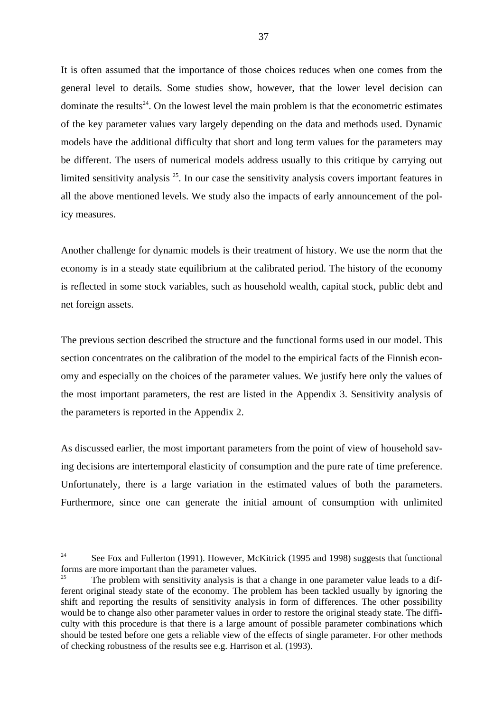It is often assumed that the importance of those choices reduces when one comes from the general level to details. Some studies show, however, that the lower level decision can dominate the results<sup>24</sup>. On the lowest level the main problem is that the econometric estimates of the key parameter values vary largely depending on the data and methods used. Dynamic models have the additional difficulty that short and long term values for the parameters may be different. The users of numerical models address usually to this critique by carrying out limited sensitivity analysis  $25$ . In our case the sensitivity analysis covers important features in all the above mentioned levels. We study also the impacts of early announcement of the policy measures.

Another challenge for dynamic models is their treatment of history. We use the norm that the economy is in a steady state equilibrium at the calibrated period. The history of the economy is reflected in some stock variables, such as household wealth, capital stock, public debt and net foreign assets.

The previous section described the structure and the functional forms used in our model. This section concentrates on the calibration of the model to the empirical facts of the Finnish economy and especially on the choices of the parameter values. We justify here only the values of the most important parameters, the rest are listed in the Appendix 3. Sensitivity analysis of the parameters is reported in the Appendix 2.

As discussed earlier, the most important parameters from the point of view of household saving decisions are intertemporal elasticity of consumption and the pure rate of time preference. Unfortunately, there is a large variation in the estimated values of both the parameters. Furthermore, since one can generate the initial amount of consumption with unlimited

<sup>&</sup>lt;sup>24</sup> See Fox and Fullerton (1991). However, McKitrick (1995 and 1998) suggests that functional forms are more important than the parameter values.

The problem with sensitivity analysis is that a change in one parameter value leads to a different original steady state of the economy. The problem has been tackled usually by ignoring the shift and reporting the results of sensitivity analysis in form of differences. The other possibility would be to change also other parameter values in order to restore the original steady state. The difficulty with this procedure is that there is a large amount of possible parameter combinations which should be tested before one gets a reliable view of the effects of single parameter. For other methods of checking robustness of the results see e.g. Harrison et al. (1993).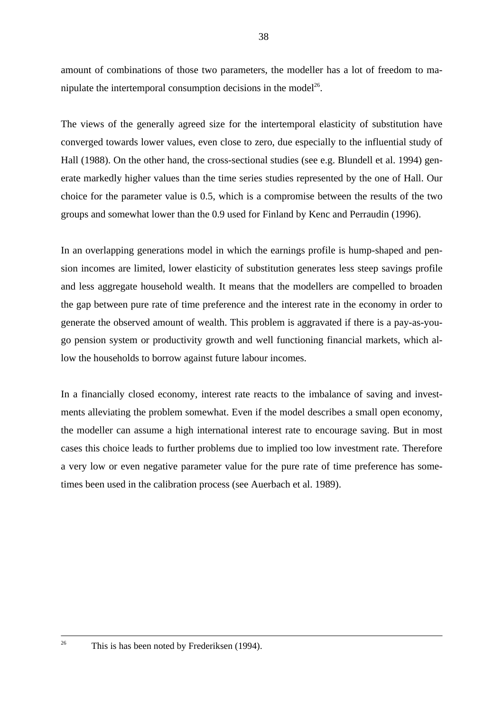amount of combinations of those two parameters, the modeller has a lot of freedom to manipulate the intertemporal consumption decisions in the model<sup>26</sup>.

The views of the generally agreed size for the intertemporal elasticity of substitution have converged towards lower values, even close to zero, due especially to the influential study of Hall (1988). On the other hand, the cross-sectional studies (see e.g. Blundell et al. 1994) generate markedly higher values than the time series studies represented by the one of Hall. Our choice for the parameter value is 0.5, which is a compromise between the results of the two groups and somewhat lower than the 0.9 used for Finland by Kenc and Perraudin (1996).

In an overlapping generations model in which the earnings profile is hump-shaped and pension incomes are limited, lower elasticity of substitution generates less steep savings profile and less aggregate household wealth. It means that the modellers are compelled to broaden the gap between pure rate of time preference and the interest rate in the economy in order to generate the observed amount of wealth. This problem is aggravated if there is a pay-as-yougo pension system or productivity growth and well functioning financial markets, which allow the households to borrow against future labour incomes.

In a financially closed economy, interest rate reacts to the imbalance of saving and investments alleviating the problem somewhat. Even if the model describes a small open economy, the modeller can assume a high international interest rate to encourage saving. But in most cases this choice leads to further problems due to implied too low investment rate. Therefore a very low or even negative parameter value for the pure rate of time preference has sometimes been used in the calibration process (see Auerbach et al. 1989).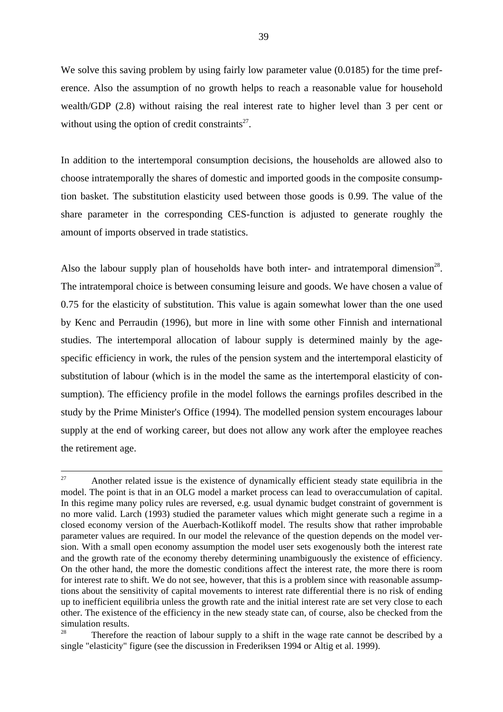We solve this saving problem by using fairly low parameter value (0.0185) for the time preference. Also the assumption of no growth helps to reach a reasonable value for household wealth/GDP (2.8) without raising the real interest rate to higher level than 3 per cent or without using the option of credit constraints<sup>27</sup>.

In addition to the intertemporal consumption decisions, the households are allowed also to choose intratemporally the shares of domestic and imported goods in the composite consumption basket. The substitution elasticity used between those goods is 0.99. The value of the share parameter in the corresponding CES-function is adjusted to generate roughly the amount of imports observed in trade statistics.

Also the labour supply plan of households have both inter- and intratemporal dimension<sup>28</sup>. The intratemporal choice is between consuming leisure and goods. We have chosen a value of 0.75 for the elasticity of substitution. This value is again somewhat lower than the one used by Kenc and Perraudin (1996), but more in line with some other Finnish and international studies. The intertemporal allocation of labour supply is determined mainly by the agespecific efficiency in work, the rules of the pension system and the intertemporal elasticity of substitution of labour (which is in the model the same as the intertemporal elasticity of consumption). The efficiency profile in the model follows the earnings profiles described in the study by the Prime Minister's Office (1994). The modelled pension system encourages labour supply at the end of working career, but does not allow any work after the employee reaches the retirement age.

 $27$  Another related issue is the existence of dynamically efficient steady state equilibria in the model. The point is that in an OLG model a market process can lead to overaccumulation of capital. In this regime many policy rules are reversed, e.g. usual dynamic budget constraint of government is no more valid. Larch (1993) studied the parameter values which might generate such a regime in a closed economy version of the Auerbach-Kotlikoff model. The results show that rather improbable parameter values are required. In our model the relevance of the question depends on the model version. With a small open economy assumption the model user sets exogenously both the interest rate and the growth rate of the economy thereby determining unambiguously the existence of efficiency. On the other hand, the more the domestic conditions affect the interest rate, the more there is room for interest rate to shift. We do not see, however, that this is a problem since with reasonable assumptions about the sensitivity of capital movements to interest rate differential there is no risk of ending up to inefficient equilibria unless the growth rate and the initial interest rate are set very close to each other. The existence of the efficiency in the new steady state can, of course, also be checked from the simulation results.

Therefore the reaction of labour supply to a shift in the wage rate cannot be described by a single "elasticity" figure (see the discussion in Frederiksen 1994 or Altig et al. 1999).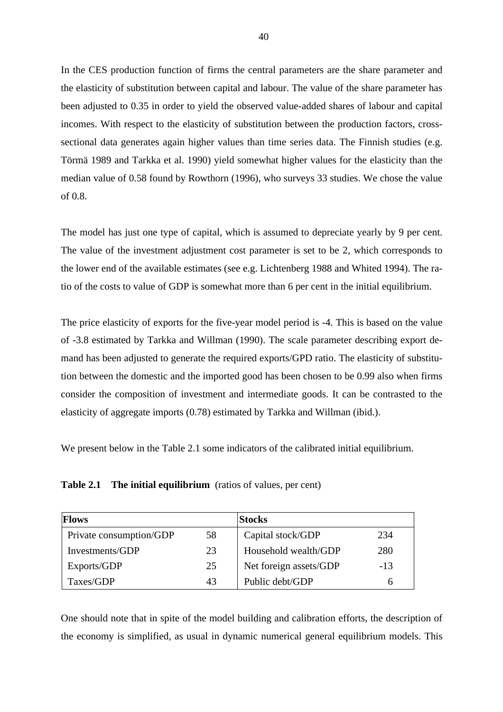In the CES production function of firms the central parameters are the share parameter and the elasticity of substitution between capital and labour. The value of the share parameter has been adjusted to 0.35 in order to yield the observed value-added shares of labour and capital incomes. With respect to the elasticity of substitution between the production factors, crosssectional data generates again higher values than time series data. The Finnish studies (e.g. Törmä 1989 and Tarkka et al. 1990) yield somewhat higher values for the elasticity than the median value of 0.58 found by Rowthorn (1996), who surveys 33 studies. We chose the value of 0.8.

The model has just one type of capital, which is assumed to depreciate yearly by 9 per cent. The value of the investment adjustment cost parameter is set to be 2, which corresponds to the lower end of the available estimates (see e.g. Lichtenberg 1988 and Whited 1994). The ratio of the costs to value of GDP is somewhat more than 6 per cent in the initial equilibrium.

The price elasticity of exports for the five-year model period is -4. This is based on the value of -3.8 estimated by Tarkka and Willman (1990). The scale parameter describing export demand has been adjusted to generate the required exports/GPD ratio. The elasticity of substitution between the domestic and the imported good has been chosen to be 0.99 also when firms consider the composition of investment and intermediate goods. It can be contrasted to the elasticity of aggregate imports (0.78) estimated by Tarkka and Willman (ibid.).

We present below in the Table 2.1 some indicators of the calibrated initial equilibrium.

**Table 2.1 The initial equilibrium** (ratios of values, per cent)

| <b>Flows</b>            |    | <b>Stocks</b>          |       |
|-------------------------|----|------------------------|-------|
| Private consumption/GDP | 58 | Capital stock/GDP      | 234   |
| Investments/GDP         | 23 | Household wealth/GDP   | 280   |
| Exports/GDP             | 25 | Net foreign assets/GDP | $-13$ |
| Taxes/GDP               | 43 | Public debt/GDP        | h     |

One should note that in spite of the model building and calibration efforts, the description of the economy is simplified, as usual in dynamic numerical general equilibrium models. This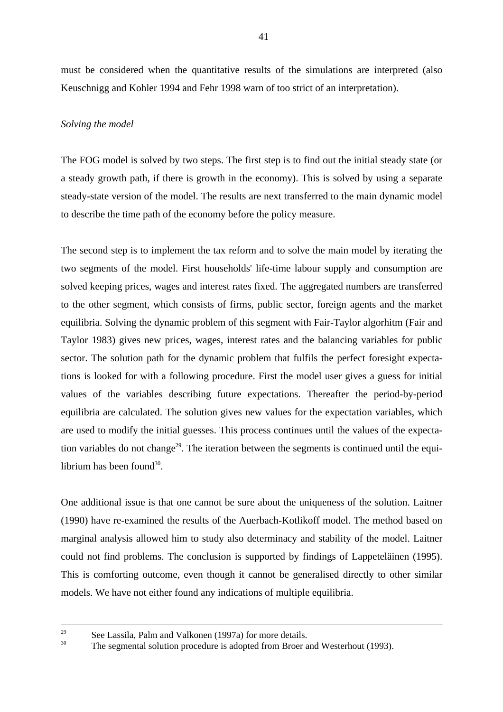must be considered when the quantitative results of the simulations are interpreted (also Keuschnigg and Kohler 1994 and Fehr 1998 warn of too strict of an interpretation).

# *Solving the model*

The FOG model is solved by two steps. The first step is to find out the initial steady state (or a steady growth path, if there is growth in the economy). This is solved by using a separate steady-state version of the model. The results are next transferred to the main dynamic model to describe the time path of the economy before the policy measure.

The second step is to implement the tax reform and to solve the main model by iterating the two segments of the model. First households' life-time labour supply and consumption are solved keeping prices, wages and interest rates fixed. The aggregated numbers are transferred to the other segment, which consists of firms, public sector, foreign agents and the market equilibria. Solving the dynamic problem of this segment with Fair-Taylor algorhitm (Fair and Taylor 1983) gives new prices, wages, interest rates and the balancing variables for public sector. The solution path for the dynamic problem that fulfils the perfect foresight expectations is looked for with a following procedure. First the model user gives a guess for initial values of the variables describing future expectations. Thereafter the period-by-period equilibria are calculated. The solution gives new values for the expectation variables, which are used to modify the initial guesses. This process continues until the values of the expectation variables do not change<sup>29</sup>. The iteration between the segments is continued until the equilibrium has been found $30$ .

One additional issue is that one cannot be sure about the uniqueness of the solution. Laitner (1990) have re-examined the results of the Auerbach-Kotlikoff model. The method based on marginal analysis allowed him to study also determinacy and stability of the model. Laitner could not find problems. The conclusion is supported by findings of Lappeteläinen (1995). This is comforting outcome, even though it cannot be generalised directly to other similar models. We have not either found any indications of multiple equilibria.

<sup>&</sup>lt;sup>29</sup> See Lassila, Palm and Valkonen (1997a) for more details.<br><sup>30</sup> The segmental solution procedure is adopted from Proor a

The segmental solution procedure is adopted from Broer and Westerhout (1993).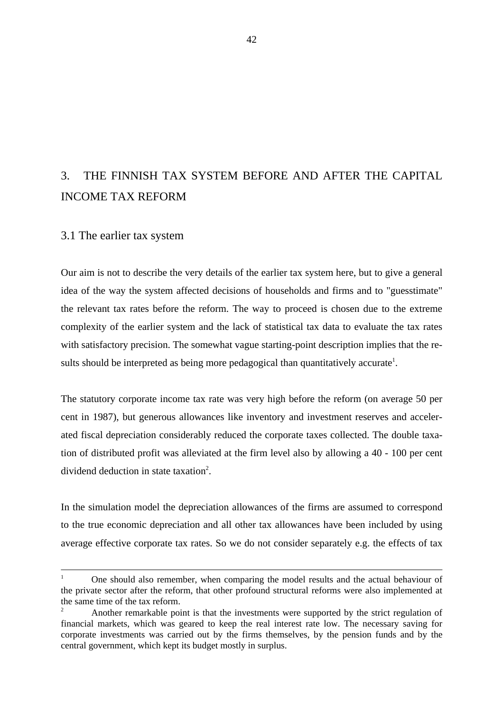# 3. THE FINNISH TAX SYSTEM BEFORE AND AFTER THE CAPITAL INCOME TAX REFORM

# 3.1 The earlier tax system

Our aim is not to describe the very details of the earlier tax system here, but to give a general idea of the way the system affected decisions of households and firms and to "guesstimate" the relevant tax rates before the reform. The way to proceed is chosen due to the extreme complexity of the earlier system and the lack of statistical tax data to evaluate the tax rates with satisfactory precision. The somewhat vague starting-point description implies that the results should be interpreted as being more pedagogical than quantitatively accurate<sup>1</sup>.

The statutory corporate income tax rate was very high before the reform (on average 50 per cent in 1987), but generous allowances like inventory and investment reserves and accelerated fiscal depreciation considerably reduced the corporate taxes collected. The double taxation of distributed profit was alleviated at the firm level also by allowing a 40 - 100 per cent dividend deduction in state taxation<sup>2</sup>.

In the simulation model the depreciation allowances of the firms are assumed to correspond to the true economic depreciation and all other tax allowances have been included by using average effective corporate tax rates. So we do not consider separately e.g. the effects of tax

<sup>1</sup> One should also remember, when comparing the model results and the actual behaviour of the private sector after the reform, that other profound structural reforms were also implemented at the same time of the tax reform.

<sup>2</sup> Another remarkable point is that the investments were supported by the strict regulation of financial markets, which was geared to keep the real interest rate low. The necessary saving for corporate investments was carried out by the firms themselves, by the pension funds and by the central government, which kept its budget mostly in surplus.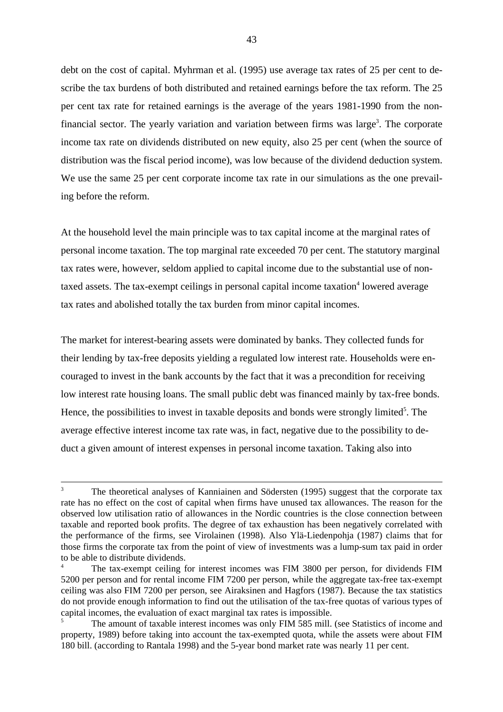debt on the cost of capital. Myhrman et al. (1995) use average tax rates of 25 per cent to describe the tax burdens of both distributed and retained earnings before the tax reform. The 25 per cent tax rate for retained earnings is the average of the years 1981-1990 from the nonfinancial sector. The yearly variation and variation between firms was large<sup>3</sup>. The corporate income tax rate on dividends distributed on new equity, also 25 per cent (when the source of distribution was the fiscal period income), was low because of the dividend deduction system. We use the same 25 per cent corporate income tax rate in our simulations as the one prevailing before the reform.

At the household level the main principle was to tax capital income at the marginal rates of personal income taxation. The top marginal rate exceeded 70 per cent. The statutory marginal tax rates were, however, seldom applied to capital income due to the substantial use of nontaxed assets. The tax-exempt ceilings in personal capital income taxation<sup>4</sup> lowered average tax rates and abolished totally the tax burden from minor capital incomes.

The market for interest-bearing assets were dominated by banks. They collected funds for their lending by tax-free deposits yielding a regulated low interest rate. Households were encouraged to invest in the bank accounts by the fact that it was a precondition for receiving low interest rate housing loans. The small public debt was financed mainly by tax-free bonds. Hence, the possibilities to invest in taxable deposits and bonds were strongly limited<sup>5</sup>. The average effective interest income tax rate was, in fact, negative due to the possibility to deduct a given amount of interest expenses in personal income taxation. Taking also into

<sup>3</sup> The theoretical analyses of Kanniainen and Södersten (1995) suggest that the corporate tax rate has no effect on the cost of capital when firms have unused tax allowances. The reason for the observed low utilisation ratio of allowances in the Nordic countries is the close connection between taxable and reported book profits. The degree of tax exhaustion has been negatively correlated with the performance of the firms, see Virolainen (1998). Also Ylä-Liedenpohja (1987) claims that for those firms the corporate tax from the point of view of investments was a lump-sum tax paid in order to be able to distribute dividends.

The tax-exempt ceiling for interest incomes was FIM 3800 per person, for dividends FIM 5200 per person and for rental income FIM 7200 per person, while the aggregate tax-free tax-exempt ceiling was also FIM 7200 per person, see Airaksinen and Hagfors (1987). Because the tax statistics do not provide enough information to find out the utilisation of the tax-free quotas of various types of capital incomes, the evaluation of exact marginal tax rates is impossible.

<sup>5</sup> The amount of taxable interest incomes was only FIM 585 mill. (see Statistics of income and property, 1989) before taking into account the tax-exempted quota, while the assets were about FIM 180 bill. (according to Rantala 1998) and the 5-year bond market rate was nearly 11 per cent.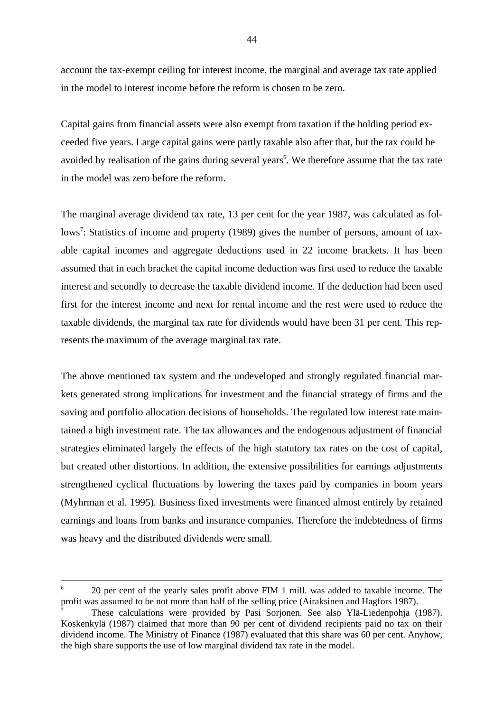account the tax-exempt ceiling for interest income, the marginal and average tax rate applied in the model to interest income before the reform is chosen to be zero.

Capital gains from financial assets were also exempt from taxation if the holding period exceeded five years. Large capital gains were partly taxable also after that, but the tax could be avoided by realisation of the gains during several years<sup>6</sup>. We therefore assume that the tax rate in the model was zero before the reform.

The marginal average dividend tax rate, 13 per cent for the year 1987, was calculated as follows<sup>7</sup>: Statistics of income and property (1989) gives the number of persons, amount of taxable capital incomes and aggregate deductions used in 22 income brackets. It has been assumed that in each bracket the capital income deduction was first used to reduce the taxable interest and secondly to decrease the taxable dividend income. If the deduction had been used first for the interest income and next for rental income and the rest were used to reduce the taxable dividends, the marginal tax rate for dividends would have been 31 per cent. This represents the maximum of the average marginal tax rate.

The above mentioned tax system and the undeveloped and strongly regulated financial markets generated strong implications for investment and the financial strategy of firms and the saving and portfolio allocation decisions of households. The regulated low interest rate maintained a high investment rate. The tax allowances and the endogenous adjustment of financial strategies eliminated largely the effects of the high statutory tax rates on the cost of capital, but created other distortions. In addition, the extensive possibilities for earnings adjustments strengthened cyclical fluctuations by lowering the taxes paid by companies in boom years (Myhrman et al. 1995). Business fixed investments were financed almost entirely by retained earnings and loans from banks and insurance companies. Therefore the indebtedness of firms was heavy and the distributed dividends were small.

 $6$  20 per cent of the yearly sales profit above FIM 1 mill. was added to taxable income. The profit was assumed to be not more than half of the selling price (Airaksinen and Hagfors 1987).

<sup>7</sup> These calculations were provided by Pasi Sorjonen. See also Ylä-Liedenpohja (1987). Koskenkylä (1987) claimed that more than 90 per cent of dividend recipients paid no tax on their dividend income. The Ministry of Finance (1987) evaluated that this share was 60 per cent. Anyhow, the high share supports the use of low marginal dividend tax rate in the model.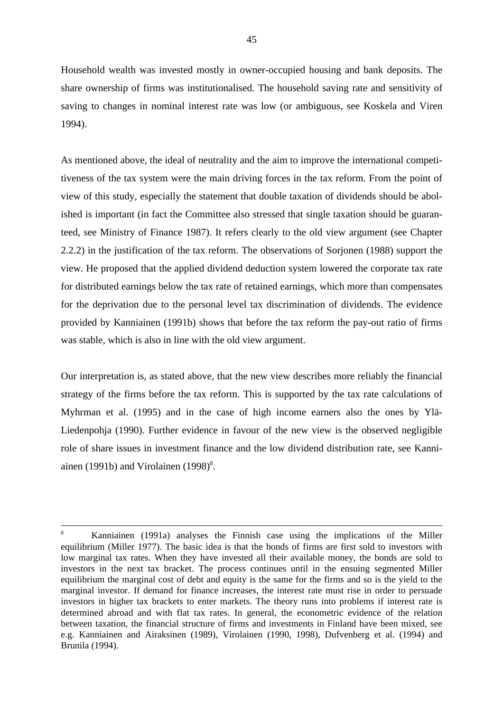Household wealth was invested mostly in owner-occupied housing and bank deposits. The share ownership of firms was institutionalised. The household saving rate and sensitivity of saving to changes in nominal interest rate was low (or ambiguous, see Koskela and Viren 1994).

As mentioned above, the ideal of neutrality and the aim to improve the international competitiveness of the tax system were the main driving forces in the tax reform. From the point of view of this study, especially the statement that double taxation of dividends should be abolished is important (in fact the Committee also stressed that single taxation should be guaranteed, see Ministry of Finance 1987). It refers clearly to the old view argument (see Chapter 2.2.2) in the justification of the tax reform. The observations of Sorjonen (1988) support the view. He proposed that the applied dividend deduction system lowered the corporate tax rate for distributed earnings below the tax rate of retained earnings, which more than compensates for the deprivation due to the personal level tax discrimination of dividends. The evidence provided by Kanniainen (1991b) shows that before the tax reform the pay-out ratio of firms was stable, which is also in line with the old view argument.

Our interpretation is, as stated above, that the new view describes more reliably the financial strategy of the firms before the tax reform. This is supported by the tax rate calculations of Myhrman et al. (1995) and in the case of high income earners also the ones by Ylä-Liedenpohja (1990). Further evidence in favour of the new view is the observed negligible role of share issues in investment finance and the low dividend distribution rate, see Kanniainen (1991b) and Virolainen  $(1998)^8$ .

<sup>8</sup> Kanniainen (1991a) analyses the Finnish case using the implications of the Miller equilibrium (Miller 1977). The basic idea is that the bonds of firms are first sold to investors with low marginal tax rates. When they have invested all their available money, the bonds are sold to investors in the next tax bracket. The process continues until in the ensuing segmented Miller equilibrium the marginal cost of debt and equity is the same for the firms and so is the yield to the marginal investor. If demand for finance increases, the interest rate must rise in order to persuade investors in higher tax brackets to enter markets. The theory runs into problems if interest rate is determined abroad and with flat tax rates. In general, the econometric evidence of the relation between taxation, the financial structure of firms and investments in Finland have been mixed, see e.g. Kanniainen and Airaksinen (1989), Virolainen (1990, 1998), Dufvenberg et al. (1994) and Brunila (1994).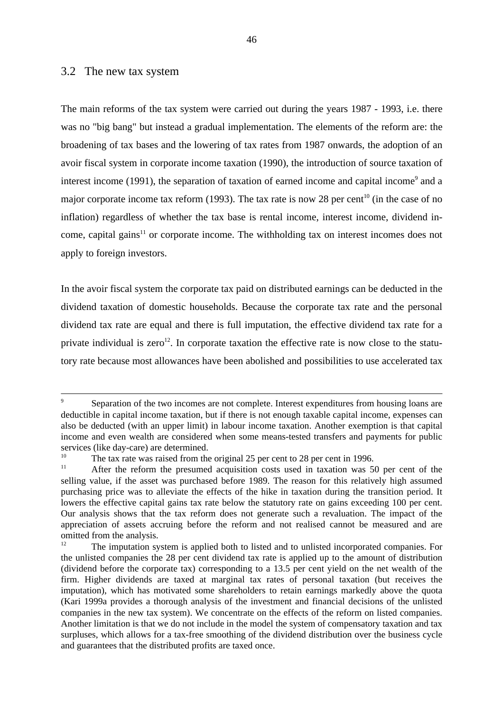# 3.2 The new tax system

The main reforms of the tax system were carried out during the years 1987 - 1993, i.e. there was no "big bang" but instead a gradual implementation. The elements of the reform are: the broadening of tax bases and the lowering of tax rates from 1987 onwards, the adoption of an avoir fiscal system in corporate income taxation (1990), the introduction of source taxation of interest income (1991), the separation of taxation of earned income and capital income<sup>9</sup> and a major corporate income tax reform (1993). The tax rate is now 28 per cent<sup>10</sup> (in the case of no inflation) regardless of whether the tax base is rental income, interest income, dividend income, capital gains<sup>11</sup> or corporate income. The withholding tax on interest incomes does not apply to foreign investors.

In the avoir fiscal system the corporate tax paid on distributed earnings can be deducted in the dividend taxation of domestic households. Because the corporate tax rate and the personal dividend tax rate are equal and there is full imputation, the effective dividend tax rate for a private individual is zero<sup>12</sup>. In corporate taxation the effective rate is now close to the statutory rate because most allowances have been abolished and possibilities to use accelerated tax

<sup>&</sup>lt;sup>9</sup> Separation of the two incomes are not complete. Interest expenditures from housing loans are deductible in capital income taxation, but if there is not enough taxable capital income, expenses can also be deducted (with an upper limit) in labour income taxation. Another exemption is that capital income and even wealth are considered when some means-tested transfers and payments for public services (like day-care) are determined.

<sup>&</sup>lt;sup>10</sup> The tax rate was raised from the original 25 per cent to 28 per cent in 1996.<br><sup>11</sup> After the reform the presumed acquisition costs used in taxation was 50 per cent of the selling value, if the asset was purchased before 1989. The reason for this relatively high assumed purchasing price was to alleviate the effects of the hike in taxation during the transition period. It lowers the effective capital gains tax rate below the statutory rate on gains exceeding 100 per cent. Our analysis shows that the tax reform does not generate such a revaluation. The impact of the appreciation of assets accruing before the reform and not realised cannot be measured and are omitted from the analysis.<br><sup>12</sup> The imputation sy-

The imputation system is applied both to listed and to unlisted incorporated companies. For the unlisted companies the 28 per cent dividend tax rate is applied up to the amount of distribution (dividend before the corporate tax) corresponding to a 13.5 per cent yield on the net wealth of the firm. Higher dividends are taxed at marginal tax rates of personal taxation (but receives the imputation), which has motivated some shareholders to retain earnings markedly above the quota (Kari 1999a provides a thorough analysis of the investment and financial decisions of the unlisted companies in the new tax system). We concentrate on the effects of the reform on listed companies. Another limitation is that we do not include in the model the system of compensatory taxation and tax surpluses, which allows for a tax-free smoothing of the dividend distribution over the business cycle and guarantees that the distributed profits are taxed once.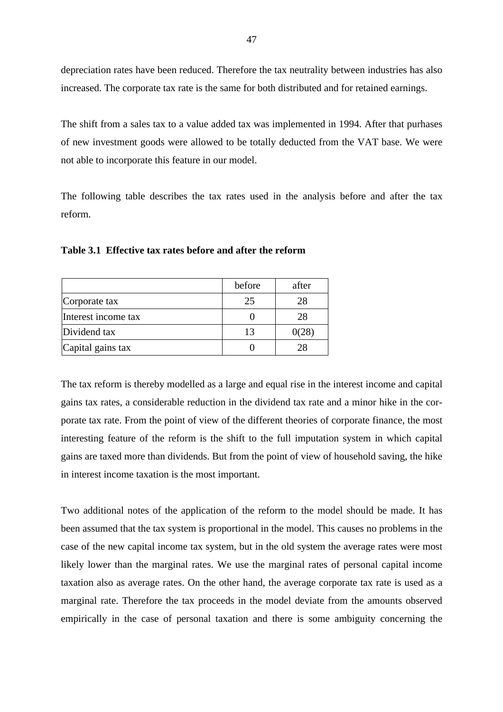depreciation rates have been reduced. Therefore the tax neutrality between industries has also increased. The corporate tax rate is the same for both distributed and for retained earnings.

The shift from a sales tax to a value added tax was implemented in 1994. After that purhases of new investment goods were allowed to be totally deducted from the VAT base. We were not able to incorporate this feature in our model.

The following table describes the tax rates used in the analysis before and after the tax reform.

|                     | before | after |
|---------------------|--------|-------|
| Corporate tax       | 25     | 28    |
| Interest income tax |        | 28    |
| Dividend tax        | 13     | 0028  |
| Capital gains tax   |        |       |

**Table 3.1 Effective tax rates before and after the reform**

The tax reform is thereby modelled as a large and equal rise in the interest income and capital gains tax rates, a considerable reduction in the dividend tax rate and a minor hike in the corporate tax rate. From the point of view of the different theories of corporate finance, the most interesting feature of the reform is the shift to the full imputation system in which capital gains are taxed more than dividends. But from the point of view of household saving, the hike in interest income taxation is the most important.

Two additional notes of the application of the reform to the model should be made. It has been assumed that the tax system is proportional in the model. This causes no problems in the case of the new capital income tax system, but in the old system the average rates were most likely lower than the marginal rates. We use the marginal rates of personal capital income taxation also as average rates. On the other hand, the average corporate tax rate is used as a marginal rate. Therefore the tax proceeds in the model deviate from the amounts observed empirically in the case of personal taxation and there is some ambiguity concerning the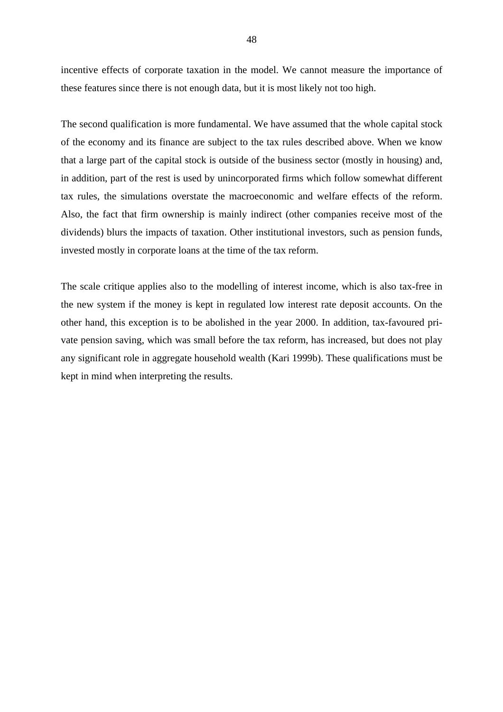incentive effects of corporate taxation in the model. We cannot measure the importance of these features since there is not enough data, but it is most likely not too high.

The second qualification is more fundamental. We have assumed that the whole capital stock of the economy and its finance are subject to the tax rules described above. When we know that a large part of the capital stock is outside of the business sector (mostly in housing) and, in addition, part of the rest is used by unincorporated firms which follow somewhat different tax rules, the simulations overstate the macroeconomic and welfare effects of the reform. Also, the fact that firm ownership is mainly indirect (other companies receive most of the dividends) blurs the impacts of taxation. Other institutional investors, such as pension funds, invested mostly in corporate loans at the time of the tax reform.

The scale critique applies also to the modelling of interest income, which is also tax-free in the new system if the money is kept in regulated low interest rate deposit accounts. On the other hand, this exception is to be abolished in the year 2000. In addition, tax-favoured private pension saving, which was small before the tax reform, has increased, but does not play any significant role in aggregate household wealth (Kari 1999b). These qualifications must be kept in mind when interpreting the results.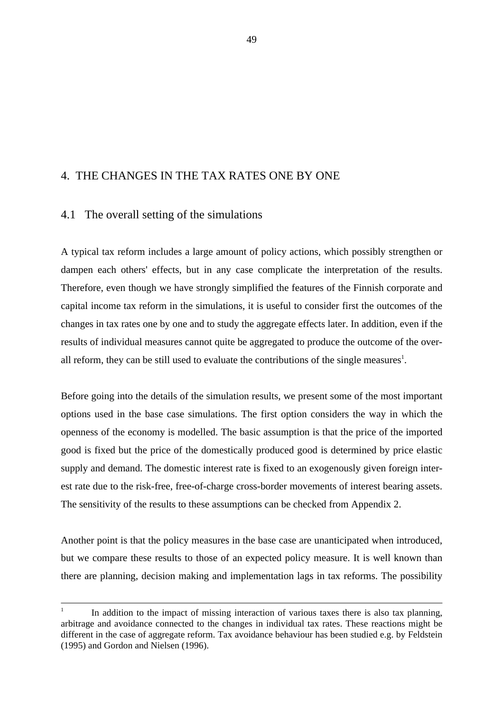# 4. THE CHANGES IN THE TAX RATES ONE BY ONE

# 4.1 The overall setting of the simulations

A typical tax reform includes a large amount of policy actions, which possibly strengthen or dampen each others' effects, but in any case complicate the interpretation of the results. Therefore, even though we have strongly simplified the features of the Finnish corporate and capital income tax reform in the simulations, it is useful to consider first the outcomes of the changes in tax rates one by one and to study the aggregate effects later. In addition, even if the results of individual measures cannot quite be aggregated to produce the outcome of the overall reform, they can be still used to evaluate the contributions of the single measures<sup>1</sup>.

Before going into the details of the simulation results, we present some of the most important options used in the base case simulations. The first option considers the way in which the openness of the economy is modelled. The basic assumption is that the price of the imported good is fixed but the price of the domestically produced good is determined by price elastic supply and demand. The domestic interest rate is fixed to an exogenously given foreign interest rate due to the risk-free, free-of-charge cross-border movements of interest bearing assets. The sensitivity of the results to these assumptions can be checked from Appendix 2.

Another point is that the policy measures in the base case are unanticipated when introduced, but we compare these results to those of an expected policy measure. It is well known than there are planning, decision making and implementation lags in tax reforms. The possibility

<sup>1</sup> In addition to the impact of missing interaction of various taxes there is also tax planning, arbitrage and avoidance connected to the changes in individual tax rates. These reactions might be different in the case of aggregate reform. Tax avoidance behaviour has been studied e.g. by Feldstein (1995) and Gordon and Nielsen (1996).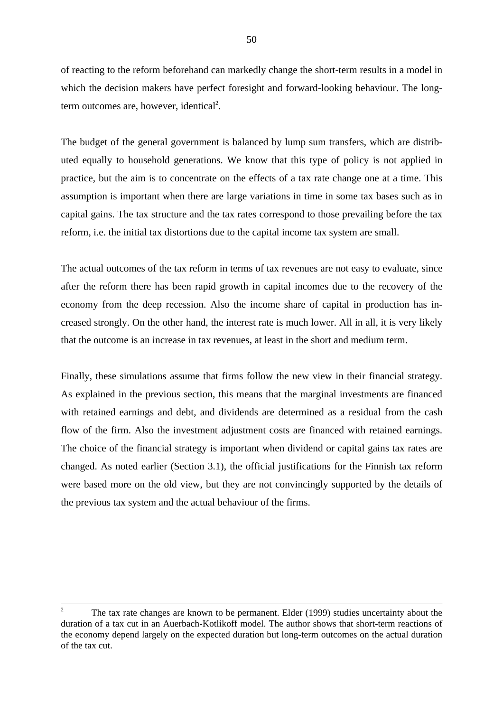of reacting to the reform beforehand can markedly change the short-term results in a model in which the decision makers have perfect foresight and forward-looking behaviour. The longterm outcomes are, however, identical<sup>2</sup>.

The budget of the general government is balanced by lump sum transfers, which are distributed equally to household generations. We know that this type of policy is not applied in practice, but the aim is to concentrate on the effects of a tax rate change one at a time. This assumption is important when there are large variations in time in some tax bases such as in capital gains. The tax structure and the tax rates correspond to those prevailing before the tax reform, i.e. the initial tax distortions due to the capital income tax system are small.

The actual outcomes of the tax reform in terms of tax revenues are not easy to evaluate, since after the reform there has been rapid growth in capital incomes due to the recovery of the economy from the deep recession. Also the income share of capital in production has increased strongly. On the other hand, the interest rate is much lower. All in all, it is very likely that the outcome is an increase in tax revenues, at least in the short and medium term.

Finally, these simulations assume that firms follow the new view in their financial strategy. As explained in the previous section, this means that the marginal investments are financed with retained earnings and debt, and dividends are determined as a residual from the cash flow of the firm. Also the investment adjustment costs are financed with retained earnings. The choice of the financial strategy is important when dividend or capital gains tax rates are changed. As noted earlier (Section 3.1), the official justifications for the Finnish tax reform were based more on the old view, but they are not convincingly supported by the details of the previous tax system and the actual behaviour of the firms.

<sup>&</sup>lt;sup>2</sup> The tax rate changes are known to be permanent. Elder (1999) studies uncertainty about the duration of a tax cut in an Auerbach-Kotlikoff model. The author shows that short-term reactions of the economy depend largely on the expected duration but long-term outcomes on the actual duration of the tax cut.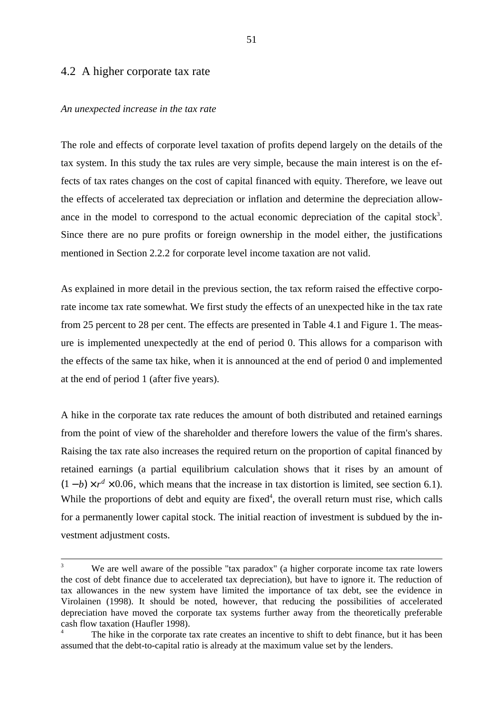# 4.2 A higher corporate tax rate

### *An unexpected increase in the tax rate*

The role and effects of corporate level taxation of profits depend largely on the details of the tax system. In this study the tax rules are very simple, because the main interest is on the effects of tax rates changes on the cost of capital financed with equity. Therefore, we leave out the effects of accelerated tax depreciation or inflation and determine the depreciation allowance in the model to correspond to the actual economic depreciation of the capital stock<sup>3</sup>. Since there are no pure profits or foreign ownership in the model either, the justifications mentioned in Section 2.2.2 for corporate level income taxation are not valid.

As explained in more detail in the previous section, the tax reform raised the effective corporate income tax rate somewhat. We first study the effects of an unexpected hike in the tax rate from 25 percent to 28 per cent. The effects are presented in Table 4.1 and Figure 1. The measure is implemented unexpectedly at the end of period 0. This allows for a comparison with the effects of the same tax hike, when it is announced at the end of period 0 and implemented at the end of period 1 (after five years).

A hike in the corporate tax rate reduces the amount of both distributed and retained earnings from the point of view of the shareholder and therefore lowers the value of the firm's shares. Raising the tax rate also increases the required return on the proportion of capital financed by retained earnings (a partial equilibrium calculation shows that it rises by an amount of  $(1-b) \times r^d \times 0.06$ , which means that the increase in tax distortion is limited, see section 6.1). While the proportions of debt and equity are fixed<sup>4</sup>, the overall return must rise, which calls for a permanently lower capital stock. The initial reaction of investment is subdued by the investment adjustment costs.

We are well aware of the possible "tax paradox" (a higher corporate income tax rate lowers the cost of debt finance due to accelerated tax depreciation), but have to ignore it. The reduction of tax allowances in the new system have limited the importance of tax debt, see the evidence in Virolainen (1998). It should be noted, however, that reducing the possibilities of accelerated depreciation have moved the corporate tax systems further away from the theoretically preferable cash flow taxation (Haufler 1998).

The hike in the corporate tax rate creates an incentive to shift to debt finance, but it has been assumed that the debt-to-capital ratio is already at the maximum value set by the lenders.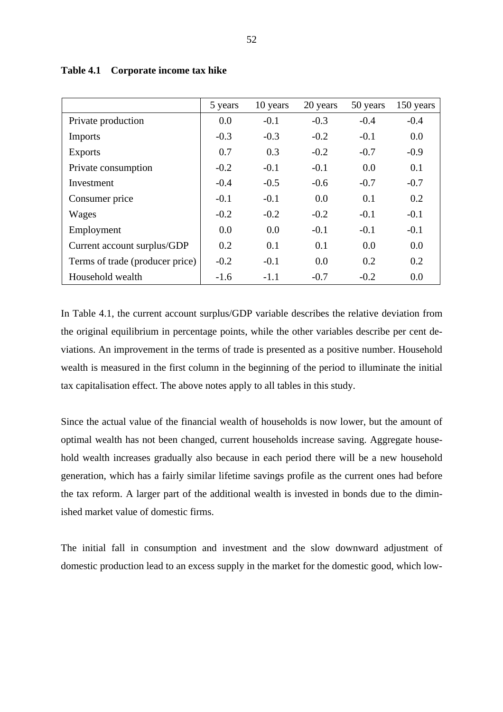|                                 | 5 years | 10 years | 20 years | 50 years | 150 years |
|---------------------------------|---------|----------|----------|----------|-----------|
| Private production              | 0.0     | $-0.1$   | $-0.3$   | $-0.4$   | $-0.4$    |
| <b>Imports</b>                  | $-0.3$  | $-0.3$   | $-0.2$   | $-0.1$   | 0.0       |
| <b>Exports</b>                  | 0.7     | 0.3      | $-0.2$   | $-0.7$   | $-0.9$    |
| Private consumption             | $-0.2$  | $-0.1$   | $-0.1$   | 0.0      | 0.1       |
| Investment                      | $-0.4$  | $-0.5$   | $-0.6$   | $-0.7$   | $-0.7$    |
| Consumer price                  | $-0.1$  | $-0.1$   | 0.0      | 0.1      | 0.2       |
| Wages                           | $-0.2$  | $-0.2$   | $-0.2$   | $-0.1$   | $-0.1$    |
| Employment                      | 0.0     | 0.0      | $-0.1$   | $-0.1$   | $-0.1$    |
| Current account surplus/GDP     | 0.2     | 0.1      | 0.1      | 0.0      | 0.0       |
| Terms of trade (producer price) | $-0.2$  | $-0.1$   | 0.0      | 0.2      | 0.2       |
| Household wealth                | $-1.6$  | $-1.1$   | $-0.7$   | $-0.2$   | 0.0       |

**Table 4.1 Corporate income tax hike**

In Table 4.1, the current account surplus/GDP variable describes the relative deviation from the original equilibrium in percentage points, while the other variables describe per cent deviations. An improvement in the terms of trade is presented as a positive number. Household wealth is measured in the first column in the beginning of the period to illuminate the initial tax capitalisation effect. The above notes apply to all tables in this study.

Since the actual value of the financial wealth of households is now lower, but the amount of optimal wealth has not been changed, current households increase saving. Aggregate household wealth increases gradually also because in each period there will be a new household generation, which has a fairly similar lifetime savings profile as the current ones had before the tax reform. A larger part of the additional wealth is invested in bonds due to the diminished market value of domestic firms.

The initial fall in consumption and investment and the slow downward adjustment of domestic production lead to an excess supply in the market for the domestic good, which low-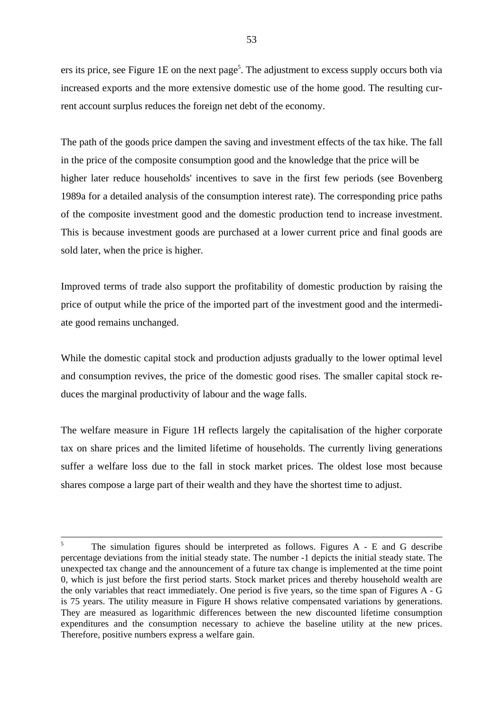ers its price, see Figure 1E on the next page<sup>5</sup>. The adjustment to excess supply occurs both via increased exports and the more extensive domestic use of the home good. The resulting current account surplus reduces the foreign net debt of the economy.

The path of the goods price dampen the saving and investment effects of the tax hike. The fall in the price of the composite consumption good and the knowledge that the price will be higher later reduce households' incentives to save in the first few periods (see Bovenberg 1989a for a detailed analysis of the consumption interest rate). The corresponding price paths of the composite investment good and the domestic production tend to increase investment. This is because investment goods are purchased at a lower current price and final goods are sold later, when the price is higher.

Improved terms of trade also support the profitability of domestic production by raising the price of output while the price of the imported part of the investment good and the intermediate good remains unchanged.

While the domestic capital stock and production adjusts gradually to the lower optimal level and consumption revives, the price of the domestic good rises. The smaller capital stock reduces the marginal productivity of labour and the wage falls.

The welfare measure in Figure 1H reflects largely the capitalisation of the higher corporate tax on share prices and the limited lifetime of households. The currently living generations suffer a welfare loss due to the fall in stock market prices. The oldest lose most because shares compose a large part of their wealth and they have the shortest time to adjust.

<sup>&</sup>lt;sup>5</sup> The simulation figures should be interpreted as follows. Figures A - E and G describe percentage deviations from the initial steady state. The number -1 depicts the initial steady state. The unexpected tax change and the announcement of a future tax change is implemented at the time point 0, which is just before the first period starts. Stock market prices and thereby household wealth are the only variables that react immediately. One period is five years, so the time span of Figures A - G is 75 years. The utility measure in Figure H shows relative compensated variations by generations. They are measured as logarithmic differences between the new discounted lifetime consumption expenditures and the consumption necessary to achieve the baseline utility at the new prices. Therefore, positive numbers express a welfare gain.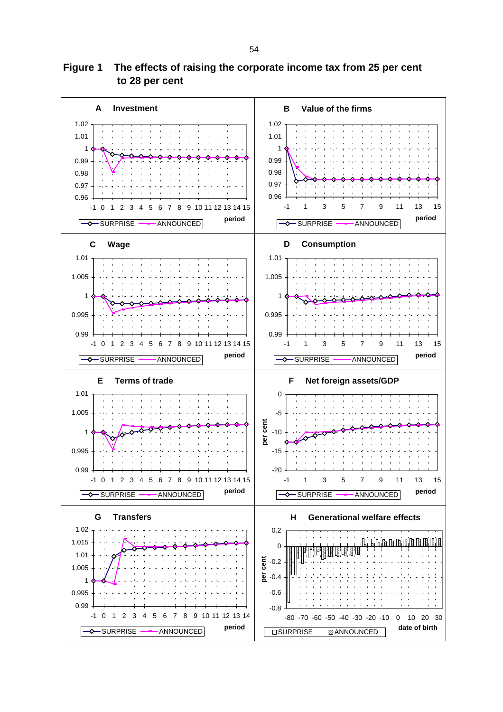# **Figure 1 The effects of raising the corporate income tax from 25 per cent to 28 per cent**

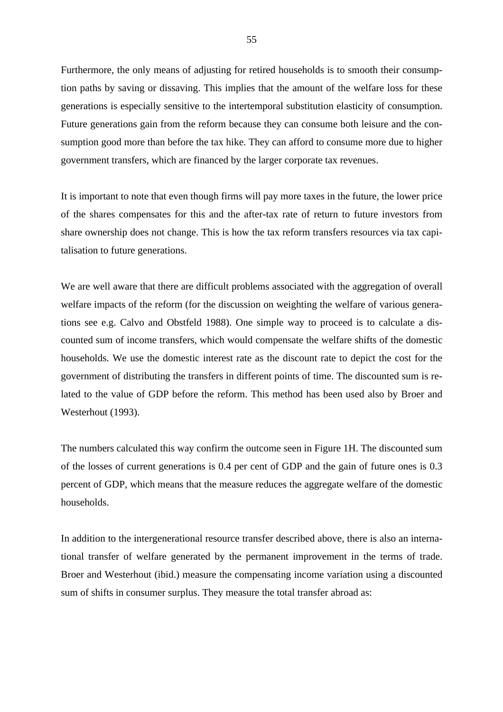Furthermore, the only means of adjusting for retired households is to smooth their consumption paths by saving or dissaving. This implies that the amount of the welfare loss for these generations is especially sensitive to the intertemporal substitution elasticity of consumption. Future generations gain from the reform because they can consume both leisure and the consumption good more than before the tax hike. They can afford to consume more due to higher government transfers, which are financed by the larger corporate tax revenues.

It is important to note that even though firms will pay more taxes in the future, the lower price of the shares compensates for this and the after-tax rate of return to future investors from share ownership does not change. This is how the tax reform transfers resources via tax capitalisation to future generations.

We are well aware that there are difficult problems associated with the aggregation of overall welfare impacts of the reform (for the discussion on weighting the welfare of various generations see e.g. Calvo and Obstfeld 1988). One simple way to proceed is to calculate a discounted sum of income transfers, which would compensate the welfare shifts of the domestic households. We use the domestic interest rate as the discount rate to depict the cost for the government of distributing the transfers in different points of time. The discounted sum is related to the value of GDP before the reform. This method has been used also by Broer and Westerhout (1993).

The numbers calculated this way confirm the outcome seen in Figure 1H. The discounted sum of the losses of current generations is 0.4 per cent of GDP and the gain of future ones is 0.3 percent of GDP, which means that the measure reduces the aggregate welfare of the domestic households.

In addition to the intergenerational resource transfer described above, there is also an international transfer of welfare generated by the permanent improvement in the terms of trade. Broer and Westerhout (ibid.) measure the compensating income variation using a discounted sum of shifts in consumer surplus. They measure the total transfer abroad as: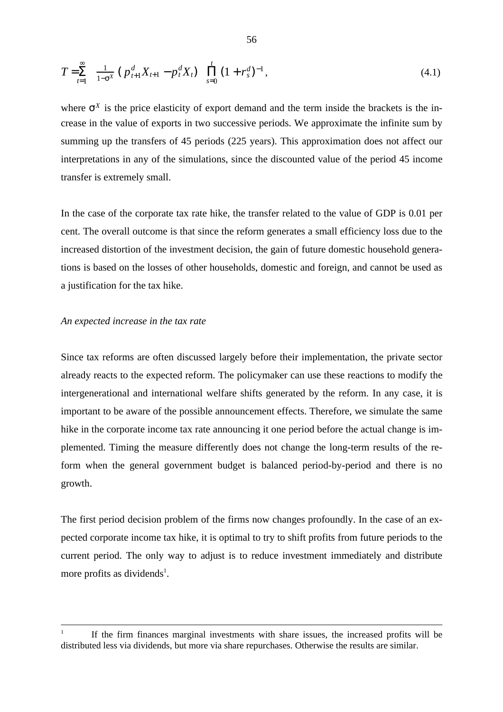$$
T = \sum_{t=1}^{\infty} \left[ \frac{1}{1 - \sigma^X} \left( p_{t+1}^d X_{t+1} - p_t^d X_t \right) \right] \prod_{s=0}^t \left( 1 + r_s^d \right)^{-1}, \tag{4.1}
$$

where  $\sigma^X$  is the price elasticity of export demand and the term inside the brackets is the increase in the value of exports in two successive periods. We approximate the infinite sum by summing up the transfers of 45 periods (225 years). This approximation does not affect our interpretations in any of the simulations, since the discounted value of the period 45 income transfer is extremely small.

In the case of the corporate tax rate hike, the transfer related to the value of GDP is 0.01 per cent. The overall outcome is that since the reform generates a small efficiency loss due to the increased distortion of the investment decision, the gain of future domestic household generations is based on the losses of other households, domestic and foreign, and cannot be used as a justification for the tax hike.

### *An expected increase in the tax rate*

Since tax reforms are often discussed largely before their implementation, the private sector already reacts to the expected reform. The policymaker can use these reactions to modify the intergenerational and international welfare shifts generated by the reform. In any case, it is important to be aware of the possible announcement effects. Therefore, we simulate the same hike in the corporate income tax rate announcing it one period before the actual change is implemented. Timing the measure differently does not change the long-term results of the reform when the general government budget is balanced period-by-period and there is no growth.

The first period decision problem of the firms now changes profoundly. In the case of an expected corporate income tax hike, it is optimal to try to shift profits from future periods to the current period. The only way to adjust is to reduce investment immediately and distribute more profits as dividends<sup>1</sup>.

<sup>1</sup> If the firm finances marginal investments with share issues, the increased profits will be distributed less via dividends, but more via share repurchases. Otherwise the results are similar.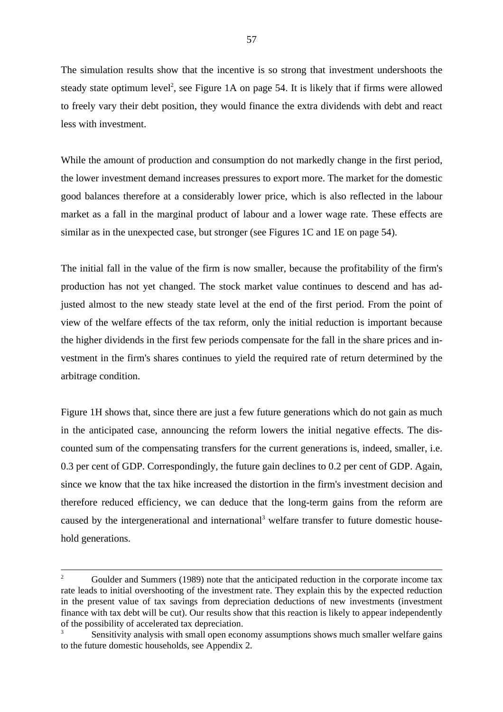The simulation results show that the incentive is so strong that investment undershoots the steady state optimum level<sup>2</sup>, see Figure 1A on page 54. It is likely that if firms were allowed to freely vary their debt position, they would finance the extra dividends with debt and react less with investment.

While the amount of production and consumption do not markedly change in the first period, the lower investment demand increases pressures to export more. The market for the domestic good balances therefore at a considerably lower price, which is also reflected in the labour market as a fall in the marginal product of labour and a lower wage rate. These effects are similar as in the unexpected case, but stronger (see Figures 1C and 1E on page 54).

The initial fall in the value of the firm is now smaller, because the profitability of the firm's production has not yet changed. The stock market value continues to descend and has adjusted almost to the new steady state level at the end of the first period. From the point of view of the welfare effects of the tax reform, only the initial reduction is important because the higher dividends in the first few periods compensate for the fall in the share prices and investment in the firm's shares continues to yield the required rate of return determined by the arbitrage condition.

Figure 1H shows that, since there are just a few future generations which do not gain as much in the anticipated case, announcing the reform lowers the initial negative effects. The discounted sum of the compensating transfers for the current generations is, indeed, smaller, i.e. 0.3 per cent of GDP. Correspondingly, the future gain declines to 0.2 per cent of GDP. Again, since we know that the tax hike increased the distortion in the firm's investment decision and therefore reduced efficiency, we can deduce that the long-term gains from the reform are caused by the intergenerational and international<sup>3</sup> welfare transfer to future domestic household generations.

<sup>&</sup>lt;sup>2</sup> Goulder and Summers (1989) note that the anticipated reduction in the corporate income tax rate leads to initial overshooting of the investment rate. They explain this by the expected reduction in the present value of tax savings from depreciation deductions of new investments (investment finance with tax debt will be cut). Our results show that this reaction is likely to appear independently of the possibility of accelerated tax depreciation.

Sensitivity analysis with small open economy assumptions shows much smaller welfare gains to the future domestic households, see Appendix 2.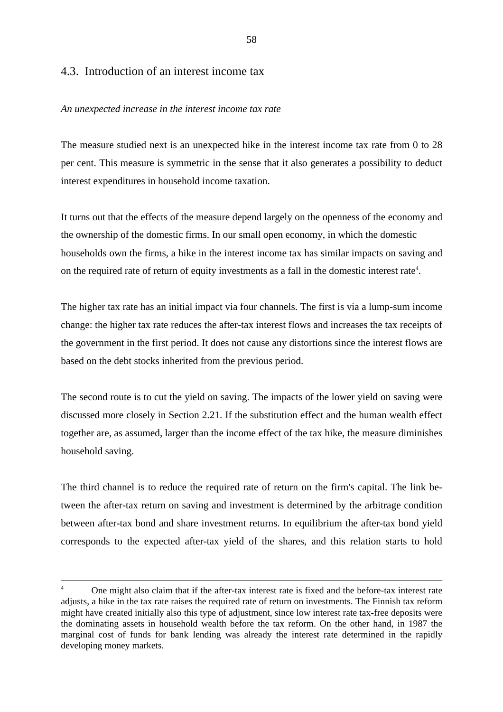# 4.3. Introduction of an interest income tax

### *An unexpected increase in the interest income tax rate*

The measure studied next is an unexpected hike in the interest income tax rate from 0 to 28 per cent. This measure is symmetric in the sense that it also generates a possibility to deduct interest expenditures in household income taxation.

It turns out that the effects of the measure depend largely on the openness of the economy and the ownership of the domestic firms. In our small open economy, in which the domestic households own the firms, a hike in the interest income tax has similar impacts on saving and on the required rate of return of equity investments as a fall in the domestic interest rate<sup>4</sup>.

The higher tax rate has an initial impact via four channels. The first is via a lump-sum income change: the higher tax rate reduces the after-tax interest flows and increases the tax receipts of the government in the first period. It does not cause any distortions since the interest flows are based on the debt stocks inherited from the previous period.

The second route is to cut the yield on saving. The impacts of the lower yield on saving were discussed more closely in Section 2.21. If the substitution effect and the human wealth effect together are, as assumed, larger than the income effect of the tax hike, the measure diminishes household saving.

The third channel is to reduce the required rate of return on the firm's capital. The link between the after-tax return on saving and investment is determined by the arbitrage condition between after-tax bond and share investment returns. In equilibrium the after-tax bond yield corresponds to the expected after-tax yield of the shares, and this relation starts to hold

<sup>&</sup>lt;sup>4</sup> One might also claim that if the after-tax interest rate is fixed and the before-tax interest rate adjusts, a hike in the tax rate raises the required rate of return on investments. The Finnish tax reform might have created initially also this type of adjustment, since low interest rate tax-free deposits were the dominating assets in household wealth before the tax reform. On the other hand, in 1987 the marginal cost of funds for bank lending was already the interest rate determined in the rapidly developing money markets.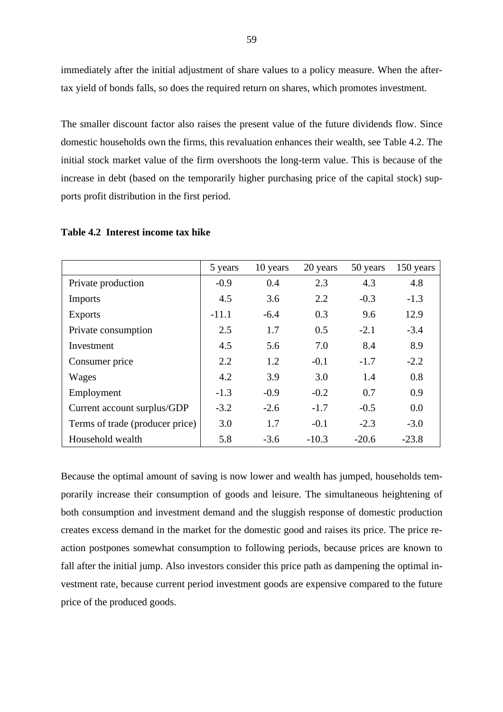immediately after the initial adjustment of share values to a policy measure. When the aftertax yield of bonds falls, so does the required return on shares, which promotes investment.

The smaller discount factor also raises the present value of the future dividends flow. Since domestic households own the firms, this revaluation enhances their wealth, see Table 4.2. The initial stock market value of the firm overshoots the long-term value. This is because of the increase in debt (based on the temporarily higher purchasing price of the capital stock) supports profit distribution in the first period.

|                                 | 5 years | 10 years | 20 years | 50 years | 150 years |
|---------------------------------|---------|----------|----------|----------|-----------|
| Private production              | $-0.9$  | 0.4      | 2.3      | 4.3      | 4.8       |
| <b>Imports</b>                  | 4.5     | 3.6      | 2.2      | $-0.3$   | $-1.3$    |
| <b>Exports</b>                  | $-11.1$ | $-6.4$   | 0.3      | 9.6      | 12.9      |
| Private consumption             | 2.5     | 1.7      | 0.5      | $-2.1$   | $-3.4$    |
| Investment                      | 4.5     | 5.6      | 7.0      | 8.4      | 8.9       |
| Consumer price                  | 2.2     | 1.2      | $-0.1$   | $-1.7$   | $-2.2$    |
| Wages                           | 4.2     | 3.9      | 3.0      | 1.4      | 0.8       |
| Employment                      | $-1.3$  | $-0.9$   | $-0.2$   | 0.7      | 0.9       |
| Current account surplus/GDP     | $-3.2$  | $-2.6$   | $-1.7$   | $-0.5$   | 0.0       |
| Terms of trade (producer price) | 3.0     | 1.7      | $-0.1$   | $-2.3$   | $-3.0$    |
| Household wealth                | 5.8     | $-3.6$   | $-10.3$  | $-20.6$  | $-23.8$   |

**Table 4.2 Interest income tax hike**

Because the optimal amount of saving is now lower and wealth has jumped, households temporarily increase their consumption of goods and leisure. The simultaneous heightening of both consumption and investment demand and the sluggish response of domestic production creates excess demand in the market for the domestic good and raises its price. The price reaction postpones somewhat consumption to following periods, because prices are known to fall after the initial jump. Also investors consider this price path as dampening the optimal investment rate, because current period investment goods are expensive compared to the future price of the produced goods.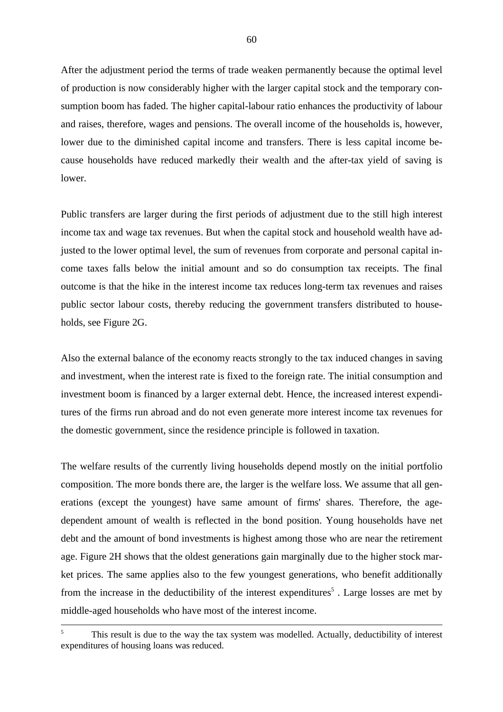After the adjustment period the terms of trade weaken permanently because the optimal level of production is now considerably higher with the larger capital stock and the temporary consumption boom has faded. The higher capital-labour ratio enhances the productivity of labour and raises, therefore, wages and pensions. The overall income of the households is, however, lower due to the diminished capital income and transfers. There is less capital income because households have reduced markedly their wealth and the after-tax yield of saving is lower.

Public transfers are larger during the first periods of adjustment due to the still high interest income tax and wage tax revenues. But when the capital stock and household wealth have adjusted to the lower optimal level, the sum of revenues from corporate and personal capital income taxes falls below the initial amount and so do consumption tax receipts. The final outcome is that the hike in the interest income tax reduces long-term tax revenues and raises public sector labour costs, thereby reducing the government transfers distributed to households, see Figure 2G.

Also the external balance of the economy reacts strongly to the tax induced changes in saving and investment, when the interest rate is fixed to the foreign rate. The initial consumption and investment boom is financed by a larger external debt. Hence, the increased interest expenditures of the firms run abroad and do not even generate more interest income tax revenues for the domestic government, since the residence principle is followed in taxation.

The welfare results of the currently living households depend mostly on the initial portfolio composition. The more bonds there are, the larger is the welfare loss. We assume that all generations (except the youngest) have same amount of firms' shares. Therefore, the agedependent amount of wealth is reflected in the bond position. Young households have net debt and the amount of bond investments is highest among those who are near the retirement age. Figure 2H shows that the oldest generations gain marginally due to the higher stock market prices. The same applies also to the few youngest generations, who benefit additionally from the increase in the deductibility of the interest expenditures<sup>5</sup>. Large losses are met by middle-aged households who have most of the interest income.

<sup>&</sup>lt;sup>5</sup> This result is due to the way the tax system was modelled. Actually, deductibility of interest expenditures of housing loans was reduced.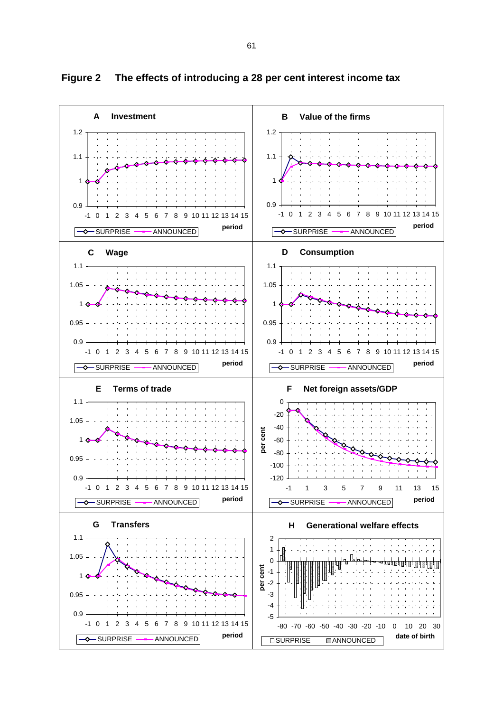

**Figure 2 The effects of introducing a 28 per cent interest income tax**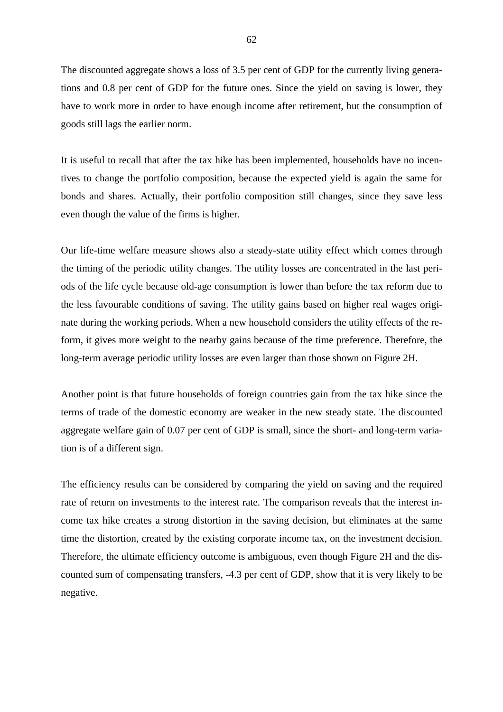The discounted aggregate shows a loss of 3.5 per cent of GDP for the currently living generations and 0.8 per cent of GDP for the future ones. Since the yield on saving is lower, they have to work more in order to have enough income after retirement, but the consumption of goods still lags the earlier norm.

It is useful to recall that after the tax hike has been implemented, households have no incentives to change the portfolio composition, because the expected yield is again the same for bonds and shares. Actually, their portfolio composition still changes, since they save less even though the value of the firms is higher.

Our life-time welfare measure shows also a steady-state utility effect which comes through the timing of the periodic utility changes. The utility losses are concentrated in the last periods of the life cycle because old-age consumption is lower than before the tax reform due to the less favourable conditions of saving. The utility gains based on higher real wages originate during the working periods. When a new household considers the utility effects of the reform, it gives more weight to the nearby gains because of the time preference. Therefore, the long-term average periodic utility losses are even larger than those shown on Figure 2H.

Another point is that future households of foreign countries gain from the tax hike since the terms of trade of the domestic economy are weaker in the new steady state. The discounted aggregate welfare gain of 0.07 per cent of GDP is small, since the short- and long-term variation is of a different sign.

The efficiency results can be considered by comparing the yield on saving and the required rate of return on investments to the interest rate. The comparison reveals that the interest income tax hike creates a strong distortion in the saving decision, but eliminates at the same time the distortion, created by the existing corporate income tax, on the investment decision. Therefore, the ultimate efficiency outcome is ambiguous, even though Figure 2H and the discounted sum of compensating transfers, -4.3 per cent of GDP, show that it is very likely to be negative.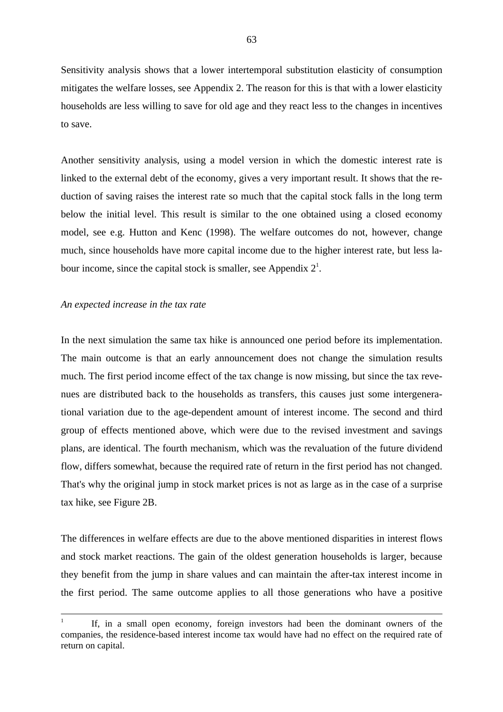Sensitivity analysis shows that a lower intertemporal substitution elasticity of consumption mitigates the welfare losses, see Appendix 2. The reason for this is that with a lower elasticity households are less willing to save for old age and they react less to the changes in incentives to save.

Another sensitivity analysis, using a model version in which the domestic interest rate is linked to the external debt of the economy, gives a very important result. It shows that the reduction of saving raises the interest rate so much that the capital stock falls in the long term below the initial level. This result is similar to the one obtained using a closed economy model, see e.g. Hutton and Kenc (1998). The welfare outcomes do not, however, change much, since households have more capital income due to the higher interest rate, but less labour income, since the capital stock is smaller, see Appendix  $2<sup>1</sup>$ .

## *An expected increase in the tax rate*

In the next simulation the same tax hike is announced one period before its implementation. The main outcome is that an early announcement does not change the simulation results much. The first period income effect of the tax change is now missing, but since the tax revenues are distributed back to the households as transfers, this causes just some intergenerational variation due to the age-dependent amount of interest income. The second and third group of effects mentioned above, which were due to the revised investment and savings plans, are identical. The fourth mechanism, which was the revaluation of the future dividend flow, differs somewhat, because the required rate of return in the first period has not changed. That's why the original jump in stock market prices is not as large as in the case of a surprise tax hike, see Figure 2B.

The differences in welfare effects are due to the above mentioned disparities in interest flows and stock market reactions. The gain of the oldest generation households is larger, because they benefit from the jump in share values and can maintain the after-tax interest income in the first period. The same outcome applies to all those generations who have a positive

<sup>1</sup> If, in a small open economy, foreign investors had been the dominant owners of the companies, the residence-based interest income tax would have had no effect on the required rate of return on capital.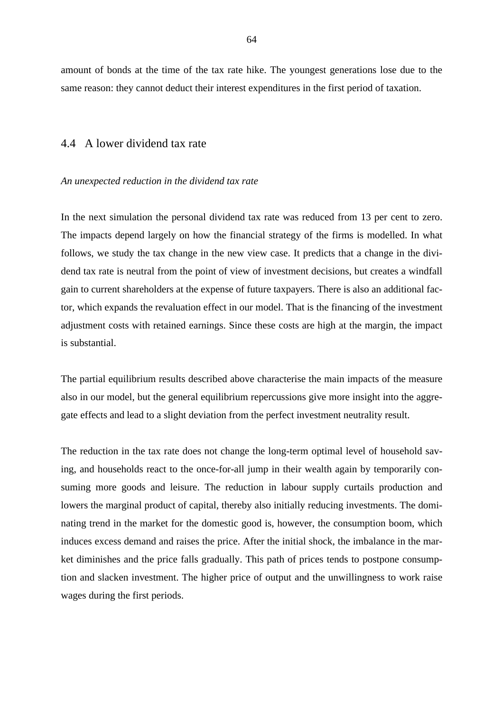amount of bonds at the time of the tax rate hike. The youngest generations lose due to the same reason: they cannot deduct their interest expenditures in the first period of taxation.

## 4.4 A lower dividend tax rate

#### *An unexpected reduction in the dividend tax rate*

In the next simulation the personal dividend tax rate was reduced from 13 per cent to zero. The impacts depend largely on how the financial strategy of the firms is modelled. In what follows, we study the tax change in the new view case. It predicts that a change in the dividend tax rate is neutral from the point of view of investment decisions, but creates a windfall gain to current shareholders at the expense of future taxpayers. There is also an additional factor, which expands the revaluation effect in our model. That is the financing of the investment adjustment costs with retained earnings. Since these costs are high at the margin, the impact is substantial.

The partial equilibrium results described above characterise the main impacts of the measure also in our model, but the general equilibrium repercussions give more insight into the aggregate effects and lead to a slight deviation from the perfect investment neutrality result.

The reduction in the tax rate does not change the long-term optimal level of household saving, and households react to the once-for-all jump in their wealth again by temporarily consuming more goods and leisure. The reduction in labour supply curtails production and lowers the marginal product of capital, thereby also initially reducing investments. The dominating trend in the market for the domestic good is, however, the consumption boom, which induces excess demand and raises the price. After the initial shock, the imbalance in the market diminishes and the price falls gradually. This path of prices tends to postpone consumption and slacken investment. The higher price of output and the unwillingness to work raise wages during the first periods.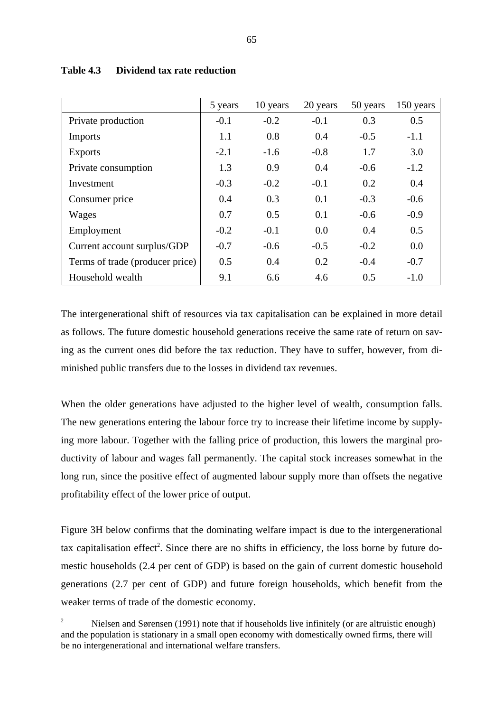|                                 | 5 years | 10 years | 20 years | 50 years | 150 years |
|---------------------------------|---------|----------|----------|----------|-----------|
| Private production              | $-0.1$  | $-0.2$   | $-0.1$   | 0.3      | 0.5       |
| Imports                         | 1.1     | 0.8      | 0.4      | $-0.5$   | $-1.1$    |
| <b>Exports</b>                  | $-2.1$  | $-1.6$   | $-0.8$   | 1.7      | 3.0       |
| Private consumption             | 1.3     | 0.9      | 0.4      | $-0.6$   | $-1.2$    |
| Investment                      | $-0.3$  | $-0.2$   | $-0.1$   | 0.2      | 0.4       |
| Consumer price                  | 0.4     | 0.3      | 0.1      | $-0.3$   | $-0.6$    |
| Wages                           | 0.7     | 0.5      | 0.1      | $-0.6$   | $-0.9$    |
| Employment                      | $-0.2$  | $-0.1$   | 0.0      | 0.4      | 0.5       |
| Current account surplus/GDP     | $-0.7$  | $-0.6$   | $-0.5$   | $-0.2$   | 0.0       |
| Terms of trade (producer price) | 0.5     | 0.4      | 0.2      | $-0.4$   | $-0.7$    |
| Household wealth                | 9.1     | 6.6      | 4.6      | 0.5      | $-1.0$    |

### **Table 4.3 Dividend tax rate reduction**

The intergenerational shift of resources via tax capitalisation can be explained in more detail as follows. The future domestic household generations receive the same rate of return on saving as the current ones did before the tax reduction. They have to suffer, however, from diminished public transfers due to the losses in dividend tax revenues.

When the older generations have adjusted to the higher level of wealth, consumption falls. The new generations entering the labour force try to increase their lifetime income by supplying more labour. Together with the falling price of production, this lowers the marginal productivity of labour and wages fall permanently. The capital stock increases somewhat in the long run, since the positive effect of augmented labour supply more than offsets the negative profitability effect of the lower price of output.

Figure 3H below confirms that the dominating welfare impact is due to the intergenerational tax capitalisation effect<sup>2</sup>. Since there are no shifts in efficiency, the loss borne by future domestic households (2.4 per cent of GDP) is based on the gain of current domestic household generations (2.7 per cent of GDP) and future foreign households, which benefit from the weaker terms of trade of the domestic economy.

Nielsen and Sørensen (1991) note that if households live infinitely (or are altruistic enough) and the population is stationary in a small open economy with domestically owned firms, there will be no intergenerational and international welfare transfers.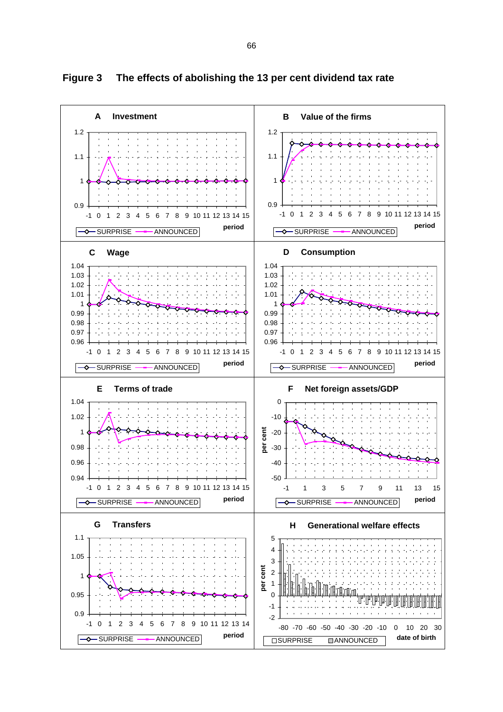

**Figure 3 The effects of abolishing the 13 per cent dividend tax rate**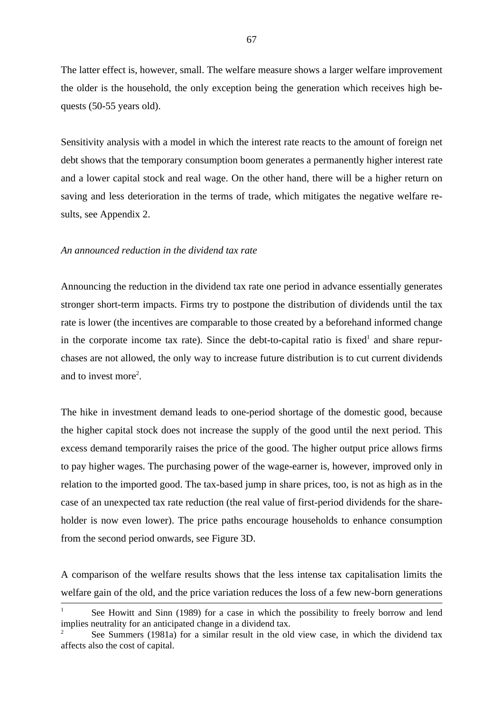The latter effect is, however, small. The welfare measure shows a larger welfare improvement the older is the household, the only exception being the generation which receives high bequests (50-55 years old).

Sensitivity analysis with a model in which the interest rate reacts to the amount of foreign net debt shows that the temporary consumption boom generates a permanently higher interest rate and a lower capital stock and real wage. On the other hand, there will be a higher return on saving and less deterioration in the terms of trade, which mitigates the negative welfare results, see Appendix 2.

#### *An announced reduction in the dividend tax rate*

Announcing the reduction in the dividend tax rate one period in advance essentially generates stronger short-term impacts. Firms try to postpone the distribution of dividends until the tax rate is lower (the incentives are comparable to those created by a beforehand informed change in the corporate income tax rate). Since the debt-to-capital ratio is fixed<sup>1</sup> and share repurchases are not allowed, the only way to increase future distribution is to cut current dividends and to invest more<sup>2</sup>.

The hike in investment demand leads to one-period shortage of the domestic good, because the higher capital stock does not increase the supply of the good until the next period. This excess demand temporarily raises the price of the good. The higher output price allows firms to pay higher wages. The purchasing power of the wage-earner is, however, improved only in relation to the imported good. The tax-based jump in share prices, too, is not as high as in the case of an unexpected tax rate reduction (the real value of first-period dividends for the shareholder is now even lower). The price paths encourage households to enhance consumption from the second period onwards, see Figure 3D.

A comparison of the welfare results shows that the less intense tax capitalisation limits the welfare gain of the old, and the price variation reduces the loss of a few new-born generations

See Howitt and Sinn (1989) for a case in which the possibility to freely borrow and lend implies neutrality for an anticipated change in a dividend tax.

<sup>&</sup>lt;sup>2</sup> See Summers (1981a) for a similar result in the old view case, in which the dividend tax affects also the cost of capital.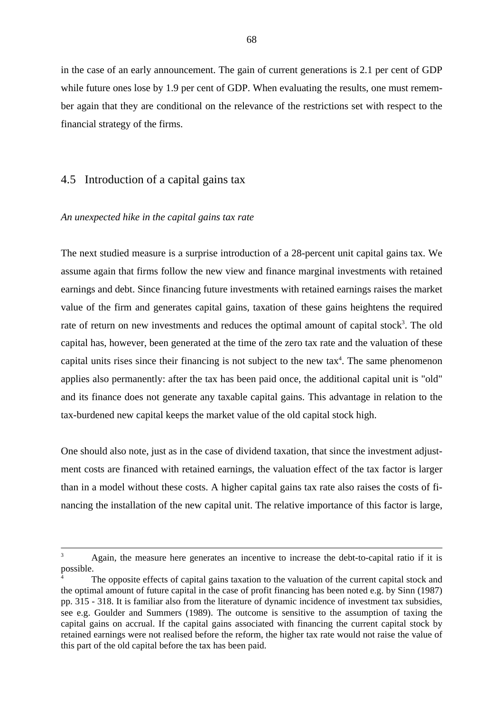in the case of an early announcement. The gain of current generations is 2.1 per cent of GDP while future ones lose by 1.9 per cent of GDP. When evaluating the results, one must remember again that they are conditional on the relevance of the restrictions set with respect to the financial strategy of the firms.

## 4.5 Introduction of a capital gains tax

### *An unexpected hike in the capital gains tax rate*

The next studied measure is a surprise introduction of a 28-percent unit capital gains tax. We assume again that firms follow the new view and finance marginal investments with retained earnings and debt. Since financing future investments with retained earnings raises the market value of the firm and generates capital gains, taxation of these gains heightens the required rate of return on new investments and reduces the optimal amount of capital stock<sup>3</sup>. The old capital has, however, been generated at the time of the zero tax rate and the valuation of these capital units rises since their financing is not subject to the new  $\text{tax}^4$ . The same phenomenon applies also permanently: after the tax has been paid once, the additional capital unit is "old" and its finance does not generate any taxable capital gains. This advantage in relation to the tax-burdened new capital keeps the market value of the old capital stock high.

One should also note, just as in the case of dividend taxation, that since the investment adjustment costs are financed with retained earnings, the valuation effect of the tax factor is larger than in a model without these costs. A higher capital gains tax rate also raises the costs of financing the installation of the new capital unit. The relative importance of this factor is large,

<sup>&</sup>lt;sup>3</sup> Again, the measure here generates an incentive to increase the debt-to-capital ratio if it is possible.

The opposite effects of capital gains taxation to the valuation of the current capital stock and the optimal amount of future capital in the case of profit financing has been noted e.g. by Sinn (1987) pp. 315 - 318. It is familiar also from the literature of dynamic incidence of investment tax subsidies, see e.g. Goulder and Summers (1989). The outcome is sensitive to the assumption of taxing the capital gains on accrual. If the capital gains associated with financing the current capital stock by retained earnings were not realised before the reform, the higher tax rate would not raise the value of this part of the old capital before the tax has been paid.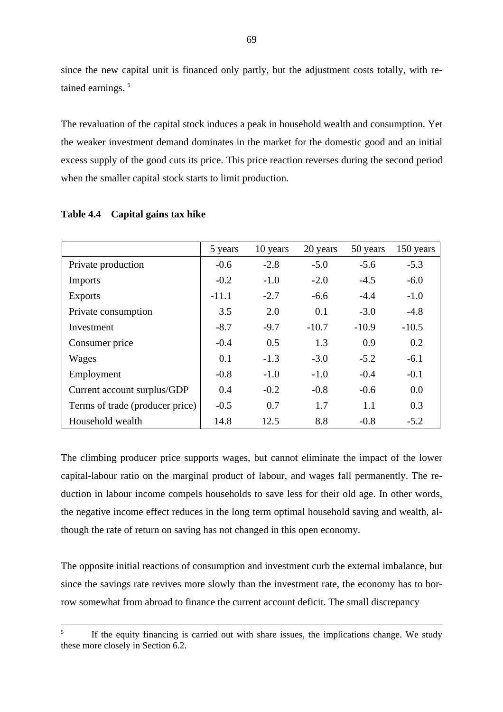since the new capital unit is financed only partly, but the adjustment costs totally, with retained earnings.<sup>5</sup>

The revaluation of the capital stock induces a peak in household wealth and consumption. Yet the weaker investment demand dominates in the market for the domestic good and an initial excess supply of the good cuts its price. This price reaction reverses during the second period when the smaller capital stock starts to limit production.

|                                 | 5 years | 10 years | 20 years | 50 years | 150 years |
|---------------------------------|---------|----------|----------|----------|-----------|
| Private production              | $-0.6$  | $-2.8$   | $-5.0$   | $-5.6$   | $-5.3$    |
| <b>Imports</b>                  | $-0.2$  | $-1.0$   | $-2.0$   | $-4.5$   | $-6.0$    |
| <b>Exports</b>                  | $-11.1$ | $-2.7$   | $-6.6$   | $-4.4$   | $-1.0$    |
| Private consumption             | 3.5     | 2.0      | 0.1      | $-3.0$   | $-4.8$    |
| Investment                      | $-8.7$  | $-9.7$   | $-10.7$  | $-10.9$  | $-10.5$   |
| Consumer price                  | $-0.4$  | 0.5      | 1.3      | 0.9      | 0.2       |
| Wages                           | 0.1     | $-1.3$   | $-3.0$   | $-5.2$   | $-6.1$    |
| Employment                      | $-0.8$  | $-1.0$   | $-1.0$   | $-0.4$   | $-0.1$    |
| Current account surplus/GDP     | 0.4     | $-0.2$   | $-0.8$   | $-0.6$   | 0.0       |
| Terms of trade (producer price) | $-0.5$  | 0.7      | 1.7      | 1.1      | 0.3       |
| Household wealth                | 14.8    | 12.5     | 8.8      | $-0.8$   | $-5.2$    |

### **Table 4.4 Capital gains tax hike**

The climbing producer price supports wages, but cannot eliminate the impact of the lower capital-labour ratio on the marginal product of labour, and wages fall permanently. The reduction in labour income compels households to save less for their old age. In other words, the negative income effect reduces in the long term optimal household saving and wealth, although the rate of return on saving has not changed in this open economy.

The opposite initial reactions of consumption and investment curb the external imbalance, but since the savings rate revives more slowly than the investment rate, the economy has to borrow somewhat from abroad to finance the current account deficit. The small discrepancy

<sup>&</sup>lt;sup>5</sup> If the equity financing is carried out with share issues, the implications change. We study these more closely in Section 6.2.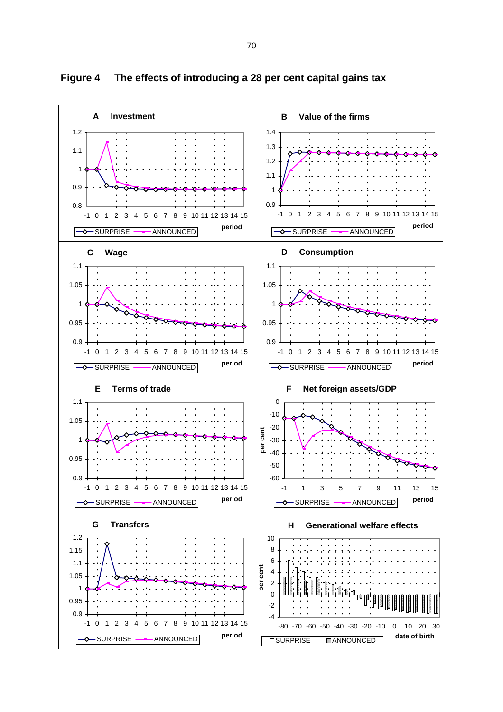

**Figure 4 The effects of introducing a 28 per cent capital gains tax**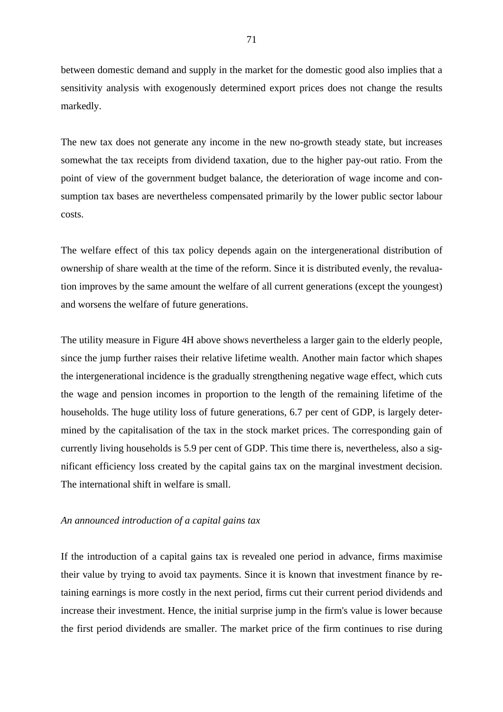between domestic demand and supply in the market for the domestic good also implies that a sensitivity analysis with exogenously determined export prices does not change the results markedly.

The new tax does not generate any income in the new no-growth steady state, but increases somewhat the tax receipts from dividend taxation, due to the higher pay-out ratio. From the point of view of the government budget balance, the deterioration of wage income and consumption tax bases are nevertheless compensated primarily by the lower public sector labour costs.

The welfare effect of this tax policy depends again on the intergenerational distribution of ownership of share wealth at the time of the reform. Since it is distributed evenly, the revaluation improves by the same amount the welfare of all current generations (except the youngest) and worsens the welfare of future generations.

The utility measure in Figure 4H above shows nevertheless a larger gain to the elderly people, since the jump further raises their relative lifetime wealth. Another main factor which shapes the intergenerational incidence is the gradually strengthening negative wage effect, which cuts the wage and pension incomes in proportion to the length of the remaining lifetime of the households. The huge utility loss of future generations, 6.7 per cent of GDP, is largely determined by the capitalisation of the tax in the stock market prices. The corresponding gain of currently living households is 5.9 per cent of GDP. This time there is, nevertheless, also a significant efficiency loss created by the capital gains tax on the marginal investment decision. The international shift in welfare is small.

### *An announced introduction of a capital gains tax*

If the introduction of a capital gains tax is revealed one period in advance, firms maximise their value by trying to avoid tax payments. Since it is known that investment finance by retaining earnings is more costly in the next period, firms cut their current period dividends and increase their investment. Hence, the initial surprise jump in the firm's value is lower because the first period dividends are smaller. The market price of the firm continues to rise during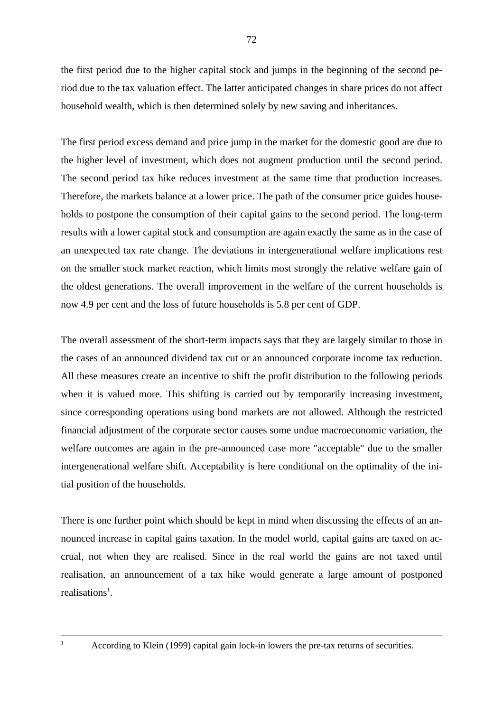the first period due to the higher capital stock and jumps in the beginning of the second period due to the tax valuation effect. The latter anticipated changes in share prices do not affect household wealth, which is then determined solely by new saving and inheritances.

The first period excess demand and price jump in the market for the domestic good are due to the higher level of investment, which does not augment production until the second period. The second period tax hike reduces investment at the same time that production increases. Therefore, the markets balance at a lower price. The path of the consumer price guides households to postpone the consumption of their capital gains to the second period. The long-term results with a lower capital stock and consumption are again exactly the same as in the case of an unexpected tax rate change. The deviations in intergenerational welfare implications rest on the smaller stock market reaction, which limits most strongly the relative welfare gain of the oldest generations. The overall improvement in the welfare of the current households is now 4.9 per cent and the loss of future households is 5.8 per cent of GDP.

The overall assessment of the short-term impacts says that they are largely similar to those in the cases of an announced dividend tax cut or an announced corporate income tax reduction. All these measures create an incentive to shift the profit distribution to the following periods when it is valued more. This shifting is carried out by temporarily increasing investment, since corresponding operations using bond markets are not allowed. Although the restricted financial adjustment of the corporate sector causes some undue macroeconomic variation, the welfare outcomes are again in the pre-announced case more "acceptable" due to the smaller intergenerational welfare shift. Acceptability is here conditional on the optimality of the initial position of the households.

There is one further point which should be kept in mind when discussing the effects of an announced increase in capital gains taxation. In the model world, capital gains are taxed on accrual, not when they are realised. Since in the real world the gains are not taxed until realisation, an announcement of a tax hike would generate a large amount of postponed realisations<sup>1</sup>.

According to Klein (1999) capital gain lock-in lowers the pre-tax returns of securities.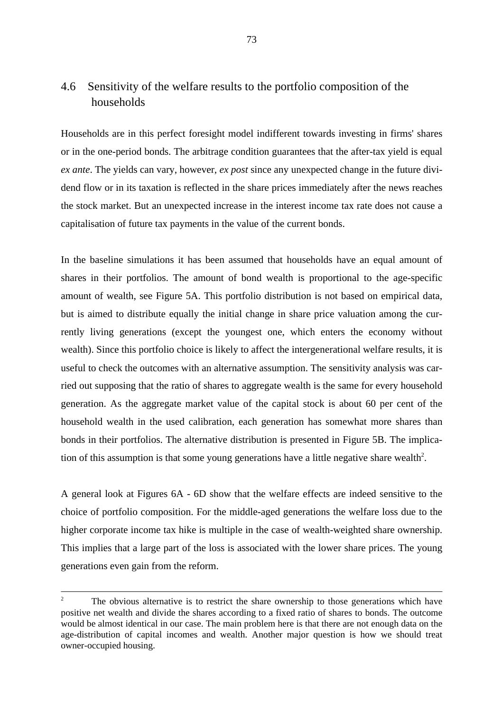# 4.6 Sensitivity of the welfare results to the portfolio composition of the households

Households are in this perfect foresight model indifferent towards investing in firms' shares or in the one-period bonds. The arbitrage condition guarantees that the after-tax yield is equal *ex ante*. The yields can vary, however, *ex post* since any unexpected change in the future dividend flow or in its taxation is reflected in the share prices immediately after the news reaches the stock market. But an unexpected increase in the interest income tax rate does not cause a capitalisation of future tax payments in the value of the current bonds.

In the baseline simulations it has been assumed that households have an equal amount of shares in their portfolios. The amount of bond wealth is proportional to the age-specific amount of wealth, see Figure 5A. This portfolio distribution is not based on empirical data, but is aimed to distribute equally the initial change in share price valuation among the currently living generations (except the youngest one, which enters the economy without wealth). Since this portfolio choice is likely to affect the intergenerational welfare results, it is useful to check the outcomes with an alternative assumption. The sensitivity analysis was carried out supposing that the ratio of shares to aggregate wealth is the same for every household generation. As the aggregate market value of the capital stock is about 60 per cent of the household wealth in the used calibration, each generation has somewhat more shares than bonds in their portfolios. The alternative distribution is presented in Figure 5B. The implication of this assumption is that some young generations have a little negative share wealth<sup>2</sup>.

A general look at Figures 6A - 6D show that the welfare effects are indeed sensitive to the choice of portfolio composition. For the middle-aged generations the welfare loss due to the higher corporate income tax hike is multiple in the case of wealth-weighted share ownership. This implies that a large part of the loss is associated with the lower share prices. The young generations even gain from the reform.

The obvious alternative is to restrict the share ownership to those generations which have positive net wealth and divide the shares according to a fixed ratio of shares to bonds. The outcome would be almost identical in our case. The main problem here is that there are not enough data on the age-distribution of capital incomes and wealth. Another major question is how we should treat owner-occupied housing.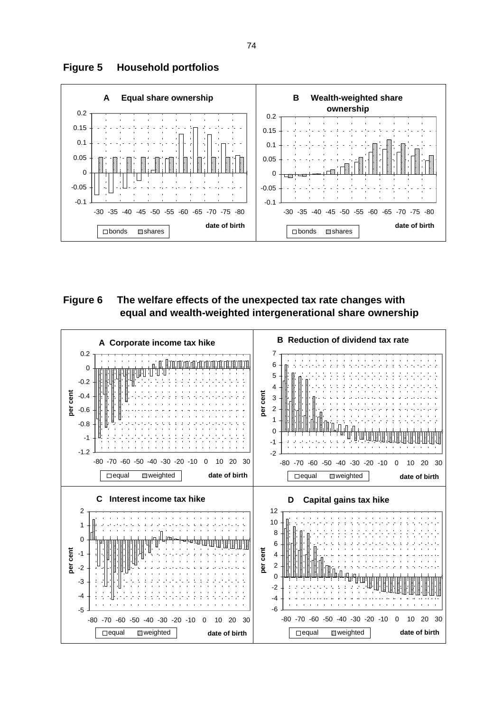

# **Figure 5 Household portfolios**

**Figure 6 The welfare effects of the unexpected tax rate changes with equal and wealth-weighted intergenerational share ownership**

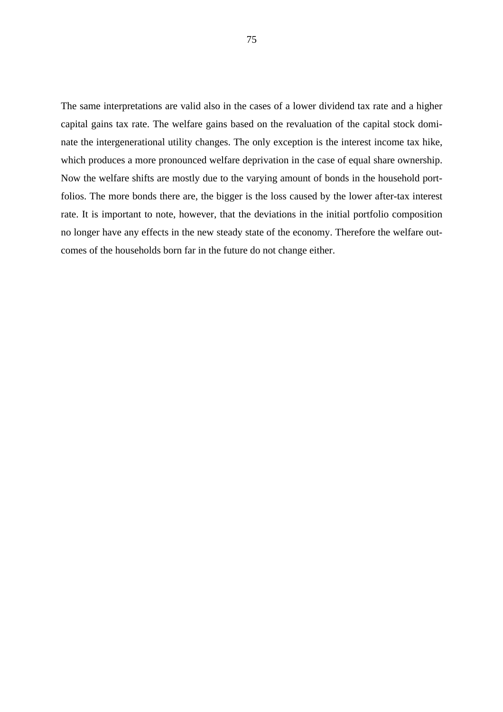The same interpretations are valid also in the cases of a lower dividend tax rate and a higher capital gains tax rate. The welfare gains based on the revaluation of the capital stock dominate the intergenerational utility changes. The only exception is the interest income tax hike, which produces a more pronounced welfare deprivation in the case of equal share ownership. Now the welfare shifts are mostly due to the varying amount of bonds in the household portfolios. The more bonds there are, the bigger is the loss caused by the lower after-tax interest rate. It is important to note, however, that the deviations in the initial portfolio composition no longer have any effects in the new steady state of the economy. Therefore the welfare outcomes of the households born far in the future do not change either.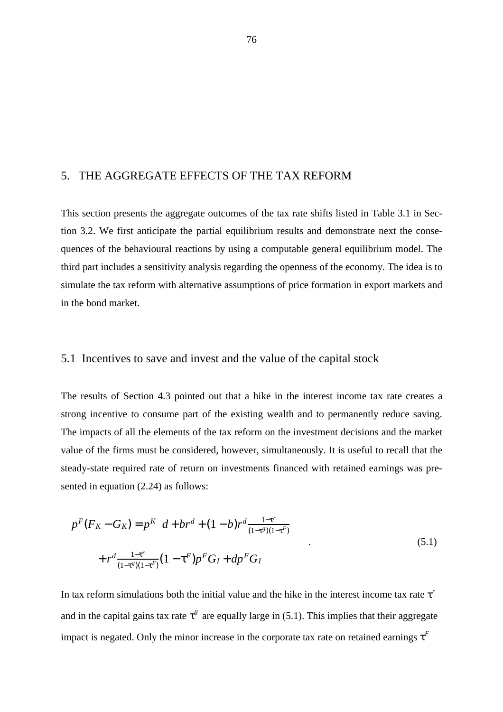## 5. THE AGGREGATE EFFECTS OF THE TAX REFORM

This section presents the aggregate outcomes of the tax rate shifts listed in Table 3.1 in Section 3.2. We first anticipate the partial equilibrium results and demonstrate next the consequences of the behavioural reactions by using a computable general equilibrium model. The third part includes a sensitivity analysis regarding the openness of the economy. The idea is to simulate the tax reform with alternative assumptions of price formation in export markets and in the bond market.

### 5.1 Incentives to save and invest and the value of the capital stock

The results of Section 4.3 pointed out that a hike in the interest income tax rate creates a strong incentive to consume part of the existing wealth and to permanently reduce saving. The impacts of all the elements of the tax reform on the investment decisions and the market value of the firms must be considered, however, simultaneously. It is useful to recall that the steady-state required rate of return on investments financed with retained earnings was presented in equation (2.24) as follows:

$$
p^{F}(F_{K} - G_{K}) = p^{K} \left[ d + br^{d} + (1 - b)r^{d} \frac{1 - \tau^{r}}{(1 - \tau^{g})(1 - \tau^{F})} \right] + r^{d} \frac{1 - \tau^{r}}{(1 - \tau^{g})(1 - \tau^{F})} (1 - \tau^{F}) p^{F} G_{I} + dp^{F} G_{I}
$$
\n
$$
(5.1)
$$

In tax reform simulations both the initial value and the hike in the interest income tax rate  $\tau^r$ and in the capital gains tax rate  $\tau^g$  are equally large in (5.1). This implies that their aggregate impact is negated. Only the minor increase in the corporate tax rate on retained earnings  $\tau^F$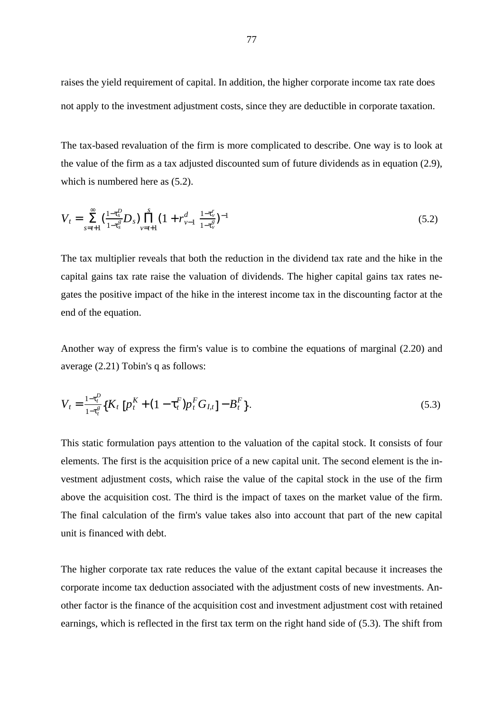raises the yield requirement of capital. In addition, the higher corporate income tax rate does not apply to the investment adjustment costs, since they are deductible in corporate taxation.

The tax-based revaluation of the firm is more complicated to describe. One way is to look at the value of the firm as a tax adjusted discounted sum of future dividends as in equation (2.9), which is numbered here as (5.2).

$$
V_t = \sum_{s=t+1}^{\infty} \left(\frac{1-\tau_s^D}{1-\tau_s^g} D_s\right) \prod_{\nu=t+1}^s \left(1 + r_{\nu-1}^d \frac{1-\tau_\nu^r}{1-\tau_\nu^g}\right)^{-1} \tag{5.2}
$$

The tax multiplier reveals that both the reduction in the dividend tax rate and the hike in the capital gains tax rate raise the valuation of dividends. The higher capital gains tax rates negates the positive impact of the hike in the interest income tax in the discounting factor at the end of the equation.

Another way of express the firm's value is to combine the equations of marginal (2.20) and average (2.21) Tobin's q as follows:

$$
V_t = \frac{1 - \tau_t^P}{1 - \tau_t^g} \{ K_t \left[ p_t^K + (1 - \tau_t^F) p_t^F G_{I,t} \right] - B_t^F \}.
$$
\n(5.3)

This static formulation pays attention to the valuation of the capital stock. It consists of four elements. The first is the acquisition price of a new capital unit. The second element is the investment adjustment costs, which raise the value of the capital stock in the use of the firm above the acquisition cost. The third is the impact of taxes on the market value of the firm. The final calculation of the firm's value takes also into account that part of the new capital unit is financed with debt.

The higher corporate tax rate reduces the value of the extant capital because it increases the corporate income tax deduction associated with the adjustment costs of new investments. Another factor is the finance of the acquisition cost and investment adjustment cost with retained earnings, which is reflected in the first tax term on the right hand side of (5.3). The shift from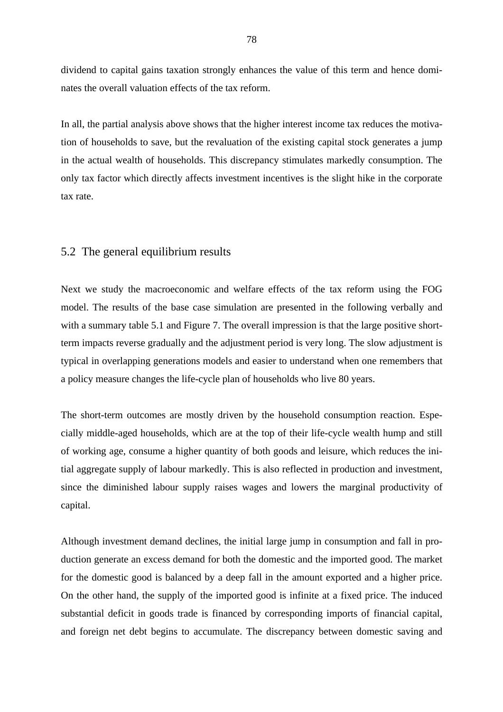dividend to capital gains taxation strongly enhances the value of this term and hence dominates the overall valuation effects of the tax reform.

In all, the partial analysis above shows that the higher interest income tax reduces the motivation of households to save, but the revaluation of the existing capital stock generates a jump in the actual wealth of households. This discrepancy stimulates markedly consumption. The only tax factor which directly affects investment incentives is the slight hike in the corporate tax rate.

## 5.2 The general equilibrium results

Next we study the macroeconomic and welfare effects of the tax reform using the FOG model. The results of the base case simulation are presented in the following verbally and with a summary table 5.1 and Figure 7. The overall impression is that the large positive shortterm impacts reverse gradually and the adjustment period is very long. The slow adjustment is typical in overlapping generations models and easier to understand when one remembers that a policy measure changes the life-cycle plan of households who live 80 years.

The short-term outcomes are mostly driven by the household consumption reaction. Especially middle-aged households, which are at the top of their life-cycle wealth hump and still of working age, consume a higher quantity of both goods and leisure, which reduces the initial aggregate supply of labour markedly. This is also reflected in production and investment, since the diminished labour supply raises wages and lowers the marginal productivity of capital.

Although investment demand declines, the initial large jump in consumption and fall in production generate an excess demand for both the domestic and the imported good. The market for the domestic good is balanced by a deep fall in the amount exported and a higher price. On the other hand, the supply of the imported good is infinite at a fixed price. The induced substantial deficit in goods trade is financed by corresponding imports of financial capital, and foreign net debt begins to accumulate. The discrepancy between domestic saving and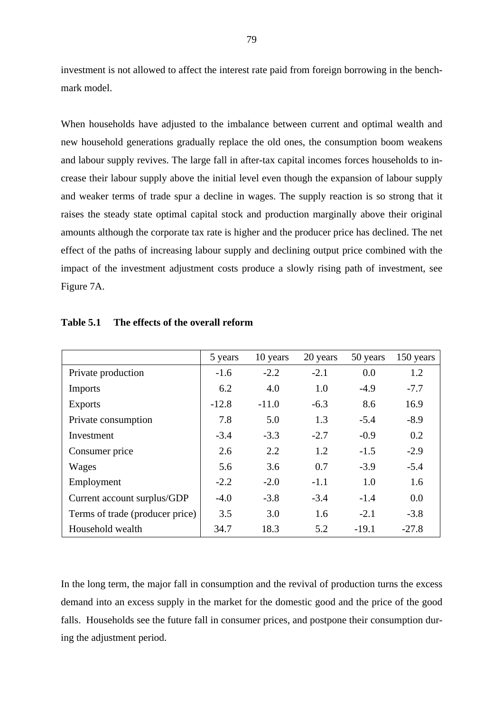investment is not allowed to affect the interest rate paid from foreign borrowing in the benchmark model.

When households have adjusted to the imbalance between current and optimal wealth and new household generations gradually replace the old ones, the consumption boom weakens and labour supply revives. The large fall in after-tax capital incomes forces households to increase their labour supply above the initial level even though the expansion of labour supply and weaker terms of trade spur a decline in wages. The supply reaction is so strong that it raises the steady state optimal capital stock and production marginally above their original amounts although the corporate tax rate is higher and the producer price has declined. The net effect of the paths of increasing labour supply and declining output price combined with the impact of the investment adjustment costs produce a slowly rising path of investment, see Figure 7A.

|                                 | 5 years | 10 years | 20 years | 50 years | 150 years |
|---------------------------------|---------|----------|----------|----------|-----------|
| Private production              | $-1.6$  | $-2.2$   | $-2.1$   | 0.0      | 1.2       |
| <b>Imports</b>                  | 6.2     | 4.0      | 1.0      | $-4.9$   | $-7.7$    |
| <b>Exports</b>                  | $-12.8$ | $-11.0$  | $-6.3$   | 8.6      | 16.9      |
| Private consumption             | 7.8     | 5.0      | 1.3      | $-5.4$   | $-8.9$    |
| Investment                      | $-3.4$  | $-3.3$   | $-2.7$   | $-0.9$   | 0.2       |
| Consumer price                  | 2.6     | 2.2      | 1.2      | $-1.5$   | $-2.9$    |
| Wages                           | 5.6     | 3.6      | 0.7      | $-3.9$   | $-5.4$    |
| Employment                      | $-2.2$  | $-2.0$   | $-1.1$   | 1.0      | 1.6       |
| Current account surplus/GDP     | $-4.0$  | $-3.8$   | $-3.4$   | $-1.4$   | 0.0       |
| Terms of trade (producer price) | 3.5     | 3.0      | 1.6      | $-2.1$   | $-3.8$    |
| Household wealth                | 34.7    | 18.3     | 5.2      | $-19.1$  | $-27.8$   |

**Table 5.1 The effects of the overall reform**

In the long term, the major fall in consumption and the revival of production turns the excess demand into an excess supply in the market for the domestic good and the price of the good falls. Households see the future fall in consumer prices, and postpone their consumption during the adjustment period.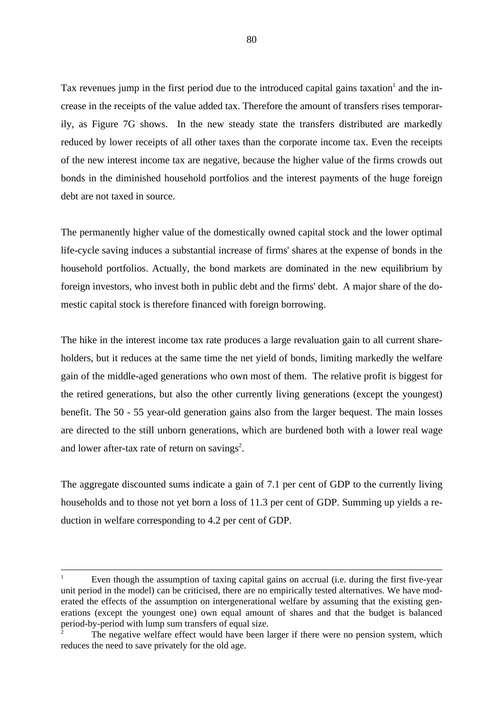Tax revenues jump in the first period due to the introduced capital gains taxation<sup>1</sup> and the increase in the receipts of the value added tax. Therefore the amount of transfers rises temporarily, as Figure 7G shows. In the new steady state the transfers distributed are markedly reduced by lower receipts of all other taxes than the corporate income tax. Even the receipts of the new interest income tax are negative, because the higher value of the firms crowds out bonds in the diminished household portfolios and the interest payments of the huge foreign debt are not taxed in source.

The permanently higher value of the domestically owned capital stock and the lower optimal life-cycle saving induces a substantial increase of firms' shares at the expense of bonds in the household portfolios. Actually, the bond markets are dominated in the new equilibrium by foreign investors, who invest both in public debt and the firms' debt. A major share of the domestic capital stock is therefore financed with foreign borrowing.

The hike in the interest income tax rate produces a large revaluation gain to all current shareholders, but it reduces at the same time the net yield of bonds, limiting markedly the welfare gain of the middle-aged generations who own most of them. The relative profit is biggest for the retired generations, but also the other currently living generations (except the youngest) benefit. The 50 - 55 year-old generation gains also from the larger bequest. The main losses are directed to the still unborn generations, which are burdened both with a lower real wage and lower after-tax rate of return on savings<sup>2</sup>.

The aggregate discounted sums indicate a gain of 7.1 per cent of GDP to the currently living households and to those not yet born a loss of 11.3 per cent of GDP. Summing up yields a reduction in welfare corresponding to 4.2 per cent of GDP.

Even though the assumption of taxing capital gains on accrual (i.e. during the first five-year unit period in the model) can be criticised, there are no empirically tested alternatives. We have moderated the effects of the assumption on intergenerational welfare by assuming that the existing generations (except the youngest one) own equal amount of shares and that the budget is balanced period-by-period with lump sum transfers of equal size.

The negative welfare effect would have been larger if there were no pension system, which reduces the need to save privately for the old age.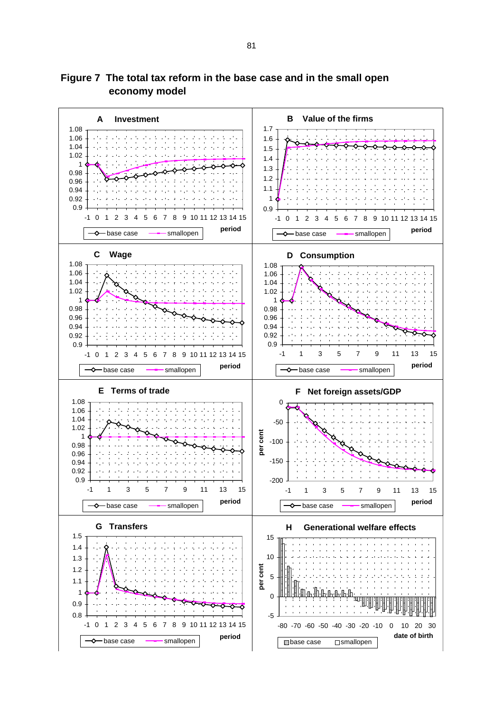

**Figure 7 The total tax reform in the base case and in the small open economy model**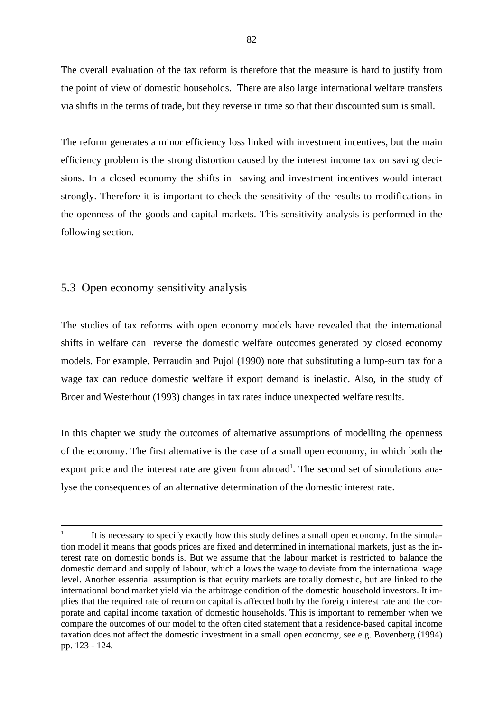The overall evaluation of the tax reform is therefore that the measure is hard to justify from the point of view of domestic households. There are also large international welfare transfers via shifts in the terms of trade, but they reverse in time so that their discounted sum is small.

The reform generates a minor efficiency loss linked with investment incentives, but the main efficiency problem is the strong distortion caused by the interest income tax on saving decisions. In a closed economy the shifts in saving and investment incentives would interact strongly. Therefore it is important to check the sensitivity of the results to modifications in the openness of the goods and capital markets. This sensitivity analysis is performed in the following section.

## 5.3 Open economy sensitivity analysis

The studies of tax reforms with open economy models have revealed that the international shifts in welfare can reverse the domestic welfare outcomes generated by closed economy models. For example, Perraudin and Pujol (1990) note that substituting a lump-sum tax for a wage tax can reduce domestic welfare if export demand is inelastic. Also, in the study of Broer and Westerhout (1993) changes in tax rates induce unexpected welfare results.

In this chapter we study the outcomes of alternative assumptions of modelling the openness of the economy. The first alternative is the case of a small open economy, in which both the export price and the interest rate are given from abroad<sup>1</sup>. The second set of simulations analyse the consequences of an alternative determination of the domestic interest rate.

It is necessary to specify exactly how this study defines a small open economy. In the simulation model it means that goods prices are fixed and determined in international markets, just as the interest rate on domestic bonds is. But we assume that the labour market is restricted to balance the domestic demand and supply of labour, which allows the wage to deviate from the international wage level. Another essential assumption is that equity markets are totally domestic, but are linked to the international bond market yield via the arbitrage condition of the domestic household investors. It implies that the required rate of return on capital is affected both by the foreign interest rate and the corporate and capital income taxation of domestic households. This is important to remember when we compare the outcomes of our model to the often cited statement that a residence-based capital income taxation does not affect the domestic investment in a small open economy, see e.g. Bovenberg (1994) pp. 123 - 124.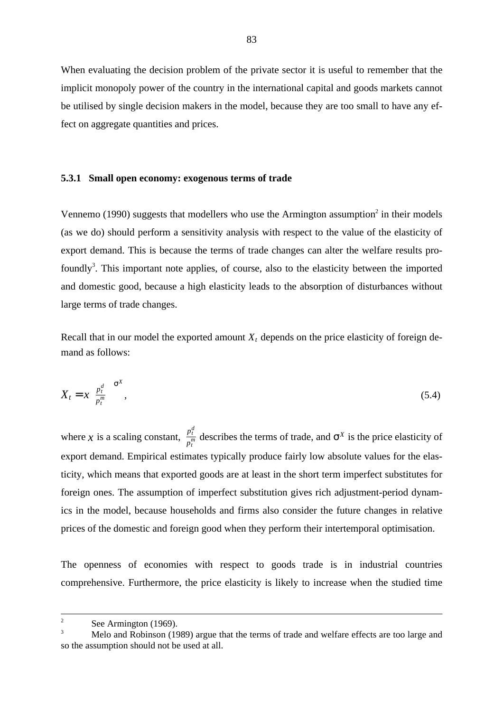When evaluating the decision problem of the private sector it is useful to remember that the implicit monopoly power of the country in the international capital and goods markets cannot be utilised by single decision makers in the model, because they are too small to have any effect on aggregate quantities and prices.

### **5.3.1 Small open economy: exogenous terms of trade**

Vennemo (1990) suggests that modellers who use the Armington assumption<sup>2</sup> in their models (as we do) should perform a sensitivity analysis with respect to the value of the elasticity of export demand. This is because the terms of trade changes can alter the welfare results profoundly<sup>3</sup>. This important note applies, of course, also to the elasticity between the imported and domestic good, because a high elasticity leads to the absorption of disturbances without large terms of trade changes.

Recall that in our model the exported amount  $X_t$  depends on the price elasticity of foreign demand as follows:

$$
X_t = x \left(\frac{p_t^d}{p_t^m}\right)^{\sigma^X},\tag{5.4}
$$

where x is a scaling constant,  $\frac{p_t^d}{n^m}$  describes the terms of trade, and  $\sigma^X$  is the price elasticity of  $\frac{p_t}{p_t^m}$  describes the terms of trade, and  $\sigma^X$ export demand. Empirical estimates typically produce fairly low absolute values for the elasticity, which means that exported goods are at least in the short term imperfect substitutes for foreign ones. The assumption of imperfect substitution gives rich adjustment-period dynamics in the model, because households and firms also consider the future changes in relative prices of the domestic and foreign good when they perform their intertemporal optimisation.

The openness of economies with respect to goods trade is in industrial countries comprehensive. Furthermore, the price elasticity is likely to increase when the studied time

<sup>&</sup>lt;sup>2</sup> See Armington (1969).

Melo and Robinson (1989) argue that the terms of trade and welfare effects are too large and so the assumption should not be used at all.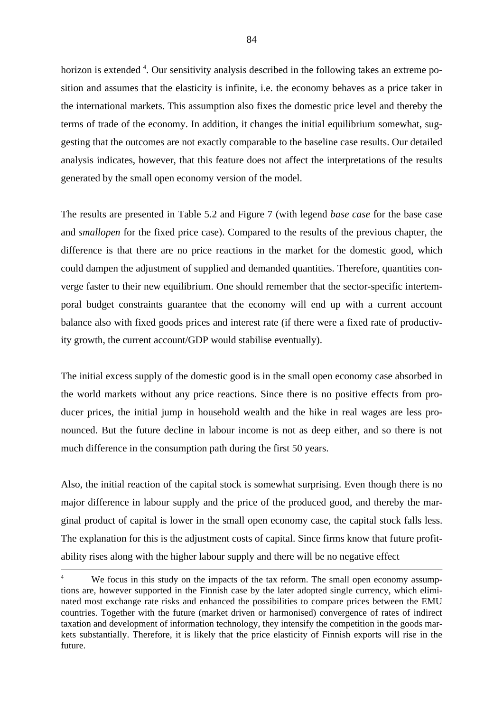horizon is extended <sup>4</sup>. Our sensitivity analysis described in the following takes an extreme position and assumes that the elasticity is infinite, i.e. the economy behaves as a price taker in the international markets. This assumption also fixes the domestic price level and thereby the terms of trade of the economy. In addition, it changes the initial equilibrium somewhat, suggesting that the outcomes are not exactly comparable to the baseline case results. Our detailed analysis indicates, however, that this feature does not affect the interpretations of the results generated by the small open economy version of the model.

The results are presented in Table 5.2 and Figure 7 (with legend *base case* for the base case and *smallopen* for the fixed price case). Compared to the results of the previous chapter, the difference is that there are no price reactions in the market for the domestic good, which could dampen the adjustment of supplied and demanded quantities. Therefore, quantities converge faster to their new equilibrium. One should remember that the sector-specific intertemporal budget constraints guarantee that the economy will end up with a current account balance also with fixed goods prices and interest rate (if there were a fixed rate of productivity growth, the current account/GDP would stabilise eventually).

The initial excess supply of the domestic good is in the small open economy case absorbed in the world markets without any price reactions. Since there is no positive effects from producer prices, the initial jump in household wealth and the hike in real wages are less pronounced. But the future decline in labour income is not as deep either, and so there is not much difference in the consumption path during the first 50 years.

Also, the initial reaction of the capital stock is somewhat surprising. Even though there is no major difference in labour supply and the price of the produced good, and thereby the marginal product of capital is lower in the small open economy case, the capital stock falls less. The explanation for this is the adjustment costs of capital. Since firms know that future profitability rises along with the higher labour supply and there will be no negative effect

We focus in this study on the impacts of the tax reform. The small open economy assumptions are, however supported in the Finnish case by the later adopted single currency, which eliminated most exchange rate risks and enhanced the possibilities to compare prices between the EMU countries. Together with the future (market driven or harmonised) convergence of rates of indirect taxation and development of information technology, they intensify the competition in the goods markets substantially. Therefore, it is likely that the price elasticity of Finnish exports will rise in the future.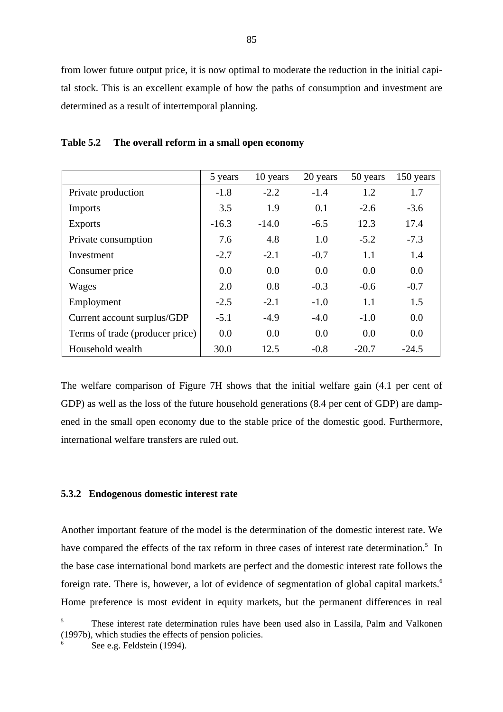from lower future output price, it is now optimal to moderate the reduction in the initial capital stock. This is an excellent example of how the paths of consumption and investment are determined as a result of intertemporal planning.

|                                 | 5 years | 10 years | 20 years | 50 years | 150 years |
|---------------------------------|---------|----------|----------|----------|-----------|
| Private production              | $-1.8$  | $-2.2$   | $-1.4$   | 1.2      | 1.7       |
| Imports                         | 3.5     | 1.9      | 0.1      | $-2.6$   | $-3.6$    |
| <b>Exports</b>                  | $-16.3$ | $-14.0$  | $-6.5$   | 12.3     | 17.4      |
| Private consumption             | 7.6     | 4.8      | 1.0      | $-5.2$   | $-7.3$    |
| Investment                      | $-2.7$  | $-2.1$   | $-0.7$   | 1.1      | 1.4       |
| Consumer price                  | 0.0     | 0.0      | 0.0      | 0.0      | 0.0       |
| Wages                           | 2.0     | 0.8      | $-0.3$   | $-0.6$   | $-0.7$    |
| Employment                      | $-2.5$  | $-2.1$   | $-1.0$   | 1.1      | 1.5       |
| Current account surplus/GDP     | $-5.1$  | $-4.9$   | $-4.0$   | $-1.0$   | 0.0       |
| Terms of trade (producer price) | 0.0     | 0.0      | 0.0      | 0.0      | 0.0       |
| Household wealth                | 30.0    | 12.5     | $-0.8$   | $-20.7$  | $-24.5$   |

**Table 5.2 The overall reform in a small open economy**

The welfare comparison of Figure 7H shows that the initial welfare gain (4.1 per cent of GDP) as well as the loss of the future household generations  $(8.4 \text{ per cent of GDP})$  are dampened in the small open economy due to the stable price of the domestic good. Furthermore, international welfare transfers are ruled out.

### **5.3.2 Endogenous domestic interest rate**

Another important feature of the model is the determination of the domestic interest rate. We have compared the effects of the tax reform in three cases of interest rate determination.<sup>5</sup> In the base case international bond markets are perfect and the domestic interest rate follows the foreign rate. There is, however, a lot of evidence of segmentation of global capital markets.<sup>6</sup> Home preference is most evident in equity markets, but the permanent differences in real

<sup>5</sup> These interest rate determination rules have been used also in Lassila, Palm and Valkonen (1997b), which studies the effects of pension policies.

See e.g. Feldstein (1994).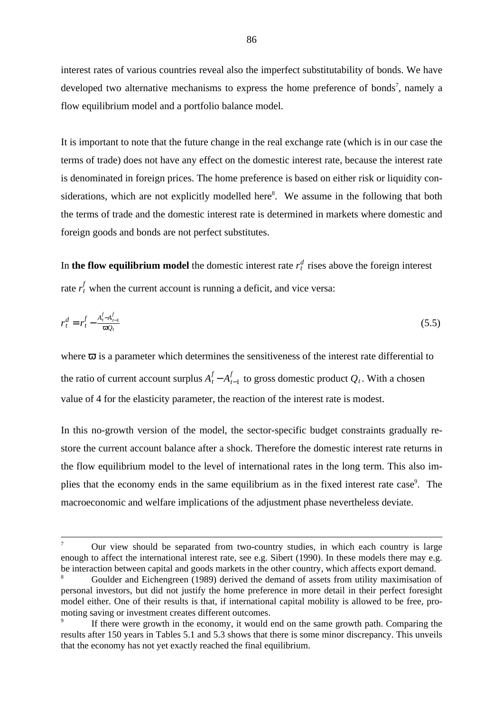interest rates of various countries reveal also the imperfect substitutability of bonds. We have developed two alternative mechanisms to express the home preference of bonds<sup>7</sup>, namely a flow equilibrium model and a portfolio balance model.

It is important to note that the future change in the real exchange rate (which is in our case the terms of trade) does not have any effect on the domestic interest rate, because the interest rate is denominated in foreign prices. The home preference is based on either risk or liquidity considerations, which are not explicitly modelled here<sup>8</sup>. We assume in the following that both the terms of trade and the domestic interest rate is determined in markets where domestic and foreign goods and bonds are not perfect substitutes.

In **the flow equilibrium model** the domestic interest rate  $r_t^d$  rises above the foreign interest rate  $r_t^f$  when the current account is running a deficit, and vice versa:

$$
r_t^d = r_t^f - \frac{A_t^f - A_{t-1}^f}{\varpi Q_t} \tag{5.5}
$$

where  $\overline{\omega}$  is a parameter which determines the sensitiveness of the interest rate differential to the ratio of current account surplus  $A_t^f - A_{t-1}^f$  to gross domestic product  $Q_t$ . With a chosen value of 4 for the elasticity parameter, the reaction of the interest rate is modest.

In this no-growth version of the model, the sector-specific budget constraints gradually restore the current account balance after a shock. Therefore the domestic interest rate returns in the flow equilibrium model to the level of international rates in the long term. This also implies that the economy ends in the same equilibrium as in the fixed interest rate case<sup>9</sup>. The macroeconomic and welfare implications of the adjustment phase nevertheless deviate.

<sup>7</sup> Our view should be separated from two-country studies, in which each country is large enough to affect the international interest rate, see e.g. Sibert (1990). In these models there may e.g. be interaction between capital and goods markets in the other country, which affects export demand.

<sup>8</sup> Goulder and Eichengreen (1989) derived the demand of assets from utility maximisation of personal investors, but did not justify the home preference in more detail in their perfect foresight model either. One of their results is that, if international capital mobility is allowed to be free, promoting saving or investment creates different outcomes.

If there were growth in the economy, it would end on the same growth path. Comparing the results after 150 years in Tables 5.1 and 5.3 shows that there is some minor discrepancy. This unveils that the economy has not yet exactly reached the final equilibrium.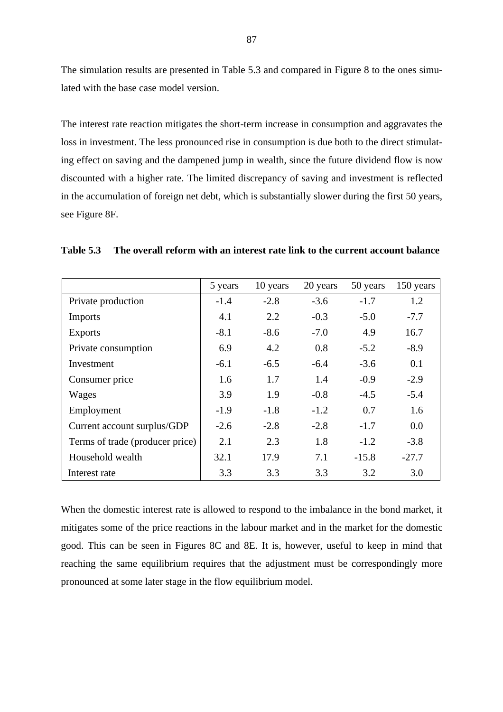The simulation results are presented in Table 5.3 and compared in Figure 8 to the ones simulated with the base case model version.

The interest rate reaction mitigates the short-term increase in consumption and aggravates the loss in investment. The less pronounced rise in consumption is due both to the direct stimulating effect on saving and the dampened jump in wealth, since the future dividend flow is now discounted with a higher rate. The limited discrepancy of saving and investment is reflected in the accumulation of foreign net debt, which is substantially slower during the first 50 years, see Figure 8F.

|                                 | 5 years | 10 years | 20 years | 50 years | 150 years |
|---------------------------------|---------|----------|----------|----------|-----------|
| Private production              | $-1.4$  | $-2.8$   | $-3.6$   | $-1.7$   | 1.2       |
| <b>Imports</b>                  | 4.1     | 2.2      | $-0.3$   | $-5.0$   | $-7.7$    |
| <b>Exports</b>                  | $-8.1$  | $-8.6$   | $-7.0$   | 4.9      | 16.7      |
| Private consumption             | 6.9     | 4.2      | 0.8      | $-5.2$   | $-8.9$    |
| Investment                      | $-6.1$  | $-6.5$   | $-6.4$   | $-3.6$   | 0.1       |
| Consumer price                  | 1.6     | 1.7      | 1.4      | $-0.9$   | $-2.9$    |
| Wages                           | 3.9     | 1.9      | $-0.8$   | $-4.5$   | $-5.4$    |
| Employment                      | $-1.9$  | $-1.8$   | $-1.2$   | 0.7      | 1.6       |
| Current account surplus/GDP     | $-2.6$  | $-2.8$   | $-2.8$   | $-1.7$   | 0.0       |
| Terms of trade (producer price) | 2.1     | 2.3      | 1.8      | $-1.2$   | $-3.8$    |
| Household wealth                | 32.1    | 17.9     | 7.1      | $-15.8$  | $-27.7$   |
| Interest rate                   | 3.3     | 3.3      | 3.3      | 3.2      | 3.0       |

**Table 5.3 The overall reform with an interest rate link to the current account balance**

When the domestic interest rate is allowed to respond to the imbalance in the bond market, it mitigates some of the price reactions in the labour market and in the market for the domestic good. This can be seen in Figures 8C and 8E. It is, however, useful to keep in mind that reaching the same equilibrium requires that the adjustment must be correspondingly more pronounced at some later stage in the flow equilibrium model.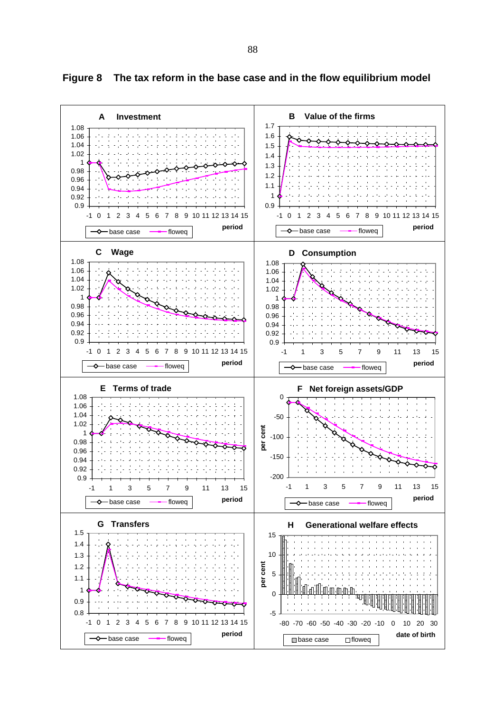

**Figure 8 The tax reform in the base case and in the flow equilibrium model**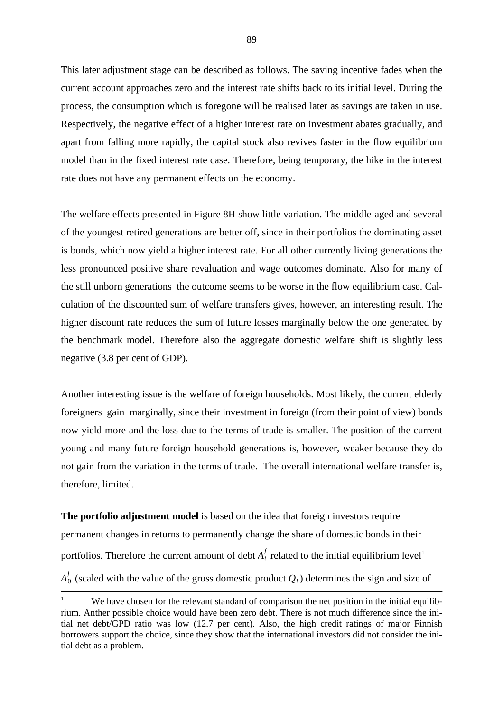This later adjustment stage can be described as follows. The saving incentive fades when the current account approaches zero and the interest rate shifts back to its initial level. During the process, the consumption which is foregone will be realised later as savings are taken in use. Respectively, the negative effect of a higher interest rate on investment abates gradually, and apart from falling more rapidly, the capital stock also revives faster in the flow equilibrium model than in the fixed interest rate case. Therefore, being temporary, the hike in the interest rate does not have any permanent effects on the economy.

The welfare effects presented in Figure 8H show little variation. The middle-aged and several of the youngest retired generations are better off, since in their portfolios the dominating asset is bonds, which now yield a higher interest rate. For all other currently living generations the less pronounced positive share revaluation and wage outcomes dominate. Also for many of the still unborn generations the outcome seems to be worse in the flow equilibrium case. Calculation of the discounted sum of welfare transfers gives, however, an interesting result. The higher discount rate reduces the sum of future losses marginally below the one generated by the benchmark model. Therefore also the aggregate domestic welfare shift is slightly less negative (3.8 per cent of GDP).

Another interesting issue is the welfare of foreign households. Most likely, the current elderly foreigners gain marginally, since their investment in foreign (from their point of view) bonds now yield more and the loss due to the terms of trade is smaller. The position of the current young and many future foreign household generations is, however, weaker because they do not gain from the variation in the terms of trade. The overall international welfare transfer is, therefore, limited.

**The portfolio adjustment model** is based on the idea that foreign investors require permanent changes in returns to permanently change the share of domestic bonds in their portfolios. Therefore the current amount of debt  $A_t^f$  related to the initial equilibrium level<sup>1</sup>  $A_0^f$  (scaled with the value of the gross domestic product  $Q_t$ ) determines the sign and size of

We have chosen for the relevant standard of comparison the net position in the initial equilibrium. Anther possible choice would have been zero debt. There is not much difference since the initial net debt/GPD ratio was low (12.7 per cent). Also, the high credit ratings of major Finnish borrowers support the choice, since they show that the international investors did not consider the initial debt as a problem.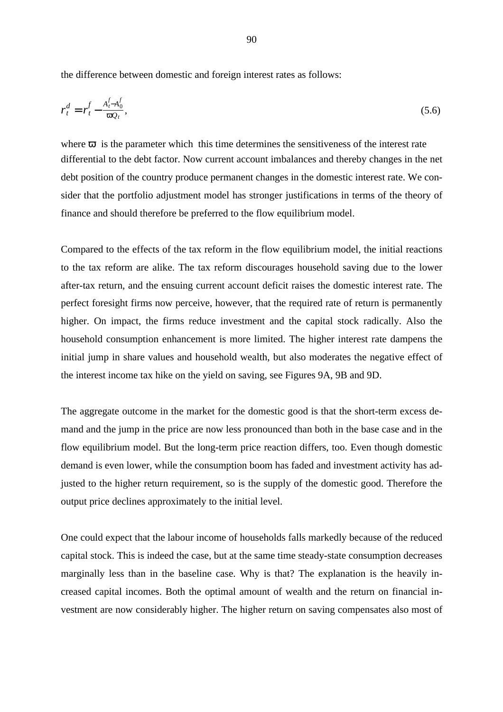the difference between domestic and foreign interest rates as follows:

$$
r_t^d = r_t^f - \frac{A_t^f - A_0^f}{\varpi Q_t},\tag{5.6}
$$

where  $\overline{\omega}$  is the parameter which this time determines the sensitiveness of the interest rate differential to the debt factor. Now current account imbalances and thereby changes in the net debt position of the country produce permanent changes in the domestic interest rate. We consider that the portfolio adjustment model has stronger justifications in terms of the theory of finance and should therefore be preferred to the flow equilibrium model.

Compared to the effects of the tax reform in the flow equilibrium model, the initial reactions to the tax reform are alike. The tax reform discourages household saving due to the lower after-tax return, and the ensuing current account deficit raises the domestic interest rate. The perfect foresight firms now perceive, however, that the required rate of return is permanently higher. On impact, the firms reduce investment and the capital stock radically. Also the household consumption enhancement is more limited. The higher interest rate dampens the initial jump in share values and household wealth, but also moderates the negative effect of the interest income tax hike on the yield on saving, see Figures 9A, 9B and 9D.

The aggregate outcome in the market for the domestic good is that the short-term excess demand and the jump in the price are now less pronounced than both in the base case and in the flow equilibrium model. But the long-term price reaction differs, too. Even though domestic demand is even lower, while the consumption boom has faded and investment activity has adjusted to the higher return requirement, so is the supply of the domestic good. Therefore the output price declines approximately to the initial level.

One could expect that the labour income of households falls markedly because of the reduced capital stock. This is indeed the case, but at the same time steady-state consumption decreases marginally less than in the baseline case. Why is that? The explanation is the heavily increased capital incomes. Both the optimal amount of wealth and the return on financial investment are now considerably higher. The higher return on saving compensates also most of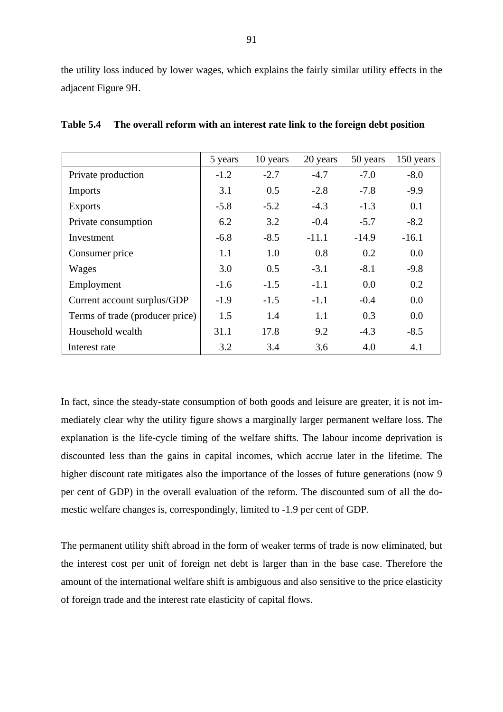the utility loss induced by lower wages, which explains the fairly similar utility effects in the adjacent Figure 9H.

|                                 | 5 years | 10 years | 20 years | 50 years | 150 years |
|---------------------------------|---------|----------|----------|----------|-----------|
| Private production              | $-1.2$  | $-2.7$   | $-4.7$   | $-7.0$   | $-8.0$    |
| <b>Imports</b>                  | 3.1     | 0.5      | $-2.8$   | $-7.8$   | $-9.9$    |
| <b>Exports</b>                  | $-5.8$  | $-5.2$   | $-4.3$   | $-1.3$   | 0.1       |
| Private consumption             | 6.2     | 3.2      | $-0.4$   | $-5.7$   | $-8.2$    |
| Investment                      | $-6.8$  | $-8.5$   | $-11.1$  | $-14.9$  | $-16.1$   |
| Consumer price                  | 1.1     | 1.0      | 0.8      | 0.2      | 0.0       |
| Wages                           | 3.0     | 0.5      | $-3.1$   | $-8.1$   | $-9.8$    |
| Employment                      | $-1.6$  | $-1.5$   | $-1.1$   | 0.0      | 0.2       |
| Current account surplus/GDP     | $-1.9$  | $-1.5$   | $-1.1$   | $-0.4$   | 0.0       |
| Terms of trade (producer price) | 1.5     | 1.4      | 1.1      | 0.3      | 0.0       |
| Household wealth                | 31.1    | 17.8     | 9.2      | $-4.3$   | $-8.5$    |
| Interest rate                   | 3.2     | 3.4      | 3.6      | 4.0      | 4.1       |

**Table 5.4 The overall reform with an interest rate link to the foreign debt position**

In fact, since the steady-state consumption of both goods and leisure are greater, it is not immediately clear why the utility figure shows a marginally larger permanent welfare loss. The explanation is the life-cycle timing of the welfare shifts. The labour income deprivation is discounted less than the gains in capital incomes, which accrue later in the lifetime. The higher discount rate mitigates also the importance of the losses of future generations (now 9 per cent of GDP) in the overall evaluation of the reform. The discounted sum of all the domestic welfare changes is, correspondingly, limited to -1.9 per cent of GDP.

The permanent utility shift abroad in the form of weaker terms of trade is now eliminated, but the interest cost per unit of foreign net debt is larger than in the base case. Therefore the amount of the international welfare shift is ambiguous and also sensitive to the price elasticity of foreign trade and the interest rate elasticity of capital flows.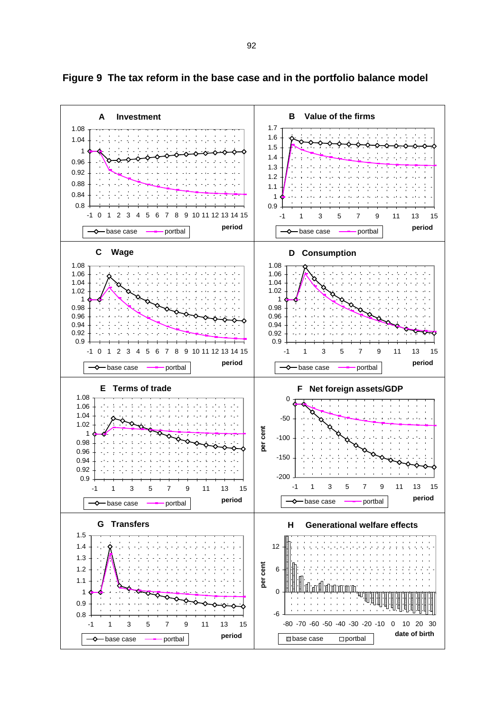

**Figure 9 The tax reform in the base case and in the portfolio balance model**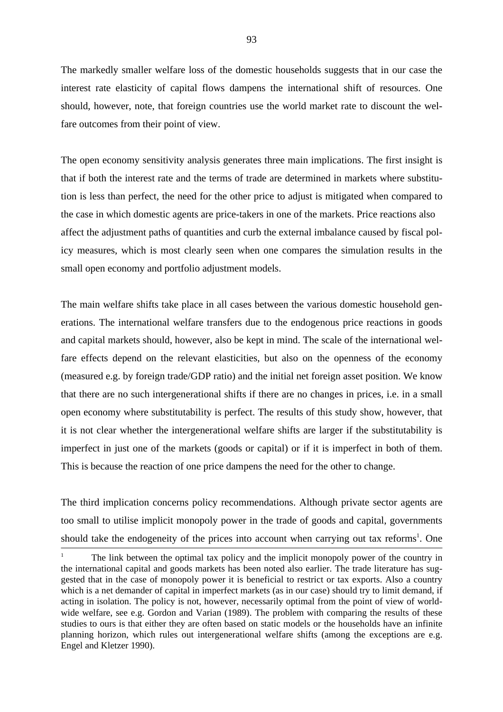The markedly smaller welfare loss of the domestic households suggests that in our case the interest rate elasticity of capital flows dampens the international shift of resources. One should, however, note, that foreign countries use the world market rate to discount the welfare outcomes from their point of view.

The open economy sensitivity analysis generates three main implications. The first insight is that if both the interest rate and the terms of trade are determined in markets where substitution is less than perfect, the need for the other price to adjust is mitigated when compared to the case in which domestic agents are price-takers in one of the markets. Price reactions also affect the adjustment paths of quantities and curb the external imbalance caused by fiscal policy measures, which is most clearly seen when one compares the simulation results in the small open economy and portfolio adjustment models.

The main welfare shifts take place in all cases between the various domestic household generations. The international welfare transfers due to the endogenous price reactions in goods and capital markets should, however, also be kept in mind. The scale of the international welfare effects depend on the relevant elasticities, but also on the openness of the economy (measured e.g. by foreign trade/GDP ratio) and the initial net foreign asset position. We know that there are no such intergenerational shifts if there are no changes in prices, i.e. in a small open economy where substitutability is perfect. The results of this study show, however, that it is not clear whether the intergenerational welfare shifts are larger if the substitutability is imperfect in just one of the markets (goods or capital) or if it is imperfect in both of them. This is because the reaction of one price dampens the need for the other to change.

The third implication concerns policy recommendations. Although private sector agents are too small to utilise implicit monopoly power in the trade of goods and capital, governments should take the endogeneity of the prices into account when carrying out tax reforms<sup>1</sup>. One

<sup>1</sup> The link between the optimal tax policy and the implicit monopoly power of the country in the international capital and goods markets has been noted also earlier. The trade literature has suggested that in the case of monopoly power it is beneficial to restrict or tax exports. Also a country which is a net demander of capital in imperfect markets (as in our case) should try to limit demand, if acting in isolation. The policy is not, however, necessarily optimal from the point of view of worldwide welfare, see e.g. Gordon and Varian (1989). The problem with comparing the results of these studies to ours is that either they are often based on static models or the households have an infinite planning horizon, which rules out intergenerational welfare shifts (among the exceptions are e.g. Engel and Kletzer 1990).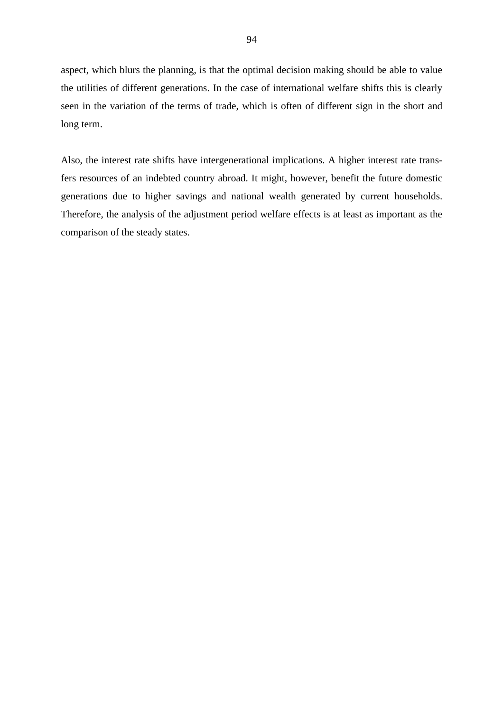aspect, which blurs the planning, is that the optimal decision making should be able to value the utilities of different generations. In the case of international welfare shifts this is clearly seen in the variation of the terms of trade, which is often of different sign in the short and long term.

Also, the interest rate shifts have intergenerational implications. A higher interest rate transfers resources of an indebted country abroad. It might, however, benefit the future domestic generations due to higher savings and national wealth generated by current households. Therefore, the analysis of the adjustment period welfare effects is at least as important as the comparison of the steady states.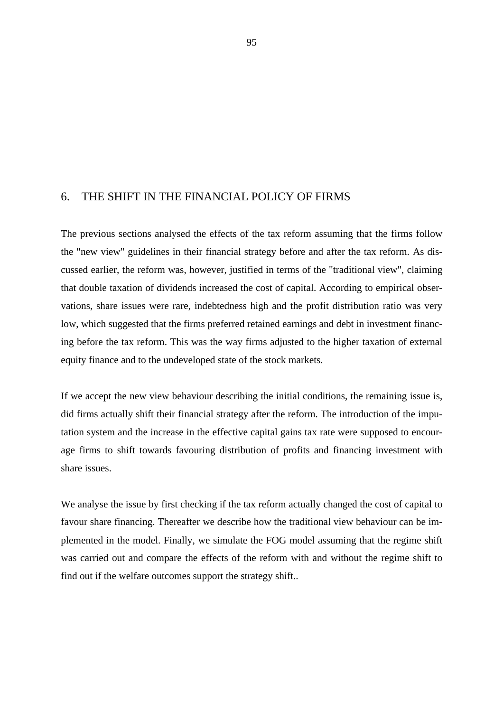## 6. THE SHIFT IN THE FINANCIAL POLICY OF FIRMS

The previous sections analysed the effects of the tax reform assuming that the firms follow the "new view" guidelines in their financial strategy before and after the tax reform. As discussed earlier, the reform was, however, justified in terms of the "traditional view", claiming that double taxation of dividends increased the cost of capital. According to empirical observations, share issues were rare, indebtedness high and the profit distribution ratio was very low, which suggested that the firms preferred retained earnings and debt in investment financing before the tax reform. This was the way firms adjusted to the higher taxation of external equity finance and to the undeveloped state of the stock markets.

If we accept the new view behaviour describing the initial conditions, the remaining issue is, did firms actually shift their financial strategy after the reform. The introduction of the imputation system and the increase in the effective capital gains tax rate were supposed to encourage firms to shift towards favouring distribution of profits and financing investment with share issues.

We analyse the issue by first checking if the tax reform actually changed the cost of capital to favour share financing. Thereafter we describe how the traditional view behaviour can be implemented in the model. Finally, we simulate the FOG model assuming that the regime shift was carried out and compare the effects of the reform with and without the regime shift to find out if the welfare outcomes support the strategy shift..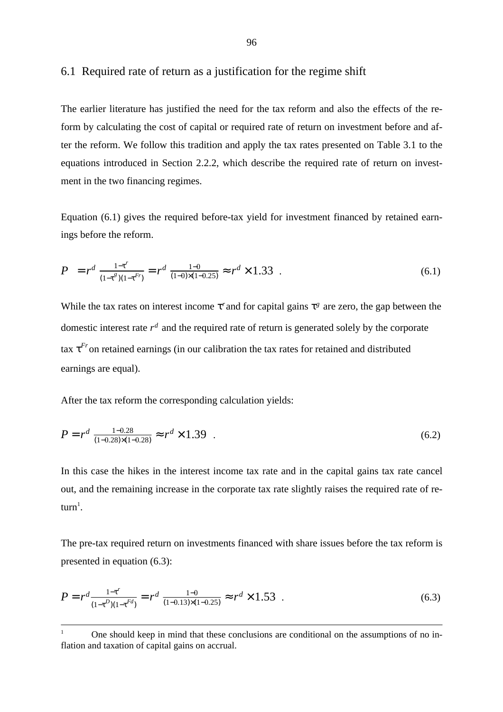## 6.1 Required rate of return as a justification for the regime shift

The earlier literature has justified the need for the tax reform and also the effects of the reform by calculating the cost of capital or required rate of return on investment before and after the reform. We follow this tradition and apply the tax rates presented on Table 3.1 to the equations introduced in Section 2.2.2, which describe the required rate of return on investment in the two financing regimes.

Equation (6.1) gives the required before-tax yield for investment financed by retained earnings before the reform.

$$
P = r^d \frac{1 - \tau^r}{(1 - \tau^s)(1 - \tau^{Fr})} = r^d \frac{1 - 0}{(1 - 0) \times (1 - 0.25)} \approx r^d \times 1.33
$$
 (6.1)

While the tax rates on interest income  $\tau^r$  and for capital gains  $\tau^g$  are zero, the gap between the domestic interest rate  $r<sup>d</sup>$  and the required rate of return is generated solely by the corporate tax  $\tau$ <sup>*Fr*</sup> on retained earnings (in our calibration the tax rates for retained and distributed earnings are equal).

After the tax reform the corresponding calculation yields:

$$
P = r^d \frac{1 - 0.28}{(1 - 0.28) \times (1 - 0.28)} \approx r^d \times 1.39 \quad . \tag{6.2}
$$

In this case the hikes in the interest income tax rate and in the capital gains tax rate cancel out, and the remaining increase in the corporate tax rate slightly raises the required rate of re $turn<sup>1</sup>$ .

The pre-tax required return on investments financed with share issues before the tax reform is presented in equation (6.3):

$$
P = r^d \frac{1 - \tau^r}{(1 - \tau^D)(1 - \tau^{Fd})} = r^d \frac{1 - 0}{(1 - 0.13) \times (1 - 0.25)} \approx r^d \times 1.53
$$
 (6.3)

<sup>1</sup> One should keep in mind that these conclusions are conditional on the assumptions of no inflation and taxation of capital gains on accrual.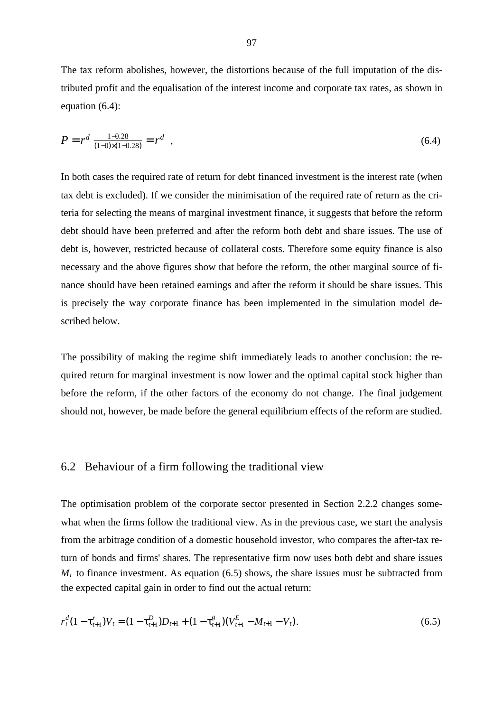The tax reform abolishes, however, the distortions because of the full imputation of the distributed profit and the equalisation of the interest income and corporate tax rates, as shown in equation (6.4):

$$
P = r^d \frac{1 - 0.28}{(1 - 0) \times (1 - 0.28)} = r^d \quad , \tag{6.4}
$$

In both cases the required rate of return for debt financed investment is the interest rate (when tax debt is excluded). If we consider the minimisation of the required rate of return as the criteria for selecting the means of marginal investment finance, it suggests that before the reform debt should have been preferred and after the reform both debt and share issues. The use of debt is, however, restricted because of collateral costs. Therefore some equity finance is also necessary and the above figures show that before the reform, the other marginal source of finance should have been retained earnings and after the reform it should be share issues. This is precisely the way corporate finance has been implemented in the simulation model described below.

The possibility of making the regime shift immediately leads to another conclusion: the required return for marginal investment is now lower and the optimal capital stock higher than before the reform, if the other factors of the economy do not change. The final judgement should not, however, be made before the general equilibrium effects of the reform are studied.

### 6.2 Behaviour of a firm following the traditional view

The optimisation problem of the corporate sector presented in Section 2.2.2 changes somewhat when the firms follow the traditional view. As in the previous case, we start the analysis from the arbitrage condition of a domestic household investor, who compares the after-tax return of bonds and firms' shares. The representative firm now uses both debt and share issues  $M_t$  to finance investment. As equation (6.5) shows, the share issues must be subtracted from the expected capital gain in order to find out the actual return:

$$
r_t^d (1 - \tau_{t+1}^r) V_t = (1 - \tau_{t+1}^D) D_{t+1} + (1 - \tau_{t+1}^g) (V_{t+1}^E - M_{t+1} - V_t).
$$
\n
$$
(6.5)
$$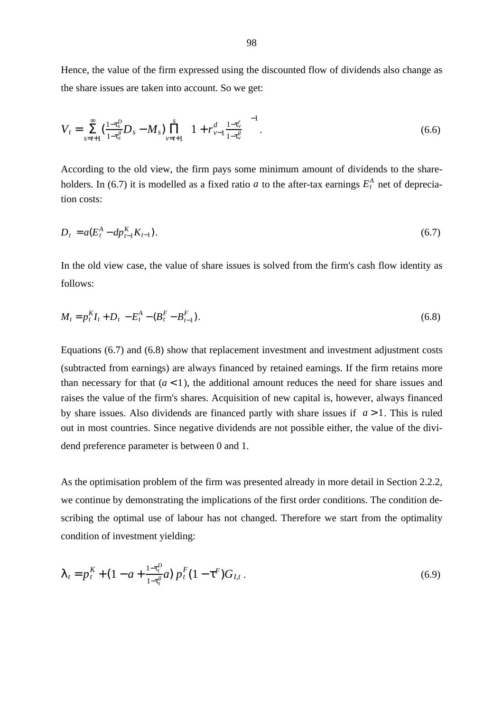Hence, the value of the firm expressed using the discounted flow of dividends also change as the share issues are taken into account. So we get:

$$
V_t = \sum_{s=t+1}^{\infty} \left( \frac{1-\tau_s^D}{1-\tau_s^g} D_s - M_s \right) \prod_{v=t+1}^s \left( 1 + r_{v-1}^d \frac{1-\tau_v^r}{1-\tau_v^g} \right)^{-1} . \tag{6.6}
$$

According to the old view, the firm pays some minimum amount of dividends to the shareholders. In (6.7) it is modelled as a fixed ratio *a* to the after-tax earnings  $E_t^A$  net of depreciation costs:

$$
D_t = a(E_t^A - dp_{t-1}^K K_{t-1}).
$$
\n(6.7)

In the old view case, the value of share issues is solved from the firm's cash flow identity as follows:

$$
M_t = p_t^K I_t + D_t - E_t^A - (B_t^F - B_{t-1}^F). \tag{6.8}
$$

Equations (6.7) and (6.8) show that replacement investment and investment adjustment costs (subtracted from earnings) are always financed by retained earnings. If the firm retains more than necessary for that  $(a < 1)$ , the additional amount reduces the need for share issues and raises the value of the firm's shares. Acquisition of new capital is, however, always financed by share issues. Also dividends are financed partly with share issues if  $a > 1$ . This is ruled out in most countries. Since negative dividends are not possible either, the value of the dividend preference parameter is between 0 and 1.

As the optimisation problem of the firm was presented already in more detail in Section 2.2.2, we continue by demonstrating the implications of the first order conditions. The condition describing the optimal use of labour has not changed. Therefore we start from the optimality condition of investment yielding:

$$
\lambda_t = p_t^K + (1 - a + \frac{1 - \tau_t^p}{1 - \tau_t^g} a) p_t^F (1 - \tau^F) G_{I,t} \,. \tag{6.9}
$$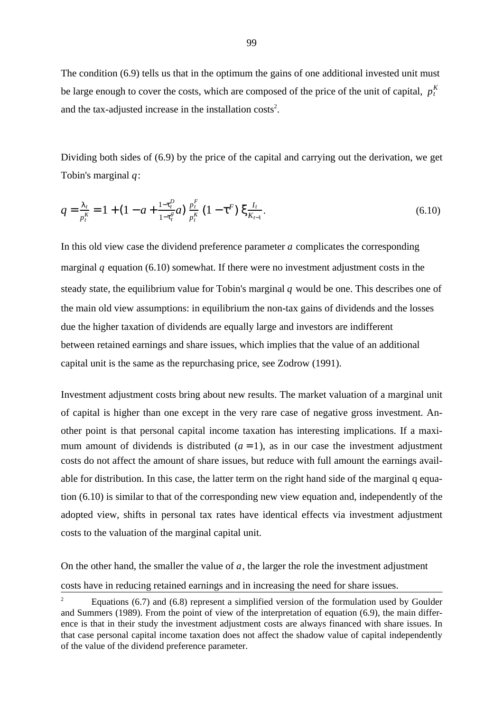The condition (6.9) tells us that in the optimum the gains of one additional invested unit must be large enough to cover the costs, which are composed of the price of the unit of capital,  $p_t^K$ and the tax-adjusted increase in the installation  $costs<sup>2</sup>$ .

Dividing both sides of (6.9) by the price of the capital and carrying out the derivation, we get Tobin's marginal  $q$ :

$$
q = \frac{\lambda_t}{p_t^K} = 1 + (1 - a + \frac{1 - \tau_t^D}{1 - \tau_t^g} a) \frac{p_t^F}{p_t^K} (1 - \tau^F) \xi_{K_{t-1}}^{I_t}.
$$
\n(6.10)

In this old view case the dividend preference parameter a complicates the corresponding marginal q equation (6.10) somewhat. If there were no investment adjustment costs in the steady state, the equilibrium value for Tobin's marginal  $q$  would be one. This describes one of the main old view assumptions: in equilibrium the non-tax gains of dividends and the losses due the higher taxation of dividends are equally large and investors are indifferent between retained earnings and share issues, which implies that the value of an additional capital unit is the same as the repurchasing price, see Zodrow (1991).

Investment adjustment costs bring about new results. The market valuation of a marginal unit of capital is higher than one except in the very rare case of negative gross investment. Another point is that personal capital income taxation has interesting implications. If a maximum amount of dividends is distributed  $(a = 1)$ , as in our case the investment adjustment costs do not affect the amount of share issues, but reduce with full amount the earnings available for distribution. In this case, the latter term on the right hand side of the marginal q equation (6.10) is similar to that of the corresponding new view equation and, independently of the adopted view, shifts in personal tax rates have identical effects via investment adjustment costs to the valuation of the marginal capital unit.

On the other hand, the smaller the value of  $a$ , the larger the role the investment adjustment costs have in reducing retained earnings and in increasing the need for share issues.

<sup>&</sup>lt;sup>2</sup> Equations (6.7) and (6.8) represent a simplified version of the formulation used by Goulder and Summers (1989). From the point of view of the interpretation of equation (6.9), the main difference is that in their study the investment adjustment costs are always financed with share issues. In that case personal capital income taxation does not affect the shadow value of capital independently of the value of the dividend preference parameter.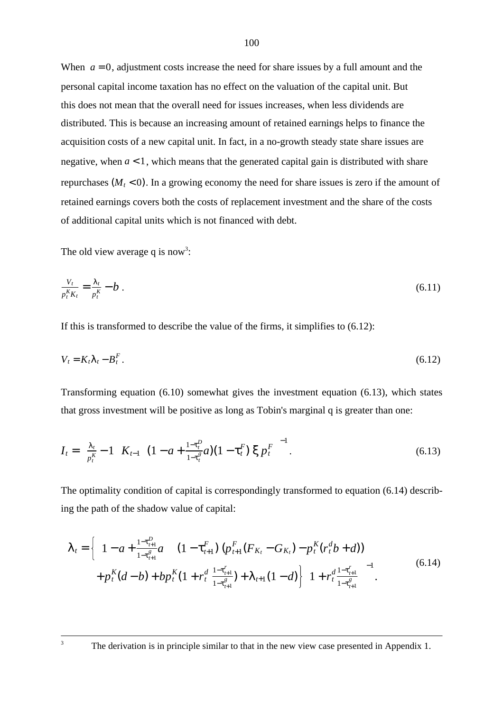When  $a = 0$ , adjustment costs increase the need for share issues by a full amount and the personal capital income taxation has no effect on the valuation of the capital unit. But this does not mean that the overall need for issues increases, when less dividends are distributed. This is because an increasing amount of retained earnings helps to finance the acquisition costs of a new capital unit. In fact, in a no-growth steady state share issues are negative, when  $a < 1$ , which means that the generated capital gain is distributed with share repurchases  $(M_t < 0)$ . In a growing economy the need for share issues is zero if the amount of retained earnings covers both the costs of replacement investment and the share of the costs of additional capital units which is not financed with debt.

The old view average q is now<sup>3</sup>:

$$
\frac{V_t}{p_t^K K_t} = \frac{\lambda_t}{p_t^K} - b \tag{6.11}
$$

If this is transformed to describe the value of the firms, it simplifies to (6.12):

$$
V_t = K_t \lambda_t - B_t^F. \tag{6.12}
$$

Transforming equation (6.10) somewhat gives the investment equation (6.13), which states that gross investment will be positive as long as Tobin's marginal q is greater than one:

$$
I_t = \left(\frac{\lambda_t}{p_t^k} - 1\right) K_{t-1} \left[ (1 - a + \frac{1 - \tau_t^p}{1 - \tau_t^s} a)(1 - \tau_t^F) \xi p_t^F \right]^{-1}.
$$
 (6.13)

The optimality condition of capital is correspondingly transformed to equation (6.14) describing the path of the shadow value of capital:

$$
\lambda_{t} = \left\{ \left( 1 - a + \frac{1 - \tau_{t+1}^{D}}{1 - \tau_{t+1}^{g}} a \right) \left[ \left( 1 - \tau_{t+1}^{F} \right) \left( p_{t+1}^{F} (F_{K_{t}} - G_{K_{t}}) - p_{t}^{K} (r_{t}^{d} b + d) \right) \right] + p_{t}^{K} (d - b) + b p_{t}^{K} (1 + r_{t}^{d} \frac{1 - \tau_{t+1}^{r}}{1 - \tau_{t+1}^{g}}) + \lambda_{t+1} (1 - d) \right\} \left( 1 + r_{t}^{d} \frac{1 - \tau_{t+1}^{r}}{1 - \tau_{t+1}^{g}} \right)^{-1} .
$$
\n
$$
(6.14)
$$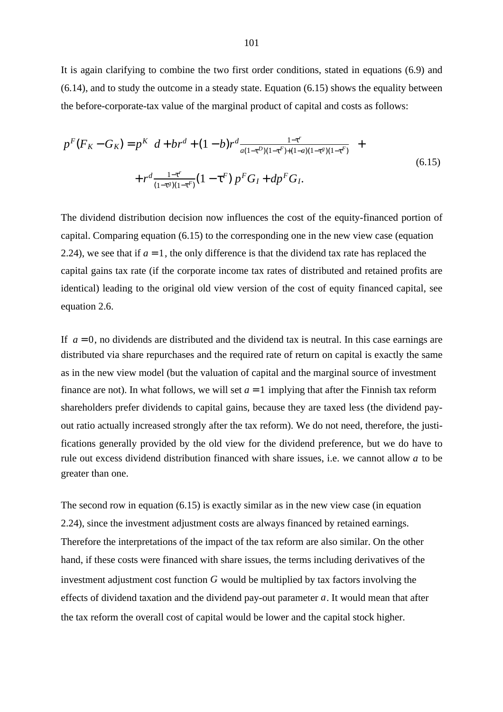It is again clarifying to combine the two first order conditions, stated in equations (6.9) and (6.14), and to study the outcome in a steady state. Equation (6.15) shows the equality between the before-corporate-tax value of the marginal product of capital and costs as follows:

$$
p^{F}(F_{K}-G_{K}) = p^{K} \left[d+br^{d}+(1-b)r^{d} \frac{1-\tau^{r}}{a(1-\tau^{D})(1-\tau^{F})+(1-a)(1-\tau^{g})(1-\tau^{F})}\right] +
$$
  
+  $r^{d} \frac{1-\tau^{r}}{(1-\tau^{g})(1-\tau^{F})}(1-\tau^{F}) p^{F}G_{I} + dp^{F}G_{I}.$  (6.15)

The dividend distribution decision now influences the cost of the equity-financed portion of capital. Comparing equation (6.15) to the corresponding one in the new view case (equation 2.24), we see that if  $a = 1$ , the only difference is that the dividend tax rate has replaced the capital gains tax rate (if the corporate income tax rates of distributed and retained profits are identical) leading to the original old view version of the cost of equity financed capital, see equation 2.6.

If  $a = 0$ , no dividends are distributed and the dividend tax is neutral. In this case earnings are distributed via share repurchases and the required rate of return on capital is exactly the same as in the new view model (but the valuation of capital and the marginal source of investment finance are not). In what follows, we will set  $a = 1$  implying that after the Finnish tax reform shareholders prefer dividends to capital gains, because they are taxed less (the dividend payout ratio actually increased strongly after the tax reform). We do not need, therefore, the justifications generally provided by the old view for the dividend preference, but we do have to rule out excess dividend distribution financed with share issues, i.e. we cannot allow a to be greater than one.

The second row in equation (6.15) is exactly similar as in the new view case (in equation 2.24), since the investment adjustment costs are always financed by retained earnings. Therefore the interpretations of the impact of the tax reform are also similar. On the other hand, if these costs were financed with share issues, the terms including derivatives of the investment adjustment cost function  $G$  would be multiplied by tax factors involving the effects of dividend taxation and the dividend pay-out parameter  $a$ . It would mean that after the tax reform the overall cost of capital would be lower and the capital stock higher.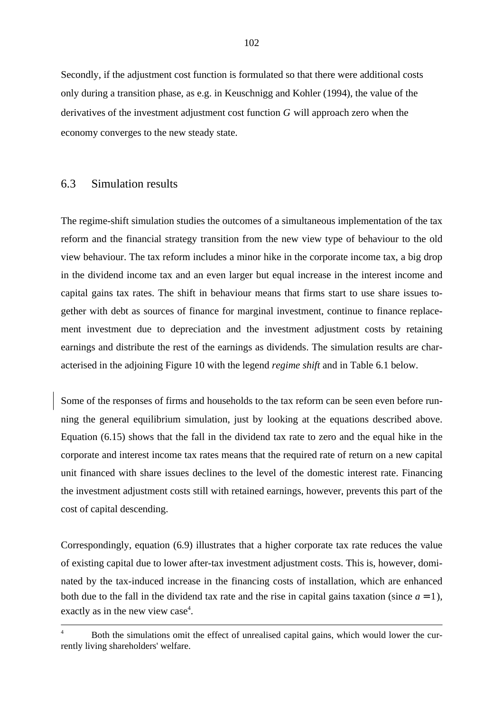Secondly, if the adjustment cost function is formulated so that there were additional costs only during a transition phase, as e.g. in Keuschnigg and Kohler (1994), the value of the derivatives of the investment adjustment cost function  $G$  will approach zero when the economy converges to the new steady state.

### 6.3 Simulation results

The regime-shift simulation studies the outcomes of a simultaneous implementation of the tax reform and the financial strategy transition from the new view type of behaviour to the old view behaviour. The tax reform includes a minor hike in the corporate income tax, a big drop in the dividend income tax and an even larger but equal increase in the interest income and capital gains tax rates. The shift in behaviour means that firms start to use share issues together with debt as sources of finance for marginal investment, continue to finance replacement investment due to depreciation and the investment adjustment costs by retaining earnings and distribute the rest of the earnings as dividends. The simulation results are characterised in the adjoining Figure 10 with the legend *regime shift* and in Table 6.1 below.

Some of the responses of firms and households to the tax reform can be seen even before running the general equilibrium simulation, just by looking at the equations described above. Equation (6.15) shows that the fall in the dividend tax rate to zero and the equal hike in the corporate and interest income tax rates means that the required rate of return on a new capital unit financed with share issues declines to the level of the domestic interest rate. Financing the investment adjustment costs still with retained earnings, however, prevents this part of the cost of capital descending.

Correspondingly, equation (6.9) illustrates that a higher corporate tax rate reduces the value of existing capital due to lower after-tax investment adjustment costs. This is, however, dominated by the tax-induced increase in the financing costs of installation, which are enhanced both due to the fall in the dividend tax rate and the rise in capital gains taxation (since  $a = 1$ ), exactly as in the new view case<sup>4</sup>.

<sup>&</sup>lt;sup>4</sup> Both the simulations omit the effect of unrealised capital gains, which would lower the currently living shareholders' welfare.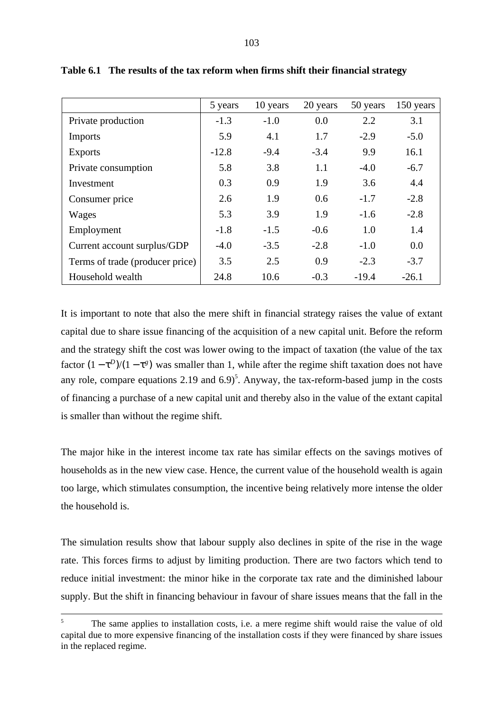|                                 | 5 years | 10 years | 20 years | 50 years | 150 years |
|---------------------------------|---------|----------|----------|----------|-----------|
| Private production              | $-1.3$  | $-1.0$   | 0.0      | 2.2      | 3.1       |
| Imports                         | 5.9     | 4.1      | 1.7      | $-2.9$   | $-5.0$    |
| <b>Exports</b>                  | $-12.8$ | $-9.4$   | $-3.4$   | 9.9      | 16.1      |
| Private consumption             | 5.8     | 3.8      | 1.1      | $-4.0$   | $-6.7$    |
| Investment                      | 0.3     | 0.9      | 1.9      | 3.6      | 4.4       |
| Consumer price                  | 2.6     | 1.9      | 0.6      | $-1.7$   | $-2.8$    |
| Wages                           | 5.3     | 3.9      | 1.9      | $-1.6$   | $-2.8$    |
| Employment                      | $-1.8$  | $-1.5$   | $-0.6$   | 1.0      | 1.4       |
| Current account surplus/GDP     | $-4.0$  | $-3.5$   | $-2.8$   | $-1.0$   | 0.0       |
| Terms of trade (producer price) | 3.5     | 2.5      | 0.9      | $-2.3$   | $-3.7$    |
| Household wealth                | 24.8    | 10.6     | $-0.3$   | $-19.4$  | $-26.1$   |

**Table 6.1 The results of the tax reform when firms shift their financial strategy**

It is important to note that also the mere shift in financial strategy raises the value of extant capital due to share issue financing of the acquisition of a new capital unit. Before the reform and the strategy shift the cost was lower owing to the impact of taxation (the value of the tax factor  $(1 - \tau^D)/(1 - \tau^g)$  was smaller than 1, while after the regime shift taxation does not have any role, compare equations 2.19 and  $6.9$ <sup>5</sup>. Anyway, the tax-reform-based jump in the costs of financing a purchase of a new capital unit and thereby also in the value of the extant capital is smaller than without the regime shift.

The major hike in the interest income tax rate has similar effects on the savings motives of households as in the new view case. Hence, the current value of the household wealth is again too large, which stimulates consumption, the incentive being relatively more intense the older the household is.

The simulation results show that labour supply also declines in spite of the rise in the wage rate. This forces firms to adjust by limiting production. There are two factors which tend to reduce initial investment: the minor hike in the corporate tax rate and the diminished labour supply. But the shift in financing behaviour in favour of share issues means that the fall in the

<sup>5</sup> The same applies to installation costs, i.e. a mere regime shift would raise the value of old capital due to more expensive financing of the installation costs if they were financed by share issues in the replaced regime.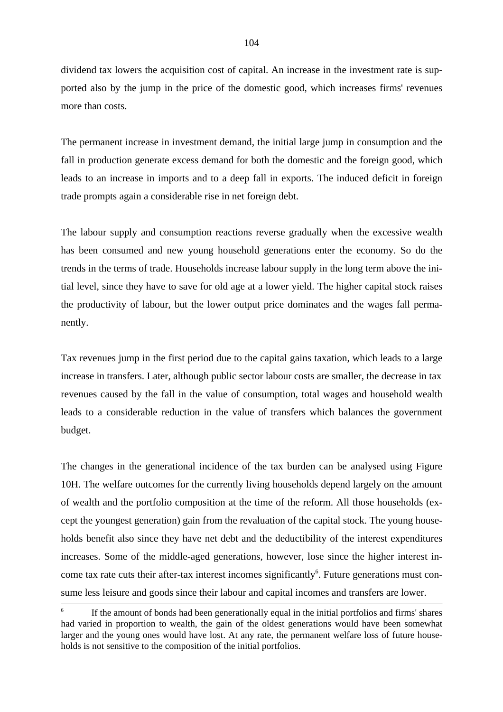dividend tax lowers the acquisition cost of capital. An increase in the investment rate is supported also by the jump in the price of the domestic good, which increases firms' revenues more than costs.

The permanent increase in investment demand, the initial large jump in consumption and the fall in production generate excess demand for both the domestic and the foreign good, which leads to an increase in imports and to a deep fall in exports. The induced deficit in foreign trade prompts again a considerable rise in net foreign debt.

The labour supply and consumption reactions reverse gradually when the excessive wealth has been consumed and new young household generations enter the economy. So do the trends in the terms of trade. Households increase labour supply in the long term above the initial level, since they have to save for old age at a lower yield. The higher capital stock raises the productivity of labour, but the lower output price dominates and the wages fall permanently.

Tax revenues jump in the first period due to the capital gains taxation, which leads to a large increase in transfers. Later, although public sector labour costs are smaller, the decrease in tax revenues caused by the fall in the value of consumption, total wages and household wealth leads to a considerable reduction in the value of transfers which balances the government budget.

The changes in the generational incidence of the tax burden can be analysed using Figure 10H. The welfare outcomes for the currently living households depend largely on the amount of wealth and the portfolio composition at the time of the reform. All those households (except the youngest generation) gain from the revaluation of the capital stock. The young households benefit also since they have net debt and the deductibility of the interest expenditures increases. Some of the middle-aged generations, however, lose since the higher interest income tax rate cuts their after-tax interest incomes significantly<sup>6</sup>. Future generations must consume less leisure and goods since their labour and capital incomes and transfers are lower.

<sup>6</sup> If the amount of bonds had been generationally equal in the initial portfolios and firms' shares had varied in proportion to wealth, the gain of the oldest generations would have been somewhat larger and the young ones would have lost. At any rate, the permanent welfare loss of future households is not sensitive to the composition of the initial portfolios.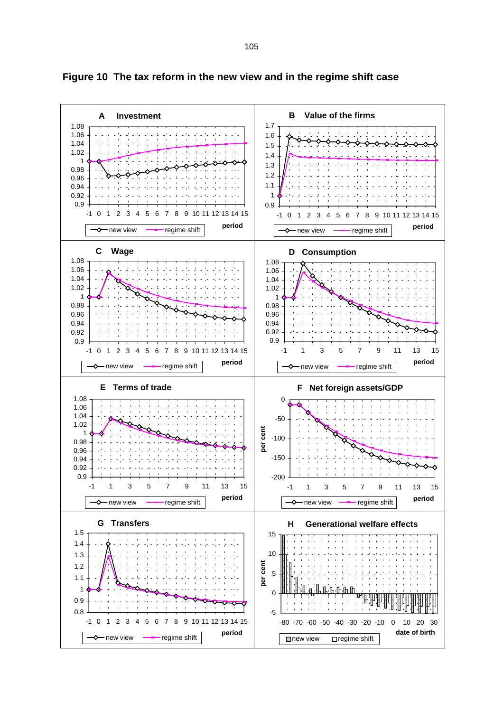

**Figure 10 The tax reform in the new view and in the regime shift case**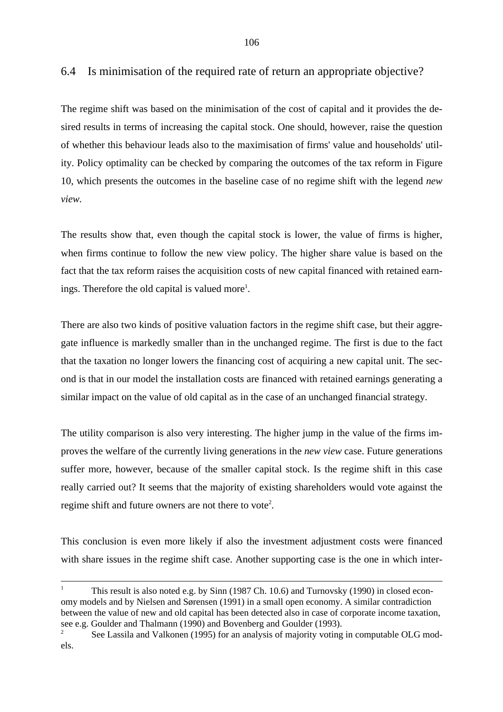The regime shift was based on the minimisation of the cost of capital and it provides the desired results in terms of increasing the capital stock. One should, however, raise the question of whether this behaviour leads also to the maximisation of firms' value and households' utility. Policy optimality can be checked by comparing the outcomes of the tax reform in Figure 10, which presents the outcomes in the baseline case of no regime shift with the legend *new view.*

The results show that, even though the capital stock is lower, the value of firms is higher, when firms continue to follow the new view policy. The higher share value is based on the fact that the tax reform raises the acquisition costs of new capital financed with retained earnings. Therefore the old capital is valued more<sup>1</sup>.

There are also two kinds of positive valuation factors in the regime shift case, but their aggregate influence is markedly smaller than in the unchanged regime. The first is due to the fact that the taxation no longer lowers the financing cost of acquiring a new capital unit. The second is that in our model the installation costs are financed with retained earnings generating a similar impact on the value of old capital as in the case of an unchanged financial strategy.

The utility comparison is also very interesting. The higher jump in the value of the firms improves the welfare of the currently living generations in the *new view* case. Future generations suffer more, however, because of the smaller capital stock. Is the regime shift in this case really carried out? It seems that the majority of existing shareholders would vote against the regime shift and future owners are not there to vote<sup>2</sup>.

This conclusion is even more likely if also the investment adjustment costs were financed with share issues in the regime shift case. Another supporting case is the one in which inter-

<sup>1</sup> This result is also noted e.g. by Sinn (1987 Ch. 10.6) and Turnovsky (1990) in closed economy models and by Nielsen and Sørensen (1991) in a small open economy. A similar contradiction between the value of new and old capital has been detected also in case of corporate income taxation, see e.g. Goulder and Thalmann (1990) and Bovenberg and Goulder (1993).

<sup>2</sup> See Lassila and Valkonen (1995) for an analysis of majority voting in computable OLG models.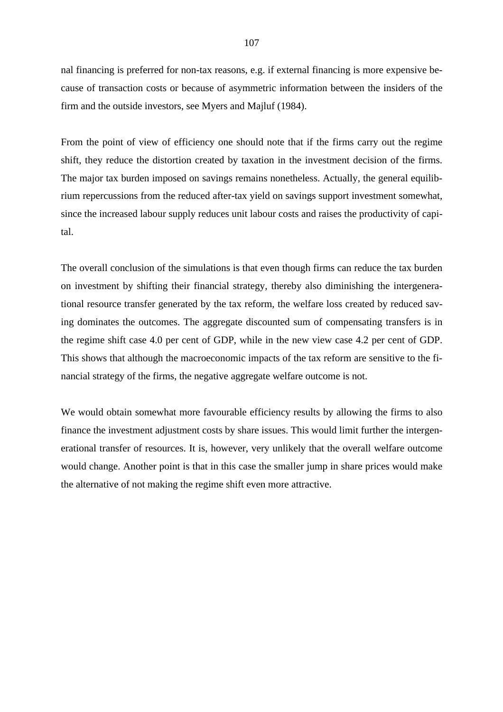nal financing is preferred for non-tax reasons, e.g. if external financing is more expensive because of transaction costs or because of asymmetric information between the insiders of the firm and the outside investors, see Myers and Majluf (1984).

From the point of view of efficiency one should note that if the firms carry out the regime shift, they reduce the distortion created by taxation in the investment decision of the firms. The major tax burden imposed on savings remains nonetheless. Actually, the general equilibrium repercussions from the reduced after-tax yield on savings support investment somewhat, since the increased labour supply reduces unit labour costs and raises the productivity of capital.

The overall conclusion of the simulations is that even though firms can reduce the tax burden on investment by shifting their financial strategy, thereby also diminishing the intergenerational resource transfer generated by the tax reform, the welfare loss created by reduced saving dominates the outcomes. The aggregate discounted sum of compensating transfers is in the regime shift case 4.0 per cent of GDP, while in the new view case 4.2 per cent of GDP. This shows that although the macroeconomic impacts of the tax reform are sensitive to the financial strategy of the firms, the negative aggregate welfare outcome is not.

We would obtain somewhat more favourable efficiency results by allowing the firms to also finance the investment adjustment costs by share issues. This would limit further the intergenerational transfer of resources. It is, however, very unlikely that the overall welfare outcome would change. Another point is that in this case the smaller jump in share prices would make the alternative of not making the regime shift even more attractive.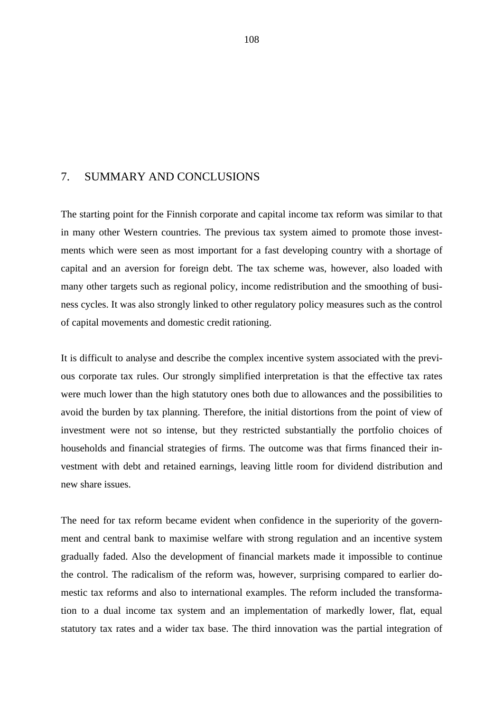#### 7. SUMMARY AND CONCLUSIONS

The starting point for the Finnish corporate and capital income tax reform was similar to that in many other Western countries. The previous tax system aimed to promote those investments which were seen as most important for a fast developing country with a shortage of capital and an aversion for foreign debt. The tax scheme was, however, also loaded with many other targets such as regional policy, income redistribution and the smoothing of business cycles. It was also strongly linked to other regulatory policy measures such as the control of capital movements and domestic credit rationing.

It is difficult to analyse and describe the complex incentive system associated with the previous corporate tax rules. Our strongly simplified interpretation is that the effective tax rates were much lower than the high statutory ones both due to allowances and the possibilities to avoid the burden by tax planning. Therefore, the initial distortions from the point of view of investment were not so intense, but they restricted substantially the portfolio choices of households and financial strategies of firms. The outcome was that firms financed their investment with debt and retained earnings, leaving little room for dividend distribution and new share issues.

The need for tax reform became evident when confidence in the superiority of the government and central bank to maximise welfare with strong regulation and an incentive system gradually faded. Also the development of financial markets made it impossible to continue the control. The radicalism of the reform was, however, surprising compared to earlier domestic tax reforms and also to international examples. The reform included the transformation to a dual income tax system and an implementation of markedly lower, flat, equal statutory tax rates and a wider tax base. The third innovation was the partial integration of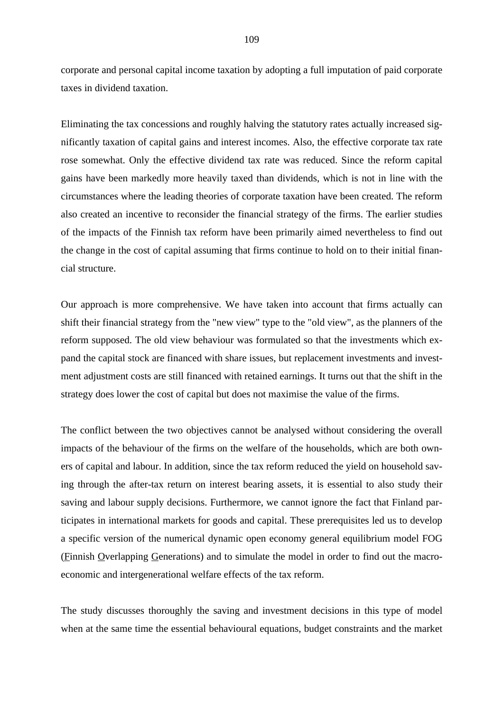corporate and personal capital income taxation by adopting a full imputation of paid corporate taxes in dividend taxation.

Eliminating the tax concessions and roughly halving the statutory rates actually increased significantly taxation of capital gains and interest incomes. Also, the effective corporate tax rate rose somewhat. Only the effective dividend tax rate was reduced. Since the reform capital gains have been markedly more heavily taxed than dividends, which is not in line with the circumstances where the leading theories of corporate taxation have been created. The reform also created an incentive to reconsider the financial strategy of the firms. The earlier studies of the impacts of the Finnish tax reform have been primarily aimed nevertheless to find out the change in the cost of capital assuming that firms continue to hold on to their initial financial structure.

Our approach is more comprehensive. We have taken into account that firms actually can shift their financial strategy from the "new view" type to the "old view", as the planners of the reform supposed. The old view behaviour was formulated so that the investments which expand the capital stock are financed with share issues, but replacement investments and investment adjustment costs are still financed with retained earnings. It turns out that the shift in the strategy does lower the cost of capital but does not maximise the value of the firms.

The conflict between the two objectives cannot be analysed without considering the overall impacts of the behaviour of the firms on the welfare of the households, which are both owners of capital and labour. In addition, since the tax reform reduced the yield on household saving through the after-tax return on interest bearing assets, it is essential to also study their saving and labour supply decisions. Furthermore, we cannot ignore the fact that Finland participates in international markets for goods and capital. These prerequisites led us to develop a specific version of the numerical dynamic open economy general equilibrium model FOG (Finnish Overlapping Generations) and to simulate the model in order to find out the macroeconomic and intergenerational welfare effects of the tax reform.

The study discusses thoroughly the saving and investment decisions in this type of model when at the same time the essential behavioural equations, budget constraints and the market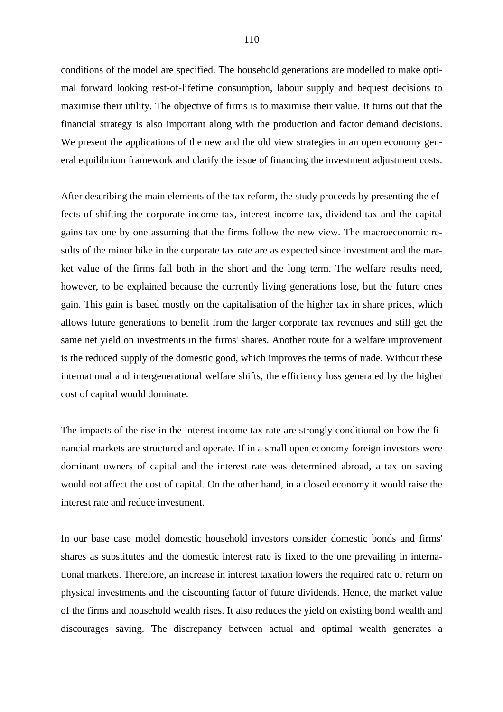conditions of the model are specified. The household generations are modelled to make optimal forward looking rest-of-lifetime consumption, labour supply and bequest decisions to maximise their utility. The objective of firms is to maximise their value. It turns out that the financial strategy is also important along with the production and factor demand decisions. We present the applications of the new and the old view strategies in an open economy general equilibrium framework and clarify the issue of financing the investment adjustment costs.

After describing the main elements of the tax reform, the study proceeds by presenting the effects of shifting the corporate income tax, interest income tax, dividend tax and the capital gains tax one by one assuming that the firms follow the new view. The macroeconomic results of the minor hike in the corporate tax rate are as expected since investment and the market value of the firms fall both in the short and the long term. The welfare results need, however, to be explained because the currently living generations lose, but the future ones gain. This gain is based mostly on the capitalisation of the higher tax in share prices, which allows future generations to benefit from the larger corporate tax revenues and still get the same net yield on investments in the firms' shares. Another route for a welfare improvement is the reduced supply of the domestic good, which improves the terms of trade. Without these international and intergenerational welfare shifts, the efficiency loss generated by the higher cost of capital would dominate.

The impacts of the rise in the interest income tax rate are strongly conditional on how the financial markets are structured and operate. If in a small open economy foreign investors were dominant owners of capital and the interest rate was determined abroad, a tax on saving would not affect the cost of capital. On the other hand, in a closed economy it would raise the interest rate and reduce investment.

In our base case model domestic household investors consider domestic bonds and firms' shares as substitutes and the domestic interest rate is fixed to the one prevailing in international markets. Therefore, an increase in interest taxation lowers the required rate of return on physical investments and the discounting factor of future dividends. Hence, the market value of the firms and household wealth rises. It also reduces the yield on existing bond wealth and discourages saving. The discrepancy between actual and optimal wealth generates a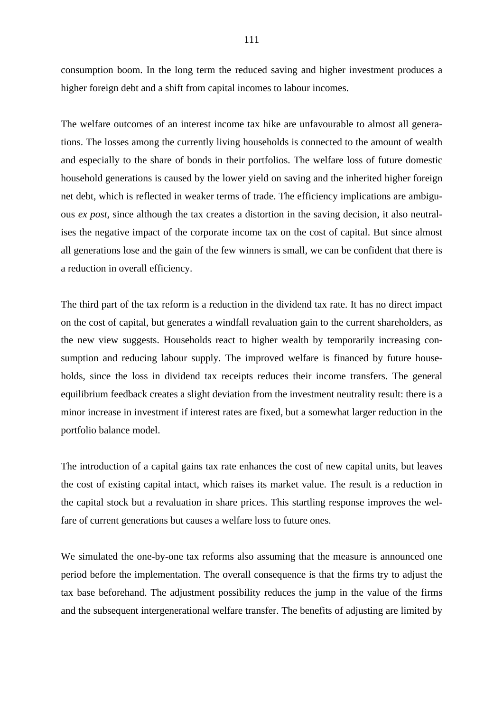consumption boom. In the long term the reduced saving and higher investment produces a higher foreign debt and a shift from capital incomes to labour incomes.

The welfare outcomes of an interest income tax hike are unfavourable to almost all generations. The losses among the currently living households is connected to the amount of wealth and especially to the share of bonds in their portfolios. The welfare loss of future domestic household generations is caused by the lower yield on saving and the inherited higher foreign net debt, which is reflected in weaker terms of trade. The efficiency implications are ambiguous *ex post*, since although the tax creates a distortion in the saving decision, it also neutralises the negative impact of the corporate income tax on the cost of capital. But since almost all generations lose and the gain of the few winners is small, we can be confident that there is a reduction in overall efficiency.

The third part of the tax reform is a reduction in the dividend tax rate. It has no direct impact on the cost of capital, but generates a windfall revaluation gain to the current shareholders, as the new view suggests. Households react to higher wealth by temporarily increasing consumption and reducing labour supply. The improved welfare is financed by future households, since the loss in dividend tax receipts reduces their income transfers. The general equilibrium feedback creates a slight deviation from the investment neutrality result: there is a minor increase in investment if interest rates are fixed, but a somewhat larger reduction in the portfolio balance model.

The introduction of a capital gains tax rate enhances the cost of new capital units, but leaves the cost of existing capital intact, which raises its market value. The result is a reduction in the capital stock but a revaluation in share prices. This startling response improves the welfare of current generations but causes a welfare loss to future ones.

We simulated the one-by-one tax reforms also assuming that the measure is announced one period before the implementation. The overall consequence is that the firms try to adjust the tax base beforehand. The adjustment possibility reduces the jump in the value of the firms and the subsequent intergenerational welfare transfer. The benefits of adjusting are limited by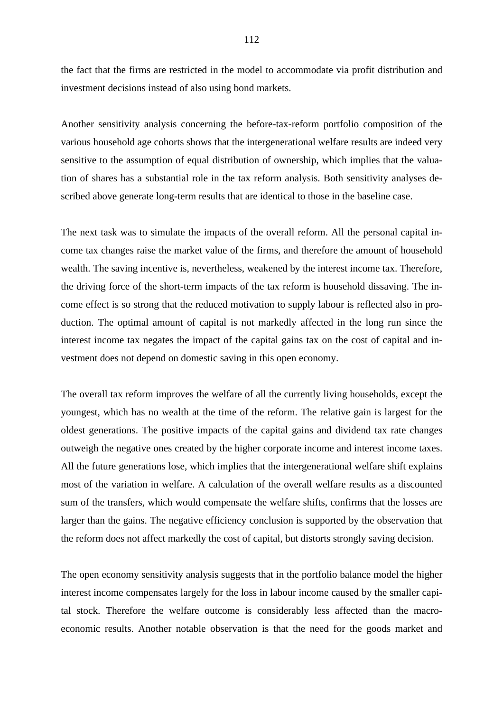the fact that the firms are restricted in the model to accommodate via profit distribution and investment decisions instead of also using bond markets.

Another sensitivity analysis concerning the before-tax-reform portfolio composition of the various household age cohorts shows that the intergenerational welfare results are indeed very sensitive to the assumption of equal distribution of ownership, which implies that the valuation of shares has a substantial role in the tax reform analysis. Both sensitivity analyses described above generate long-term results that are identical to those in the baseline case.

The next task was to simulate the impacts of the overall reform. All the personal capital income tax changes raise the market value of the firms, and therefore the amount of household wealth. The saving incentive is, nevertheless, weakened by the interest income tax. Therefore, the driving force of the short-term impacts of the tax reform is household dissaving. The income effect is so strong that the reduced motivation to supply labour is reflected also in production. The optimal amount of capital is not markedly affected in the long run since the interest income tax negates the impact of the capital gains tax on the cost of capital and investment does not depend on domestic saving in this open economy.

The overall tax reform improves the welfare of all the currently living households, except the youngest, which has no wealth at the time of the reform. The relative gain is largest for the oldest generations. The positive impacts of the capital gains and dividend tax rate changes outweigh the negative ones created by the higher corporate income and interest income taxes. All the future generations lose, which implies that the intergenerational welfare shift explains most of the variation in welfare. A calculation of the overall welfare results as a discounted sum of the transfers, which would compensate the welfare shifts, confirms that the losses are larger than the gains. The negative efficiency conclusion is supported by the observation that the reform does not affect markedly the cost of capital, but distorts strongly saving decision.

The open economy sensitivity analysis suggests that in the portfolio balance model the higher interest income compensates largely for the loss in labour income caused by the smaller capital stock. Therefore the welfare outcome is considerably less affected than the macroeconomic results. Another notable observation is that the need for the goods market and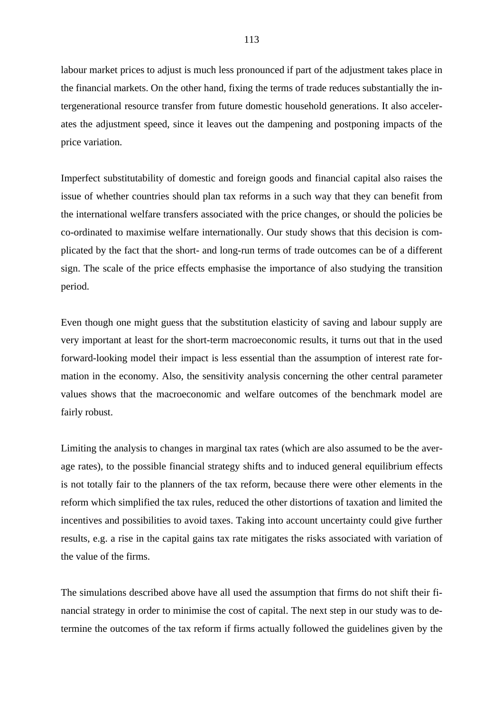labour market prices to adjust is much less pronounced if part of the adjustment takes place in the financial markets. On the other hand, fixing the terms of trade reduces substantially the intergenerational resource transfer from future domestic household generations. It also accelerates the adjustment speed, since it leaves out the dampening and postponing impacts of the price variation.

Imperfect substitutability of domestic and foreign goods and financial capital also raises the issue of whether countries should plan tax reforms in a such way that they can benefit from the international welfare transfers associated with the price changes, or should the policies be co-ordinated to maximise welfare internationally. Our study shows that this decision is complicated by the fact that the short- and long-run terms of trade outcomes can be of a different sign. The scale of the price effects emphasise the importance of also studying the transition period.

Even though one might guess that the substitution elasticity of saving and labour supply are very important at least for the short-term macroeconomic results, it turns out that in the used forward-looking model their impact is less essential than the assumption of interest rate formation in the economy. Also, the sensitivity analysis concerning the other central parameter values shows that the macroeconomic and welfare outcomes of the benchmark model are fairly robust.

Limiting the analysis to changes in marginal tax rates (which are also assumed to be the average rates), to the possible financial strategy shifts and to induced general equilibrium effects is not totally fair to the planners of the tax reform, because there were other elements in the reform which simplified the tax rules, reduced the other distortions of taxation and limited the incentives and possibilities to avoid taxes. Taking into account uncertainty could give further results, e.g. a rise in the capital gains tax rate mitigates the risks associated with variation of the value of the firms.

The simulations described above have all used the assumption that firms do not shift their financial strategy in order to minimise the cost of capital. The next step in our study was to determine the outcomes of the tax reform if firms actually followed the guidelines given by the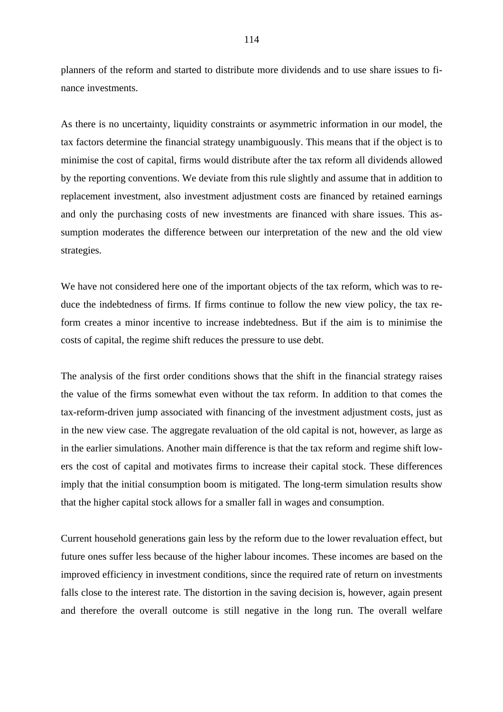planners of the reform and started to distribute more dividends and to use share issues to finance investments.

As there is no uncertainty, liquidity constraints or asymmetric information in our model, the tax factors determine the financial strategy unambiguously. This means that if the object is to minimise the cost of capital, firms would distribute after the tax reform all dividends allowed by the reporting conventions. We deviate from this rule slightly and assume that in addition to replacement investment, also investment adjustment costs are financed by retained earnings and only the purchasing costs of new investments are financed with share issues. This assumption moderates the difference between our interpretation of the new and the old view strategies.

We have not considered here one of the important objects of the tax reform, which was to reduce the indebtedness of firms. If firms continue to follow the new view policy, the tax reform creates a minor incentive to increase indebtedness. But if the aim is to minimise the costs of capital, the regime shift reduces the pressure to use debt.

The analysis of the first order conditions shows that the shift in the financial strategy raises the value of the firms somewhat even without the tax reform. In addition to that comes the tax-reform-driven jump associated with financing of the investment adjustment costs, just as in the new view case. The aggregate revaluation of the old capital is not, however, as large as in the earlier simulations. Another main difference is that the tax reform and regime shift lowers the cost of capital and motivates firms to increase their capital stock. These differences imply that the initial consumption boom is mitigated. The long-term simulation results show that the higher capital stock allows for a smaller fall in wages and consumption.

Current household generations gain less by the reform due to the lower revaluation effect, but future ones suffer less because of the higher labour incomes. These incomes are based on the improved efficiency in investment conditions, since the required rate of return on investments falls close to the interest rate. The distortion in the saving decision is, however, again present and therefore the overall outcome is still negative in the long run. The overall welfare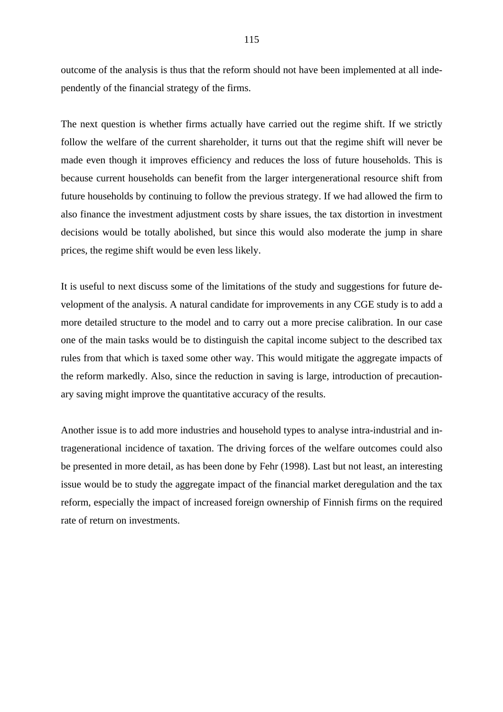outcome of the analysis is thus that the reform should not have been implemented at all independently of the financial strategy of the firms.

The next question is whether firms actually have carried out the regime shift. If we strictly follow the welfare of the current shareholder, it turns out that the regime shift will never be made even though it improves efficiency and reduces the loss of future households. This is because current households can benefit from the larger intergenerational resource shift from future households by continuing to follow the previous strategy. If we had allowed the firm to also finance the investment adjustment costs by share issues, the tax distortion in investment decisions would be totally abolished, but since this would also moderate the jump in share prices, the regime shift would be even less likely.

It is useful to next discuss some of the limitations of the study and suggestions for future development of the analysis. A natural candidate for improvements in any CGE study is to add a more detailed structure to the model and to carry out a more precise calibration. In our case one of the main tasks would be to distinguish the capital income subject to the described tax rules from that which is taxed some other way. This would mitigate the aggregate impacts of the reform markedly. Also, since the reduction in saving is large, introduction of precautionary saving might improve the quantitative accuracy of the results.

Another issue is to add more industries and household types to analyse intra-industrial and intragenerational incidence of taxation. The driving forces of the welfare outcomes could also be presented in more detail, as has been done by Fehr (1998). Last but not least, an interesting issue would be to study the aggregate impact of the financial market deregulation and the tax reform, especially the impact of increased foreign ownership of Finnish firms on the required rate of return on investments.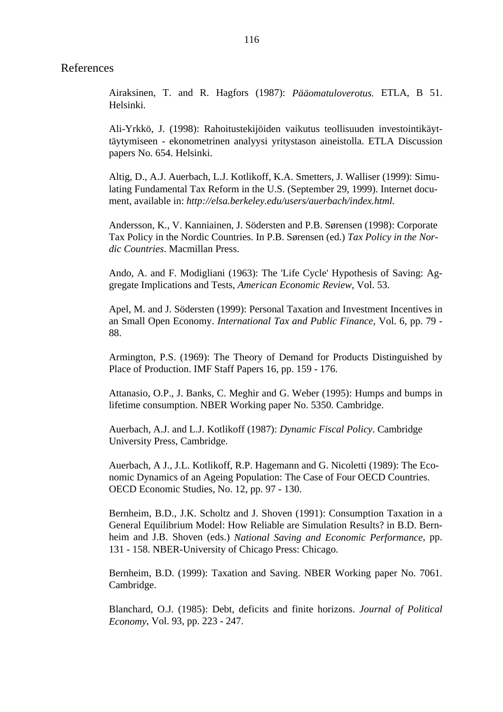#### References

Airaksinen, T. and R. Hagfors (1987): *Pääomatuloverotus.* ETLA, B 51. Helsinki.

Ali-Yrkkö, J. (1998): Rahoitustekijöiden vaikutus teollisuuden investointikäyttäytymiseen - ekonometrinen analyysi yritystason aineistolla. ETLA Discussion papers No. 654. Helsinki.

Altig, D., A.J. Auerbach, L.J. Kotlikoff, K.A. Smetters, J. Walliser (1999): Simulating Fundamental Tax Reform in the U.S. (September 29, 1999). Internet document, available in: *http://elsa.berkeley.edu/users/auerbach/index.html.*

Andersson, K., V. Kanniainen, J. Södersten and P.B. Sørensen (1998): Corporate Tax Policy in the Nordic Countries. In P.B. Sørensen (ed.) *Tax Policy in the Nordic Countries*. Macmillan Press.

Ando, A. and F. Modigliani (1963): The 'Life Cycle' Hypothesis of Saving: Aggregate Implications and Tests, *American Economic Review*, Vol. 53.

Apel, M. and J. Södersten (1999): Personal Taxation and Investment Incentives in an Small Open Economy. *International Tax and Public Finance*, Vol. 6, pp. 79 - 88.

Armington, P.S. (1969): The Theory of Demand for Products Distinguished by Place of Production. IMF Staff Papers 16, pp. 159 - 176.

Attanasio, O.P., J. Banks, C. Meghir and G. Weber (1995): Humps and bumps in lifetime consumption. NBER Working paper No. 5350. Cambridge.

Auerbach, A.J. and L.J. Kotlikoff (1987): *Dynamic Fiscal Policy*. Cambridge University Press, Cambridge.

Auerbach, A J., J.L. Kotlikoff, R.P. Hagemann and G. Nicoletti (1989): The Economic Dynamics of an Ageing Population: The Case of Four OECD Countries. OECD Economic Studies, No. 12, pp. 97 - 130.

Bernheim, B.D., J.K. Scholtz and J. Shoven (1991): Consumption Taxation in a General Equilibrium Model: How Reliable are Simulation Results? in B.D. Bernheim and J.B. Shoven (eds.) *National Saving and Economic Performance*, pp. 131 - 158. NBER-University of Chicago Press: Chicago.

Bernheim, B.D. (1999): Taxation and Saving. NBER Working paper No. 7061. Cambridge.

Blanchard, O.J. (1985): Debt, deficits and finite horizons. *Journal of Political Economy*, Vol. 93, pp. 223 - 247.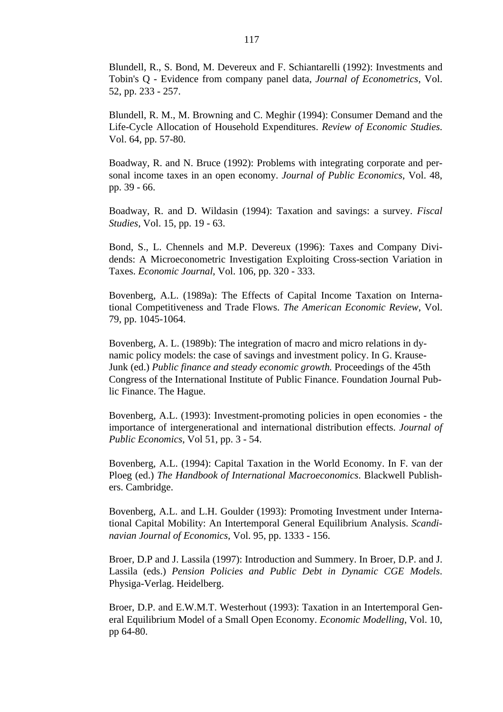Blundell, R., S. Bond, M. Devereux and F. Schiantarelli (1992): Investments and Tobin's Q - Evidence from company panel data, *Journal of Econometrics*, Vol. 52, pp. 233 - 257.

Blundell, R. M., M. Browning and C. Meghir (1994): Consumer Demand and the Life-Cycle Allocation of Household Expenditures. *Review of Economic Studies*. Vol. 64, pp. 57-80.

Boadway, R. and N. Bruce (1992): Problems with integrating corporate and personal income taxes in an open economy. *Journal of Public Economics*, Vol. 48, pp. 39 - 66.

Boadway, R. and D. Wildasin (1994): Taxation and savings: a survey. *Fiscal Studies*, Vol. 15, pp. 19 - 63.

Bond, S., L. Chennels and M.P. Devereux (1996): Taxes and Company Dividends: A Microeconometric Investigation Exploiting Cross-section Variation in Taxes. *Economic Journal*, Vol. 106, pp. 320 - 333.

Bovenberg, A.L. (1989a): The Effects of Capital Income Taxation on International Competitiveness and Trade Flows. *The American Economic Review*, Vol. 79, pp. 1045-1064.

Bovenberg, A. L. (1989b): The integration of macro and micro relations in dynamic policy models: the case of savings and investment policy. In G. Krause-Junk (ed.) *Public finance and steady economic growth.* Proceedings of the 45th Congress of the International Institute of Public Finance. Foundation Journal Public Finance. The Hague.

Bovenberg, A.L. (1993): Investment-promoting policies in open economies - the importance of intergenerational and international distribution effects. *Journal of Public Economics*, Vol 51, pp. 3 - 54.

Bovenberg, A.L. (1994): Capital Taxation in the World Economy. In F. van der Ploeg (ed.) *The Handbook of International Macroeconomics*. Blackwell Publishers. Cambridge.

Bovenberg, A.L. and L.H. Goulder (1993): Promoting Investment under International Capital Mobility: An Intertemporal General Equilibrium Analysis. *Scandinavian Journal of Economics*, Vol. 95, pp. 1333 - 156.

Broer, D.P and J. Lassila (1997): Introduction and Summery. In Broer, D.P. and J. Lassila (eds.) *Pension Policies and Public Debt in Dynamic CGE Models*. Physiga-Verlag. Heidelberg.

Broer, D.P. and E.W.M.T. Westerhout (1993): Taxation in an Intertemporal General Equilibrium Model of a Small Open Economy. *Economic Modelling*, Vol. 10, pp 64-80.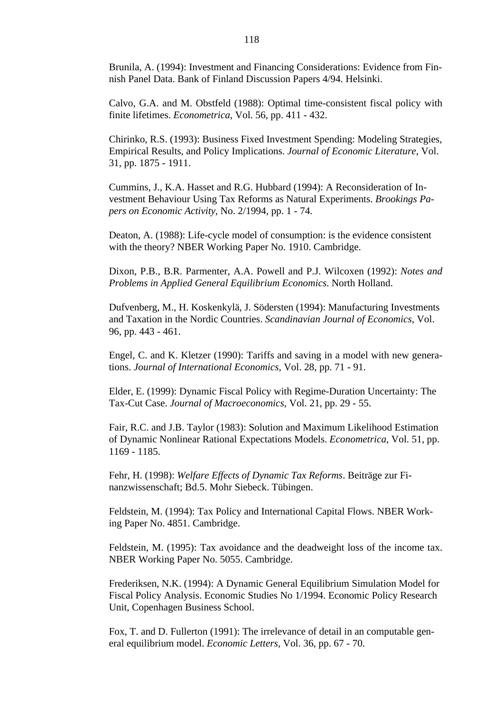Brunila, A. (1994): Investment and Financing Considerations: Evidence from Finnish Panel Data. Bank of Finland Discussion Papers 4/94. Helsinki.

Calvo, G.A. and M. Obstfeld (1988): Optimal time-consistent fiscal policy with finite lifetimes. *Econometrica*, Vol. 56, pp. 411 - 432.

Chirinko, R.S. (1993): Business Fixed Investment Spending: Modeling Strategies, Empirical Results, and Policy Implications. *Journal of Economic Literature*, Vol. 31, pp. 1875 - 1911.

Cummins, J., K.A. Hasset and R.G. Hubbard (1994): A Reconsideration of Investment Behaviour Using Tax Reforms as Natural Experiments. *Brookings Papers on Economic Activity*, No. 2/1994, pp. 1 - 74.

Deaton, A. (1988): Life-cycle model of consumption: is the evidence consistent with the theory? NBER Working Paper No. 1910. Cambridge.

Dixon, P.B., B.R. Parmenter, A.A. Powell and P.J. Wilcoxen (1992): *Notes and Problems in Applied General Equilibrium Economics*. North Holland.

Dufvenberg, M., H. Koskenkylä, J. Södersten (1994): Manufacturing Investments and Taxation in the Nordic Countries. *Scandinavian Journal of Economics*, Vol. 96, pp. 443 - 461.

Engel, C. and K. Kletzer (1990): Tariffs and saving in a model with new generations. *Journal of International Economics*, Vol. 28, pp. 71 - 91.

Elder, E. (1999): Dynamic Fiscal Policy with Regime-Duration Uncertainty: The Tax-Cut Case. *Journal of Macroeconomics*, Vol. 21, pp. 29 - 55.

Fair, R.C. and J.B. Taylor (1983): Solution and Maximum Likelihood Estimation of Dynamic Nonlinear Rational Expectations Models. *Econometrica*, Vol. 51, pp. 1169 - 1185.

Fehr, H. (1998): *Welfare Effects of Dynamic Tax Reforms*. Beiträge zur Finanzwissenschaft; Bd.5. Mohr Siebeck. Tübingen.

Feldstein, M. (1994): Tax Policy and International Capital Flows. NBER Working Paper No. 4851. Cambridge.

Feldstein, M. (1995): Tax avoidance and the deadweight loss of the income tax. NBER Working Paper No. 5055. Cambridge.

Frederiksen, N.K. (1994): A Dynamic General Equilibrium Simulation Model for Fiscal Policy Analysis. Economic Studies No 1/1994. Economic Policy Research Unit, Copenhagen Business School.

Fox, T. and D. Fullerton (1991): The irrelevance of detail in an computable general equilibrium model. *Economic Letters*, Vol. 36, pp. 67 - 70.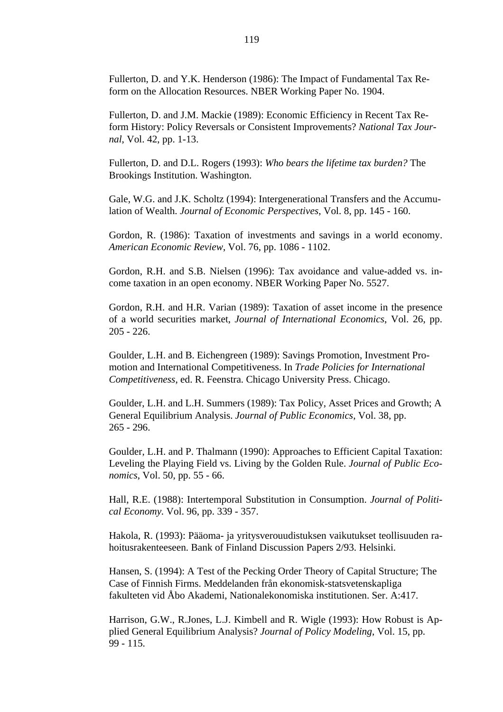Fullerton, D. and Y.K. Henderson (1986): The Impact of Fundamental Tax Reform on the Allocation Resources. NBER Working Paper No. 1904.

Fullerton, D. and J.M. Mackie (1989): Economic Efficiency in Recent Tax Reform History: Policy Reversals or Consistent Improvements? *National Tax Journal*, Vol. 42, pp. 1-13.

Fullerton, D. and D.L. Rogers (1993): *Who bears the lifetime tax burden?* The Brookings Institution. Washington.

Gale, W.G. and J.K. Scholtz (1994): Intergenerational Transfers and the Accumulation of Wealth. *Journal of Economic Perspectives*, Vol. 8, pp. 145 - 160.

Gordon, R. (1986): Taxation of investments and savings in a world economy. *American Economic Review*, Vol. 76, pp. 1086 - 1102.

Gordon, R.H. and S.B. Nielsen (1996): Tax avoidance and value-added vs. income taxation in an open economy. NBER Working Paper No. 5527.

Gordon, R.H. and H.R. Varian (1989): Taxation of asset income in the presence of a world securities market, *Journal of International Economics*, Vol. 26, pp. 205 - 226.

Goulder, L.H. and B. Eichengreen (1989): Savings Promotion, Investment Promotion and International Competitiveness. In *Trade Policies for International Competitiveness*, ed. R. Feenstra. Chicago University Press. Chicago.

Goulder, L.H. and L.H. Summers (1989): Tax Policy, Asset Prices and Growth; A General Equilibrium Analysis. *Journal of Public Economics*, Vol. 38, pp. 265 - 296.

Goulder, L.H. and P. Thalmann (1990): Approaches to Efficient Capital Taxation: Leveling the Playing Field vs. Living by the Golden Rule. *Journal of Public Economics*, Vol. 50, pp. 55 - 66.

Hall, R.E. (1988): Intertemporal Substitution in Consumption. *Journal of Political Economy.* Vol. 96, pp. 339 - 357.

Hakola, R. (1993): Pääoma- ja yritysverouudistuksen vaikutukset teollisuuden rahoitusrakenteeseen. Bank of Finland Discussion Papers 2/93. Helsinki.

Hansen, S. (1994): A Test of the Pecking Order Theory of Capital Structure; The Case of Finnish Firms. Meddelanden från ekonomisk-statsvetenskapliga fakulteten vid Åbo Akademi, Nationalekonomiska institutionen. Ser. A:417.

Harrison, G.W., R.Jones, L.J. Kimbell and R. Wigle (1993): How Robust is Applied General Equilibrium Analysis? *Journal of Policy Modeling*, Vol. 15, pp. 99 - 115.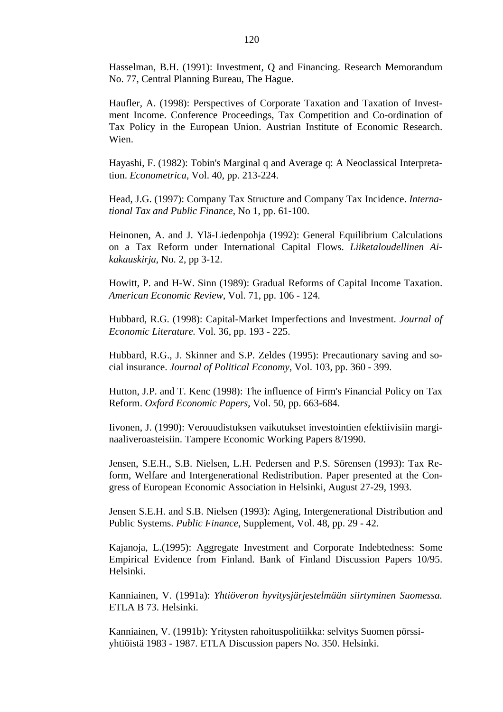Hasselman, B.H. (1991): Investment, Q and Financing. Research Memorandum No. 77, Central Planning Bureau, The Hague.

Haufler, A. (1998): Perspectives of Corporate Taxation and Taxation of Investment Income. Conference Proceedings, Tax Competition and Co-ordination of Tax Policy in the European Union. Austrian Institute of Economic Research. Wien.

Hayashi, F. (1982): Tobin's Marginal q and Average q: A Neoclassical Interpretation. *Econometrica*, Vol. 40, pp. 213-224.

Head, J.G. (1997): Company Tax Structure and Company Tax Incidence. *International Tax and Public Finance*, No 1, pp. 61-100.

Heinonen, A. and J. Ylä-Liedenpohja (1992): General Equilibrium Calculations on a Tax Reform under International Capital Flows. *Liiketaloudellinen Aikakauskirja*, No. 2, pp 3-12.

Howitt, P. and H-W. Sinn (1989): Gradual Reforms of Capital Income Taxation. *American Economic Review*, Vol. 71, pp. 106 - 124.

Hubbard, R.G. (1998): Capital-Market Imperfections and Investment. *Journal of Economic Literature.* Vol. 36, pp. 193 - 225.

Hubbard, R.G., J. Skinner and S.P. Zeldes (1995): Precautionary saving and social insurance. *Journal of Political Economy*, Vol. 103, pp. 360 - 399.

Hutton, J.P. and T. Kenc (1998): The influence of Firm's Financial Policy on Tax Reform. *Oxford Economic Papers*, Vol. 50, pp. 663-684.

Iivonen, J. (1990): Verouudistuksen vaikutukset investointien efektiivisiin marginaaliveroasteisiin. Tampere Economic Working Papers 8/1990.

Jensen, S.E.H., S.B. Nielsen, L.H. Pedersen and P.S. Sörensen (1993): Tax Reform, Welfare and Intergenerational Redistribution. Paper presented at the Congress of European Economic Association in Helsinki, August 27-29, 1993.

Jensen S.E.H. and S.B. Nielsen (1993): Aging, Intergenerational Distribution and Public Systems. *Public Finance*, Supplement, Vol. 48, pp. 29 - 42.

Kajanoja, L.(1995): Aggregate Investment and Corporate Indebtedness: Some Empirical Evidence from Finland. Bank of Finland Discussion Papers 10/95. Helsinki.

Kanniainen, V. (1991a): *Yhtiöveron hyvitysjärjestelmään siirtyminen Suomessa.* ETLA B 73. Helsinki.

Kanniainen, V. (1991b): Yritysten rahoituspolitiikka: selvitys Suomen pörssiyhtiöistä 1983 - 1987. ETLA Discussion papers No. 350. Helsinki.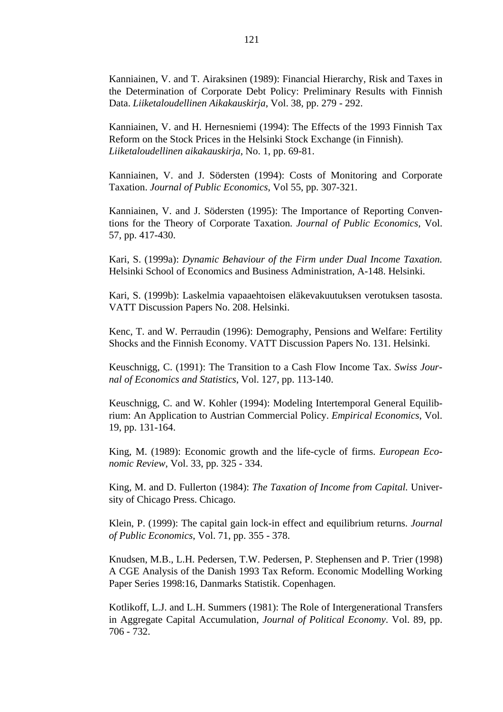Kanniainen, V. and T. Airaksinen (1989): Financial Hierarchy, Risk and Taxes in the Determination of Corporate Debt Policy: Preliminary Results with Finnish Data. *Liiketaloudellinen Aikakauskirja*, Vol. 38, pp. 279 - 292.

Kanniainen, V. and H. Hernesniemi (1994): The Effects of the 1993 Finnish Tax Reform on the Stock Prices in the Helsinki Stock Exchange (in Finnish). *Liiketaloudellinen aikakauskirja*, No. 1, pp. 69-81.

Kanniainen, V. and J. Södersten (1994): Costs of Monitoring and Corporate Taxation. *Journal of Public Economics*, Vol 55, pp. 307-321.

Kanniainen, V. and J. Södersten (1995): The Importance of Reporting Conventions for the Theory of Corporate Taxation. *Journal of Public Economics,* Vol. 57, pp. 417-430.

Kari, S. (1999a): *Dynamic Behaviour of the Firm under Dual Income Taxation.* Helsinki School of Economics and Business Administration, A-148. Helsinki.

Kari, S. (1999b): Laskelmia vapaaehtoisen eläkevakuutuksen verotuksen tasosta. VATT Discussion Papers No. 208. Helsinki.

Kenc, T. and W. Perraudin (1996): Demography, Pensions and Welfare: Fertility Shocks and the Finnish Economy. VATT Discussion Papers No. 131. Helsinki.

Keuschnigg, C. (1991): The Transition to a Cash Flow Income Tax. *Swiss Journal of Economics and Statistics*, Vol. 127, pp. 113-140.

Keuschnigg, C. and W. Kohler (1994): Modeling Intertemporal General Equilibrium: An Application to Austrian Commercial Policy. *Empirical Economics*, Vol. 19, pp. 131-164.

King, M. (1989): Economic growth and the life-cycle of firms. *European Economic Review*, Vol. 33, pp. 325 - 334.

King, M. and D. Fullerton (1984): *The Taxation of Income from Capital.* University of Chicago Press. Chicago.

Klein, P. (1999): The capital gain lock-in effect and equilibrium returns. *Journal of Public Economics*, Vol. 71, pp. 355 - 378.

Knudsen, M.B., L.H. Pedersen, T.W. Pedersen, P. Stephensen and P. Trier (1998) A CGE Analysis of the Danish 1993 Tax Reform. Economic Modelling Working Paper Series 1998:16, Danmarks Statistik. Copenhagen.

Kotlikoff, L.J. and L.H. Summers (1981): The Role of Intergenerational Transfers in Aggregate Capital Accumulation, *Journal of Political Economy*. Vol. 89, pp. 706 - 732.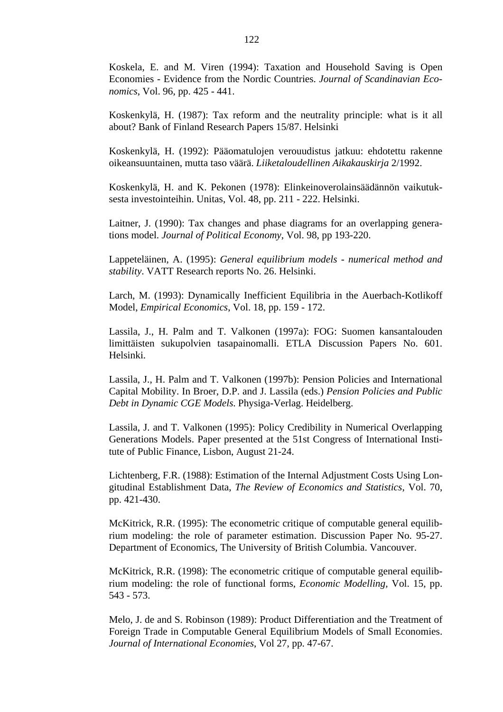Koskela, E. and M. Viren (1994): Taxation and Household Saving is Open Economies - Evidence from the Nordic Countries. *Journal of Scandinavian Economics*, Vol. 96, pp. 425 - 441.

Koskenkylä, H. (1987): Tax reform and the neutrality principle: what is it all about? Bank of Finland Research Papers 15/87. Helsinki

Koskenkylä, H. (1992): Pääomatulojen verouudistus jatkuu: ehdotettu rakenne oikeansuuntainen, mutta taso väärä. *Liiketaloudellinen Aikakauskirja* 2/1992.

Koskenkylä, H. and K. Pekonen (1978): Elinkeinoverolainsäädännön vaikutuksesta investointeihin. Unitas, Vol. 48, pp. 211 - 222. Helsinki.

Laitner, J. (1990): Tax changes and phase diagrams for an overlapping generations model. *Journal of Political Economy*, Vol. 98, pp 193-220.

Lappeteläinen, A. (1995): *General equilibrium models - numerical method and stability*. VATT Research reports No. 26. Helsinki.

Larch, M. (1993): Dynamically Inefficient Equilibria in the Auerbach-Kotlikoff Model, *Empirical Economics*, Vol. 18, pp. 159 - 172.

Lassila, J., H. Palm and T. Valkonen (1997a): FOG: Suomen kansantalouden limittäisten sukupolvien tasapainomalli. ETLA Discussion Papers No. 601. Helsinki.

Lassila, J., H. Palm and T. Valkonen (1997b): Pension Policies and International Capital Mobility. In Broer, D.P. and J. Lassila (eds.) *Pension Policies and Public Debt in Dynamic CGE Models*. Physiga-Verlag. Heidelberg.

Lassila, J. and T. Valkonen (1995): Policy Credibility in Numerical Overlapping Generations Models. Paper presented at the 51st Congress of International Institute of Public Finance, Lisbon, August 21-24.

Lichtenberg, F.R. (1988): Estimation of the Internal Adjustment Costs Using Longitudinal Establishment Data, *The Review of Economics and Statistics*, Vol. 70, pp. 421-430.

McKitrick, R.R. (1995): The econometric critique of computable general equilibrium modeling: the role of parameter estimation. Discussion Paper No. 95-27. Department of Economics, The University of British Columbia. Vancouver.

McKitrick, R.R. (1998): The econometric critique of computable general equilibrium modeling: the role of functional forms, *Economic Modelling,* Vol. 15, pp. 543 - 573.

Melo, J. de and S. Robinson (1989): Product Differentiation and the Treatment of Foreign Trade in Computable General Equilibrium Models of Small Economies. *Journal of International Economies*, Vol 27, pp. 47-67.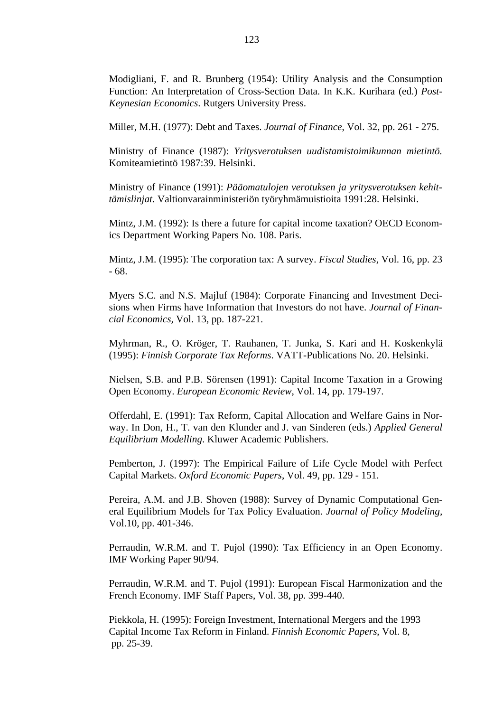Modigliani, F. and R. Brunberg (1954): Utility Analysis and the Consumption Function: An Interpretation of Cross-Section Data. In K.K. Kurihara (ed.) *Post-Keynesian Economics*. Rutgers University Press.

Miller, M.H. (1977): Debt and Taxes. *Journal of Finance*, Vol. 32, pp. 261 - 275.

Ministry of Finance (1987): *Yritysverotuksen uudistamistoimikunnan mietintö.* Komiteamietintö 1987:39. Helsinki.

Ministry of Finance (1991): *Pääomatulojen verotuksen ja yritysverotuksen kehittämislinjat.* Valtionvarainministeriön työryhmämuistioita 1991:28. Helsinki.

Mintz, J.M. (1992): Is there a future for capital income taxation? OECD Economics Department Working Papers No. 108. Paris.

Mintz, J.M. (1995): The corporation tax: A survey. *Fiscal Studies*, Vol. 16, pp. 23 - 68.

Myers S.C. and N.S. Majluf (1984): Corporate Financing and Investment Decisions when Firms have Information that Investors do not have. *Journal of Financial Economics,* Vol. 13, pp. 187-221.

Myhrman, R., O. Kröger, T. Rauhanen, T. Junka, S. Kari and H. Koskenkylä (1995): *Finnish Corporate Tax Reforms*. VATT-Publications No. 20. Helsinki.

Nielsen, S.B. and P.B. Sörensen (1991): Capital Income Taxation in a Growing Open Economy. *European Economic Review*, Vol. 14, pp. 179-197.

Offerdahl, E. (1991): Tax Reform, Capital Allocation and Welfare Gains in Norway. In Don, H., T. van den Klunder and J. van Sinderen (eds.) *Applied General Equilibrium Modelling*. Kluwer Academic Publishers.

Pemberton, J. (1997): The Empirical Failure of Life Cycle Model with Perfect Capital Markets. *Oxford Economic Papers*, Vol. 49, pp. 129 - 151.

Pereira, A.M. and J.B. Shoven (1988): Survey of Dynamic Computational General Equilibrium Models for Tax Policy Evaluation. *Journal of Policy Modeling,* Vol.10, pp. 401-346.

Perraudin, W.R.M. and T. Pujol (1990): Tax Efficiency in an Open Economy. IMF Working Paper 90/94.

Perraudin, W.R.M. and T. Pujol (1991): European Fiscal Harmonization and the French Economy. IMF Staff Papers, Vol. 38, pp. 399-440.

Piekkola, H. (1995): Foreign Investment, International Mergers and the 1993 Capital Income Tax Reform in Finland. *Finnish Economic Papers*, Vol. 8, pp. 25-39.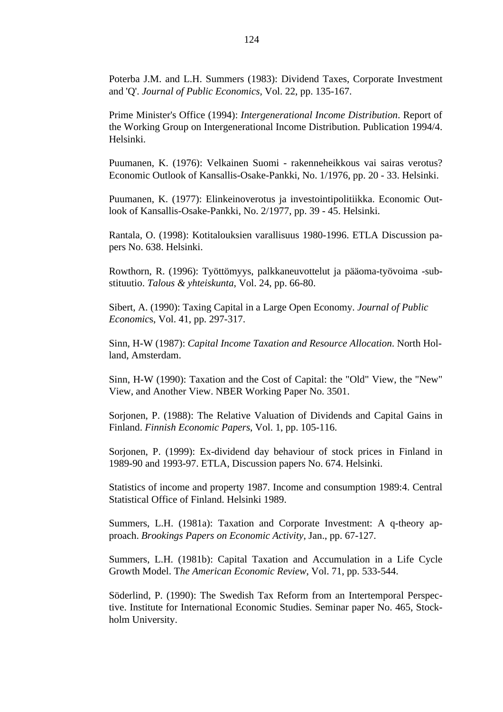Poterba J.M. and L.H. Summers (1983): Dividend Taxes, Corporate Investment and 'Q'. *Journal of Public Economics,* Vol. 22, pp. 135-167.

Prime Minister's Office (1994): *Intergenerational Income Distribution*. Report of the Working Group on Intergenerational Income Distribution. Publication 1994/4. Helsinki.

Puumanen, K. (1976): Velkainen Suomi - rakenneheikkous vai sairas verotus? Economic Outlook of Kansallis-Osake-Pankki, No. 1/1976, pp. 20 - 33. Helsinki.

Puumanen, K. (1977): Elinkeinoverotus ja investointipolitiikka. Economic Outlook of Kansallis-Osake-Pankki, No. 2/1977, pp. 39 - 45. Helsinki.

Rantala, O. (1998): Kotitalouksien varallisuus 1980-1996. ETLA Discussion papers No. 638. Helsinki.

Rowthorn, R. (1996): Työttömyys, palkkaneuvottelut ja pääoma-työvoima -substituutio. *Talous & yhteiskunta*, Vol. 24, pp. 66-80.

Sibert, A. (1990): Taxing Capital in a Large Open Economy. *Journal of Public Economic*s, Vol. 41, pp. 297-317.

Sinn, H-W (1987): *Capital Income Taxation and Resource Allocation*. North Holland, Amsterdam.

Sinn, H-W (1990): Taxation and the Cost of Capital: the "Old" View, the "New" View, and Another View. NBER Working Paper No. 3501.

Sorjonen, P. (1988): The Relative Valuation of Dividends and Capital Gains in Finland. *Finnish Economic Papers*, Vol. 1, pp. 105-116.

Sorjonen, P. (1999): Ex-dividend day behaviour of stock prices in Finland in 1989-90 and 1993-97. ETLA, Discussion papers No. 674. Helsinki.

Statistics of income and property 1987. Income and consumption 1989:4. Central Statistical Office of Finland. Helsinki 1989.

Summers, L.H. (1981a): Taxation and Corporate Investment: A q-theory approach. *Brookings Papers on Economic Activity*, Jan., pp. 67-127.

Summers, L.H. (1981b): Capital Taxation and Accumulation in a Life Cycle Growth Model. T*he American Economic Review*, Vol. 71, pp. 533-544.

Söderlind, P. (1990): The Swedish Tax Reform from an Intertemporal Perspective. Institute for International Economic Studies. Seminar paper No. 465, Stockholm University.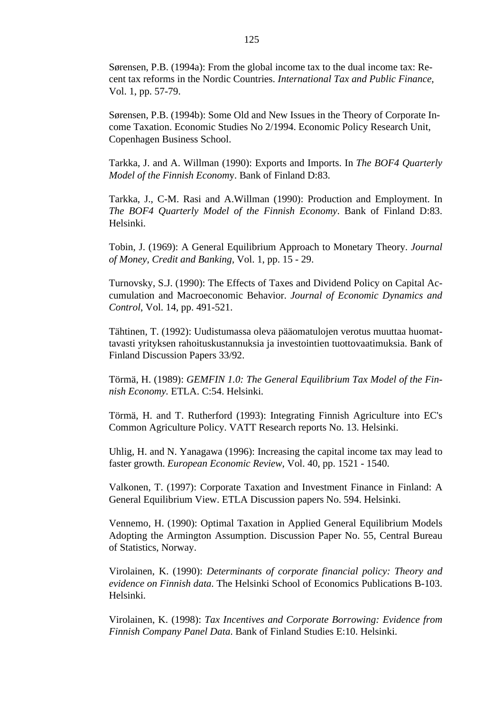Sørensen, P.B. (1994a): From the global income tax to the dual income tax: Recent tax reforms in the Nordic Countries. *International Tax and Public Finance*, Vol. 1, pp. 57-79.

Sørensen, P.B. (1994b): Some Old and New Issues in the Theory of Corporate Income Taxation. Economic Studies No 2/1994. Economic Policy Research Unit, Copenhagen Business School.

Tarkka, J. and A. Willman (1990): Exports and Imports. In *The BOF4 Quarterly Model of the Finnish Econom*y. Bank of Finland D:83.

Tarkka, J., C-M. Rasi and A.Willman (1990): Production and Employment. In *The BOF4 Quarterly Model of the Finnish Economy*. Bank of Finland D:83. Helsinki.

Tobin, J. (1969): A General Equilibrium Approach to Monetary Theory. *Journal of Money, Credit and Banking,* Vol. 1, pp. 15 - 29.

Turnovsky, S.J. (1990): The Effects of Taxes and Dividend Policy on Capital Accumulation and Macroeconomic Behavior. *Journal of Economic Dynamics and Control*, Vol. 14, pp. 491-521.

Tähtinen, T. (1992): Uudistumassa oleva pääomatulojen verotus muuttaa huomattavasti yrityksen rahoituskustannuksia ja investointien tuottovaatimuksia. Bank of Finland Discussion Papers 33/92.

Törmä, H. (1989): *GEMFIN 1.0: The General Equilibrium Tax Model of the Finnish Economy.* ETLA. C:54. Helsinki.

Törmä, H. and T. Rutherford (1993): Integrating Finnish Agriculture into EC's Common Agriculture Policy. VATT Research reports No. 13. Helsinki.

Uhlig, H. and N. Yanagawa (1996): Increasing the capital income tax may lead to faster growth. *European Economic Review*, Vol. 40, pp. 1521 - 1540.

Valkonen, T. (1997): Corporate Taxation and Investment Finance in Finland: A General Equilibrium View. ETLA Discussion papers No. 594. Helsinki.

Vennemo, H. (1990): Optimal Taxation in Applied General Equilibrium Models Adopting the Armington Assumption. Discussion Paper No. 55, Central Bureau of Statistics, Norway.

Virolainen, K. (1990): *Determinants of corporate financial policy: Theory and evidence on Finnish data*. The Helsinki School of Economics Publications B-103. Helsinki.

Virolainen, K. (1998): *Tax Incentives and Corporate Borrowing: Evidence from Finnish Company Panel Data*. Bank of Finland Studies E:10. Helsinki.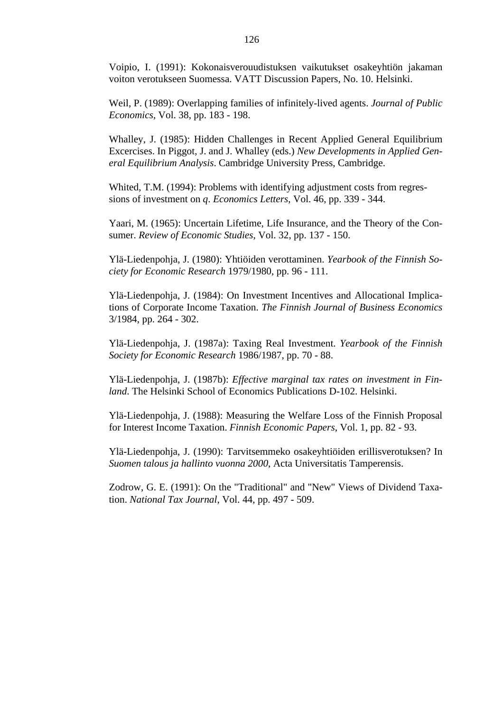Voipio, I. (1991): Kokonaisverouudistuksen vaikutukset osakeyhtiön jakaman voiton verotukseen Suomessa. VATT Discussion Papers, No. 10. Helsinki.

Weil, P. (1989): Overlapping families of infinitely-lived agents. *Journal of Public Economics,* Vol. 38, pp. 183 - 198.

Whalley, J. (1985): Hidden Challenges in Recent Applied General Equilibrium Excercises. In Piggot, J. and J. Whalley (eds.) *New Developments in Applied General Equilibrium Analysis*. Cambridge University Press, Cambridge.

Whited, T.M. (1994): Problems with identifying adjustment costs from regressions of investment on *q*. *Economics Letters*, Vol. 46, pp. 339 - 344.

Yaari, M. (1965): Uncertain Lifetime, Life Insurance, and the Theory of the Consumer. *Review of Economic Studies*, Vol. 32, pp. 137 - 150.

Ylä-Liedenpohja, J. (1980): Yhtiöiden verottaminen. *Yearbook of the Finnish Society for Economic Research* 1979/1980, pp. 96 - 111.

Ylä-Liedenpohja, J. (1984): On Investment Incentives and Allocational Implications of Corporate Income Taxation. *The Finnish Journal of Business Economics* 3/1984, pp. 264 - 302.

Ylä-Liedenpohja, J. (1987a): Taxing Real Investment. *Yearbook of the Finnish Society for Economic Research* 1986/1987, pp. 70 - 88.

Ylä-Liedenpohja, J. (1987b): *Effective marginal tax rates on investment in Finland*. The Helsinki School of Economics Publications D-102. Helsinki.

Ylä-Liedenpohja, J. (1988): Measuring the Welfare Loss of the Finnish Proposal for Interest Income Taxation. *Finnish Economic Papers*, Vol. 1, pp. 82 - 93.

Ylä-Liedenpohja, J. (1990): Tarvitsemmeko osakeyhtiöiden erillisverotuksen? In *Suomen talous ja hallinto vuonna 2000*, Acta Universitatis Tamperensis.

Zodrow, G. E. (1991): On the "Traditional" and "New" Views of Dividend Taxation. *National Tax Journal*, Vol. 44, pp. 497 - 509.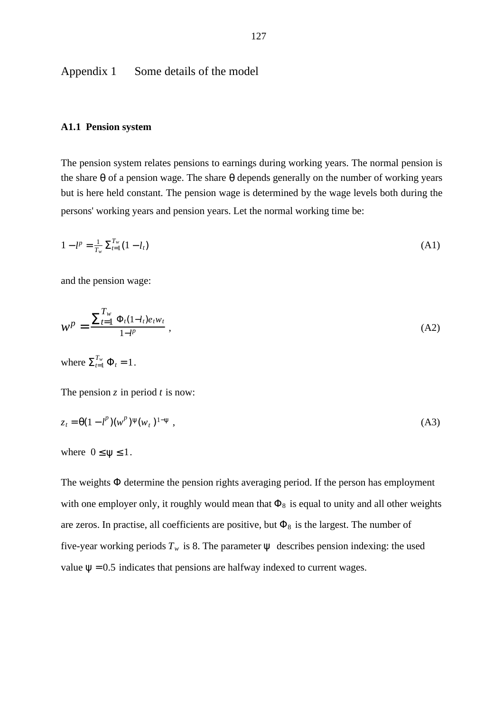Appendix 1 Some details of the model

#### **A1.1 Pension system**

The pension system relates pensions to earnings during working years. The normal pension is the share  $\theta$  of a pension wage. The share  $\theta$  depends generally on the number of working years but is here held constant. The pension wage is determined by the wage levels both during the persons' working years and pension years. Let the normal working time be:

$$
1 - l^p = \frac{1}{T_w} \sum_{t=1}^{T_w} (1 - l_t) \tag{A1}
$$

and the pension wage:

$$
W^{p} = \frac{\sum_{t=1}^{T_{w}} \Phi_{t}(1 - l_{t}) e_{t} w_{t}}{1 - l^{p}} , \qquad (A2)
$$

where  $\sum_{t=1}^{T_w} \Phi_t = 1$ .

The pension  $\zeta$  in period  $t$  is now:

$$
z_t = \Theta(1 - l^p)(w^p)^{\Psi}(w_t)^{1 - \Psi}, \tag{A3}
$$

where  $0 \leq \psi \leq 1$ .

The weights  $\Phi$  determine the pension rights averaging period. If the person has employment with one employer only, it roughly would mean that  $\Phi_8$  is equal to unity and all other weights are zeros. In practise, all coefficients are positive, but  $\Phi_8$  is the largest. The number of five-year working periods  $T_w$  is 8. The parameter  $\psi$  describes pension indexing: the used value  $\psi = 0.5$  indicates that pensions are halfway indexed to current wages.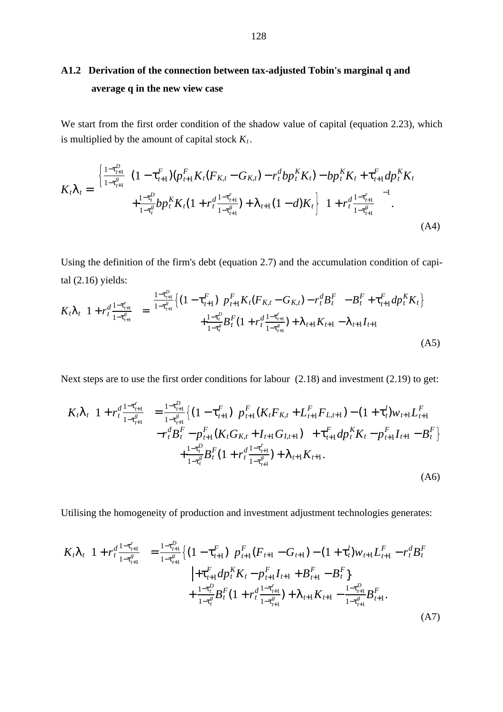# **A1.2 Derivation of the connection between tax-adjusted Tobin's marginal q and average q in the new view case**

We start from the first order condition of the shadow value of capital (equation 2.23), which is multiplied by the amount of capital stock  $K_t$ .

$$
K_{t}\lambda_{t} = \begin{cases} \frac{1-\tau_{t+1}^{D}}{1-\tau_{t+1}^{g}} \Big[ (1-\tau_{t+1}^{F})(p_{t+1}^{F}K_{t}(F_{K,t}-G_{K,t})-r_{t}^{d}bp_{t}^{K}K_{t}) - bp_{t}^{K}K_{t} + \tau_{t+1}^{F}dp_{t}^{K}K_{t} \Big] \\ + \frac{1-\tau_{t}^{D}}{1-\tau_{t}^{g}}bp_{t}^{K}K_{t}(1+r_{t}^{d}\frac{1-\tau_{t+1}^{r}}{1-\tau_{t+1}^{g}}) + \lambda_{t+1}(1-d)K_{t} \Big] \Big( 1+r_{t}^{d}\frac{1-\tau_{t+1}^{r}}{1-\tau_{t+1}^{g}} \Big)^{-1} . \end{cases} \tag{A4}
$$

Using the definition of the firm's debt (equation 2.7) and the accumulation condition of capital (2.16) yields:

$$
K_{t}\lambda_{t}\left(1+r_{t}^{d}\frac{1-\tau_{t+1}^{r}}{1-\tau_{t+1}^{s}}\right)=\frac{\frac{1-\tau_{t+1}^{D}}{1-\tau_{t+1}^{s}}\left\{(1-\tau_{t+1}^{F})\left[p_{t+1}^{F}K_{t}(F_{K,t}-G_{K,t})-r_{t}^{d}B_{t}^{F}\right]-B_{t}^{F}+\tau_{t+1}^{F}dp_{t}^{K}K_{t}\right\}}{+\frac{1-\tau_{t}^{D}}{1-\tau_{t}^{s}}B_{t}^{F}(1+r_{t}^{d}\frac{1-\tau_{t+1}^{r}}{1-\tau_{t+1}^{s}})+\lambda_{t+1}K_{t+1}-\lambda_{t+1}I_{t+1}}
$$
\n(A5)

Next steps are to use the first order conditions for labour (2.18) and investment (2.19) to get:

$$
K_{t}\lambda_{t}\left(1+r_{t}^{d}\frac{1-\tau_{t+1}^{P}}{1-\tau_{t+1}^{g}}\right) = \frac{1-\tau_{t+1}^{D}}{1-\tau_{t+1}^{g}}\left\{(1-\tau_{t+1}^{F})\left[p_{t+1}^{F}(K_{t}F_{K,t}+L_{t+1}^{F}F_{L,t+1})-(1+\tau_{t}^{I})w_{t+1}L_{t+1}^{F} -r_{t}^{H}B_{t}^{F}-p_{t+1}^{F}(K_{t}G_{K,t}+I_{t+1}G_{I,t+1})\right] + \tau_{t+1}^{F}dp_{t}^{K}K_{t}-p_{t+1}^{F}I_{t+1}-B_{t}^{F}\right\} + \frac{1-\tau_{t}^{D}}{1-\tau_{t}^{g}}B_{t}^{F}(1+r_{t}^{d}\frac{1-\tau_{t+1}^{F}}{1-\tau_{t+1}^{g}})+\lambda_{t+1}K_{t+1}.
$$
\n(A6)

Utilising the homogeneity of production and investment adjustment technologies generates:

$$
K_{t}\lambda_{t}\left(1+r_{t}^{d}\frac{1-\tau_{t+1}^{r}}{1-\tau_{t+1}^{g}}\right)=\frac{1-\tau_{t+1}^{D}}{1-\tau_{t+1}^{g}}\left\{(1-\tau_{t+1}^{F})\left[p_{t+1}^{F}(F_{t+1}-G_{t+1})-(1+\tau_{t}^{I})w_{t+1}L_{t+1}^{F}-r_{t}^{d}B_{t}^{F}\right]\right.\\ \left.+ \tau_{t+1}^{F}dp_{t}^{K}K_{t}-p_{t+1}^{F}I_{t+1}+B_{t+1}^{F}-B_{t}^{F}\right\}\\ +\frac{1-\tau_{t}^{D}}{1-\tau_{t}^{g}}B_{t}^{F}(1+r_{t}^{d}\frac{1-\tau_{t+1}^{r}}{1-\tau_{t+1}^{g}})+\lambda_{t+1}K_{t+1}-\frac{1-\tau_{t+1}^{D}}{1-\tau_{t+1}^{g}}B_{t+1}^{F}.\tag{A7}
$$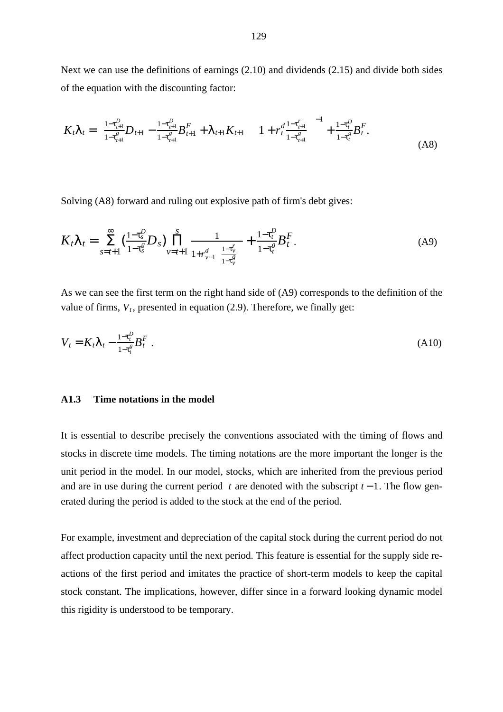Next we can use the definitions of earnings (2.10) and dividends (2.15) and divide both sides of the equation with the discounting factor:

$$
K_t \lambda_t = \left( \frac{1 - \tau_{t+1}^D}{1 - \tau_{t+1}^g} D_{t+1} - \frac{1 - \tau_{t+1}^D}{1 - \tau_{t+1}^g} B_{t+1}^F + \lambda_{t+1} K_{t+1} \right) \left( 1 + r_t^d \frac{1 - \tau_{t+1}^r}{1 - \tau_{t+1}^g} \right)^{-1} + \frac{1 - \tau_t^D}{1 - \tau_t^g} B_t^F. \tag{A8}
$$

Solving (A8) forward and ruling out explosive path of firm's debt gives:

$$
K_t \lambda_t = \sum_{s=t+1}^{\infty} \left( \frac{1 - \tau_s^D}{1 - \tau_s^g} D_s \right) \prod_{\nu=t+1}^S \frac{1}{1 + r_{\nu-1}^d \left( \frac{1 - \tau_{\nu}^r}{1 - \tau_s^g} \right)} + \frac{1 - \tau_t^D}{1 - \tau_t^g} B_t^F. \tag{A9}
$$

As we can see the first term on the right hand side of (A9) corresponds to the definition of the value of firms,  $V_t$ , presented in equation (2.9). Therefore, we finally get:

$$
V_t = K_t \lambda_t - \frac{1 - \tau_t^p}{1 - \tau_t^s} B_t^F
$$
 (A10)

#### **A1.3 Time notations in the model**

It is essential to describe precisely the conventions associated with the timing of flows and stocks in discrete time models. The timing notations are the more important the longer is the unit period in the model. In our model, stocks, which are inherited from the previous period and are in use during the current period t are denoted with the subscript  $t - 1$ . The flow generated during the period is added to the stock at the end of the period.

For example, investment and depreciation of the capital stock during the current period do not affect production capacity until the next period. This feature is essential for the supply side reactions of the first period and imitates the practice of short-term models to keep the capital stock constant. The implications, however, differ since in a forward looking dynamic model this rigidity is understood to be temporary.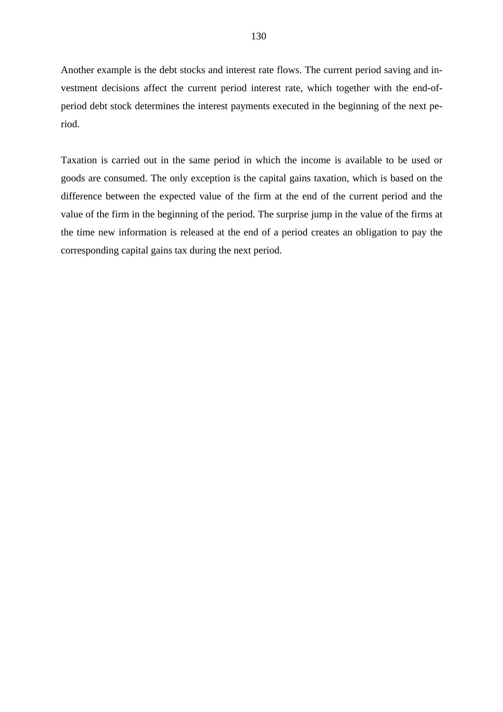Another example is the debt stocks and interest rate flows. The current period saving and investment decisions affect the current period interest rate, which together with the end-ofperiod debt stock determines the interest payments executed in the beginning of the next period.

Taxation is carried out in the same period in which the income is available to be used or goods are consumed. The only exception is the capital gains taxation, which is based on the difference between the expected value of the firm at the end of the current period and the value of the firm in the beginning of the period. The surprise jump in the value of the firms at the time new information is released at the end of a period creates an obligation to pay the corresponding capital gains tax during the next period.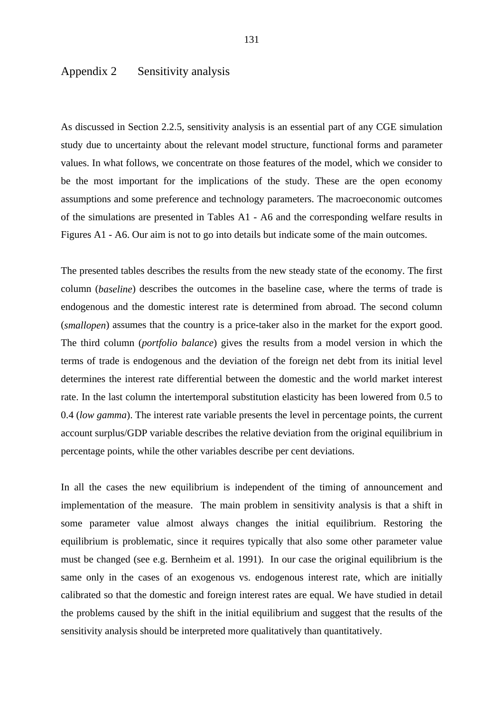### Appendix 2 Sensitivity analysis

As discussed in Section 2.2.5, sensitivity analysis is an essential part of any CGE simulation study due to uncertainty about the relevant model structure, functional forms and parameter values. In what follows, we concentrate on those features of the model, which we consider to be the most important for the implications of the study. These are the open economy assumptions and some preference and technology parameters. The macroeconomic outcomes of the simulations are presented in Tables A1 - A6 and the corresponding welfare results in Figures A1 - A6. Our aim is not to go into details but indicate some of the main outcomes.

The presented tables describes the results from the new steady state of the economy. The first column (*baseline*) describes the outcomes in the baseline case, where the terms of trade is endogenous and the domestic interest rate is determined from abroad. The second column (*smallopen*) assumes that the country is a price-taker also in the market for the export good. The third column (*portfolio balance*) gives the results from a model version in which the terms of trade is endogenous and the deviation of the foreign net debt from its initial level determines the interest rate differential between the domestic and the world market interest rate. In the last column the intertemporal substitution elasticity has been lowered from 0.5 to 0.4 (*low gamma*). The interest rate variable presents the level in percentage points, the current account surplus/GDP variable describes the relative deviation from the original equilibrium in percentage points, while the other variables describe per cent deviations.

In all the cases the new equilibrium is independent of the timing of announcement and implementation of the measure. The main problem in sensitivity analysis is that a shift in some parameter value almost always changes the initial equilibrium. Restoring the equilibrium is problematic, since it requires typically that also some other parameter value must be changed (see e.g. Bernheim et al. 1991). In our case the original equilibrium is the same only in the cases of an exogenous vs. endogenous interest rate, which are initially calibrated so that the domestic and foreign interest rates are equal. We have studied in detail the problems caused by the shift in the initial equilibrium and suggest that the results of the sensitivity analysis should be interpreted more qualitatively than quantitatively.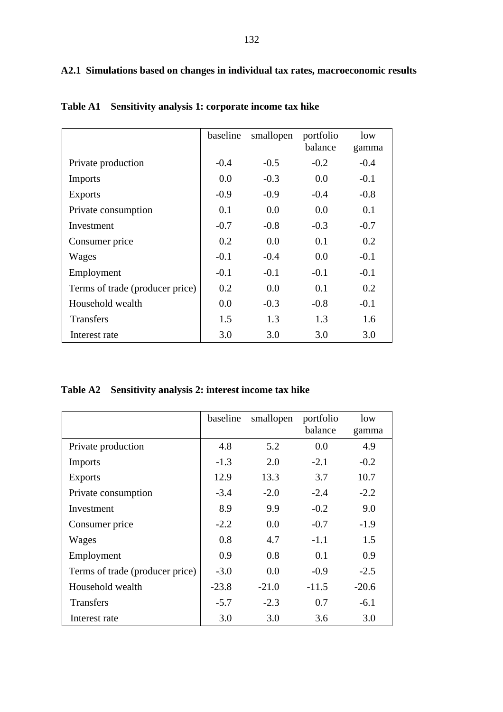## **A2.1 Simulations based on changes in individual tax rates, macroeconomic results**

|                                 | baseline | smallopen | portfolio | low    |
|---------------------------------|----------|-----------|-----------|--------|
|                                 |          |           | balance   | gamma  |
| Private production              | $-0.4$   | $-0.5$    | $-0.2$    | $-0.4$ |
| <b>Imports</b>                  | 0.0      | $-0.3$    | 0.0       | $-0.1$ |
| <b>Exports</b>                  | $-0.9$   | $-0.9$    | $-0.4$    | $-0.8$ |
| Private consumption             | 0.1      | 0.0       | 0.0       | 0.1    |
| Investment                      | $-0.7$   | $-0.8$    | $-0.3$    | $-0.7$ |
| Consumer price                  | 0.2      | 0.0       | 0.1       | 0.2    |
| Wages                           | $-0.1$   | $-0.4$    | 0.0       | $-0.1$ |
| Employment                      | $-0.1$   | $-0.1$    | $-0.1$    | $-0.1$ |
| Terms of trade (producer price) | 0.2      | 0.0       | 0.1       | 0.2    |
| Household wealth                | 0.0      | $-0.3$    | $-0.8$    | $-0.1$ |
| <b>Transfers</b>                | 1.5      | 1.3       | 1.3       | 1.6    |
| Interest rate                   | 3.0      | 3.0       | 3.0       | 3.0    |

**Table A1 Sensitivity analysis 1: corporate income tax hike** 

## **Table A2 Sensitivity analysis 2: interest income tax hike**

|                                 | baseline | smallopen | portfolio | low     |
|---------------------------------|----------|-----------|-----------|---------|
|                                 |          |           | balance   | gamma   |
| Private production              | 4.8      | 5.2       | 0.0       | 4.9     |
| <b>Imports</b>                  | $-1.3$   | 2.0       | $-2.1$    | $-0.2$  |
| <b>Exports</b>                  | 12.9     | 13.3      | 3.7       | 10.7    |
| Private consumption             | $-3.4$   | $-2.0$    | $-2.4$    | $-2.2$  |
| Investment                      | 8.9      | 9.9       | $-0.2$    | 9.0     |
| Consumer price                  | $-2.2$   | 0.0       | $-0.7$    | $-1.9$  |
| Wages                           | 0.8      | 4.7       | $-1.1$    | 1.5     |
| Employment                      | 0.9      | 0.8       | 0.1       | 0.9     |
| Terms of trade (producer price) | $-3.0$   | 0.0       | $-0.9$    | $-2.5$  |
| Household wealth                | $-23.8$  | $-21.0$   | $-11.5$   | $-20.6$ |
| <b>Transfers</b>                | $-5.7$   | $-2.3$    | 0.7       | $-6.1$  |
| Interest rate                   | 3.0      | 3.0       | 3.6       | 3.0     |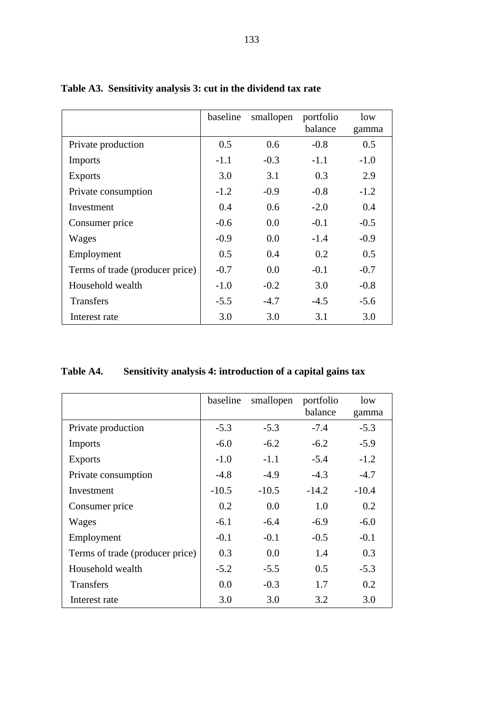|                                 | baseline | smallopen | portfolio<br>balance | low<br>gamma |
|---------------------------------|----------|-----------|----------------------|--------------|
| Private production              | 0.5      | 0.6       | $-0.8$               | 0.5          |
| <b>Imports</b>                  | $-1.1$   | $-0.3$    | $-1.1$               | $-1.0$       |
| <b>Exports</b>                  | 3.0      | 3.1       | 0.3                  | 2.9          |
| Private consumption             | $-1.2$   | $-0.9$    | $-0.8$               | $-1.2$       |
| Investment                      | 0.4      | 0.6       | $-2.0$               | 0.4          |
| Consumer price                  | $-0.6$   | 0.0       | $-0.1$               | $-0.5$       |
| Wages                           | $-0.9$   | 0.0       | $-1.4$               | $-0.9$       |
| Employment                      | 0.5      | 0.4       | 0.2                  | 0.5          |
| Terms of trade (producer price) | $-0.7$   | 0.0       | $-0.1$               | $-0.7$       |
| Household wealth                | $-1.0$   | $-0.2$    | 3.0                  | $-0.8$       |
| <b>Transfers</b>                | $-5.5$   | $-4.7$    | $-4.5$               | $-5.6$       |
| Interest rate                   | 3.0      | 3.0       | 3.1                  | 3.0          |

## **Table A3. Sensitivity analysis 3: cut in the dividend tax rate**

# **Table A4. Sensitivity analysis 4: introduction of a capital gains tax**

|                                 | baseline | smallopen | portfolio | low     |
|---------------------------------|----------|-----------|-----------|---------|
|                                 |          |           | balance   | gamma   |
| Private production              | $-5.3$   | $-5.3$    | $-7.4$    | $-5.3$  |
| Imports                         | $-6.0$   | $-6.2$    | $-6.2$    | $-5.9$  |
| <b>Exports</b>                  | $-1.0$   | $-1.1$    | $-5.4$    | $-1.2$  |
| Private consumption             | $-4.8$   | $-4.9$    | $-4.3$    | $-4.7$  |
| Investment                      | $-10.5$  | $-10.5$   | $-14.2$   | $-10.4$ |
| Consumer price                  | 0.2      | 0.0       | 1.0       | 0.2     |
| Wages                           | $-6.1$   | $-6.4$    | $-6.9$    | $-6.0$  |
| Employment                      | $-0.1$   | $-0.1$    | $-0.5$    | $-0.1$  |
| Terms of trade (producer price) | 0.3      | 0.0       | 1.4       | 0.3     |
| Household wealth                | $-5.2$   | $-5.5$    | 0.5       | $-5.3$  |
| Transfers                       | 0.0      | $-0.3$    | 1.7       | 0.2     |
| Interest rate                   | 3.0      | 3.0       | 3.2       | 3.0     |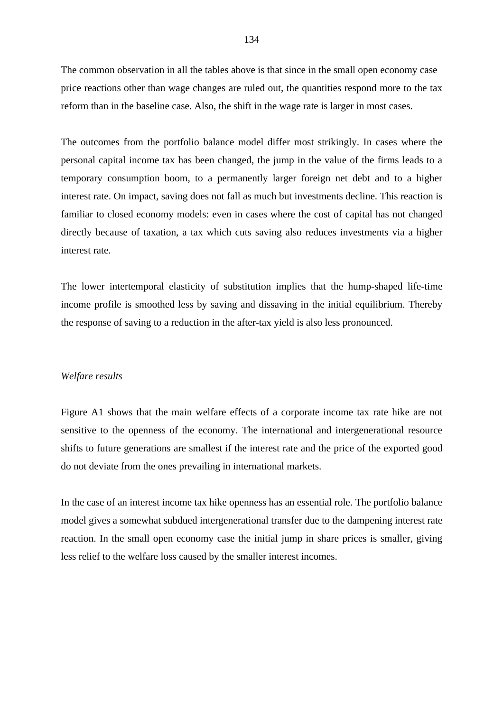The common observation in all the tables above is that since in the small open economy case price reactions other than wage changes are ruled out, the quantities respond more to the tax reform than in the baseline case. Also, the shift in the wage rate is larger in most cases.

The outcomes from the portfolio balance model differ most strikingly. In cases where the personal capital income tax has been changed, the jump in the value of the firms leads to a temporary consumption boom, to a permanently larger foreign net debt and to a higher interest rate. On impact, saving does not fall as much but investments decline. This reaction is familiar to closed economy models: even in cases where the cost of capital has not changed directly because of taxation, a tax which cuts saving also reduces investments via a higher interest rate.

The lower intertemporal elasticity of substitution implies that the hump-shaped life-time income profile is smoothed less by saving and dissaving in the initial equilibrium. Thereby the response of saving to a reduction in the after-tax yield is also less pronounced.

#### *Welfare results*

Figure A1 shows that the main welfare effects of a corporate income tax rate hike are not sensitive to the openness of the economy. The international and intergenerational resource shifts to future generations are smallest if the interest rate and the price of the exported good do not deviate from the ones prevailing in international markets.

In the case of an interest income tax hike openness has an essential role. The portfolio balance model gives a somewhat subdued intergenerational transfer due to the dampening interest rate reaction. In the small open economy case the initial jump in share prices is smaller, giving less relief to the welfare loss caused by the smaller interest incomes.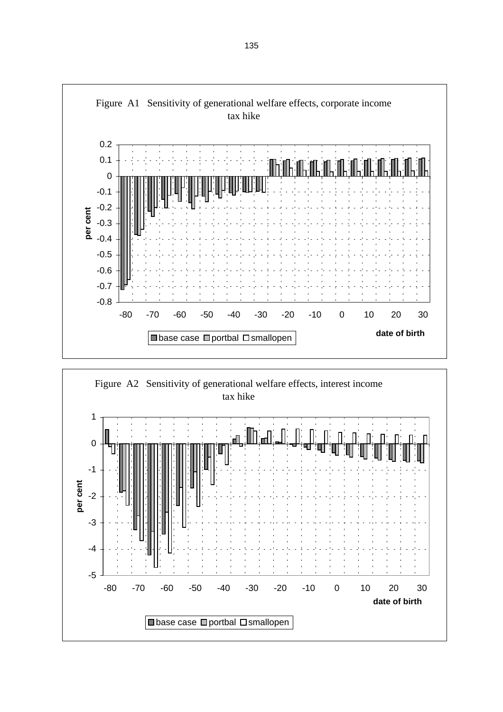

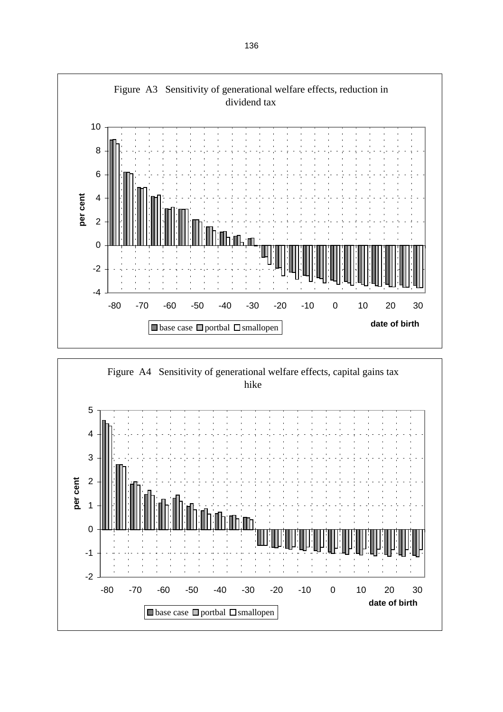

Figure A4 Sensitivity of generational welfare effects, capital gains tax hike

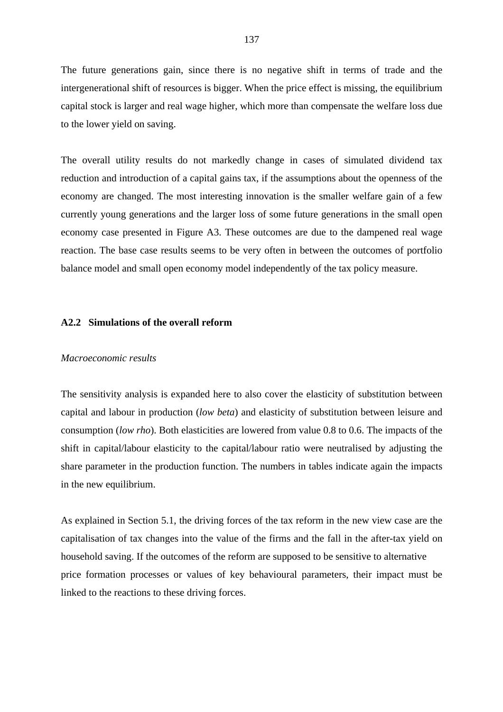The future generations gain, since there is no negative shift in terms of trade and the intergenerational shift of resources is bigger. When the price effect is missing, the equilibrium capital stock is larger and real wage higher, which more than compensate the welfare loss due to the lower yield on saving.

The overall utility results do not markedly change in cases of simulated dividend tax reduction and introduction of a capital gains tax, if the assumptions about the openness of the economy are changed. The most interesting innovation is the smaller welfare gain of a few currently young generations and the larger loss of some future generations in the small open economy case presented in Figure A3. These outcomes are due to the dampened real wage reaction. The base case results seems to be very often in between the outcomes of portfolio balance model and small open economy model independently of the tax policy measure.

### **A2.2 Simulations of the overall reform**

#### *Macroeconomic results*

The sensitivity analysis is expanded here to also cover the elasticity of substitution between capital and labour in production (*low beta*) and elasticity of substitution between leisure and consumption (*low rho*). Both elasticities are lowered from value 0.8 to 0.6. The impacts of the shift in capital/labour elasticity to the capital/labour ratio were neutralised by adjusting the share parameter in the production function. The numbers in tables indicate again the impacts in the new equilibrium.

As explained in Section 5.1, the driving forces of the tax reform in the new view case are the capitalisation of tax changes into the value of the firms and the fall in the after-tax yield on household saving. If the outcomes of the reform are supposed to be sensitive to alternative price formation processes or values of key behavioural parameters, their impact must be linked to the reactions to these driving forces.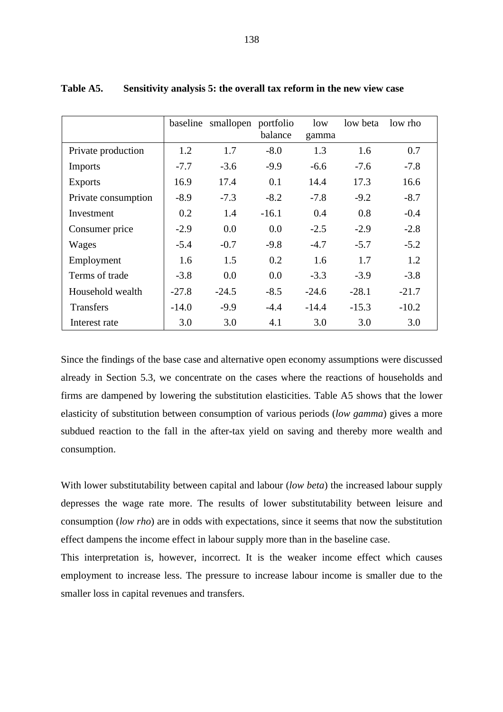|                     |         | baseline smallopen portfolio | balance | low<br>gamma | low beta | low rho |
|---------------------|---------|------------------------------|---------|--------------|----------|---------|
| Private production  | 1.2     | 1.7                          | $-8.0$  | 1.3          | 1.6      | 0.7     |
| Imports             | $-7.7$  | $-3.6$                       | $-9.9$  | $-6.6$       | $-7.6$   | $-7.8$  |
| <b>Exports</b>      | 16.9    | 17.4                         | 0.1     | 14.4         | 17.3     | 16.6    |
| Private consumption | $-8.9$  | $-7.3$                       | $-8.2$  | $-7.8$       | $-9.2$   | $-8.7$  |
| Investment          | 0.2     | 1.4                          | $-16.1$ | 0.4          | 0.8      | $-0.4$  |
| Consumer price      | $-2.9$  | 0.0                          | 0.0     | $-2.5$       | $-2.9$   | $-2.8$  |
| Wages               | $-5.4$  | $-0.7$                       | $-9.8$  | $-4.7$       | $-5.7$   | $-5.2$  |
| Employment          | 1.6     | 1.5                          | 0.2     | 1.6          | 1.7      | 1.2     |
| Terms of trade      | $-3.8$  | 0.0                          | 0.0     | $-3.3$       | $-3.9$   | $-3.8$  |
| Household wealth    | $-27.8$ | $-24.5$                      | $-8.5$  | $-24.6$      | $-28.1$  | $-21.7$ |
| <b>Transfers</b>    | $-14.0$ | $-9.9$                       | $-4.4$  | $-14.4$      | $-15.3$  | $-10.2$ |
| Interest rate       | 3.0     | 3.0                          | 4.1     | 3.0          | 3.0      | 3.0     |

**Table A5. Sensitivity analysis 5: the overall tax reform in the new view case**

Since the findings of the base case and alternative open economy assumptions were discussed already in Section 5.3, we concentrate on the cases where the reactions of households and firms are dampened by lowering the substitution elasticities. Table A5 shows that the lower elasticity of substitution between consumption of various periods (*low gamma*) gives a more subdued reaction to the fall in the after-tax yield on saving and thereby more wealth and consumption.

With lower substitutability between capital and labour (*low beta*) the increased labour supply depresses the wage rate more. The results of lower substitutability between leisure and consumption (*low rho*) are in odds with expectations, since it seems that now the substitution effect dampens the income effect in labour supply more than in the baseline case.

This interpretation is, however, incorrect. It is the weaker income effect which causes employment to increase less. The pressure to increase labour income is smaller due to the smaller loss in capital revenues and transfers.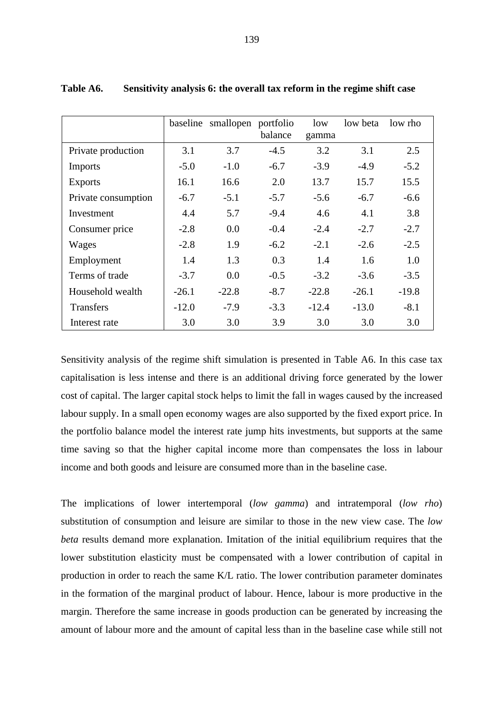|                     |         | baseline smallopen portfolio | balance | low<br>gamma | low beta | low rho |
|---------------------|---------|------------------------------|---------|--------------|----------|---------|
| Private production  | 3.1     | 3.7                          | $-4.5$  | 3.2          | 3.1      | 2.5     |
| Imports             | $-5.0$  | $-1.0$                       | $-6.7$  | $-3.9$       | $-4.9$   | $-5.2$  |
| <b>Exports</b>      | 16.1    | 16.6                         | 2.0     | 13.7         | 15.7     | 15.5    |
| Private consumption | $-6.7$  | $-5.1$                       | $-5.7$  | $-5.6$       | $-6.7$   | $-6.6$  |
| Investment          | 4.4     | 5.7                          | $-9.4$  | 4.6          | 4.1      | 3.8     |
| Consumer price      | $-2.8$  | 0.0                          | $-0.4$  | $-2.4$       | $-2.7$   | $-2.7$  |
| Wages               | $-2.8$  | 1.9                          | $-6.2$  | $-2.1$       | $-2.6$   | $-2.5$  |
| Employment          | 1.4     | 1.3                          | 0.3     | 1.4          | 1.6      | 1.0     |
| Terms of trade      | $-3.7$  | 0.0                          | $-0.5$  | $-3.2$       | $-3.6$   | $-3.5$  |
| Household wealth    | $-26.1$ | $-22.8$                      | $-8.7$  | $-22.8$      | $-26.1$  | $-19.8$ |
| <b>Transfers</b>    | $-12.0$ | $-7.9$                       | $-3.3$  | $-12.4$      | $-13.0$  | $-8.1$  |
| Interest rate       | 3.0     | 3.0                          | 3.9     | 3.0          | 3.0      | 3.0     |

**Table A6. Sensitivity analysis 6: the overall tax reform in the regime shift case**

Sensitivity analysis of the regime shift simulation is presented in Table A6. In this case tax capitalisation is less intense and there is an additional driving force generated by the lower cost of capital. The larger capital stock helps to limit the fall in wages caused by the increased labour supply. In a small open economy wages are also supported by the fixed export price. In the portfolio balance model the interest rate jump hits investments, but supports at the same time saving so that the higher capital income more than compensates the loss in labour income and both goods and leisure are consumed more than in the baseline case.

The implications of lower intertemporal (*low gamma*) and intratemporal (*low rho*) substitution of consumption and leisure are similar to those in the new view case. The *low beta* results demand more explanation. Imitation of the initial equilibrium requires that the lower substitution elasticity must be compensated with a lower contribution of capital in production in order to reach the same K/L ratio. The lower contribution parameter dominates in the formation of the marginal product of labour. Hence, labour is more productive in the margin. Therefore the same increase in goods production can be generated by increasing the amount of labour more and the amount of capital less than in the baseline case while still not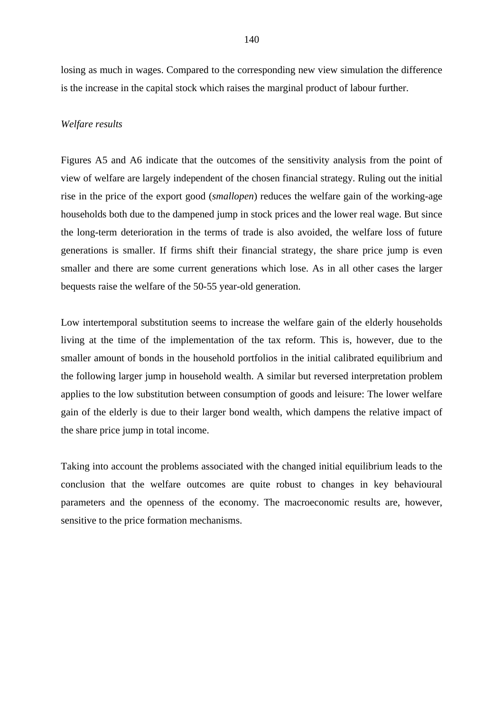losing as much in wages. Compared to the corresponding new view simulation the difference is the increase in the capital stock which raises the marginal product of labour further.

### *Welfare results*

Figures A5 and A6 indicate that the outcomes of the sensitivity analysis from the point of view of welfare are largely independent of the chosen financial strategy. Ruling out the initial rise in the price of the export good (*smallopen*) reduces the welfare gain of the working-age households both due to the dampened jump in stock prices and the lower real wage. But since the long-term deterioration in the terms of trade is also avoided, the welfare loss of future generations is smaller. If firms shift their financial strategy, the share price jump is even smaller and there are some current generations which lose. As in all other cases the larger bequests raise the welfare of the 50-55 year-old generation.

Low intertemporal substitution seems to increase the welfare gain of the elderly households living at the time of the implementation of the tax reform. This is, however, due to the smaller amount of bonds in the household portfolios in the initial calibrated equilibrium and the following larger jump in household wealth. A similar but reversed interpretation problem applies to the low substitution between consumption of goods and leisure: The lower welfare gain of the elderly is due to their larger bond wealth, which dampens the relative impact of the share price jump in total income.

Taking into account the problems associated with the changed initial equilibrium leads to the conclusion that the welfare outcomes are quite robust to changes in key behavioural parameters and the openness of the economy. The macroeconomic results are, however, sensitive to the price formation mechanisms.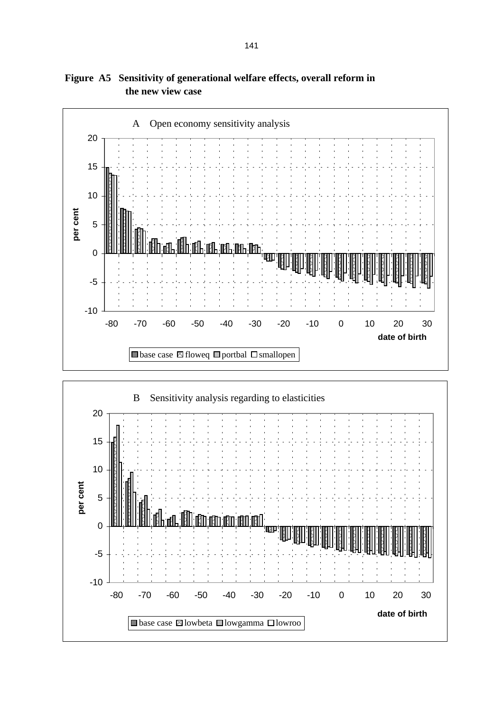

**Figure A5 Sensitivity of generational welfare effects, overall reform in the new view case**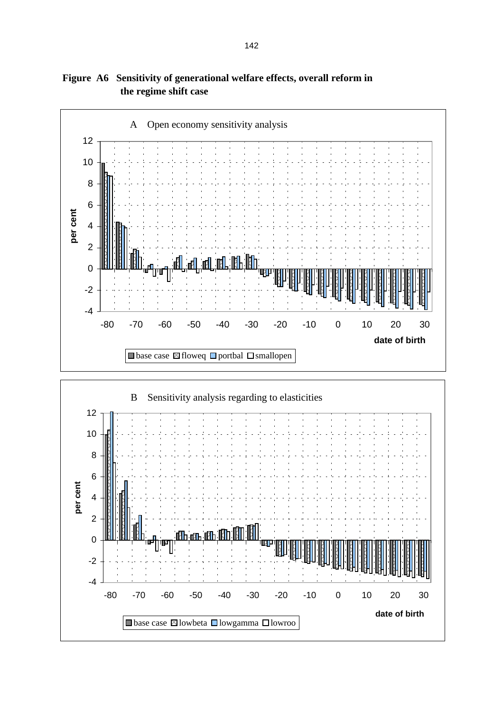

## **Figure A6 Sensitivity of generational welfare effects, overall reform in the regime shift case**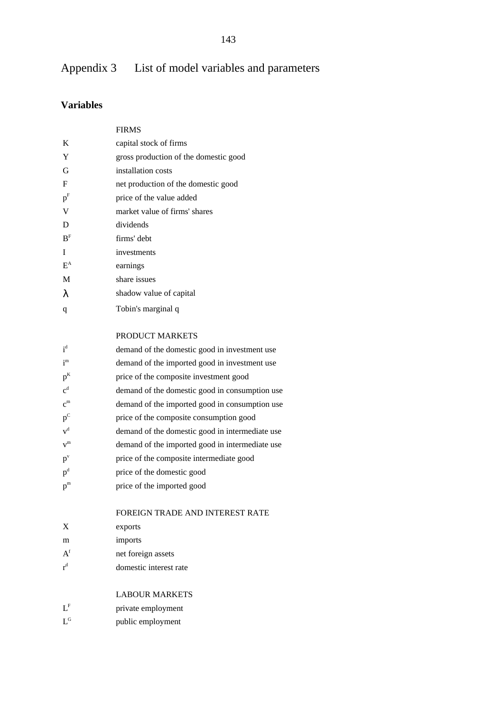# Appendix 3 List of model variables and parameters

## **Variables**

|                           | <b>FIRMS</b>                                    |
|---------------------------|-------------------------------------------------|
| K                         | capital stock of firms                          |
| Y                         | gross production of the domestic good           |
| G                         | installation costs                              |
| F                         | net production of the domestic good             |
| $\mathbf{p}^{\mathrm{F}}$ | price of the value added                        |
| V                         | market value of firms' shares                   |
| D                         | dividends                                       |
| B <sup>F</sup>            | firms' debt                                     |
| I                         | investments                                     |
| $E^A$                     | earnings                                        |
| M                         | share issues                                    |
| λ                         | shadow value of capital                         |
| q                         | Tobin's marginal q                              |
|                           | PRODUCT MARKETS                                 |
| $i^d$                     | demand of the domestic good in investment use   |
| $i^{m}$                   | demand of the imported good in investment use   |
| $p^{K}$                   | price of the composite investment good          |
| $\mathbf{c}^{\text{d}}$   | demand of the domestic good in consumption use  |
| $c^{m}$                   | demand of the imported good in consumption use  |
| $p^C$                     | price of the composite consumption good         |
| $\mathbf{v}^\text{d}$     | demand of the domestic good in intermediate use |
| $v^{m}$                   | demand of the imported good in intermediate use |
| $p^{\rm v}$               | price of the composite intermediate good        |
| $p^{\rm d}$               | price of the domestic good                      |

 $p<sup>m</sup>$  price of the imported good

### FOREIGN TRADE AND INTEREST RATE

| X                             | exports                |
|-------------------------------|------------------------|
| m                             | imports                |
| $\boldsymbol{\rm{A}}^{\rm f}$ | net foreign assets     |
| $\mathsf{r}^{\rm d}$          | domestic interest rate |

### LABOUR MARKETS

LF private employment

L<sup>G</sup> public employment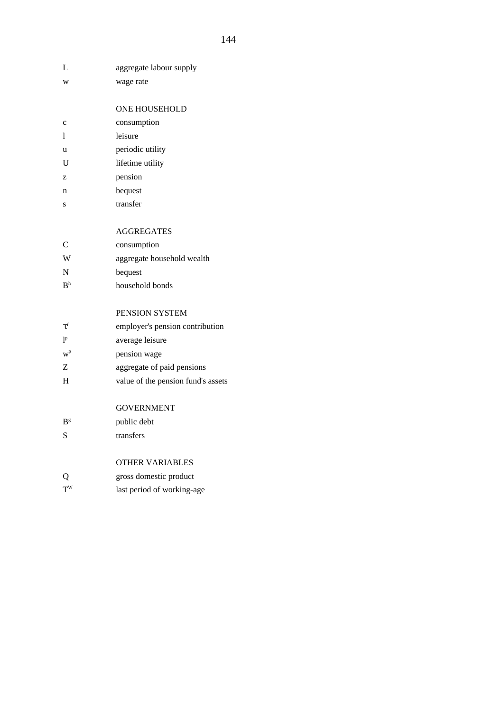| L              | aggregate labour supply            |
|----------------|------------------------------------|
| W              | wage rate                          |
|                |                                    |
|                | <b>ONE HOUSEHOLD</b>               |
| $\mathbf c$    | consumption                        |
| 1              | leisure                            |
| u              | periodic utility                   |
| U              | lifetime utility                   |
| z              | pension                            |
| n              | bequest                            |
| S              | transfer                           |
|                |                                    |
|                | <b>AGGREGATES</b>                  |
| C              | consumption                        |
| W              | aggregate household wealth         |
| $\overline{N}$ | bequest                            |
| B <sup>h</sup> | household bonds                    |
|                |                                    |
|                | PENSION SYSTEM                     |
| $\tau^l$       | employer's pension contribution    |
| 1 <sup>p</sup> | average leisure                    |
| $W^p$          | pension wage                       |
| Z              | aggregate of paid pensions         |
| H              | value of the pension fund's assets |
|                |                                    |
|                | <b>GOVERNMENT</b>                  |
| B <sup>g</sup> | public debt                        |
| S              | transfers                          |
|                |                                    |
|                | <b>OTHER VARIABLES</b>             |
|                | gross domestic product             |
| $T^{\rm W}$    | last period of working-age         |
|                |                                    |